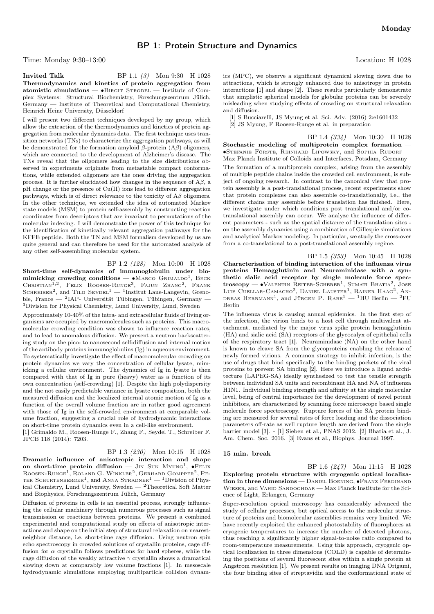# BP 1: Protein Structure and Dynamics

Time: Monday 9:30–13:00 Location: H 1028

**Invited Talk** BP 1.1 (3) Mon 9:30 H 1028 Thermodynamics and kinetics of protein aggregation from atomistic simulations — ∙Birgit Strodel — Institute of Complex Systems: Structural Biochemistry, Forschungszentrum Jülich, Germany — Institute of Theoretical and Computational Chemistry, Heinrich Heine University, Düsseldorf

I will present two different techniques developed by my group, which allow the extraction of the thermodynamics and kinetics of protein aggregation from molecular dynamics data. The first technique uses transition networks (TNs) to characterize the aggregation pathways, as will be demonstrated for the formation amyloid  $\beta$ -protein  $(A\beta)$  oligomers, which are connected to the development of Alzheimer's disease. The TNs reveal that the oligomers leading to the size distributions observed in experiments originate from metastable compact conformations, while extended oligomers are the ones driving the aggregation process. It is further elucidated how changes in the sequence of  $A\beta$ , a pH change or the presence of Cu(II) ions lead to different aggregation pathways, which is of direct relevance to the toxicity of  $A\beta$  oligomers. In the other technique, we extended the idea of automated Markov state models (MSM) to protein self-assembly by constructing reaction coordinates from descriptors that are invariant to permutations of the molecular indexing. I will demonstrate the power of this technique for the identification of kinetically relevant aggregation pathways for the KFFE peptide. Both the TN and MSM formalism developed by us are quite general and can therefore be used for the automated analysis of any other self-assembling molecular system.

BP 1.2 (128) Mon 10:00 H 1028

Short-time self-dynamics of immunoglobulin under biomimicking crowding conditions —  $\bullet$ Marco Grimaldo<sup>1</sup>, Beck CHRISTIAN<sup>1,2</sup>, FELIX ROOSEN-RUNGE<sup>3</sup>, FAJUN ZHANG<sup>2</sup>, FRANK SCHREIBER<sup>2</sup>, and TILO SEYDEL<sup>1</sup> — <sup>1</sup>Institut Laue-Langevin, Grenoble, France — <sup>2</sup> IAP- Universität Tübingen, Tübingen, Germany — <sup>3</sup>Division for Physical Chemistry, Lund University, Lund, Sweden

Approximately 10-40% of the intra- and extracellular fluids of living organisms are occupied by macromolecules such as proteins. This macromolecular crowding condition was shown to influence reaction rates, and to lead to anomalous diffusion. We present a neutron backscattering study on the pico- to nanosecond self-diffusion and internal motion of the antibody proteins immunoglobulins (Ig) in aqueous environment. To systematically investigate the effect of macromolecular crowding on protein dynamics we vary the concentration of cellular lysate, mimicking a cellular environment. The dynamics of Ig in lysate is then compared with that of Ig in pure (heavy) water as a function of its own concentration (self-crowding) [1]. Despite the high polydispersity and the not easily predictable variance in lysate composition, both the measured diffusion and the localized internal atomic motion of Ig as a function of the overall volume fraction are in rather good agreement with those of Ig in the self-crowded environment at comparable volume fraction, suggesting a crucial role of hydrodynamic interactions on short-time protein dynamics even in a cell-like environment.

[1] Grimaldo M., Roosen-Runge F., Zhang F., Seydel T., Schreiber F. JPCB 118 (2014): 7203.

#### BP 1.3 (230) Mon 10:15 H 1028

Dramatic influence of anisotropic interaction and shape on short-time protein diffusion — Jin Suk Myung<sup>1</sup>,  $\bullet$ Felix ROOSEN-RUNGE<sup>1</sup>, ROLAND G. WINKLER<sup>2</sup>, GERHARD GOMPPER<sup>2</sup>, PE-TER SCHURTENBERGER<sup>1</sup>, and ANNA STRADNER<sup>1</sup> — <sup>1</sup>Division of Physical Chemistry, Lund University, Sweden —  $2$ Theoretical Soft Matter and Biophysics, Forschungszentrum Jülich, Germany

Diffusion of proteins in cells is an essential process, strongly influencing the cellular machinery through numerous processes such as signal transmission or reactions between proteins. We present a combined experimental and computational study on effects of anisotropic interactions and shape on the initial step of structural relaxation on nearestneighbor distance, i.e. short-time cage diffusion. Using neutron spin echo spectroscopy in crowded solutions of crystallin proteins, cage diffusion for  $\alpha$  crystallin follows predictions for hard spheres, while the cage diffusion of the weakly attractive  $\gamma$  crystallin shows a dramatical slowing down at comparably low volume fractions [1]. In mesoscale hydrodynamic simulations employing multiparticle collision dynam-

ics (MPC), we observe a significant dynamical slowing down due to attractions, which is strongly enhanced due to anisotropy in protein interactions [1] and shape [2]. These results particularly demonstrate that simplistic spherical models for globular proteins can be severely misleading when studying effects of crowding on structural relaxation and diffusion.

[1] S Bucciarelli, JS Myung et al. Sci. Adv. (2016) 2:e1601432

[2] JS Myung, F Roosen-Runge et al. in preparation

BP 1.4 (334) Mon 10:30 H 1028 Stochastic modeling of multiprotein complex formation — ∙Stefanie Förste, Reinhard Lipowsky, and Sophia Rudorf — Max Planck Institute of Colloids and Interfaces, Potsdam, Germany The formation of a multiprotein complex, arising from the assembly of multiple peptide chains inside the crowded cell environment, is subject of ongoing research. In contrast to the canonical view that protein assembly is a post-translational process, recent experiments show that protein complexes can also assemble co-translationally, i.e., the different chains may assemble before translation has finished. Here, we investigate under which conditions post translational and/or cotranslational assembly can occur. We analyze the influence of different parameters - such as the spatial distance of the translation sites on the assembly dynamics using a combination of Gillespie simulations and analytical Markov modeling. In particular, we study the cross-over from a co-translational to a post-translational assembly regime.

BP 1.5 (353) Mon 10:45 H 1028

Characterisation of binding interaction of the influenza virus proteins Hemagglutinin and Neuraminidase with a synthetic sialic acid receptor by single molecule force spec $t$ roscopy — •Valentin Reiter-Scherer<sup>1</sup>, Sumati Bhatia<sup>2</sup>, Jose LUIS CUELLAR-CAMACHO<sup>2</sup>, DANIEL LAUSTER<sup>1</sup>, RAINER HAAG<sup>2</sup>, AN-DREAS HERRMANN<sup>1</sup>, and JÜRGEN P. RABE<sup>1</sup> - <sup>1</sup>HU Berlin - <sup>2</sup>FU Berlin

The influenza virus is causing annual epidemics. In the first step of the infection, the virion binds to a host cell through multivalent attachment, mediated by the major virus spike protein hemagglutinin (HA) and sialic acid (SA) receptors of the glycocalyx of epithelial cells of the respiratory tract [1]. Neuraminidase (NA) on the other hand is known to cleave SA from the glycoproteins enabling the release of newly formed virions. A common strategy to inhibit infection, is the use of drugs that bind specifically to the binding pockets of the viral proteins to prevent SA binding [2]. Here we introduce a ligand architecture (LAPEG-SA) ideally synthesized to test the tensile strength between individual SA units and recombinant HA and NA of influenza H1N1. Individual binding strength and affinity at the single molecular level, being of central importance for the development of novel potent inhibitors, are characterized by scanning force microscope based single molecule force spectroscopy. Rupture forces of the SA protein binding are measured for several rates of force loading and the dissociation parameters off-rate as well rupture length are derived from the single barrier model [3]. - [1] Sieben et al., PNAS 2012. [2] Bhatia et al., J. Am. Chem. Soc. 2016. [3] Evans et al., Biophys. Journal 1997.

#### 15 min. break

BP 1.6 (247) Mon 11:15 H 1028 Exploring protein structure with cryogenic optical localization in three dimensions — DANIEL BOENING, •FRANZ FERDINAND WIESER, and VAHID SANDOGHDAR — Max Planck Institute for the Science of Light, Erlangen, Germany

Super-resolution optical microscopy has considerably advanced the study of cellular processes, but optical access to the molecular structure of proteins and biomolecular assemblies remains very limited. We have recently exploited the enhanced photostability of fluorophores at cryogenic temperatures to increase the number of detected photons, thus reaching a significantly higher signal-to-noise ratio compared to room-temperature measurements. Using this approach, cryogenic optical localization in three dimensions (COLD) is capable of determining the positions of several fluorescent sites within a single protein at Angstrom resolution [1]. We present results on imaging DNA Origami, the four binding sites of streptavidin and the conformational state of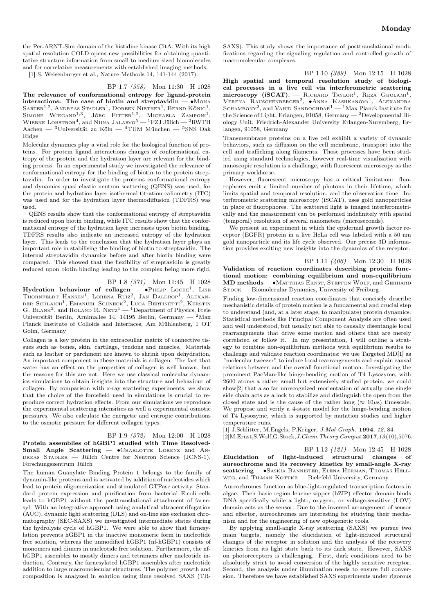the Per-ARNT-Sim domain of the histidine kinase CitA. With its high spatial resolution COLD opens new possibilities for obtaining quantitative structure information from small to medium sized biomolecules and for correlative measurements with established imaging methods.

[1] S. Weisenburger et al., Nature Methods 14, 141-144 (2017).

# BP 1.7 (358) Mon 11:30 H 1028

The relevance of conformational entropy for ligand-protein interactions: The case of biotin and streptavidin —  $\bullet$ Mona SARTER $^{1,2}$ , Andreas Stadler<sup>1</sup>, Doreen Niether<sup>1</sup>, Bernd König<sup>1</sup>, SIMONE WIEGAND<sup>1,3</sup>, JÖRG FITTER<sup>1,2</sup>, MICHAELA ZAMPONI<sup>1</sup>,<br>WIEBKE LOHSTROH<sup>4</sup>, and NIINA JALARVO<sup>5</sup> — <sup>1</sup>FZJ Jülich — <sup>2</sup>RWTH Aachen — <sup>3</sup>Universität zu Köln — <sup>4</sup>TUM München — <sup>5</sup>SNS Oak Ridge

Molecular dynamics play a vital role for the biological function of proteins. For protein ligand interactions changes of conformational entropy of the protein and the hydration layer are relevant for the binding process. In an experimental study we investigated the relevance of conformational entropy for the binding of biotin to the protein streptavidin. In order to investigate the proteins conformational entropy and dynamics quasi elastic neutron scattering (QENS) was used, for the protein and hydration layer isothermal titration caliometry (ITC) was used and for the hydration layer thermodiffusion (TDFRS) was used.

QENS results show that the conformational entropy of streptavidin is reduced upon biotin binding, while ITC results show that the conformational entropy of the hydration layer increases upon biotin binding. TDFRS results also indicate an increased entropy of the hydration layer. This leads to the conclusion that the hydration layer plays an important role in stabilising the binding of biotin to streptavidin. The internal streptavidin dynamics before and after biotin binding were compared. This showed that the flexibility of streptavidin is greatly reduced upon biotin binding leading to the complex being more rigid.

# BP 1.8 (371) Mon 11:45 H 1028

Hydration behaviour of collagen —  $\bullet$ Phillip Loche<sup>1</sup>, Lise THORNFELDT HANSEN<sup>1</sup>, LORENA RUIZ<sup>2</sup>, JAN DALDROP<sup>1</sup>, ALEXAN-DER SCHLAICH<sup>1</sup>, EMANUEL SCHNECK<sup>2</sup>, LUCA BERTINETTI<sup>2</sup>, KERSTIN<br>G. Blank<sup>2</sup>, and ROLAND R. NETZ<sup>1</sup> — <sup>1</sup>Department of Physics, Freie Universität Berlin, Arnimallee 14, 14195 Berlin, Germany — <sup>2</sup>Max Planck Institute of Colloids and Interfaces, Am Mühlenberg, 1 OT Golm, Germany

Collagen is a key protein in the extraceullar matrix of connective tissues such as bones, skin, cartilage, tendons and muscles. Materials such as leather or parchment are known to shrink upon dehydration. An important component in these materials is collagen. The fact that water has an effect on the properties of collagen is well known, but the reasons for this are not. Here we use classical molecular dynamics simulations to obtain insights into the structure and behaviour of collagen. By comparison with x-ray scattering experiments, we show that the choice of the forcefield used in simulations is crucial to reproduce correct hydration effects. From our simulations we reproduce the experimental scattering intensities as well a experimental osmotic pressures. We also calculate the energetic and entropic contributions to the osmotic pressure for different collagen types.

## BP 1.9 (372) Mon 12:00 H 1028 Protein assemblies of hGBP1 studied with Time Resolved-Small Angle Scattering  $\bullet$ CHARLOTTE LORENZ and AN-DREAS STADLER — Jülich Centre for Neutron Science (JCNS-1), Forschungszentrum Jülich

The human Guanylate Binding Protein 1 belongs to the family of dynamin-like proteins and is activated by addition of nucleotides which lead to protein oligomerization and stimulated GTPase activity. Standard protein expression and purification from bacterial E.coli cells leads to hGBP1 without the posttranslational attachment of farnesyl. With an integrative approach using analytical ultracentrifugation (AUC), dynamic light scattering (DLS) and on-line size exclusion chromatography (SEC-SAXS) we investigated intermediate states during the hydrolysis cycle of hGBP1. We were able to show that farnesylation prevents hGBP1 in the inactive monomeric form in nucleotide free solution, whereas the unmodified hGBP1 (nf-hGBP1) consists of monomers and dimers in nucleotide free solution. Furthermore, the nfhGBP1 assembles to mostly dimers and tetramers after nucleotide induction. Contrary, the farnesylated hGBP1 assembles after nucleotide addition to large macromolecular structures. The polymer growth and composition is analyzed in solution using time resolved SAXS (TR-

SAXS). This study shows the importance of posttranslational modifications regarding the signaling regulation and controlled growth of macromolecular complexes.

BP 1.10 (389) Mon 12:15 H 1028 High spatial and temporal resolution study of biological processes in a live cell via interferometric scattering  $microscopy$  (iSCAT).  $-$  RICHARD TAYLOR<sup>1</sup>, REZA GHOLAMI<sup>1</sup>, VERENA RAUSCHENBERGER<sup>2</sup>,  $\bullet$ Anna Kashkanova<sup>1</sup>, Alexandra SCHAMBONY<sup>2</sup>, and VAHID SANDOGHDAR<sup>1</sup> — <sup>1</sup>Max Planck Institute for the Science of Light, Erlangen, 91058, Germany — <sup>2</sup>Developmental Biology Unit, Friedrich-Alexander University Erlangen-Nuremberg, Erlangen, 91058, Germany

Transmembrane proteins on a live cell exhibit a variety of dynamic behaviors, such as diffusion on the cell membrane, transport into the cell and trafficking along filaments. Those processes have been studied using standard technologies, however real-time visualization with nanoscopic resolution is a challenge, with fluorescent microscopy as the primary workhorse.

However, fluorescent microscopy has a critical limitation: fluorophores emit a limited number of photons in their lifetime, which limits spatial and temporal resolution, and the observation time. Interferometric scattering microscopy (iSCAT), uses gold nanoparticles in place of fluorophores. The scattered light is imaged interferometrically and the measurement can be performed indefinitely with spatial (temporal) resolution of several nanometers (microseconds).

We present an experiment in which the epidermal growth factor receptor (EGFR) protein in a live HeLa cell was labeled with a 50 nm gold nanoparticle and its life cycle observed. Our precise 3D information provides exciting new insights into the dynamics of the receptor.

BP 1.11 (406) Mon 12:30 H 1028 Validation of reaction coordinates describing protein functional motion: combining equilibrium and non-equilibrium MD methods — ∙Matthias Ernst, Steffen Wolf, and Gerhard Stock — Biomolecular Dynamics, University of Freiburg

Finding low-dimensional reaction coordinates that concisely describe mechanistic details of protein motion is a fundamental and crucial step to understand (and, at a later stage, to manipulate) protein dynamics. Statistical methods like Principal Component Analysis are often used and well understood, but usually not able to causally disentangle local rearrangements that drive some motion and others that are merely correlated or follow it. In my presentation, I will outline a strategy to combine non-equilibrium methods with equilibrium results to challenge and validate reaction coordinates: we use Targeted MD[1] as "molecular tweezer" to induce local rearrangements and explain causal relations between and the overall functional motion. Investigating the prominent PacMan-like hinge-bending motion of T4 Lysozyme, with 2600 atoms a rather small but extensively studied protein, we could show[2] that a so far unrecognized reorientation of actually one single side chain acts as a lock to stabilize and distinguish the open from the closed state and is the cause of the rather long ( $\approx 10 \mu s$ ) timescale. We propose and verify a 4-state model for the hinge-bending motion of T4 Lysozyme, which is supported by mutation studies and higher temperature runs.

[1] J.Schlitter, M.Engels, P.Krüger, J.Mol Graph. 1994, 12, 84. [2]M.Ernst,S.Wolf,G.Stock,J.Chem.Theory Comput.2017,13(10),5076.

BP 1.12 (121) Mon 12:45 H 1028 Elucidation of light-induced structural changes of

aureochrome and its recovery kinetics by small-angle X-ray scattering — •SASKIA BANNISTER, ELENA HERMAN, THOMAS HELLweg, and TILMAN KOTTKE — Bielefeld University, Germany

Aureochromes function as blue-light-regulated transcription factors in algae. Their basic region leucine zipper (bZIP) effector domain binds DNA specifically while a light-, oxygen-, or voltage-sensitive (LOV) domain acts as the sensor. Due to the inversed arrangement of sensor and effector, aureochromes are interesting for studying their mechanism and for the engineering of new optogenetic tools.

By applying small-angle X-ray scattering (SAXS) we pursue two main targets, namely the elucidation of light-induced structural changes of the receptor in solution and the analysis of the recovery kinetics from its light state back to its dark state. However, SAXS on photoreceptors is challenging. First, dark conditions need to be absolutely strict to avoid conversion of the highly sensitive receptor. Second, the analysis under illumination needs to ensure full conversion. Therefore we have established SAXS experiments under rigorous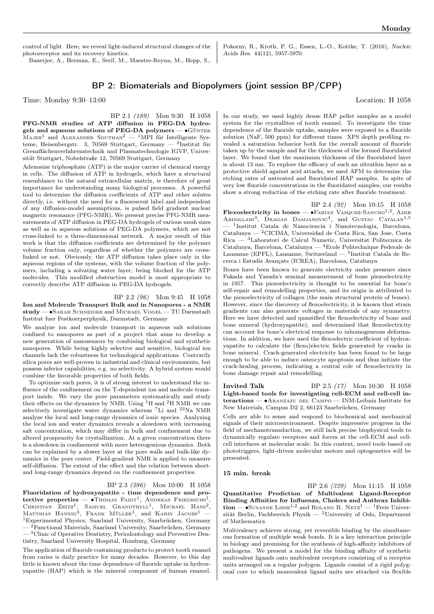control of light. Here, we reveal light-induced structural changes of the photoreceptor and its recovery kinetics.

Banerjee, A., Herman, E., Serif, M., Maestre-Reyna, M., Hepp, S.,

# BP 2: Biomaterials and Biopolymers (joint session BP/CPP)

Acids Res. 44(12), 5957-5970.

Time: Monday 9:30–13:00 Location: H 1058

BP 2.1 (189) Mon 9:30 H 1058 PFG-NMR studies of ATP diffusion in PEG-DA hydrogels and aqueous solutions of PEG-DA polymers — • GÜNTER  $M$ AJER<sup>1</sup> and ALEXANDER SOUTHAN<sup>2</sup> — <sup>1</sup>MPI für Intelligente Systeme, Heisenbergstr. 3, 70569 Stuttgart, Germany — <sup>2</sup>Institut für Grenzflächenverfahrenstechnik und Plasmatechnologie IGVP, Universität Stuttgart, Nobelstraße 12, 70569 Stuttgart, Germany

Adenosine triphosphate (ATP) is the major carrier of chemical energy in cells. The diffusion of ATP in hydrogels, which have a structural resemblance to the natural extracellular matrix, is therefore of great importance for understanding many biological processes. A powerful tool to determine the diffusion coefficients of ATP and other solutes directly, i.e. without the need for a fluorescent label and independent of any diffusion-model assumptions, is pulsed field gradient nuclear magnetic resonance (PFG-NMR). We present precise PFG-NMR measurements of ATP diffusion in PEG-DA hydrogels of various mesh sizes as well as in aqueous solutions of PEG-DA polymers, which are not cross-linked to a three-dimensional network. A major result of this work is that the diffusion coefficients are determined by the polymer volume fraction only, regardless of whether the polymers are crosslinked or not. Obviously, the ATP diffusion takes place only in the aqueous regions of the systems, with the volume fraction of the polymers, including a solvating water layer, being blocked for the ATP molecules. This modified obstruction model is most appropriate to correctly describe ATP diffusion in PEG-DA hydrogels.

## BP 2.2 (96) Mon 9:45 H 1058

Ion and Molecule Transport Bulk and in Nanopores - a NMR study — •SARAH SCHNEIDER and MICHAEL VOGEL — TU Darmstadt Institut fuer Festkoerperphysik, Darmstadt, Germany

We analyze ion and molecule transport in aqueous salt solutions confined to nanopores as part of a project that aims to develop a new generation of nanosensors by combining biological and synthetic nanopores. While being highly selective and sensitive, biological ion channels lack the robustness for technological applications. Contrarily silica pores are well-proven in industrial and clinical environments, but possess inferior capabilities, e.g. no selectivity. A hybrid system would combine the favorable properties of both fields.

To optimize such pores, it is of strong interest to understand the influence of the confinement on the T-dependent ion and molecule transport inside. We vary the pore parameters systematically and study their effects on the dynamics by NMR. Using  ${}^{1}H$  and  ${}^{2}H$  NMR we can selectively investigate water dynamics whereas <sup>7</sup>Li and <sup>23</sup>Na NMR analyze the local and long-range dynamics of ionic species. Analyzing the local ion and water dynamics reveals a slowdown with increasing salt concentration, which may differ in bulk and confinement due to altered prospensity for crystallization. At a given concentration there is a slowdown in confinement with more heterogenious dynamics. Both can be explained by a slower layer at the pore walls and bulk-like dynamics in the pore center. Field-gradient NMR is applied to measure self-diffusion. The extent of the effect and the relation between shortand long-range dynamics depend on the confinement properties.

# BP 2.3 (286) Mon 10:00 H 1058

Fluoridation of hydroxyapatite - time dependence and protective properties —  $\bullet$ Thomas Faidt<sup>1</sup>, Andreas Friedrichs<sup>1</sup>, CHRISTIAN ZEITZ<sup>1</sup>, SAMUEL GRANDTHYLL<sup>1</sup>, MICHAEL HANS<sup>2</sup>, Matthias Hannig<sup>3</sup>, Frank Müller<sup>1</sup>, and Karin Jacobs<sup>1</sup> -<sup>1</sup>Experimental Physics, Saarland University, Saarbrücken, Germany  $^2\mbox{Functional Materials},$  Saarland University, Saarbrücken, Germany  $-$ <sup>3</sup>Clinic of Operative Dentistry, Periodontology and Preventive Dentistry, Saarland University Hospital, Homburg, Germany

The application of fluoride containing products to protect tooth enamel from caries is daily practice for many decades. However, to this day little is known about the time dependence of fluoride uptake in hydroxyapatite (HAP) which is the mineral component of human enamel.

In our study, we used highly dense HAP pellet samples as a model system for the crystallites of tooth enamel. To investigate the time dependence of the fluoride uptake, samples were exposed to a fluoride solution (NaF, 500 ppm) for different times. XPS depth profiling revealed a saturation behavior both for the overall amount of fluoride taken up by the sample and for the thickness of the formed fluoridated layer. We found that the maximum thickness of the fluoridated layer is about 13 nm. To explore the efficacy of such an ultrathin layer as a protective shield against acid attacks, we used AFM to determine the etching rates of untreated and fluoridated HAP samples. In spite of very low fluoride concentrations in the fluoridated samples, our results show a strong reduction of the etching rate after fluoride treatment.

Pokorny, R., Kroth, P. G., Essen, L.-O., Kottke, T. (2016), Nucleic

BP 2.4 (92) Mon 10:15 H 1058 Flexoelectricity in bones —  $\bullet$ FABIAN VASQUEZ-SANCHO<sup>1,2</sup>, AMIR ABDOLLAHI<sup>3</sup>, DRAGAN DAMJANOVIC<sup>4</sup>, and GUSTAU CATALAN<sup>1,5</sup> — <sup>1</sup> Institut Catala de Nanociencia i Nanotecnologia, Barcelona, Catalunya — <sup>2</sup>CICIMA, Universidad de Costa Rica, San Jose, Costa Rica — <sup>3</sup>Laboratori de Calcul Numeric, Universitat Politecnica de Catalunya, Barcelona, Catalunya — <sup>4</sup>Ecole Politechnique Federale de Lausanne (EPFL), Lausanne, Switzerland — <sup>5</sup> Institut Catala de Recerca i Estudis Avançats (ICREA), Barcelona, Catalunya

Bones have been known to generate electricity under pressure since Fukada and Yasuda's seminal measurement of bone piezoelectricity in 1957. This piezoelectricity is thought to be essential for bone's self-repair and remodelling properties, and its origin is attributed to the piezoelectricity of collagen (the main structural protein of bones). However, since the discovery of flexoelectricity, it is known that strain gradients can also generate voltages in materials of any symmetry. Here we have detected and quantified the flexoelectricity of bone and bone mineral (hydroxyapatite), and determined that flexoelectricity can account for bone's electrical response to inhomogeneous deformations. In addition, we have used the flexoelectric coefficient of hydroxyapatite to calculate the (flexo)electric fields generated by cracks in bone mineral. Crack-generated electricity has been found to be large enough to be able to induce osteocyte apoptosis and thus initiate the crack-healing process, indicating a central role of flexoelectricity in bone damage repair and remodelling.

**Invited Talk** BP 2.5 (17) Mon 10:30 H 1058 Light-based tools for investigating cell-ECM and cell-cell interactions — ∙Aranzazu del Campo — INM-Leibniz Institute for New Materials, Campus D2 2, 66123 Saarbrücken, Germany

Cells are able to sense and respond to biochemical and mechanical signals of their microenvironment. Despite impressive progress in the field of mechanotransduction, we still lack precise biophysical tools to dynamically regulate receptors and forces at the cell-ECM and cellcell interfaces at molecular scale. In this context, novel tools based on phototriggers, light-driven molecular motors and optogenetics will be presented.

## 15 min. break

BP 2.6 (329) Mon 11:15 H 1058 Quantitative Prediction of Multivalent Ligand-Receptor Binding Affinities for Influenza, Cholera and Anthrax Inhibition — •SUSANNE LIESE<sup>1,2</sup> and ROLAND R. NETZ<sup>1</sup> — <sup>1</sup>Freie Universität Berlin, Fachbereich Physik — <sup>2</sup>University of Oslo, Department of Mathematics

Multivalency achieves strong, yet reversible binding by the simultaneous formation of multiple weak bonds. It is a key interaction principle in biology and promising for the synthesis of high-affinity inhibitors of pathogens. We present a model for the binding affinity of synthetic multivalent ligands onto multivalent receptors consisting of n receptor units arranged on a regular polygon. Ligands consist of a rigid polygonal core to which monovalent ligand units are attached via flexible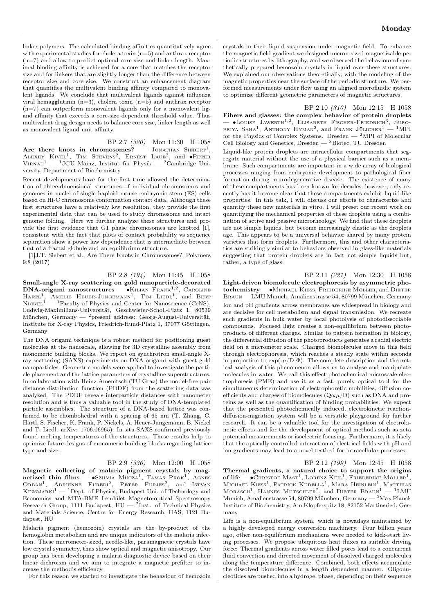linker polymers. The calculated binding affinities quantitatively agree with experimental studies for cholera toxin  $(n=5)$  and anthrax receptor (n=7) and allow to predict optimal core size and linker length. Maximal binding affinity is achieved for a core that matches the receptor size and for linkers that are slightly longer than the difference between receptor size and core size. We construct an enhancement diagram that quantifies the multivalent binding affinity compared to monovalent ligands. We conclude that multivalent ligands against influenza viral hemagglutinin  $(n=3)$ , cholera toxin  $(n=5)$  and anthrax receptor  $(n=7)$  can outperform monovalent ligands only for a monovalent ligand affinity that exceeds a core-size dependent threshold value. Thus multivalent drug design needs to balance core size, linker length as well as monovalent ligand unit affinity.

BP 2.7 (320) Mon 11:30 H 1058 Are there knots in chromosomes?  $-$  Jonathan Siebert<sup>1</sup>, ALEXEY  $K_I$ VEL<sup>1</sup>, TIM STEVENS<sup>2</sup>, ERNEST LAUE<sup>2</sup>, and  $\bullet$ PETER VIRNAU<sup>1</sup> — <sup>1</sup>JGU Mainz, Institut für Physik — <sup>2</sup>Cambridge University, Department of Biochemistry

Recent developments have for the first time allowed the determination of three-dimensional structures of individual chromosomes and genomes in nuclei of single haploid mouse embryonic stem (ES) cells based on Hi-C chromosome conformation contact data. Although these first structures have a relatively low resolution, they provide the first experimental data that can be used to study chromosome and intact genome folding. Here we further analyze these structures and provide the first evidence that G1 phase chromosomes are knotted [1], consistent with the fact that plots of contact probability vs sequence separation show a power law dependence that is intermediate between that of a fractal globule and an equilibrium structure.

[1]J.T. Siebert et al., Are There Knots in Chromosomes?, Polymers 9:8 (2017)

BP 2.8 (194) Mon 11:45 H 1058

Small-angle X-ray scattering on gold nanoparticle-decorated  $DNA\text{-}origin$  nanostructures —  $\bullet$ Kilian Frank<sup>1,2</sup>, Caroline  $HARTL<sup>1</sup>$ , AMELIE HEUER-JUNGEMANN<sup>1</sup>, TIM LIEDL<sup>1</sup>, and BERT NICKEL<sup>1</sup> — <sup>1</sup>Faculty of Physics and Center for Nanoscience (CeNS), Ludwig-Maximilians-Universität, Geschwister-Scholl-Platz 1, 80539 München, Germany —  $^2$ present address: Georg-August-Universität, Institute for X-ray Physics, Friedrich-Hund-Platz 1, 37077 Göttingen, Germany

The DNA origami technique is a robust method for positioning guest molecules at the nanoscale, allowing for 3D crystalline assembly from monomeric building blocks. We report on synchrotron small-angle Xray scattering (SAXS) experiments on DNA origami with guest gold nanoparticles. Geometric models were applied to investigate the particle placement and the lattice parameters of crystalline superstructures. In collaboration with Heinz Amenitsch (TU Graz) the model-free pair distance distribution function (PDDF) from the scattering data was analyzed. The PDDF reveals interparticle distances with nanometer resolution and is thus a valuable tool in the study of DNA-templated particle assemblies. The structure of a DNA-based lattice was confirmed to be rhombohedral with a spacing of 65 nm (T. Zhang, C. Hartl, S. Fischer, K. Frank, P. Nickels, A. Heuer-Jungemann, B. Nickel and T. Liedl. arXiv: 1706.06965). In situ SAXS confirmed previously found melting temperatures of the structures. These results help to optimize future designs of monomeric building blocks regarding lattice type and size.

# BP 2.9 (336) Mon 12:00 H 1058

Magnetic collecting of malaria pigment crystals by magnetized thin films — •Szilvia Mucza<sup>1</sup>, Tamas Prok<sup>1</sup>, Agnes ORBAN<sup>1</sup>, ADRIENNE FUREDI<sup>2</sup>, PETER FURJES<sup>2</sup>, and ISTVAN  $KzsmarkI<sup>1</sup>$  — <sup>1</sup>Dept. of Physics, Budapest Uni. of Technology and Economics and MTA-BME Lendület Magneto-optical Spectroscopy Research Group, 1111 Budapest,  $HU = {^{2}}$ Inst. of Technical Physics and Materials Science, Centre for Energy Research, HAS, 1121 Budapest, HU

Malaria pigment (hemozoin) crystals are the by-product of the hemoglobin metabolism and are unique indicators of the malaria infection. These micrometer-sized, needle-like, paramagnetic crystals have low crystal symmetry, thus show optical and magnetic anisotropy. Our group has been developing a malaria diagnostic device based on their linear dichroism and we aim to integrate a magnetic prefilter to increase the method's efficiency.

For this reason we started to investigate the behaviour of hemozoin

crystals in their liquid suspension under magnetic field. To enhance the magnetic field gradient we designed micron-sized magnetizable periodic structures by lithography, and we observed the behaviour of synthetically prepared hemozoin crystals in liquid over these structures. We explained our observations theoretically, with the modeling of the magnetic properties near the surface of the periodic structure. We performed measurements under flow using an aligned microfluidic system to optimize different geometric parameters of magnetic structures.

BP 2.10 (310) Mon 12:15 H 1058 Fibers and glasses: the complex behavior of protein droplets  $-$  •Louise Jawerth<sup>1,2</sup>, Elisabeth Fischer-Friedrich<sup>3</sup>, Suro-PRIYA SAHA<sup>1</sup>, ANTHONY HYMAN<sup>2</sup>, and FRANK JÜLICHER<sup>1</sup> - <sup>1</sup>MPI for the Physics of Complex Systems. Dresden — <sup>2</sup>MPI of Molecular Cell Biology and Genetics, Dresden — <sup>3</sup>Biotec, TU Dresden

Liquid-like protein droplets are intracellular compartments that segregate material without the use of a physical barrier such as a membrane. Such compartments are important in a wide array of biological processes ranging from embryonic development to pathological fiber formation during neurodegenerative disease. The existence of many of these compartments has been known for decades; however, only recently has it become clear that these compartments exhibit liquid-like properties. In this talk, I will discuss our efforts to characterize and quantify these new materials in vitro. I will preset our recent work on quantifying the mechanical properties of these droplets using a combination of active and passive microrheology. We find that these droplets are not simple liquids, but become increasingly elastic as the droplets age. This appears to be a universal behavior shared by many protein varieties that form droplets. Furthermore, this and other characteristics are strikingly similar to behaviors observed in glass-like materials suggesting that protein droplets are in fact not simple liquids but, rather, a type of glass.

BP 2.11 (221) Mon 12:30 H 1058

Light-driven biomolecule electrophoresis by asymmetric photochemistry — • Michael Kiess, Friederike Möller, and Dieter Braun — LMU Munich, Amalienstrasse 54, 80799 München, Germany Ion and pH gradients across membranes are widespread in biology and are decisive for cell metabolism and signal transmission. We recreate such gradients in bulk water by local photolysis of photodissociable compounds. Focused light creates a non-equilibrium between photoproducts of different charges. Similar to pattern formation in biology, the differential diffusion of the photoproducts generates a radial electric field on a micrometer scale. Charged biomolecules move in this field through electrophoresis, which reaches a steady state within seconds in proportion to  $\exp(-\mu/D \Phi)$ . The complete description and theoretical analysis of this phenomenon allows us to analyse and manipulate molecules in water. We call this effect photochemical microscale electrophoresis (PME) and use it as a fast, purely optical tool for the simultaneous determination of electrophoretic mobilities, diffusion coefficients and charges of biomolecules  $(Q\alpha\mu/D)$  such as DNA and proteins as well as the quantification of binding probabilities. We expect that the presented photochemically induced, electrokinetic reactiondiffusion-migration system will be a versatile playground for further research. It can be a valuable tool for the investigation of electrokinetic effects and for the development of optical methods such as zeta potential measurements or isoelectric focusing. Furthermore, it is likely that the optically controlled interaction of electrical fields with pH and ion gradients may lead to a novel testbed for intracellular processes.

BP 2.12 (199) Mon 12:45 H 1058 Thermal gradients, a natural choice to support the origins of life —  $\bullet$ Christof Mast<sup>1</sup>, Lorenz Keil<sup>1</sup>, Friederike Möller<sup>1</sup>, Michael Kiess<sup>1</sup>, Patrick Kudella<sup>1</sup>, Mara Heinlein<sup>1</sup>, Matthias MORASCH<sup>1</sup>, HANNES MUTSCHLER<sup>2</sup>, and DIETER BRAUN<sup>1</sup> - <sup>1</sup>LMU Munich, Amalienstrasse 54, 80799 München, Germany — <sup>2</sup>Max Planck Institute of Biochemistry, Am Klopferspitz 18, 82152 Martinsried, Germany

Life is a non-equilibrium system, which is nowadays maintained by a highly developed energy conversion machinery. Four billion years ago, other non-equilibrium mechanisms were needed to kick-start living processes. We propose ubiquitous heat fluxes as suitable driving force: Thermal gradients across water filled pores lead to a concurrent fluid convection and directed movement of dissolved charged molecules along the temperature difference. Combined, both effects accumulate the dissolved biomolecules in a length dependent manner. Oligonucleotides are pushed into a hydrogel phase, depending on their sequence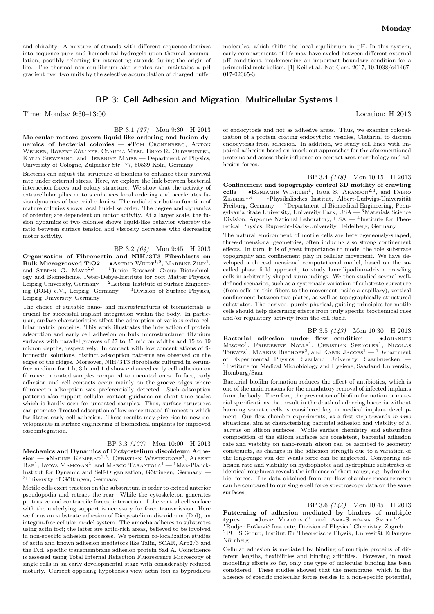and chirality: A mixture of strands with different sequence demixes into sequence-pure and homochiral hydrogels upon thermal accumulation, possibly selecting for interacting strands during the origin of life. The thermal non-equilibrium also creates and maintains a pH gradient over two units by the selective accumulation of charged buffer

molecules, which shifts the local equilibrium in pH. In this system, early compartments of life may have cycled between different external pH conditions, implementing an important boundary condition for a primordial metabolism. [1] Keil et al. Nat Com, 2017, 10.1038/s41467- 017-02065-3

# BP 3: Cell Adhesion and Migration, Multicellular Systems I

Time: Monday 9:30–13:00 Location: H 2013

BP 3.1 (27) Mon 9:30 H 2013

Molecular motors govern liquid-like ordering and fusion dynamics of bacterial colonies — • TOM CRONENBERG, ANTON Welker, Robert Zöllner, Claudia Meel, Enno R. Oldewurtel, KATJA SIEWERING, and BERENIKE MAIER — Department of Physics, University of Cologne, Zülpicher Str. 77, 50539 Köln, Germany

Bacteria can adjust the structure of biofilms to enhance their survival rate under external stress. Here, we explore the link between bacterial interaction forces and colony structure. We show that the activity of extracellular pilus motors enhances local ordering and accelerates fusion dynamics of bacterial colonies. The radial distribution function of mature colonies shows local fluid-like order. The degree and dynamics of ordering are dependent on motor activity. At a larger scale, the fusion dynamics of two colonies shows liquid-like behavior whereby the ratio between surface tension and viscosity decreases with decreasing motor activity.

BP 3.2 (64) Mon 9:45 H 2013 Organization of Fibronectin and NIH/3T3 Fibroblasts on Bulk Microgrooved TiO2 —  $\bullet$ Astrid Weidt<sup>1,2</sup>, Mareike Zink<sup>1</sup>, and STEFAN G. MAYR<sup>2,3</sup>  $-$  <sup>1</sup>Junior Research Group Biotechnology and Biomedicine, Peter-Debye-Institute for Soft Matter Physics, Leipzig University, Germany — <sup>2</sup>Leibniz Institute of Surface Engineering (IOM) e.V., Leipzig, Germany — <sup>3</sup>Division of Surface Physics, Leipzig University, Germany

The choice of suitable nano- and microstructures of biomaterials is crucial for successful implant integration within the body. In particular, surface characteristics affect the adsorption of various extra cellular matrix proteins. This work illustrates the interaction of protein adsorption and early cell adhesion on bulk microstructured titanium surfaces with parallel grooves of 27 to 35 micron widths and 15 to 19 micron depths, respectively. In contact with low concentrations of fibronectin solutions, distinct adsorption patterns are observed on the edges of the ridges. Moreover, NIH/3T3 fibroblasts cultured in serumfree medium for 1 h, 3 h and 1 d show enhanced early cell adhesion on fibronectin coated samples compared to uncoated ones. In fact, early adhesion and cell contacts occur mainly on the groove edges where fibronectin adsorption was preferentially detected. Such adsorption patterns also support cellular contact guidance on short time scales which is hardly seen for uncoated samples. Thus, surface structures can promote directed adsorption of low concentrated fibronectin which facilitates early cell adhesion. These results may give rise to new developments in surface engineering of biomedical implants for improved osseointegration.

BP 3.3 (107) Mon 10:00 H 2013 Mechanics and Dynamics of Dictyostelium discoideum Adhe- $\mathbf{sion}$  —  $\bullet$ Nadine Kamprad<sup>1,2</sup>, Christian Westendorf<sup>1</sup>, Albert  $\text{BaE}^1$ , Lyova Mamoyan<sup>2</sup>, and Marco Tarantola<sup>1</sup> — <sup>1</sup>Max-Planck-Institut for Dynamic and Self-Organization, Göttingen, Germany — <sup>2</sup>University of Göttingen, Germany

Motile cells exert traction on the substratum in order to extend anterior pseudopodia and retract the rear. While the cytoskeleton generates protrusive and contractile forces, interaction of the ventral cell surface with the underlying support is necessary for force transmission. Here we focus on substrate adhesion of Dictyostelium discoideum (D.d), an integrin-free cellular model system. The amoeba adheres to substrates using actin foci; the latter are actin-rich areas, believed to be involved in non-specific adhesion processes. We perform co-localization studies of actin and known adhesion mediators like Talin, SCAR, Arp2/3 and the D.d. specific transmembrane adhesion protein Sad A. Coincidence is assessed using Total Internal Reflection Fluorescence Microscopy of single cells in an early developmental stage with considerably reduced motility. Current opposing hypotheses view actin foci as byproducts

of endocytosis and not as adhesive areas. Thus, we examine colocalization of a protein coating endocytotic vesicles, Clathrin, to discern endocytosis from adhesion. In addition, we study cell lines with impaired adhesion based on knock out approaches for the aforementioned proteins and assess their influence on contact area morphology and adhesion forces.

BP 3.4 (118) Mon 10:15 H 2013

Confinement and topography control 3D motility of crawling  $\text{cells} \longrightarrow \text{BENJAMIN}$  WINKLER<sup>1</sup>, IGOR S. ARANSON<sup>2,3</sup>, and FALKO  $ZIEBERT<sup>1,4</sup>$  — <sup>1</sup>Physikalisches Institut, Albert-Ludwigs-Universität Freiburg, Germany — <sup>2</sup>Department of Biomedical Engineering, Pennsylvania State University, University Park, USA  $-$  <sup>3</sup>Materials Science Division, Argonne National Laboratory, USA  $-$  <sup>4</sup>Institute for Theoretical Physics, Ruprecht-Karls-University Heidelberg, Germany

The natural environment of motile cells are heterogeneously-shaped, three-dimensional geometries, often inducing also strong confinement effects. In turn, it is of great importance to model the role substrate topography and confinement play in cellular movement. We have developed a three-dimensional computational model, based on the socalled phase field approach, to study lamellipodium-driven crawling cells in arbitrarily shaped surroundings. We then studied several welldefined scenarios, such as a systematic variation of substrate curvature (from cells on thin fibers to the movement inside a capillary), vertical confinement between two plates, as well as topographically structured substrates. The derived, purely physical, guiding principles for motile cells should help discerning effects from truly specific biochemical cues and/or regulatory activity from the cell itself.

BP 3.5 (143) Mon 10:30 H 2013 Bacterial adhesion under flow condition — ∙Johannes Mischo<sup>1</sup>, Friederike Nolle<sup>1</sup>, Christian Spengler<sup>1</sup>, Nicolas THEWES<sup>1</sup>, MARKUS BISCHOFF<sup>2</sup>, and KARIN JACOBS<sup>1</sup> — <sup>1</sup>Department of Experimental Physics, Saarland University, Saarbruecken — 2 Institute for Medical Microbiology and Hygiene, Saarland University, Homburg/Saar

Bacterial biofilm formation reduces the effect of antibiotics, which is one of the main reasons for the mandatory removal of infected implants from the body. Therefore, the prevention of biofilm formation or material specifications that result in the death of adhering bacteria without harming somatic cells is considered key in medical implant development. Our flow chamber experiments, as a first step towards in vivo situations, aim at characterizing bacterial adhesion and viability of S. aureus on silicon surfaces. While surface chemistry and subsurface composition of the silicon surfaces are consistent, bacterial adhesion rate and viability on nano-rough silicon can be ascribed to geometry constraints, as changes in the adhesion strength due to a variation of the long-range van der Waals force can be neglected. Comparing adhesion rate and viability on hydrophobic and hydrophilic substrates of identical roughness reveals the influence of short-range, e.g. hydrophobic, forces. The data obtained from our flow chamber measurements can be compared to our single cell force spectroscopy data on the same surfaces.

BP 3.6 (144) Mon 10:45 H 2013 Patterning of adhesion mediated by binders of multiple  $\tt types$   $-$  •Josip VLAJČEVIĆ<sup>1</sup> and Ana-Sunčana Smith<sup>1,2</sup> - $1$ Rudjer Bošković Institute, Division of Physical Chemistry, Zagreb — <sup>2</sup>PULS Group, Institut für Theoretische Physik, Univesität Erlangen-Nürnberg

Cellular adhesion is mediated by binding of multiple proteins of different lengths, flexibilities and binding affinities. However, in most modelling efforts so far, only one type of molecular binding has been considered. These studies showed that the membrane, which in the absence of specific molecular forces resides in a non-specific potential,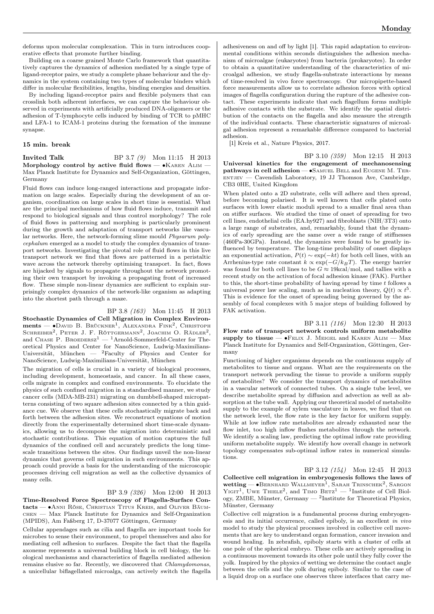deforms upon molecular complexation. This in turn introduces cooperative effects that promote further binding.

Building on a coarse grained Monte Carlo framework that quantitatively captures the dynamics of adhesion mediated by a single type of ligand-receptor pairs, we study a complete phase behaviour and the dynamics in the system containing two types of molecular binders which differ in molecular flexibilities, lengths, binding energies and densities.

By including ligand-receptor pairs and flexible polymers that can crosslink both adherent interfaces, we can capture the behaviour observed in experiments with artificially produced DNA-oligomers or the adhesion of T-lymphocyte cells induced by binding of TCR to pMHC and LFA-1 to ICAM-1 proteins during the formation of the immune synapse.

#### 15 min. break

**Invited Talk** BP 3.7 (9) Mon 11:15 H 2013 Morphology control by active fluid flows —  $\bullet$ KAREN ALIM – Max Planck Institute for Dynamics and Self-Organization, Göttingen, Germany

Fluid flows can induce long-ranged interactions and propagate information on large scales. Especially during the development of an organism, coordination on large scales in short time is essential. What are the principal mechanisms of how fluid flows induce, transmit and respond to biological signals and thus control morphology? The role of fluid flows in patterning and morphing is particularly prominent during the growth and adaptation of transport networks like vascular networks. Here, the network-forming slime mould Physarum polycephalum emerged as a model to study the complex dynamics of transport networks. Investigating the pivotal role of fluid flows in this live transport network we find that flows are patterned in a peristaltic wave across the network thereby optimising transport. In fact, flows are hijacked by signals to propagate throughout the network promoting their own transport by invoking a propagating front of increased flow. These simple non-linear dynamics are sufficient to explain surprisingly complex dynamics of the network-like organism as adapting into the shortest path through a maze.

#### BP 3.8 (163) Mon 11:45 H 2013

Stochastic Dynamics of Cell Migration in Complex Environments — • David B. Brückner<sup>1</sup>, Alexandra Fink<sup>2</sup>, Christoph SCHREIBER<sup>2</sup>, Peter J. F. Röttgermann<sup>2</sup>, Joachim O. Rädler<sup>2</sup>, and CHASE P. BROEDERSZ<sup>1</sup> — <sup>1</sup>Arnold-Sommerfeld-Center for Theoretical Physics and Center for NanoScience, Ludwig-Maximilians-Universität, München — <sup>2</sup>Faculty of Physics and Center for NanoScience, Ludwig-Maximilians-Universität, München

The migration of cells is crucial in a variety of biological processes, including development, homeostasis, and cancer. In all these cases, cells migrate in complex and confined environments. To elucidate the physics of such confined migration in a standardised manner, we study cancer cells (MDA-MB-231) migrating on dumbbell-shaped micropatterns consisting of two square adhesion sites connected by a thin guidance cue. We observe that these cells stochastically migrate back and forth between the adhesion sites. We reconstruct equations of motion directly from the experimentally determined short time-scale dynamics, allowing us to decompose the migration into deterministic and stochastic contributions. This equation of motion captures the full dynamics of the confined cell and accurately predicts the long timescale transitions between the sites. Our findings unveil the non-linear dynamics that governs cell migration in such environments. This approach could provide a basis for the understanding of the microscopic processes driving cell migration as well as the collective dynamics of many cells.

#### BP 3.9 (326) Mon 12:00 H 2013

Time-Resolved Force Spectroscopy of Flagella-Surface Contacts — ∙Anni Röse, Christian Titus Kreis, and Oliver Bäumchen — Max Planck Institute for Dynamics and Self-Organization (MPIDS), Am Faßberg 17, D-37077 Göttingen, Germany

Cellular appendages such as cilia and flagella are important tools for microbes to sense their environment, to propel themselves and also for mediating cell adhesion to surfaces. Despite the fact that the flagella axoneme represents a universal building block in cell biology, the biological mechanisms and characteristics of flagella mediated adhesion remains elusive so far. Recently, we discovered that Chlamydomonas, a unicellular biflagellated microalga, can actively switch the flagella

adhesiveness on and off by light [1]. This rapid adaptation to environmental conditions within seconds distinguishes the adhesion mechanism of microalgae (eukaryotes) from bacteria (prokaryotes). In order to obtain a quantitative understanding of the characteristics of microalgal adhesion, we study flagella-substrate interactions by means of time-resolved in vivo force spectroscopy. Our micropipette-based force measurements allow us to correlate adhesion forces with optical images of flagella configuration during the rupture of the adhesive contact. These experiments indicate that each flagellum forms multiple adhesive contacts with the substrate. We identify the spatial distribution of the contacts on the flagella and also measure the strength of the individual contacts. These characteristic signatures of microalgal adhesion represent a remarkable difference compared to bacterial adhesion.

[1] Kreis et al., Nature Physics, 2017.

BP 3.10 (359) Mon 12:15 H 2013

Universal kinetics for the engagement of mechanosensing pathways in cell adhesion — ∙Samuel Bell and Eugene M. Terentjev — Cavendish Laboratory, 19 JJ Thomson Ave, Cambridge, CB3 0HE, United Kingdom

When plated onto a 2D substrate, cells will adhere and then spread, before becoming polarised. It is well known that cells plated onto surfaces with lower elastic moduli spread to a smaller final area than on stiffer surfaces. We studied the time of onset of spreading for two cell lines, endothelial cells (EA.hy927) and fibroblasts (NIH/3T3) onto a large range of substrates, and, remarkably, found that the dynamics of early spreading are the same over a wide range of stiffnesses (460Pa-30GPa). Instead, the dynamics were found to be greatly influenced by temperature. The long-time probability of onset displays an exponential activation,  $P(t) \sim \exp(-kt)$  for both cell lines, with an Arrhenius-type rate constant  $k \propto \exp(-G/k_BT)$ . The energy barrier was found for both cell lines to be  $G \approx 19 \text{kcal/mol}$ , and tallies with a recent study on the activation of focal adhesion kinase (FAK). Further to this, the short-time probability of having spread by time  $t$  follows a universal power law scaling, much as in nucleation theory,  $Q(t) \propto t^5$ . This is evidence for the onset of spreading being governed by the assembly of focal complexes with 5 major steps of building followed by FAK activation.

BP 3.11 (116) Mon 12:30 H 2013 Flow rate of transport network controls uniform metabolite supply to tissue —  $\bullet$ FELIX J. MEIGEL and KAREN ALIM — Max Planck Institute for Dynamics and Self-Organization, Göttingen, Germany

Functioning of higher organisms depends on the continuous supply of metabolites to tissue and organs. What are the requirements on the transport network pervading the tissue to provide a uniform supply of metabolites? We consider the transport dynamics of metabolites in a vascular network of connected tubes. On a single tube level, we describe metabolite spread by diffusion and advection as well as absorption at the tube wall. Applying our theoretical model of metabolite supply to the example of xylem vasculature in leaves, we find that on the network level, the flow rate is the key factor for uniform supply. While at low inflow rate metabolites are already exhausted near the flow inlet, too high inflow flushes metabolites through the network. We identify a scaling law, predicting the optimal inflow rate providing uniform metabolite supply. We identify how overall change in network topology compensates sub-optimal inflow rates in numerical simulations.

BP 3.12 (154) Mon 12:45 H 2013 Collective cell migration in embryogenesis follows the laws of wetting — • Веrnнаrd Wallmeyer<sup>1</sup>, Sarah Trinschek<sup>2</sup>, Sargon YIGIT<sup>1</sup>, UWE THIELE<sup>2</sup>, and TIMO BETZ<sup>1</sup> — <sup>1</sup>Institute of Cell Biology, ZMBE, Münster, Germany — <sup>2</sup> Institute for Theoretical Physics, Münster, Germany

Collective cell migration is a fundamental process during embryogenesis and its initial occurrence, called epiboly, is an excellent in vivo model to study the physical processes involved in collective cell movements that are key to understand organ formation, cancer invasion and wound healing. In zebrafish, epiboly starts with a cluster of cells at one pole of the spherical embryo. These cells are actively spreading in a continuous movement towards its other pole until they fully cover the yolk. Inspired by the physics of wetting we determine the contact angle between the cells and the yolk during epiboly. Similar to the case of a liquid drop on a surface one observes three interfaces that carry me-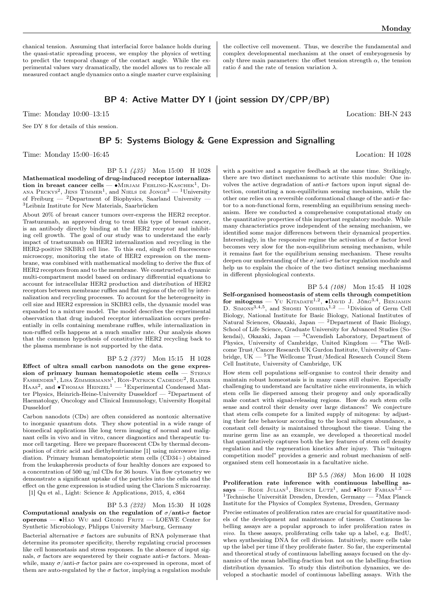chanical tension. Assuming that interfacial force balance holds during the quasi-static spreading process, we employ the physics of wetting to predict the temporal change of the contact angle. While the experimental values vary dramatically, the model allows us to rescale all measured contact angle dynamics onto a single master curve explaining

the collective cell movement. Thus, we describe the fundamental and complex developmental mechanism at the onset of embryogenesis by only three main parameters: the offset tension strength  $\alpha$ , the tension ratio  $\delta$  and the rate of tension variation  $\lambda$ .

BP 4: Active Matter DY I (joint session DY/CPP/BP)

Time: Monday 10:00–13:15 Location: BH-N 243

See DY 8 for details of this session.

# BP 5: Systems Biology & Gene Expression and Signalling

Time: Monday 15:00–16:45 Location: H 1028

BP 5.1 (435) Mon 15:00 H 1028 Mathematical modeling of drug-induced receptor internalization in breast cancer cells — • MIRJAM FEHLING-KASCHEK<sup>1</sup>, DIana  $\text{P}\text{c}\text{c}\text{c}\text{y}\text{s}^2$ , Jens  $\text{T}\text{t}\text{M}\text{m}\text{c}\text{r}^1$ , and Niels de Jonge $^3-1$ University of Freiburg  $-$  <sup>2</sup>Department of Biophysics, Saarland University  $^3$  Leibniz Institute for New Materials, Saarbrücken

About 20% of breast cancer tumors over-express the HER2 receptor. Trastuzumab, an approved drug to treat this type of breast cancer, is an antibody directly binding at the HER2 receptor and inhibiting cell growth. The goal of our study was to understand the early impact of trastuzumab on HER2 internalization and recycling in the HER2-positive SKBR3 cell line. To this end, single cell fluorescence microscopy, monitoring the state of HER2 expression on the membrane, was combined with mathematical modeling to derive the flux of HER2 receptors from and to the membrane. We constructed a dynamic multi-compartment model based on ordinary differential equations to account for intracellular HER2 production and distribution of HER2 receptors between membrane ruffles and flat regions of the cell by internalization and recycling processes. To account for the heterogeneity in cell size and HER2 expression in SKBR3 cells, the dynamic model was expanded to a mixture model. The model describes the experimental observation that drug induced receptor internalization occurs preferentially in cells containing membrane ruffles, while internalization in non-ruffled cells happens at a much smaller rate. Our analysis shows that the common hypothesis of constitutive HER2 recycling back to the plasma membrane is not supported by the data.

BP 5.2 (377) Mon 15:15 H 1028

Effect of ultra small carbon nanodots on the gene expression of primary human hematopoietic stem  $\tilde{cells}$  - STEFAN FASBENDER<sup>1</sup>, LISA ZIMMERMANN<sup>1</sup>, RON-PATRICK CADEDDU<sup>2</sup>, RAINER  $H$ ААЅ<sup>2</sup>, and ●Тномаѕ Неїмzе́г $^{1}$  — <sup>1</sup>Experimental Condensed Matter Physics, Heinrich-Heine-University Dusseldorf — <sup>2</sup>Department of Haematology, Oncology and Clinical Immunology, University Hospital Dusseldorf

Carbon nanodots (CDs) are often considered as nontoxic alternative to inorganic quantum dots. They show potential in a wide range of biomedical applications like long term imaging of normal and malignant cells in vivo and in vitro, cancer diagnostics and therapeutic tumor cell targeting. Here we prepare fluorescent CDs by thermal decomposition of citric acid and diethylentriamine [1] using microwave irradiation. Primary human hematopoietic stem cells (CD34+) obtained from the leukapheresis products of four healthy donors are exposed to a concentration of 500 ug/ml CDs for 36 hours. Via flow cytometry we demonstrate a significant uptake of the particles into the cells and the effect on the gene expression is studied using the Clariom S microarray.

[1] Qu et al., Light: Science & Applications, 2015, 4, e364

BP 5.3 (232) Mon 15:30 H 1028 Computational analysis on the regulation of  $\sigma/\text{anti-}\sigma$  factor

operons — ∙Hao Wu and Georg Fritz — LOEWE Center for Synthetic Microbiology, Phlipps University Marburg, Germany

Bacterial alternative  $\sigma$  factors are subunits of RNA polymerase that determine its promoter specificity, thereby regulating crucial processes like cell homeostasis and stress responses. In the absence of input signals,  $\sigma$  factors are sequestered by their cognate anti- $\sigma$  factors. Meanwhile, many  $\sigma/\text{anti-}\sigma$  factor pairs are co-expressed in operons, most of them are auto-regulated by the  $\sigma$  factor, implying a regulation module

with a positive and a negative feedback at the same time. Strikingly, there are two distinct mechanisms to activate this module: One involves the active degradation of anti- $\sigma$  factors upon input signal detection, constituting a non-equilibrium sensing mechanism, while the other one relies on a reversible conformational change of the anti- $\sigma$  factor to a non-functional form, resembling an equilibrium sensing mechanism. Here we conducted a comprehensive computational study on the quantitative properties of this important regulatory module. While many characteristics prove independent of the sensing mechanism, we identified some major differences between their dynamical properties. Interestingly, in the responsive regime the activation of  $\sigma$  factor level becomes very slow for the non-equilibrium sensing mechanism, while it remains fast for the equilibrium sensing mechanism. These results deepen our understanding of the  $\sigma$ /anti- $\sigma$  factor regulation module and help us to explain the choice of the two distinct sensing mechanisms in different physiological contexts.

BP 5.4 (108) Mon 15:45 H 1028

Self-organised homeostasis of stem cells through competition for mitogens — YU KITADATE<sup>1,2</sup>,  $\bullet$ David J. Jörg<sup>3,4</sup>, BENJAMIN D. SIMONS<sup>3,4,5</sup>, and SHOSEI YOSHIDA<sup>1,2</sup> - <sup>1</sup>Division of Germ Cell Biology, National Institute for Basic Biology, National Institutes of Natural Sciences, Okazaki, Japan — <sup>2</sup>Department of Basic Biology, School of Life Science, Graduate University for Advanced Studies (Sokendai), Okazaki, Japan —  ${}^{3}$ Cavendish Laboratory, Department of Physics, University of Cambridge, United Kingdom — <sup>4</sup>The Wellcome Trust/Cancer Research UK Gurdon Institute, University of Cambridge, UK —  ${}^{5}$ The Wellcome Trust/Medical Research Council Stem Cell Institute, University of Cambridge, UK

How stem cell populations self-organise to control their density and maintain robust homeostasis is in many cases still elusive. Especially challenging to understand are facultative niche environments, in which stem cells lie dispersed among their progeny and only sporadically make contact with signal-releasing regions. How do such stem cells sense and control their density over large distances? We conjecture that stem cells compete for a limited supply of mitogens: by adjusting their fate behaviour according to the local mitogen abundance, a constant cell density is maintained throughout the tissue. Using the murine germ line as an example, we developed a theoretical model that quantitatively captures both the key features of stem cell density regulation and the regeneration kinetics after injury. This "mitogen competition model" provides a generic and robust mechanism of selforganised stem cell homeostasis in a facultative niche.

BP 5.5 (368) Mon 16:00 H 1028 Proliferation rate inference with continuous labelling as- $\text{says}$  — Rode Julian<sup>1</sup>, Brusch Lutz<sup>1</sup>, and •Rost Fabian<sup>1,2</sup> — <sup>1</sup>Technische Universität Dresden, Dresden, Germany — <sup>2</sup>Max Planck Institute for the Physics of Complex Systems, Dresden, Germany

Precise estimates of proliferation rates are crucial for quantitative models of the development and maintenance of tissues. Continuous labelling assays are a popular approach to infer proliferation rates in vivo. In these assays, proliferating cells take up a label, e.g. BrdU, when synthesizing DNA for cell division. Intuitively, more cells take up the label per time if they proliferate faster. So far, the experimental and theoretical study of continuous labelling assays focused on the dynamics of the mean labelling-fraction but not on the labelling-fraction distribution dynamics. To study this distribution dynamics, we developed a stochastic model of continuous labelling assays. With the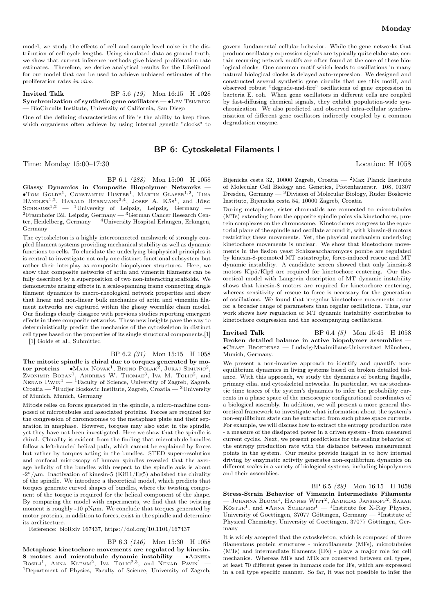model, we study the effects of cell and sample level noise in the distribution of cell cycle lengths. Using simulated data as ground truth, we show that current inference methods give biased proliferation rate estimates. Therefore, we derive analytical results for the Likelihood for our model that can be used to achieve unbiased estimates of the proliferation rates in vivo.

**Invited Talk** BP 5.6 (19) Mon 16:15 H 1028 Synchronization of synthetic gene oscillators — •LEV TSIMRING — BioCircuits Institute, University of California, San Diego

One of the defining characteristics of life is the ability to keep time, which organisms often achieve by using internal genetic "clocks" to

# BP 6: Cytoskeletal Filaments I

Time: Monday 15:00–17:30 Location: H 1058

BP 6.1 (288) Mon 15:00 H 1058

Glassy Dynamics in Composite Biopolymer Networks — ∙Tom Golde<sup>1</sup> , Constantin Huster<sup>1</sup> , Martin Glaser1,<sup>2</sup> , Tina  $H$ ändler<sup>1,2</sup>, Harald Herrmann<sup>3,4</sup>, Josef A. Käs<sup>1</sup>, and Jörg SCHNAUSS<sup>1,2</sup>  $-$  <sup>1</sup>University of Leipzig, Leipzig, Germany  ${}^{2}$ Fraunhofer IZI, Leipzig, Germany —  ${}^{3}$ German Cancer Research Center, Heidelberg, Germany — <sup>4</sup>University Hospital Erlangen, Erlangen, Germany

The cytoskeleton is a highly interconnected meshwork of strongly coupled filament systems providing mechanical stability as well as dynamic functions to cells. To elucidate the underlying biophysical principles it is central to investigate not only one distinct functional subsystem but rather their interplay as composite biopolymer structures. Here, we show that composite networks of actin and vimentin filaments can be fully described by a superposition of two non-interacting scaffolds. We demonstrate arising effects in a scale-spanning frame connecting single filament dynamics to macro-rheological network properties and show that linear and non-linear bulk mechanics of actin and vimentin filament networks are captured within the glassy wormlike chain model. Our findings clearly disagree with previous studies reporting emergent effects in these composite networks. These new insights pave the way to deterministically predict the mechanics of the cytoskeleton in distinct cell types based on the properties of its single structural components.[1]

[1] Golde et al., Submitted

BP 6.2 (31) Mon 15:15 H 1058 The mitotic spindle is chiral due to torques generated by motor proteins — •Маја Novak<sup>1</sup>, Bruno Polak<sup>2</sup>, Juraj Simunic<sup>2</sup>, Zvonimir Boban<sup>1</sup>, Andreas W. Thomae<sup>3</sup>, Iva M. Tolic<sup>2</sup>, and NENAD  $PAVIN<sup>1</sup>$  — <sup>1</sup>Faculty of Science, University of Zagreb, Zagreb, Croatia — <sup>2</sup>Rudjer Boskovic Institute, Zagreb, Croatia — <sup>3</sup>University of Munich, Munich, Germany

Mitosis relies on forces generated in the spindle, a micro-machine composed of microtubules and associated proteins. Forces are required for the congression of chromosomes to the metaphase plate and their separation in anaphase. However, torques may also exist in the spindle, yet they have not been investigated. Here we show that the spindle is chiral. Chirality is evident from the finding that microtubule bundles follow a left-handed helical path, which cannot be explained by forces but rather by torques acting in the bundles. STED super-resolution and confocal microscopy of human spindles revealed that the average helicity of the bundles with respect to the spindle axis is about  $-2°/\mu$ m. Inactivation of kinesin-5 (Kif11/Eg5) abolished the chirality of the spindle. We introduce a theoretical model, which predicts that torques generate curved shapes of bundles, where the twisting component of the torque is required for the helical component of the shape. By comparing the model with experiments, we find that the twisting moment is roughly -10 pN $\mu$ m. We conclude that torques generated by motor proteins, in addition to forces, exist in the spindle and determine its architecture.

Reference: bioRxiv 167437, https://doi.org/10.1101/167437

BP 6.3 (146) Mon 15:30 H 1058 Metaphase kinetochore movements are regulated by kinesin-8 motors and microtubule dynamic instability — ∙Agneza BOSILJ<sup>1</sup>, ANNA KLEMM<sup>2</sup>, IVA TOLIC<sup>2,3</sup>, and NENAD PAVIN<sup>1</sup> -<sup>1</sup>Department of Physics, Faculty of Science, University of Zagreb,

govern fundamental cellular behavior. While the gene networks that produce oscillatory expression signals are typically quite elaborate, certain recurring network motifs are often found at the core of these biological clocks. One common motif which leads to oscillations in many natural biological clocks is delayed auto-repression. We designed and constructed several synthetic gene circuits that use this motif, and observed robust "degrade-and-fire" oscillations of gene expression in bacteria E. coli. When gene oscillators in different cells are coupled by fast-diffusing chemical signals, they exhibit population-wide synchronization. We also predicted and observed intra-cellular synchronization of different gene oscillators indirectly coupled by a common degradation enzyme.

Bijenicka cesta 32, 10000 Zagreb, Croatia — <sup>2</sup>Max Planck Institute of Molecular Cell Biology and Genetics, Pfotenhauerstr. 108, 01307 Dresden, Germany — <sup>3</sup>Division of Molecular Biology, Ruder Boskovic Institute, Bijenicka cesta 54, 10000 Zagreb, Croatia

During metaphase, sister chromatids are connected to microtubules (MTs) extending from the opposite spindle poles via kinetochores, protein complexes on the chromosome. Kinetochores congress to the equatorial plane of the spindle and oscillate around it, with kinesin-8 motors restricting these movements. Yet, the physical mechanism underlying kinetochore movements is unclear. We show that kinetochore movements in the fission yeast Schizosaccharomyces pombe are regulated by kinesin-8-promoted MT catastrophe, force-induced rescue and MT dynamic instability. A candidate screen showed that only kinesin-8 motors Klp5/Klp6 are required for kinetochore centering. Our theoretical model with Langevin description of MT dynamic instability shows that kinesin-8 motors are required for kinetochore centering, whereas sensitivity of rescue to force is necessary for the generation of oscillations. We found that irregular kinetochore movements occur for a broader range of parameters than regular oscillations. Thus, our work shows how regulation of MT dynamic instability contributes to kinetochore congression and the accompanying oscillations.

**Invited Talk** BP 6.4 (5) Mon 15:45 H 1058 Broken detailed balance in active biopolymer assemblies — ∙Chase Broedersz — Ludwig-Maximilians-Universitaet München, Munich, Germany.

We present a non-invasive approach to identify and quantify nonequilibrium dynamics in living systems based on broken detailed balance. With this approach, we study the dynamics of beating flagella, primary cilia, and cytoskeletal networks. In particular, we use stochastic time traces of the system's dynamics to infer the probability currents in a phase space of the mesoscopic configurational coordinates of a biological assembly. In addition, we will present a more general theoretical framework to investigate what information about the system's non-equilibrium state can be extracted from such phase space currents. For example, we will discuss how to extract the entropy production rate - a measure of the dissipated power in a driven system - from measured current cycles. Next, we present predictions for the scaling behavior of the entropy production rate with the distance between measurement points in the system. Our results provide insight in to how internal driving by enzymatic activity generates non-equilibrium dynamics on different scales in a variety of biological systems, including biopolymers and their assemblies.

BP 6.5 (29) Mon 16:15 H 1058 Stress-Strain Behavior of Vimentin Intermediate Filaments — Јонамма Вьоск<sup>1</sup>, Hannes Witt<sup>2</sup>, Andreas Janshoff<sup>2</sup>, Sarah<br>Köster<sup>1</sup>, and •Anna Schepers<sup>1</sup> — <sup>1</sup>Institute for X-Ray Physics, University of Goettingen, 37077 Göttingen, Germany  $-$  <sup>2</sup>Institute of Physical Chemistry, University of Goettingen, 37077 Göttingen, Germany

It is widely accepted that the cytoskeleton, which is composed of three filamentous protein structures - microfilaments (MFs), microtubules (MTs) and intermediate filaments (IFs) - plays a major role for cell mechanics. Whereas MFs and MTs are conserved between cell types, at least 70 different genes in humans code for IFs, which are expressed in a cell type specific manner. So far, it was not possible to infer the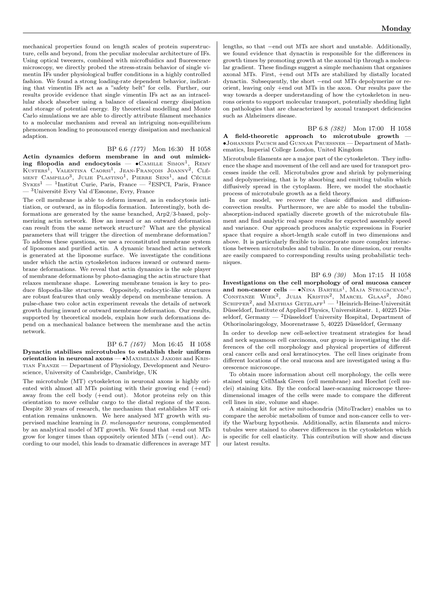mechanical properties found on length scales of protein superstructure, cells and beyond, from the peculiar molecular architecture of IFs. Using optical tweezers, combined with microfluidics and fluorescence microscopy, we directly probed the stress-strain behavior of single vimentin IFs under physiological buffer conditions in a highly controlled fashion. We found a strong loading-rate dependent behavior, indicating that vimentin IFs act as a "safety belt" for cells. Further, our results provide evidence that single vimentin IFs act as an intracellular shock absorber using a balance of classical energy dissipation and storage of potential energy. By theoretical modelling and Monte Carlo simulations we are able to directly attribute filament mechanics to a molecular mechanism and reveal an intriguing non-equilibrium phenomenon leading to pronounced energy dissipation and mechanical adaption.

BP 6.6 (177) Mon 16:30 H 1058 Actin dynamics deform membrane in and out mimicking filopodia and endocytosis —  $\bullet$ CAMILLE SIMON<sup>1</sup>, REMY Kusters<sup>1</sup>, Valentina Caorsi<sup>1</sup>, Jean-François Joanny<sup>2</sup>, Clé-MENT CAMPILLO<sup>3</sup>, JULIE PLASTINO<sup>1</sup>, PIERRE SENS<sup>1</sup>, and Cécile  $SYKES<sup>1</sup>$  — <sup>1</sup>Institut Curie, Paris, France — <sup>2</sup>ESPCI, Paris, France — <sup>3</sup>Université Evry Val d'Essonne, Evry, France

The cell membrane is able to deform inward, as in endocytosis intitiation, or outward, as in filopodia formation. Interestingly, both deformations are generated by the same branched, Arp2/3-based, polymerizing actin network. How an inward or an outward deformation can result from the same network structure? What are the physical parameters that will trigger the direction of membrane deformation? To address these questions, we use a reconstituted membrane system of liposomes and purified actin. A dynamic branched actin network is generated at the liposome surface. We investigate the conditions under which the actin cytoskeleton induces inward or outward membrane deformations. We reveal that actin dynamics is the sole player of membrane deformations by photo-damaging the actin structure that relaxes membrane shape. Lowering membrane tension is key to produce filopodia-like structures. Oppositely, endocytic-like structures are robust features that only weakly depend on membrane tension. A pulse-chase two color actin experiment reveals the details of network growth during inward or outward membrane deformation. Our results, supported by theoretical models, explain how such deformations depend on a mechanical balance between the membrane and the actin network.

BP 6.7 (167) Mon 16:45 H 1058 Dynactin stabilises microtubules to establish their uniform orientation in neuronal axons — •MAXIMILIAN JAKOBS and KRIStian Franze — Department of Physiology, Development and Neuroscience, University of Cambridge, Cambridge, UK

The microtubule (MT) cytoskeleton in neuronal axons is highly oriented with almost all MTs pointing with their growing end (+end) away from the cell body (+end out). Motor proteins rely on this orientation to move cellular cargo to the distal regions of the axon. Despite 30 years of research, the mechanism that establishes MT orientation remains unknown. We here analysed MT growth with supervised machine learning in D. melanogaster neurons, complemented by an analytical model of MT growth. We found that +end out MTs grow for longer times than oppositely oriented MTs (−end out). According to our model, this leads to dramatic differences in average MT

lengths, so that −end out MTs are short and unstable. Additionally, we found evidence that dynactin is responsible for the differences in growth times by promoting growth at the axonal tip through a molecular gradient. These findings suggest a simple mechanism that organises axonal MTs. First, +end out MTs are stabilized by distally located dynactin. Subsequently, the short −end out MTs depolymerize or reorient, leaving only +end out MTs in the axon. Our results pave the way towards a deeper understanding of how the cytoskeleton in neurons orients to support molecular transport, potentially shedding light on pathologies that are characterized by axonal transport deficiencies such as Alzheimers disease.

BP 6.8 (382) Mon 17:00 H 1058 A field-theoretic approach to microtubule growth ∙Johannes Pausch and Gunnar Pruessner — Department of Mathematics, Imperial College London, United Kingdom

Microtubule filaments are a major part of the cytoskeleton. They influence the shape and movement of the cell and are used for transport processes inside the cell. Microtubules grow and shrink by polymerising and depolymerising, that is by absorbing and emitting tubulin which diffusively spread in the cytoplasm. Here, we model the stochastic process of microtubule growth as a field theory.

In our model, we recover the classic diffusion and diffusionconvection results. Furthermore, we are able to model the tubulinabsorption-induced spatially discrete growth of the microtubule filament and find analytic real space results for expected assembly speed and variance. Our approach produces analytic expressions in Fourier space that require a short-length scale cutoff in two dimensions and above. It is particularly flexible to incorporate more complex interactions between microtubules and tubulin. In one dimension, our results are easily compared to corresponding results using probabilistic techniques.

BP 6.9 (30) Mon 17:15 H 1058

Investigations on the cell morphology of oral mucosa cancer and non-cancer cells —  $\bullet$ NINA BARTELS<sup>1</sup>, MAJA STRUGACEVAC<sup>1</sup>, CONSTANZE WIEK<sup>2</sup>, JULIA KRISTIN<sup>2</sup>, MARCEL GLAAS<sup>2</sup>, JÖRG<br>SCHIPPER<sup>2</sup>, and MATHIAS GETZLAFF<sup>1</sup> — <sup>1</sup>Heinrich-Heine-Universität Düsseldorf, Institute of Applied Physics, Universitätsstr. 1, 40225 Düsseldorf, Germany —  $^{2}$ Düsseldorf University Hospital, Department of Othorinolaringology, Moorenstrasse 5, 40225 Düsseldorf, Germany

In order to develop new cell-selective treatment strategies for head and neck squamous cell carcinoma, our group is investigating the differences of the cell morphology and physical properties of different oral cancer cells and oral keratinocytes. The cell lines originate from different locations of the oral mucosa and are investigated using a fluorescence microscope.

To obtain more information about cell morphology, the cells were stained using CellMask Green (cell membrane) and Hoechst (cell nuclei) staining kits. By the confocal laser-scanning microscope threedimensional images of the cells were made to compare the different cell lines in size, volume and shape.

A staining kit for active mitochondria (MitoTracker) enables us to compare the aerobic metabolism of tumor and non-cancer cells to verify the Warburg hypothesis. Additionally, actin filaments and microtubules were stained to observe differences in the cytoskeleton which is specific for cell elasticity. This contribution will show and discuss our latest results.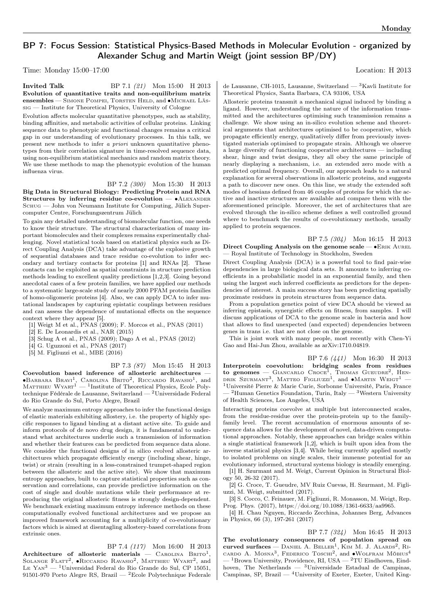# BP 7: Focus Session: Statistical Physics-Based Methods in Molecular Evolution - organized by Alexander Schug and Martin Weigt (joint session BP/DY)

Time: Monday 15:00–17:00 Location: H 2013

**Invited Talk** BP 7.1 (21) Mon 15:00 H 2013 Evolution of quantitative traits and non-equilibrium matrix ensembles — SIMONE POMPEI, TORSTEN HELD, and •MICHAEL LÄSsig — Institute for Theoretical Physics, University of Cologne

Evolution affects molecular quantitative phenotypes, such as stability, binding affinities, and metabolic activities of cellular proteins. Linking sequence data to phenotypic and functional changes remains a critical gap in our understanding of evolutionary processes. In this talk, we present new methods to infer a priori unknown quantitative phenotypes from their correlation signature in time-resolved sequence data, using non-equilibrium statistical mechanics and random matrix theory. We use these methods to map the phenotypic evolution of the human influenza virus.

BP 7.2 (300) Mon 15:30 H 2013

Big Data in Structural Biology: Predicting Protein and RNA Structures by inferring residue co-evolution —  $\bullet$ ALEXANDER Schug — John von Neumann Institute for Computing, Jülich Supercomputer Centre, Forschungszentrum Jülich

To gain any detailed understanding of biomolecular function, one needs to know their structure. The structural characterization of many important biomolecules and their complexes remains experimentally challenging. Novel statistical tools based on statistical physics such as Direct Coupling Analysis (DCA) take advantage of the explosive growth of sequential databases and trace residue co-evolution to infer secondary and tertiary contacts for proteins [1] and RNAs [2]. These contacts can be exploited as spatial constraints in structure prediction methods leading to excellent quality predictions [1,2,3]. Going beyond anecdotal cases of a few protein families, we have applied our methods to a systematic large-scale study of nearly 2000 PFAM protein families of homo-oligomeric proteins [4]. Also, we can apply DCA to infer mutational landscapes by capturing epistatic couplings between residues and can assess the dependence of mutational effects on the sequence context where they appear [5].

- [1] Weigt M et al., PNAS (2009); F. Morcos et al., PNAS (2011)
- $[2]$  E. De Leonardis et al., NAR  $(2015)$
- [3] Schug A et al., PNAS (2009); Dago A et al., PNAS (2012)
- [4] G. Uguzzoni et al., PNAS (2017)
- [5] M. Figliuzzi et al., MBE (2016)

# BP 7.3 (87) Mon 15:45 H 2013

Coevolution based inference of allosteric architectures — ●BARBARA BRAVI<sup>1</sup>, CAROLINA BRITO<sup>2</sup>, RICCARDO RAVASIO<sup>1</sup>, and<br>MATTHIEU WYART<sup>1</sup> — <sup>1</sup>Institute of Theoretical Physics, Ecole Polytechnique Fédérale de Lausanne, Switzerland —  $^{2}$ Universidade Federal do Rio Grande do Sul, Porto Alegre, Brazil

We analyze maximum entropy approaches to infer the functional design of elastic materials exhibiting allostery, i.e. the property of highly specific responses to ligand binding at a distant active site. To guide and inform protocols of de novo drug design, it is fundamental to understand what architectures underlie such a transmission of information and whether their features can be predicted from sequence data alone. We consider the functional designs of in silico evolved allosteric architectures which propagate efficiently energy (including shear, hinge, twist) or strain (resulting in a less-constrained trumpet-shaped region between the allosteric and the active site). We show that maximum entropy approaches, built to capture statistical properties such as conservation and correlations, can provide predictive information on the cost of single and double mutations while their performance at reproducing the original allosteric fitness is strongly design-dependent. We benchmark existing maximum entropy inference methods on these computationally evolved functional architectures and we propose an improved framework accounting for a multiplicity of co-evolutionary factors which is aimed at disentagling allostery-based correlations from extrinsic ones.

BP 7.4 (117) Mon 16:00 H 2013

Architecture of allosteric materials –  $C_{AROLINA}$  BRITO<sup>1</sup>, SOLANGE FLATT<sup>2</sup>,  $\bullet$ RICCARDO RAVASIO<sup>2</sup>, MATTHIEU WYART<sup>2</sup>, and  $\rm{Le}$   $\rm{Yan^3}$  —  $\rm{^1Universidad}$  Federal do Rio Grande do Sul, CP 15051, 91501-970 Porto Alegre RS, Brazil — <sup>2</sup>Ecole Polytechnique Federale

de Lausanne, CH-1015, Lausanne, Switzerland — <sup>3</sup>Kavli Institute for Theoretical Physics, Santa Barbara, CA 93106, USA

Allosteric proteins transmit a mechanical signal induced by binding a ligand. However, understanding the nature of the information transmitted and the architectures optimising such transmission remains a challenge. We show using an in-silico evolution scheme and theoretical arguments that architectures optimised to be cooperative, which propagate efficiently energy, qualitatively differ from previously investigated materials optimised to propagate strain. Although we observe a large diversity of functioning cooperative architectures — including shear, hinge and twist designs, they all obey the same principle of nearly displaying a mechanism, i.e. an extended zero mode with a predicted optimal frequency. Overall, our approach leads to a natural explanation for several observations in allosteric proteins, and suggests a path to discover new ones. On this line, we study the extended soft modes of hessians defined from 46 couples of proteins for which the active and inactive structures are available and compare them with the aforementioned principle. Moreover, the set of architectures that are evolved through the in-silico scheme defines a well controlled ground where to benchmark the results of co-evolutionary methods, usually applied to protein sequences.

BP 7.5 (304) Mon 16:15 H 2013 Direct Coupling Analysis on the genome scale — •ERIK AUREL — Royal Institute of Technology in Stockholm, Sweden

Direct Coupling Analysis (DCA) is a powerful tool to find pair-wise dependencies in large biological data sets. It amounts to inferring coefficients in a probabilistic model in an exponential family, and then using the largest such inferred coefficients as predictors for the dependencies of interest. A main success story has been predicting spatially proximate residues in protein structures from sequence data.

From a population genetics point of view DCA should be viewed as inferring epistasis, synergistic effects on fitness, from samples. I will discuss applications of DCA to the genome scale in bacteria and how that allows to find unexpected (and expected) dependencies between genes in trans i.e. that are not close on the genome.

This is joint work with many people, most recently with Chen-Yi Gao and Hai-Jun Zhou, available as arXiv:1710.04819.

BP 7.6 (441) Mon 16:30 H 2013 Interprotein coevolution: bridging scales from residues to genomes — GIANCARLO CROCE<sup>1</sup>, THOMAS GUEUDRE<sup>2</sup>, HEN-DRIK SZURMANT<sup>3</sup>, MATTEO FIGLIUZZI<sup>1</sup>, and •MARTIN WEIGT<sup>1</sup> <sup>1</sup>Université Pierre & Marie Curie, Sorbonne Université, Paris, France  $^{-2}$ Human Genetics Foundation, Turin, Italy  $-$  <sup>3</sup>Western University of Health Sciences, Los Angeles, USA

Interacting proteins coevolve at multiple but interconnected scales, from the residue-residue over the protein-protein up to the familyfamily level. The recent accumulation of enormous amounts of sequence data allows for the development of novel, data-driven computational approaches. Notably, these approaches can bridge scales within a single statistical framework [1,2], which is built upon idea from the inverse statistical physics [3,4]. While being currently applied mostly to isolated problems on single scales, their immense potential for an evolutionary informed, structural systems biology is steadily emerging.

[1] H. Szurmant and M. Weigt, Current Opinion in Structural Biology 50, 26-32 (2017).

[2] G. Croce, T. Gueudre, MV Ruiz Cuevas, H. Szurmant, M. Figliuzzi, M. Weigt, submitted (2017).

[3] S. Cocco, C. Feinauer, M. Figliuzzi, R. Monasson, M. Weigt, Rep. Prog. Phys. (2017), https://doi.org/10.1088/1361-6633/aa9965.

[4] H. Chau Nguyen, Riccardo Zecchina, Johannes Berg, Advances in Physics, 66 (3), 197-261 (2017)

BP 7.7 (324) Mon 16:45 H 2013 The evolutionary consequences of population spread on curved surfaces - DANIEL A. BELLER<sup>1</sup>, KIM M. J. ALARDS<sup>2</sup>, RI-CARDO A. MOSNA<sup>3</sup>, FEDERICO TOSCHI<sup>2</sup>, and ●WOLFRAM MÖBIUS<sup>4</sup>  $-$ <sup>1</sup>Brown University, Providence, RI, USA  $-$ <sup>2</sup>TU Eindhoven, Eindhoven, The Netherlands — <sup>3</sup>Universidade Estadual de Campinas, Campinas, SP, Brazil — <sup>4</sup>University of Exeter, Exeter, United King-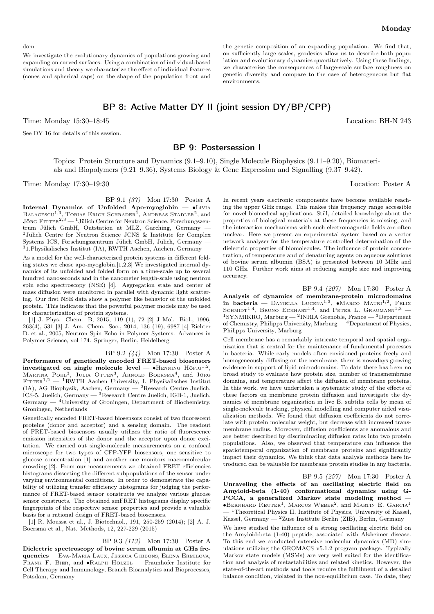Monday

We investigate the evolutionary dynamics of populations growing and expanding on curved surfaces. Using a combination of individual-based simulations and theory we characterize the effect of individual features (cones and spherical caps) on the shape of the population front and

BP 8: Active Matter DY II (joint session DY/BP/CPP)

environments.

Time: Monday 15:30–18:45 Location: BH-N 243

See DY 16 for details of this session.

# BP 9: Postersession I

Topics: Protein Structure and Dynamics (9.1–9.10), Single Molecule Biophysics (9.11–9.20), Biomaterials and Biopolymers (9.21–9.36), Systems Biology & Gene Expression and Signalling (9.37–9.42).

Time: Monday 17:30–19:30 Location: Poster A

BP 9.1 (37) Mon 17:30 Poster A

Internal Dynamics of Unfolded Apo-myoglobin — ∙Livia BALACESCU<sup>1,3</sup>, TOBIAS ERICH SCHRADER<sup>1</sup>, ANDREAS STADLER<sup>2</sup>, and Jörg FITTER $^{2,3}$  — <sup>1</sup> Jülich Centre for Neutron Science, Forschungszentrum Jülich GmbH, Outstation at MLZ, Garching, Germany — <sup>2</sup>Jülich Centre for Neutron Science JCNS & Institute for Complex Systems ICS, Forschungszentrum Jülich GmbH, Jülich, Germany — <sup>3</sup>1.Physikalisches Institut (IA), RWTH Aachen, Aachen, Germany

As a model for the well-characterized protein systems in different folding states we chose apo-myoglobin.[1,2,3] We investigated internal dynamics of its unfolded and folded form on a time-scale up to several hundred nanoseconds and in the nanometer length-scale using neutron spin echo spectroscopy (NSE) [4]. Aggregation state and center of mass diffusion were monitored in parallel with dynamic light scattering. Our first NSE data show a polymer like behavior of the unfolded protein. This indicates that the powerful polymer models may be used for characterization of protein systems.

[1] J. Phys. Chem. B, 2015, 119 (1), 72 [2] J Mol. Biol., 1996, 263(4), 531 [3] J. Am. Chem. Soc., 2014, 136 (19), 6987 [4] Richter D. et al., 2005, Neutron Spin Echo in Polymer Systems. Advances in Polymer Science, vol 174. Springer, Berlin, Heidelberg

BP 9.2 (44) Mon 17:30 Poster A Performance of genetically encoded FRET-based biosensors investigated on single molecule level —  $\bullet$ HENNING HÖFIG<sup>1,2</sup>, Martina Pohl<sup>3</sup>, Julia Otten<sup>3</sup>, Arnold Boersma<sup>4</sup>, and Jörg FITTER<sup>1,2</sup> — <sup>1</sup>RWTH Aachen University, I. Physikalisches Institut (IA), AG Biophysik, Aachen, Germany — <sup>2</sup>Research Centre Juelich, ICS-5, Juelich, Germany — <sup>3</sup>Research Centre Juelich, IGB-1, Juelich, Germany  $-$  <sup>4</sup>University of Groningen, Department of Biochemistry, Groningen, Netherlands

Genetically encoded FRET-based biosensors consist of two fluorescent proteins (donor and acceptor) and a sensing domain. The readout of FRET-based biosensors usually utilizes the ratio of fluorescence emission intensities of the donor and the acceptor upon donor excitation. We carried out single-molecule measurements on a confocal microscope for two types of CFP-YFP biosensors, one sensitive to glucose concentration [1] and another one monitors macromolecular crowding [2]. From our measurements we obtained FRET efficiencies histograms dissecting the different subpopulations of the sensor under varying environmental conditions. In order to demonstrate the capability of utilizing transfer efficiency histograms for judging the performance of FRET-based sensor constructs we analyze various glucose sensor constructs. The obtained smFRET histograms display specific fingerprints of the respective sensor properties and provide a valuable basis for a rational design of FRET-based biosensors.

[1] R. Moussa et al., J. Biotechnol., 191, 250-259 (2014); [2] A. J. Boersma et al., Nat. Methods, 12, 227-229 (2015)

#### BP 9.3 (113) Mon 17:30 Poster A

Dielectric spectroscopy of bovine serum albumin at GHz frequencies — Eva-Maria Laux, Jessica Gibbons, Elena Ermilova, Frank F. Bier, and ∙Ralph Hölzel — Fraunhofer Institute for Cell Therapy and Immunology, Branch Bioanalytics and Bioprocesses, Potsdam, Germany

In recent years electronic components have become available reaching the upper GHz range. This makes this frequency range accessible for novel biomedical applications. Still, detailed knowledge about the properties of biological materials at these frequencies is missing, and the interaction mechanisms with such electromagnetic fields are often unclear. Here we present an experimental system based on a vector network analyser for the temperature controlled determination of the dielectric properties of biomolecules. The influence of protein concentration, of temperature and of denaturing agents on aqueous solutions of bovine serum albumin (BSA) is presented between 10 MHz and 110 GHz. Further work aims at reducing sample size and improving accuracy.

the genetic composition of an expanding population. We find that, on sufficiently large scales, geodesics allow us to describe both population and evolutionary dynamics quantitatively. Using these findings, we characterize the consequences of large-scale surface roughness on genetic diversity and compare to the case of heterogeneous but flat

BP 9.4 (207) Mon 17:30 Poster A Analysis of dynamics of membrane-protein microdomains in bacteria — DANIELLA LUCENA<sup>1,3</sup>,  $\bullet$ MARCO MAURI<sup>1,2</sup>, FELIX SCHMIDT<sup>1,4</sup>, BRUNO ECKHART<sup>1,4</sup>, and PETER L. GRAUMANN<sup>1,3</sup> – <sup>1</sup>SYNMIKRO, Marburg — <sup>2</sup>INRIA Grenoble, France — <sup>3</sup>Department of Chemistry, Philipps University, Marburg  $-$ <sup>4</sup>Department of Physics, Philipps University, Marburg

Cell membrane has a remarkably intricate temporal and spatial organization that is central for the maintenance of fundamental processes in bacteria. While early models often envisioned proteins freely and homogeneously diffusing on the membrane, there is nowadays growing evidence in support of lipid microdomains. To date there has been no broad study to evaluate how protein size, number of transmembrane domains, and temperature affect the diffusion of membrane proteins. In this work, we have undertaken a systematic study of the effects of these factors on membrane protein diffusion and investigate the dynamics of membrane organization in live B. subtilis cells by mean of single-molecule tracking, physical modelling and computer aided visualization methods. We found that diffusion coefficients do not correlate with protein molecular weight, but decrease with increased transmembrane radius. Moreover, diffusion coefficients are anomalous and are better described by discriminating diffusion rates into two protein populations. Also, we observed that temperature can influence the spatiotemporal organization of membrane proteins and significantly impact their dynamics. We think that data analysis methods here introduced can be valuable for membrane protein studies in any bacteria.

BP 9.5 (257) Mon 17:30 Poster A Unraveling the effects of an oscillating electric field on Amyloid-beta (1-40) conformational dynamics using G-PCCA, a generalized Markov state modeling method — ∙Bernhard Reuter<sup>1</sup> , Marcus Weber<sup>2</sup> , and Martin E. Garcia<sup>1</sup> <sup>1</sup>Theoretical Physics II, Institute of Physics, University of Kassel, Kassel, Germany — <sup>2</sup>Zuse Institute Berlin (ZIB), Berlin, Germany We have studied the influence of a strong oscillating electric field on the Amyloid-beta (1-40) peptide, associated with Alzheimer disease. To this end we conducted extensive molecular dynamics (MD) simulations utilizing the GROMACS v5.1.2 program package. Typically Markov state models (MSMs) are very well suited for the identification and analysis of metastabilities and related kinetics. However, the state-of-the-art methods and tools require the fulfillment of a detailed

balance condition, violated in the non-equilibrium case. To date, they

dom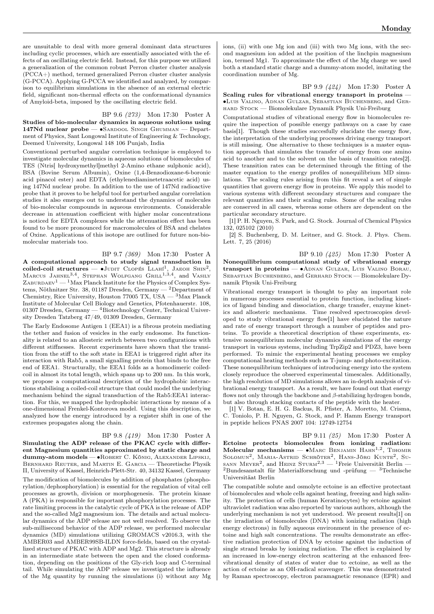are unsuitable to deal with more general dominant data structures including cyclic processes, which are essentially associated with the effects of an oscillating electric field. Instead, for this purpose we utilized a generalization of the common robust Perron cluster cluster analysis  $(PCCA+)$  method, termed generalized Perron cluster cluster analysis (G-PCCA). Applying G-PCCA we identified and analyzed, by comparison to equilibrium simulations in the absence of an external electric field, significant non-thermal effects on the conformational dynamics of Amyloid-beta, imposed by the oscillating electric field.

BP 9.6 (273) Mon 17:30 Poster A

Studies of bio-molecular dynamics in aqueous solutions using 147Nd nuclear probe — ∙Sardool Singh Ghumman — Department of Physics, Sant Longowal Institute of Engineering & Technology, Deemed University, Longowal 148 106 Punjab, India

Conventional perturbed angular correlation technique is employed to investigate molecular dynamics in aqueous solutions of biomolecules of TES (Ntris[ hydroxymethyl]methyl 2-Amino ethane sulphonic acid), BSA (Bovine Serum Albumin), Oxine (1,4-Benzodioxane-6-boronic acid pinacol ester) and EDTA (ethylenediaminetetraacetic acid) using 147Nd nuclear probe. In addition to the use of 147Nd radioactive probe that it proves to be helpful tool for perturbed angular correlation studies it also emerges out to understand the dynamics of molecules of bio-molecular compounds in aqueous environments. Considerable decrease in attenuation coefficient with higher molar concentrations is noticed for EDTA complexes while the attenuation effect has been found to be more pronounced for macromolecules of BSA and chelates of Oxine. Applications of this isotope are outlined for future non-biomolecular materials too.

BP 9.7 (369) Mon 17:30 Poster A A computational approach to study signal transduction in  $\text{coiled-coil structures}$   $\bullet$ Judit Clopés Llahí<sup>1</sup>, Jaeoh Shin<sup>2</sup>, MARCUS JAHNEL<sup>3,4</sup>, STEPHAN WOLFGANG GRILL<sup>1,3,4</sup>, and VASILY ZABURDAEV<sup>1</sup> — <sup>1</sup>Max Planck Institute for the Physics of Complex Systems, Nöthnitzer Str. 38, 01187 Dresden, Germany — <sup>2</sup>Department of Chemistry, Rice University, Houston 77005 TX, USA  $-$  <sup>3</sup>Max Planck Institute of Molecular Cell Biology and Genetics, Pfotenhauerstr. 108, 01307 Dresden, Germany — <sup>4</sup>Biotechnology Center, Technical University Dresden Tatzberg 47/49, 01309 Dresden, Germany

The Early Endosome Antigen 1 (EEA1) is a fibrous protein mediating the tether and fusion of vesicles in the early endosome. Its functionality is related to an allosteric switch between two configurations with different stiffnesses. Recent experiments have shown that the transition from the stiff to the soft state in EEA1 is triggered right after its interaction with Rab5, a small signalling protein that binds to the free end of EEA1. Structurally, the EEA1 folds as a homodimeric coiledcoil in almost its total length, which spans up to 200 nm. In this work, we propose a computational description of the hydrophobic interactions stabilising a coiled-coil structure that could model the underlying mechanism behind the signal transduction of the Rab5:EEA1 interaction. For this, we mapped the hydrophobic interactions by means of a one-dimensional Frenkel-Kontorova model. Using this description, we analyzed how the energy introduced by a register shift in one of the extremes propagates along the chain.

# BP 9.8 (419) Mon 17:30 Poster A

Simulating the ADP release of the PKAC cycle with different Magnesium quantities approximated by static charge and dummy-atom models — ∙Robert C. König, Alexander Lipskij, Bernhard Reuter, and Martin E. Garcia — Theoretische Physik II, University of Kassel, Heinrich-Plett-Str. 40, 34132 Kassel, Germany The modification of biomolecules by addition of phosphates (phosphorylation/dephosphorylation) is essential for the regulation of vital cell processes as growth, division or morphogenesis. The protein kinase A (PKA) is responsible for important phosphorylation processes. The rate limiting process in the catalytic cycle of PKA is the release of ADP and the so-called Mg2 magnesium ion. The details and actual molecular dynamics of the ADP release are not well resolved. To observe the sub-millisecond behavior of the ADP release, we performed molecular dynamics (MD) simulations utilizing GROMACS v2016.3, with the AMBER03 and AMBER99SB-ILDN force-fields, based on the crystallized structure of PKAC with ADP and Mg2. This structure is already in an intermediate state between the open and the closed conformation, depending on the positions of the Gly-rich loop and C-terminal tail. While simulating the ADP release we investigated the influence of the Mg quantity by running the simulations (i) without any Mg

ions, (ii) with one Mg ion and (iii) with two Mg ions, with the second magnesium ion added at the position of the linchpin magnesium ion, termed Mg1. To approximate the effect of the Mg charge we used both a standard static charge and a dummy-atom model, imitating the coordination number of Mg.

BP 9.9 (424) Mon 17:30 Poster A Scaling rules for vibrational energy transport in proteins — ∙Luis Valino, Adnan Gulzar, Sebastian Buchenberg, and Gerhard Stock — Biomolekulare Dynamik Physik Uni-Freiburg

Computational studies of vibrational energy flow in biomolecules require the inspection of possible energy pathways on a case by case basis[1]. Though these studies succesfully elucidate the energy flow, the interpretation of the underlying processes driving energy transport is still missing. One alternative to these techniques is a master equation approach that simulates the transfer of energy from one amino acid to another and to the solvent on the basis of transition rates[2]. These transition rates can be determined through the fitting of the master equation to the energy profiles of nonequilibrium MD simulations. The scaling rules arising from this fit reveal a set of simple quantities that govern energy flow in proteins. We apply this model to various systems with different secondary structures and compare the relevant quantities and their scaling rules. Some of the scaling rules are conserved in all cases, whereas some others are dependent on the particular secondary structure.

[1] P. H. Nguyen, S. Park, and G. Stock. Journal of Chemical Physics 132, 025102 (2010)

[2] S. Buchenberg, D. M. Leitner, and G. Stock. J. Phys. Chem. Lett. 7, 25 (2016)

BP 9.10 (425) Mon 17:30 Poster A Nonequilibrium computational study of vibrational energy transport in proteins — ∙Adnan Gulzar, Luis Valino Borau, Sebastian Buchenberg, and Gerhard Stock — Biomolekulare Dynamik Physik Uni-Freiburg

Vibrational energy transport is thought to play an important role in numerous processes essential to protein function, including kinetics of ligand binding and dissociation, charge transfer, enzyme kinetics and allosteric mechanisms. Time resolved spectroscopies developed to study vibrational energy flow[1] have elucidated the nature and rate of energy transport through a number of peptides and proteins. To provide a theoretical description of these experiments, extensive nonequilibrium molecular dynamics simulations of the energy transport in various systems, including TrpZip2 and PDZ3, have been performed. To mimic the experimental heating processes we employ computational heating methods such as T-jump- and photo-excitation. These nonequilibrium techniques of introducing energy into the system closely reproduce the observed experimental timescales. Additionally, the high resolution of MD simulations allows an in-depth analysis of vibrational energy transport. As a result, we have found out that energy flows not only through the backbone and  $\beta$ -stabilizing hydrogen bonds, but also through stacking contacts of the peptide with the heater.

[1] V. Botan, E. H. G. Backus, R. Pfister, A. Moretto, M. Crisma, C. Toniolo, P. H. Nguyen, G. Stock, and P. Hamm Energy transport in peptide helices PNAS 2007 104: 12749-12754

BP 9.11 (25) Mon 17:30 Poster A Ectoine protects biomolecules from ionizing radiation: Molecular mechanisms —  $\bullet$ MARC BENJAMIN HAHN<sup>1,2</sup>, TIHOMIR SOLOMUN<sup>2</sup>, MARIA-ASTRID SCHRÖTER<sup>2</sup>, HANS-JÖRG KUNTE<sup>2</sup>, SU-SANN MEYER<sup>2</sup>, and HEINZ STURM<sup>2,3</sup> - <sup>1</sup>Freie Universität Berlin -<sup>2</sup>Bundesanstalt für Materialforschung und -prüfung —  ${}^{3}$ Technische Universitäat Berlin

The compatible solute and osmolyte ectoine is an effective protectant of biomolecules and whole cells against heating, freezing and high salinity. The protection of cells (human Keratinocytes) by ectoine against ultraviolet radiation was also reported by various authors, although the underlying mechanism is not yet understood. We present results[1] on the irradiation of biomolecules (DNA) with ionizing radiation (high energy electrons) in fully aqueous environment in the presence of ectoine and high salt concentrations. The results demonstrate an effective radiation protection of DNA by ectoine against the induction of single strand breaks by ionizing radiation. The effect is explained by an increased in low-energy electron scattering at the enhanced freevibrational density of states of water due to ectoine, as well as the action of ectoine as an OH-radical scavenger. This was demonstrated by Raman spectroscopy, electron paramagnetic resonance (EPR) and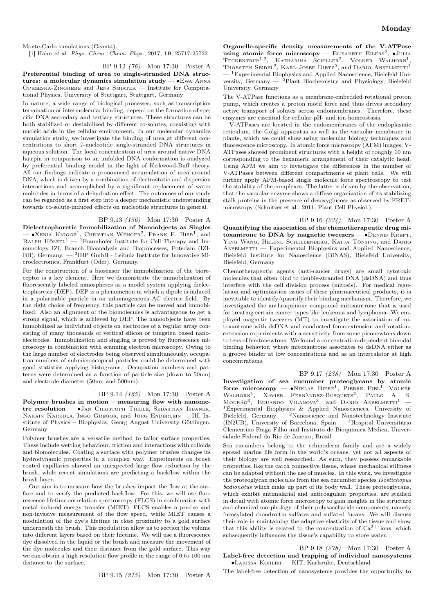Monte-Carlo simulations (Geant4).

[1] Hahn et al. Phys. Chem. Chem. Phys., 2017, 19, 25717-25722

BP 9.12 (76) Mon 17:30 Poster A

Preferential binding of urea to single-stranded DNA structures: a molecular dynamics simulation study —  $•EWA$  Anna Oprzeska-Zingrebe and Jens Smiatek — Institute for Computational Physics, University of Stuttgart, Stuttgart, Germany

In nature, a wide range of biological processes, such as transcription termination or intermolecular binding, depend on the formation of specific DNA secondary and tertiary structures. These structures can be both stabilized or destabilized by different co-solutes, coexisting with nucleic acids in the cellular environment. In our molecular dynamics simulation study, we investigate the binding of urea at different concentrations to short 7-nucleotide single-stranded DNA structures in aqueous solution. The local concentration of urea around native DNA hairpin in comparison to an unfolded DNA conformation is analyzed by preferential binding model in the light of Kirkwood-Buff theory. All our findings indicate a pronounced accumulation of urea around DNA, which is driven by a combination of electrostatic and dispersion interactions and accomplished by a significant replacement of water molecules in terms of a dehydration effect. The outcomes of our study can be regarded as a first step into a deeper mechanistic understanding towards co-solute-induced effects on nucleotide structures in general.

# BP 9.13 (156) Mon 17:30 Poster A

Dielectrophoretic Immobilization of Nanoobjects as Singles — •Хеміа Кміссе<sup>1</sup>, Сняізтіам Wenger<sup>2</sup>, Frank F. Bier<sup>1</sup>, and Ralph Hölzel<sup>1</sup> — <sup>1</sup>Fraunhofer Institute for Cell Therapy and Immunology IZI, Branch Bioanalysis and Bioprocesses, Potsdam (IZI-BB), Germany. — <sup>2</sup>IHP GmbH - Leibniz Institute for Innovative Microelectronics, Frankfurt (Oder), Germany.

For the construction of a biosensor the immobilization of the bioreceptor is a key element. Here we demonstrate the immobilization of fluorescently labeled nanospheres as a model system applying dielectrophoresis (DEP). DEP is a phenomenon in which a dipole is induced in a polarizable particle in an inhomogeneous AC electric field. By the right choice of frequency, this particle can be moved and immobilized. Also an alignment of the biomolecules is advantageous to get a strong signal, which is achieved by DEP. The nanoobjects have been immobilized as individual objects on electrodes of a regular array consisting of many thousands of vertical silicon or tungsten based nanoelectrodes. Immobilization and singling is proved by fluorescence microscopy in combination with scanning electron microscopy. Owing to the large number of electrodes being observed simultaneously, occupation numbers of submicroscopical particles could be determined with good statistics applying histograms. Occupation numbers and patterns were determined as a function of particle size (down to 50nm) and electrode diameter (50nm and 500nm).

# BP 9.14 (165) Mon 17:30 Poster A

Polymer brushes in motion – measuring flow with nanometre resolution — ∙Jan Christoph Thiele, Sebastian Isbaner, Narain Karedla, Ingo Gregor, and Jörg Enderlein — III. Institute of Physics – Biophysics, Georg August University Göttingen, Germany

Polymer brushes are a versatile method to tailor surface properties. These include wetting behaviour, friction and interactions with colloids and biomolecules. Coating a surface with polymer brushes changes its hydrodynamic properties in a complex way. Experiments on brush coated capillaries showed an unexpected large flow reduction by the brush, while recent simulations are predicting a backflow within the brush layer.

Our aim is to measure how the brushes impact the flow at the surface and to verify the predicted backflow. For this, we will use fluorescence lifetime correlation spectroscopy (FLCS) in combination with metal induced energy transfer (MIET). FLCS enables a precise and non-invasive measurement of the flow speed, while MIET causes a modulation of the dye's lifetime in close proximity to a gold surface underneath the brush. This modulation allow us to section the volume into different layers based on their lifetime. We will use a fluorescence dye dissolved in the liquid or the brush and measure the movement of the dye molecules and their distance from the gold surface. This way we can obtain a high resolution flow profile in the range of 0 to 100 nm distance to the surface.

Organelle-specific density measurements of the V-ATPase using atomic force microscopy — ELISABETH EILERS<sup>2</sup>, •JULIA TECKENTRUP<sup>1,2</sup>, KATHARINA SCHILLER<sup>2</sup>, VOLKER WALHORN<sup>1</sup>, THORSTEN SEIDEL<sup>2</sup>, KARL-JOSEF DIETZ<sup>2</sup>, and DARIO ANSELMETTI<sup>1</sup>  $-$ <sup>1</sup>Experimental Biophysics and Applied Nanoscience, Bielefeld University, Germany  $-$  <sup>2</sup>Plant Biochemistry and Physiology, Bielefeld University, Germany

The V-ATPase functions as a membrane-embedded rotational proton pump, which creates a proton motif force and thus drives secondary active transport of solutes across endomembranes. Therefore, these enzymes are essential for cellular pH- and ion homeostasis.

V-ATPases are located in the endomembranes of the endoplasmic reticulum, the Golgi apparatus as well as the vacuolar membrane in plants, which we could show using molecular biology techniques and fluorescence microscopy. In atomic force microscopy (AFM) images, V-ATPases showed prominent structures with a height of roughly 10 nm corresponding to the hexameric arrangement of their catalytic head. Using AFM we aim to investigate the differences in the number of V-ATPases between different compartments of plant cells. We will further apply AFM-based single molecule force spectroscopy to test the stability of the complexes. The latter is driven by the observation, that the vacuolar enzyme shows a diffuse organization of its stabilizing stalk proteins in the presence of desoxyglucose as observed by FRETmicroscopy (Schnitzer et al., 2011, Plant Cell Physiol.).

BP 9.16 (234) Mon 17:30 Poster A Quantifying the association of the chemotherapeutic drug mitoxantrone to DNA by magnetic tweezers —  $•$ DENNIS KREFT, Ying Wang, Helene Schellenberg, Katja Tönsing, and Dario ANSELMETTI — Experimental Biophysics and Applied Nanoscience, Bielefeld Institute for Nanoscience (BINAS), Bielefeld University, Bielefeld, Germany

Chemotherapeutic agents (anti-cancer drugs) are small cytotoxic molecules that often bind to double-stranded DNA (dsDNA) and thus interfere with the cell division process (mitosis). For medical regulation and optimization issues of these pharmaceutical products, it is inevitable to identify/quantify their binding mechanism. Therefore, we investigated the anthraquinone compound mitoxantrone that is used for treating certain cancer types like leukemia and lymphoma. We employed magnetic tweezers (MT) to investigate the association of mitoxantrone with dsDNA and conducted force-extension and rotationextension experiments with a sensitivity from some piconewtons down to tens of femtonewtons. We found a concentration-dependent bimodal binding behavior, where mitoxantrone associates to dsDNA either as a groove binder at low concentrations and as an intercalator at high concentrations.

BP 9.17 (238) Mon 17:30 Poster A Investigation of sea cucumber proteoglycans by atomic force microscopy —  $\bullet$ NIKLAS BIERE<sup>1</sup>, PIERRE PIEL<sup>1</sup>, VOLKER WALHORN<sup>1</sup>, XAVIER FERNÀNDEZ-BUSQUETS<sup>2</sup>, PAULO A. S. Mourão<sup>3</sup>, Eduardo Vilanova<sup>3</sup>, and Dario Anselmetti<sup>1</sup> -<sup>1</sup>Experimental Biophysics & Applied Nanosciences, University of Bielefeld, Germany — <sup>2</sup>Nanoscience and Nanotechnology Institute (IN2UB), University of Barcelona, Spain — <sup>3</sup>Hospital Universitário Clementino Fraga Filho and Instituto de Bioquímica Médica, Universidade Federal do Rio de Janeiro, Brazil

Sea cucumbers belong to the echinoderm family and are a widely spread marine life form in the world's oceans, yet not all aspects of their biology are well researched. As such, they possess remarkable properties, like the catch connective tissue, whose mechanical stiffness can be adapted without the use of muscles. In this work, we investigate the proteoglycan molecules from the sea cucumber species Isostichopus badionotus which make up part of its body wall. These proteoglycans, which exhibit antimalarial and anticoagulant properties, are studied in detail with atomic force microscopy to gain insights in the structure and chemical morphology of their polysaccharide components, namely fucosylated chondroitin sulfates and sulfated fucans. We will discuss their role in maintaining the adaptive elasticity of the tissue and show that this ability is related to the concentration of  $Ca^{2+}$  ions, which subsequently influences the tissue's capability to store water.

BP 9.18 (278) Mon 17:30 Poster A Label-free detection and trapping of individual nanosystems — ∙Larissa Kohler — KIT, Karlsruhe, Deutschland

BP 9.15 (215) Mon 17:30 Poster A

The label-free detection of nanosystems provides the opportunity to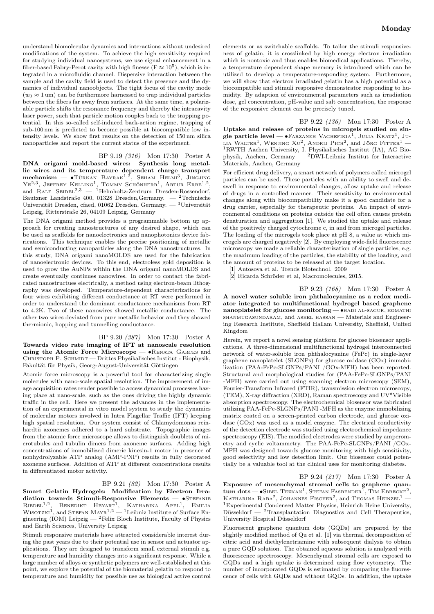understand biomolecular dynamics and interactions without undesired modifications of the system. To achieve the high sensitivity required for studying individual nanosystems, we use signal enhancement in a fiber-based Fabry-Perot cavity with high finesse ( $F \approx 10^5$ ), which is integrated in a microfluidic channel. Dispersive interaction between the sample and the cavity field is used to detect the presence and the dynamics of individual nanoobjects. The tight focus of the cavity mode  $(w_0 \approx 1 \text{ um})$  can be furthermore harnessed to trap individual particles between the fibers far away from surfaces. At the same time, a polarizable particle shifts the resonance frequency and thereby the intracavity laser power, such that particle motion couples back to the trapping potential. In this so-called self-induced back-action regime, trapping of sub-100 nm is predicted to become possible at biocompatible low intensity levels. We show first results on the detection of 150 nm silica nanoparticles and report the current status of the experiment.

## BP 9.19 (316) Mon 17:30 Poster A

DNA origami mold-based wires: Synthesis long metallic wires and its temperature dependent charge transport  $\rm{mechanism}$  —  $\bullet$ Türkan Bayrak<sup>1,2</sup>, Seham Helmi<sup>3</sup>, Jingjing  $YE^{2,3}$ , Jeffrey Kelling<sup>1</sup>, Tommy Schönherr<sup>1</sup>, Artur Erbe<sup>1,2</sup>, and Ralf Seiden-<sup>2,3</sup> — <sup>1</sup>Helmholtz-Zentrum Dresden-Rossendorf, Bautzner Landstraße 400, 01328 Dresden,Germany. — <sup>2</sup>Technische Universität Dresden, cfaed, 01062 Dresden, Germany. — <sup>3</sup>Universität Leipzig, Ritterstraße 26, 04109 Leipzig, Germany

The DNA origami method provides a programmable bottom up approach for creating nanostructures of any desired shape, which can be used as scaffolds for nanoelectronics and nanophotonics device fabrications. This technique enables the precise positioning of metallic and semiconducting nanoparticles along the DNA nanostructures. In this study, DNA origami nanoMOLDS are used for the fabrication of nanoelectronic devices. To this end, electroless gold deposition is used to grow the AuNPs within the DNA origami nanoMOLDS and create eventually continues nanowires. In order to contact the fabricated nanostructues electrically, a method using electron-beam lithography was developed. Temperature-dependent characterizations for four wires exhibiting different conductance at RT were performed in order to understand the dominant conductance mechanisms from RT to 4.2K. Two of these nanowires showed metallic conductance. The other two wires deviated from pure metallic behavior and they showed thermionic, hopping and tunnelling conductance.

## BP 9.20 (387) Mon 17:30 Poster A

Towards video rate imaging of IFT at nanoscale resolution using the Atomic Force Microscope — ∙Renata Garces and CHRISTOPH F. SCHMIDT — Drittes Physikalisches Institut - Biophysik, Fakultät für Physik, Georg-August-Universität Göttingen

Atomic force microscopy is a powerful tool for characterizing single molecules with nano-scale spatial resolution. The improvement of image acquisition rates render possible to access dynamical processes having place at nano-scale, such as the ones driving the highly dynamic traffic in the cell. Here we present the advances in the implementation of an experimental in vitro model system to study the dynamics of molecular motors involved in Intra Flagellar Traffic (IFT) keeping high spatial resolution. Our system consist of Chlamydomonas reinhardtii axonemes adhered to a hard substrate. Topographic images from the atomic force microscope allows to distinguish doublets of microtubules and tubulin dimers from axoneme surfaces. Adding high concentrations of immobilized dimeric kinesin-1 motor in presence of nonhydrolyzable ATP analog (AMP-PNP) results in fully decorated axoneme surfaces. Addition of ATP at different concentrations results in differentiated motor activity.

#### BP 9.21 (82) Mon 17:30 Poster A

Smart Gelatin Hydrogels: Modification by Electron Irradiation towards Stimuli-Responsive Elements — •STEFANIE RIEDEL<sup>1,2</sup>, BENEDIKT HEYART<sup>1</sup>, KATHARINA APEL<sup>1</sup>, EMILIA<br>Wisotzki<sup>1</sup>, and Stefan Mayr<sup>1,2</sup> — <sup>1</sup>Leibniz Institute of Surface Engineering (IOM) Leipzig —  ${}^{2}$ Felix Bloch Institute, Faculty of Physics and Earth Sciences, University Leipzig

Stimuli responsive materials have attracted considerable interest during the past years due to their potential use in sensor and actuator applications. They are designed to transform small external stimuli e.g. temperature and humidity changes into a significant response. While a large number of alloys or synthetic polymers are well-established at this point, we explore the potential of the biomaterial gelatin to respond to temperature and humidity for possible use as biological active control elements or as switchable scaffolds. To tailor the stimuli responsiveness of gelatin, it is crosslinked by high energy electron irradiation which is nontoxic and thus enables biomedical applications. Thereby, a temperature dependent shape memory is introduced which can be utilized to develop a temperature-responding system. Furthermore, we will show that electron irradiated gelatin has a high potential as a biocompatible and stimuli responsive demonstrator responding to humidity. By adaption of environmental parameters such as irradiation dose, gel concentration, pH-value and salt concentration, the response of the responsive element can be precisely tuned.

BP 9.22 (136) Mon 17:30 Poster A Uptake and release of proteins in microgels studied on single particle level —  $\bullet$ FARZANEH VAGHEFIKIA<sup>1</sup>, JULIA KRATZ<sup>1</sup>, JU-LIA WALTER<sup>1</sup>, WENJING  $XU^2$ , ANDRIJ PICH<sup>2</sup>, and Jörg FITTER<sup>1</sup> – <sup>1</sup>RWTH Aachen University, I. Physikalisches Institut (IA), AG Biophysik, Aachen, Germany — <sup>2</sup>DWI-Leibniz Institut for Interactive Materials, Aachen, Germany

For efficient drug delivery, a smart network of polymers called microgel particles can be used. These particles with an ability to swell and deswell in response to environmental changes, allow uptake and release of drugs in a controlled manner. Their sensitivity to environmental changes along with biocompatibility make it a good candidate for a drug carrier, especially for therapeutic proteins. An impact of environmental conditions on proteins outside the cell often causes protein denaturation and aggregation [1]. We studied the uptake and release of the positively charged cytochrome c, in and from microgel particles. The loading of the microgels took place at pH 8, a value at which microgels are charged negatively [2]. By employing wide-field fluorescence microscopy we made a reliable characterization of single particles, e.g. the maximum loading of the particles, the stability of the loading, and the amount of proteins to be released at the target location.

[1] Antosova et al. Trends Biotechnol. 2009

[2] Ricarda Schröder et al, Macromolecules, 2015.

BP 9.23 (168) Mon 17:30 Poster A A novel water soluble iron phthalocyanine as a redox mediator integrated to multifunctional hydrogel based graphene nanoplatelet for glucose monitoring — • HADI AL-SAGUR, KOMATHI shanmugasundaram, and aseel hassan — Materials and Engineering Research Institute, Sheffield Hallam University, Sheffield, United Kingdom

Herein, we report a novel sensing platform for glucose biosensor applications. A three-dimensional multifunctional hydrogel interconnected network of water-soluble iron phthalocyanine (FePc) in single-layer graphene nanoplatelet (SLGNPs) for glucose oxidase (GOx) immobilization (PAA-FePc-SLGNPs/PANI /GOx-MFH) has been reported. Structural and morphological studies for (PAA-FePc-SLGNPs/PANI -MFH) were carried out using scanning electron microscopy (SEM), Fourier-Transform Infrared (FTIR), transmission electron microscopy, (TEM), X-ray diffraction (XRD), Raman spectroscopy and UV\*Visible absorption spectroscopy. The electrochemical biosensor was fabricated utilizing PAA-FePc-SLGNPs/PANI -MFH as the enzyme immobilizing matrix coated on a screen-printed carbon electrode, and glucose oxidase (GOx) was used as a model enzyme. The electrical conductivity of the detection electrode was studied using electrochemical impedance spectroscopy (EIS). The modified electrodes were studied by amperometry and cyclic voltammetry. The PAA-FePc-SLGNPs/PANI /GOx-MFH was designed towards glucose monitoring with high sensitivity, good selectivity and low detection limit. Our biosensor could potentially be a valuable tool at the clinical uses for monitoring diabetes.

## BP 9.24 (217) Mon 17:30 Poster A

Exposure of mesenchymal stromal cells to graphene quantum dots —  $\bullet$ Sibel Tezkan<sup>1</sup>, Stefan Fasbender<sup>1</sup>, Tim Ebbecke<sup>2</sup>, KATHARINA RABA<sup>2</sup>, JOHANNES FISCHER<sup>2</sup>, and THOMAS HEINZEL<sup>1</sup> -<sup>1</sup>Experimental Condensed Matter Physics, Heinrich Heine University, Düsseldorf  $-$  <sup>2</sup>Transplantation Diagnostics and Cell Therapeutics, University Hospital Düsseldorf

Fluorescent graphene quantum dots (GQDs) are prepared by the slightly modified method of Qu et al. [1] via thermal decomposition of citric acid and diethylenetriamine with subsequent dialysis to obtain a pure GQD solution. The obtained aqueous solution is analyzed with fluorescence spectroscopy. Mesenchymal stromal cells are exposed to GQDs and a high uptake is determined using flow cytometry. The number of incorporated GQDs is estimated by comparing the fluorescence of cells with GQDs and without GQDs. In addition, the uptake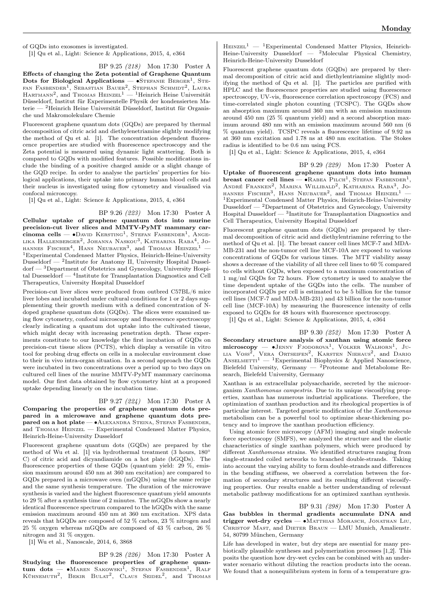of GQDs into exosomes is investigated.

[1] Qu et al., Light: Science & Applications, 2015, 4, e364

BP 9.25 (218) Mon 17:30 Poster A

Effects of changing the Zeta potential of Graphene Quantum Dots for Biological Applications —  $\bullet$ STEFANIE BERGER<sup>1</sup>, STE-FAN FASBENDER<sup>1</sup>, SEBASTIAN BAUER<sup>2</sup>, STEPHAN SCHMIDT<sup>2</sup>, LAURA<br>HARTMANN<sup>2</sup>, and Thomas Heinzel<sup>1</sup> — <sup>1</sup>Heinrich Heine Universität Düsseldorf, Institut für Experimentelle Physik der kondensierten Materie — <sup>2</sup>Heinrich Heine Universität Düsseldorf, Institut für Organische und Makromolekulare Chemie

Fluorescent graphene quantum dots (GQDs) are prepared by thermal decomposition of citric acid and diethylenetriamine slightly modifying the method of Qu et al. [1]. The concentration dependent fluorescence properties are studied with fluorescence spectroscopy and the Zeta potential is measured using dynamic light scattering. Both is compared to GQDs with modified features. Possible modifications include the binding of a positive charged amide or a slight change of the GQD recipe. In order to analyse the particles' properties for biological applications, their uptake into primary human blood cells and their nucleus is investigated using flow cytometry and visualised via confocal microscopy.

[1] Qu et al., Light: Science & Applications, 2015, 4, e364

BP 9.26 (223) Mon 17:30 Poster A Cellular uptake of graphene quantum dots into murine precision-cut liver slices and MMTV-PyMT mammary carcinoma cells —  $\bullet$ David Kersting<sup>1</sup>, Stefan Fasbender<sup>1</sup>, Angelika Hallenberger $^2$ , Johanna Naskou $^3$ , Katharina Raba $^4$ , Jo-HANNES FISCHER<sup>4</sup>, HANS NEUBAUER<sup>3</sup>, and Thomas Heinzel<sup>1</sup> – <sup>1</sup>Experimental Condensed Matter Physics, Heinrich-Heine-University Dusseldorf — <sup>2</sup> Institute for Anatomy II, University Hospital Dusseldorf — <sup>3</sup>Department of Obstetrics and Gynecology, University Hospital Duesseldorf — <sup>4</sup> Institute for Transplantation Diagnostics and Cell Therapeutics, University Hospital Dusseldorf

Precision-cut liver slices were produced from outbred C57BL/6 mice liver lobes and incubated under cultural conditions for 1 or 2 days supplementing their growth medium with a defined concentration of Ndoped graphene quantum dots (GQDs). The slices were examined using flow cytometry, confocal microscopy and fluorescence spectroscopy clearly indicating a quantum dot uptake into the cultivated tissue, which might decay with increasing penetration depth. These experiments constitute to our knowledge the first incubation of GQDs on precision-cut tissue slices (PCTS), which display a versatile in vitro tool for probing drug effects on cells in a molecular environment close to their in vivo intra-organ situation. In a second approach the GQDs were incubated in two concentrations over a period up to two days on cultured cell lines of the murine MMTV-PyMT mammary carcinoma model. Our first data obtained by flow cytometry hint at a proposed uptake depending linearly on the incubation time.

## BP 9.27 (224) Mon 17:30 Poster A

Comparing the properties of graphene quantum dots prepared in a microwave and graphene quantum dots prepared on a hot plate — • ALEXANDRA STEINA, STEFAN FASBENDER, and THOMAS HEINZEL — Experimental Condensed Matter Physics, Heinrich-Heine-University Dusseldorf

Fluorescent graphene quantum dots (GQDs) are prepared by the method of Wu et al. [1] via hydrothermal treatment (3 hours, 180<sup>∘</sup> C) of citric acid and dicyandiamide on a hot plate (hGQDs). The fluorescence properties of these GQDs (quantum yield: 29 %, emission maximum around 450 nm at 360 nm excitation) are compared to GQDs prepared in a microwave oven (mGQDs) using the same recipe and the same synthesis temperature. The duration of the microwave synthesis is varied and the highest fluorescence quantum yield amounts to 29 % after a synthesis time of 2 minutes. The mGQDs show a nearly identical fluorescence spectrum compared to the hGQDs with the same emission maximum around 450 nm at 360 nm excitation. XPS data reveals that hGQDs are composed of 52 % carbon, 23 % nitrogen and 25 % oxygen whereas mGQDs are composed of 43 % carbon, 26 % nitrogen and 31 % oxygen.

[1] Wu et al., Nanoscale, 2014, 6, 3868

# BP 9.28 (226) Mon 17:30 Poster A

Studying the fluorescence properties of graphene quantum dots —  $\bullet$ Maren Sakowski<sup>1</sup>, Stefan Fasbender<sup>1</sup>, Ralf KÜHNEMUTH<sup>2</sup>, BEKIR BULAT<sup>2</sup>, CLAUS SEIDEL<sup>2</sup>, and Thomas  $H$ EINZEL<sup>1</sup> — <sup>1</sup>Experimental Condensed Matter Physics, Heinrich-Heine-University Dusseldorf — <sup>2</sup>Molecular Physical Chemistry, Heinrich-Heine-University Dusseldorf

Fluorescent graphene quantum dots (GQDs) are prepared by thermal decomposition of citric acid and diethylentriamine slightly modifying the method of Qu et al. [1]. The particles are purified with HPLC and the fluorescence properties are studied using fluorescence spectroscopy, UV-vis, fluorescence correlation spectroscopy (FCS) and time-correlated single photon counting (TCSPC). The GQDs show an absorption maximum around 360 nm with an emission maximum around 450 nm (25 % quantum yield) and a second absorption maximum around 480 nm with an emission maximum around 560 nm (6 % quantum yield). TCSPC reveals a fluorescence lifetime of 9.92 ns at 360 nm excitation and 1.78 ns at 480 nm excitation. The Stokes radius is identified to be 0.6 nm using FCS.

[1] Qu et al., Light: Science & Applications, 2015, 4, e364

BP 9.29 (229) Mon 17:30 Poster A Uptake of fluorescent graphene quantum dots into human breast cancer cell lines —  $\bullet$ RABEA PILCH<sup>1</sup>, STEFAN FASBENDER<sup>1</sup>, ANDRÉ FRANKEN<sup>2</sup>, MARINA WILLIBALD<sup>2</sup>, KATHARINA RABA<sup>3</sup>, JO-<br>HANNES FISCHER<sup>3</sup>, HANS NEUBAUER<sup>2</sup>, and THOMAS HEINZEL<sup>1</sup> <sup>1</sup>Experimental Condensed Matter Physics, Heinrich-Heine-University Dusseldorf  $-$  <sup>2</sup>Department of Obstetrics and Gynecology, University Hospital Dusseldorf  $-3$ Institute for Transplantation Diagnostics and Cell Therapeutics, University Hospital Dusseldorf

Fluorescent graphene quantum dots (GQDs) are prepared by thermal decomposition of citric acid and diethylentriamine referring to the method of Qu et al. [1]. The breast cancer cell lines MCF-7 and MDA-MB-231 and the non-tumor cell line MCF-10A are exposed to various concentrations of GQDs for various times. The MTT viability assay shows a decrease of the viability of all three cell lines to 60 % compared to cells without GQDs, when exposed to a maximum concentration of 1 mg/ml GQDs for 72 hours. Flow cytometry is used to analyse the time dependent uptake of the GQDs into the cells. The number of incorporated GQDs per cell is estimated to be 5 billion for the tumor cell lines (MCF-7 and MDA-MB-231) and 43 billion for the non-tumor cell line (MCF-10A) by measuring the fluorescence intensity of cells exposed to GQDs for 48 hours with fluorescence spectroscopy.

[1] Qu et al., Light: Science & Applications, 2015, 4, e364

BP 9.30 (252) Mon 17:30 Poster A Secondary structure analysis of xanthan using atomic force microscopy - • JENNY FJODOROVA<sup>1</sup>, VOLKER WALHORN<sup>1</sup>, JU-LIA VOSS<sup>2</sup>, VERA ORTSEIFEN<sup>2</sup>, KARSTEN NIEHAUS<sup>2</sup>, and DARIO ANSELMETTI<sup>1</sup> — <sup>1</sup>Experimental Biophysics & Applied Nanoscience, Bielefeld University, Germany —  $2\text{Proteome}$  and Metabolome Research, Bielefeld University, Germany

Xanthan is an extracellular polysaccharide, secreted by the microorganism Xanthomonas campestris. Due to its unique viscosifying properties, xanthan has numerous industrial applications. Therefore, the optimization of xanthan production and its rheological properties is of particular interest. Targeted genetic modification of the Xanthomonas metabolism can be a powerful tool to optimize shear-thickening potency and to improve the xanthan production efficiency.

Using atomic force microscopy (AFM) imaging and single molecule force spectroscopy (SMFS), we analyzed the structure and the elastic characteristics of single xanthan polymers, which were produced by different Xanthomonas strains. We identified structures ranging from single-stranded coiled networks to branched double-strands. Taking into account the varying ability to form double-strands and differences in the bending stiffness, we observed a correlation between the formation of secondary structures and its resulting different viscosifying properties. Our results enable a better understanding of relevant metabolic pathway modifications for an optimized xanthan synthesis.

BP 9.31 (298) Mon 17:30 Poster A Gas bubbles in thermal gradients accumulate DNA and trigger wet-dry cycles — •Matthias Morasch, Jonathan Liu, CHRISTOF MAST, and DIETER BRAUN — LMU Munich, Amalienstr. 54, 80799 München, Germany

Life has developed in water, but dry steps are essential for many prebiotically plausible syntheses and polymerization processes [1,2]. This posits the question how dry-wet cycles can be combined with an underwater scenario without diluting the reaction products into the ocean. We found that a nonequilibrium system in form of a temperature gra-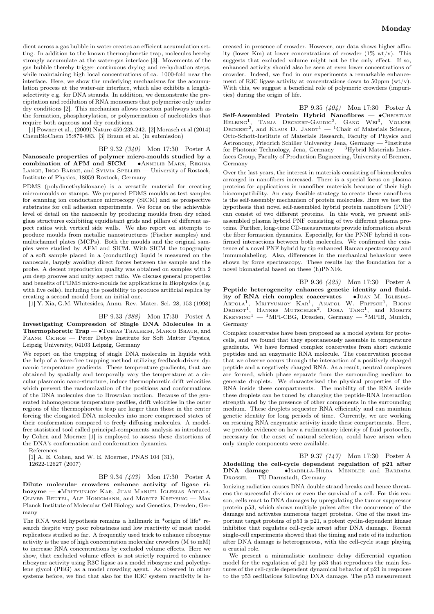dient across a gas bubble in water creates an efficient accumulation setting. In addition to the known thermophoretic trap, molecules hereby strongly accumulate at the water-gas interface [3]. Movements of the gas bubble thereby trigger continuous drying and re-hydration steps, while maintaining high local concentrations of ca. 1000-fold near the interface. Here, we show the underlying mechanisms for the accumulation process at the water-air interface, which also exhibits a lengthselectivity e.g. for DNA strands. In addition, we demonstrate the precipitation and redilution of RNA monomers that polymerize only under dry conditions [2]. This mechanism allows reaction pathways such as the formation, phosphorylation, or polymerization of nucleotides that require both aqueous and dry conditions.

[1] Powner et al., (2009) Nature 459:239-242. [2] Morasch et al (2014) ChemBioChem 15:879-883. [3] Braun et al. (in submission)

BP 9.32 (340) Mon 17:30 Poster A Nanoscale properties of polymer micro-moulds studied by a combination of AFM and SICM — ∙Annelie Marx, Regina Lange, Ingo Barke, and Sylvia Speller — University of Rostock, Institute of Physics, 18059 Rostock, Germany

PDMS (polydimethylsiloxane) is a versatile material for creating micro-moulds or stamps. We prepared PDMS moulds as test samples for scanning ion conductance microscopy (SICM) and as prospective substrates for cell adhesion experiments. We focus on the achievable level of detail on the nanoscale by producing moulds from dry eched glass structures exhibiting equidistant grids and pillars of different aspect ratios with vertical side walls. We also report on attempts to produce moulds from metallic nanostructures (Fischer samples) and multichannel plates (MCPs). Both the moulds and the original samples were studied by AFM and SICM. With SICM the topography of a soft sample placed in a (conducting) liquid is measured on the nanoscale, largely avoiding direct forces between the sample and the probe. A decent reproduction quality was obtained on samples with 2  $\mu$ m deep grooves and unity aspect ratio. We discuss general properties and benefits of PDMS micro-moulds for applications in Biophysics (e.g. with live cells), including the possibility to produce artificial replica by creating a second mould from an initial one.

[1] Y. Xia, G.M. Whitesides, Annu. Rev. Mater. Sci. 28, 153 (1998)

BP 9.33 (388) Mon 17:30 Poster A Investigating Compression of Single DNA Molecules in a Thermophoretic Trap — ∙Tobias Thalheim, Marco Braun, and Frank Cichos — Peter Debye Institute for Soft Matter Physics, Leipzig University, 04103 Leipzig, Germany

We report on the trapping of single DNA molecules in liquids with the help of a force-free trapping method utilizing feedback-driven dynamic temperature gradients. These temperature gradients, that are obtained by spatially and temporally vary the temperature at a circular plasmonic nano-structure, induce thermophoretic drift velocities which prevent the randomization of the positions and conformations of the DNA molecules due to Brownian motion. Because of the generated inhomogenous temperature profiles, drift velocities in the outer regions of the thermophoretic trap are larger than those in the center forcing the elongated DNA molecules into more compressed states of their conformation compared to freely diffusing molecules. A modelfree statistical tool called principal-components analysis as introduced by Cohen and Moerner [1] is employed to assess these distortions of the DNA's conformation and conformation dynamics.

References

[1] A. E. Cohen, and W. E. Moerner, PNAS 104 (31), 12622-12627 (2007)

BP 9.34 (403) Mon 17:30 Poster A

Dilute molecular crowders enhance activity of ligase ribozyme — ∙Mrityunjoy Kar, Juan Manuel Iglesias Artola, Oliver Beutel, Alf Honigmann, and Moritz Kreysing — Max Planck Institute of Molecular Cell Biology and Genetics, Dresden, Germany

The RNA world hypothesis remains a hallmark in \*origin of life\* research despite very poor robustness and low reactivity of most model replicators studied so far. A frequently used trick to enhance ribozyme activity is the use of high concentration molecular crowders (M to mM) to increase RNA concentrations by excluded volume effects. Here we show, that excluded volume effect is not strictly required to enhance ribozyme activity using R3C ligase as a model ribozyme and polyethylene glycol (PEG) as a model crowding agent. As observed in other systems before, we find that also for the R3C system reactivity is increased in presence of crowder. However, our data shows higher affinity (lower Km) at lower concentrations of crowder  $(1\% \text{ wt/v})$ . This suggests that excluded volume might not be the only effect. If so, enhanced activity should also be seen at even lower concentrations of crowder. Indeed, we find in our experiments a remarkable enhancement of R3C ligase activity at concentrations down to 50ppm  $(wt/v)$ . With this, we suggest a beneficial role of polymeric crowders (impurities) during the origin of life.

BP 9.35 (404) Mon 17:30 Poster A Self-Assembled Protein Hybrid Nanofibres — ∙Christian HELBING<sup>1</sup>, TANJA DECKERT-GAUDIG<sup>2</sup>, GANG WEI<sup>3</sup>, VOLKER<br>DECKERT<sup>2</sup>, and KLAUS D. JANDT<sup>1</sup> — <sup>1</sup>Chair of Materials Science, Otto-Schott-Institute of Materials Research, Faculty of Physics and Astronomy, Friedrich Schiller University Jena, Germany — <sup>2</sup> Institute for Photonic Technology, Jena, Germany — <sup>3</sup>Hybrid Materials Interfaces Group, Faculty of Production Engineering, University of Bremen, Germany

Over the last years, the interest in materials consisting of biomolecules arranged in nanofibers increased. There is a special focus on plasma proteins for applications in nanofiber materials because of their high biocompatibility. An easy feasible strategy to create these nanofibers is the self-assembly mechanism of protein molecules. Here we test the hypothesis that novel self-assembled hybrid protein nanofibers (PNF) can consist of two different proteins. In this work, we present selfassembled plasma hybrid PNF consisting of two different plasma proteins. Further, long-time CD-measurements provide information about the fiber formation dynamics. Especially, for the PNNF hybrid it confirmed interactions between both molecules. We confirmed the existence of a novel PNF hybrid by tip enhanced Raman spectroscopy and immunolabeling. Also, differences in the mechanical behaviour were shown by force spectroscopy. These results lay the foundation for a novel biomaterial based on these (h)PNNFs.

BP 9.36 (423) Mon 17:30 Poster A Peptide heterogeneity enhances genetic identity and fluidity of RNA rich complex coacervates — ∙Juan M. Iglesias-ARTOLA<sup>1</sup>, MRITYUNJOY KAR<sup>1</sup>, ANATOL W. FRITSCH<sup>1</sup>, BJORN<br>Drobot<sup>1</sup>, HANNES MUTSCHLER<sup>2</sup>, DORA TANG<sup>1</sup>, and MORITZ  $K$ REYSING<sup>1</sup> — <sup>1</sup>MPI-CBG, Dresden, Germany — <sup>2</sup>MPIB, Munich, Germany

Complex coacervates have been proposed as a model system for protocells, and we found that they spontaneously assemble in temperature gradients. We have formed complex coacervates from short cationic peptides and an enzymatic RNA molecule. The coacervation process that we observe occurs through the interaction of a positively charged peptide and a negatively charged RNA. As a result, neutral complexes are formed, which phase separate from the surrounding medium to generate droplets. We characterized the physical properties of the RNA inside these compartments. The mobility of the RNA inside these droplets can be tuned by changing the peptide-RNA interaction strength and by the presence of other components in the surrounding medium. These droplets sequester RNA efficiently and can maintain genetic identity for long periods of time. Currently, we are working on rescuing RNA enzymatic activity inside these compartments. Here, we provide evidence on how a rudimentary identity of fluid protocells, necessary for the onset of natural selection, could have arisen when only simple components were available.

BP 9.37 (147) Mon 17:30 Poster A Modelling the cell-cycle dependent regulation of p21 after DNA damage — ∙Isabella-Hilda Mendler and Barbara Drossel — TU Darmstadt, Germany

Ionizing radiation causes DNA double strand breaks and hence threatens the successful division or even the survival of a cell. For this reason, cells react to DNA damages by upregulating the tumor suppressor protein p53, which shows multiple pulses after the occurrence of the damage and activates numerous target proteins. One of the most important target proteins of p53 is p21, a potent cyclin-dependent kinase inhibitor that regulates cell-cycle arrest after DNA damage. Recent single-cell experiments showed that the timing and rate of its induction after DNA damage is heterogeneous, with the cell-cycle stage playing a crucial role.

We present a minimalistic nonlinear delay differential equation model for the regulation of p21 by p53 that reproduces the main features of the cell-cycle dependent dynamical behavior of p21 in response to the p53 oscillations following DNA damage. The p53 measurement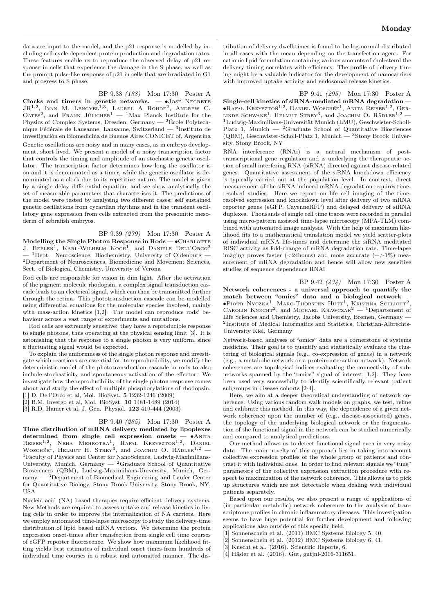data are input to the model, and the p21 response is modelled by including cell-cycle dependent protein production and degradation rates. These features enable us to reproduce the observed delay of p21 response in cells that experience the damage in the S phase, as well as the prompt pulse-like response of p21 in cells that are irradiated in G1 and progress to S phase.

## BP 9.38 (188) Mon 17:30 Poster A

Clocks and timers in genetic networks.  $-$  •Jose Negrete  $JR^{1,2}$ , Ivan M. Lengyel<sup>1,3</sup>, Laurel A Rohde<sup>2</sup>, Andrew C. OATES<sup>2</sup>, and FRANK JÜLICHER<sup>1</sup> – <sup>1</sup>Max Planck Institute for the Physics of Complex Systems, Dresden, Germany —  $2$ École Polytechnique Fédérale de Lausanne, Lausanne, Switzerland — <sup>3</sup> Instituto de Investigación en Biomedicina de Buenos Aires CONICET of, Argentina

Genetic oscillations are noisy and in many cases, as in embryo development, short lived. We present a model of a noisy transcription factor that controls the timing and amplitude of an stochastic genetic oscillator. The transcription factor determines how long the oscillator is on and it is denominated as a timer, while the genetic oscillator is denominated as a clock due to its repetitive nature. The model is given by a single delay differential equation, and we show analytically the set of measurable parameters that characterises it. The predictions of the model were tested by analysing two different cases: self sustained genetic oscillations from cycardian rhythms and in the transient oscillatory gene expression from cells extracted from the presomitic mesoderm of zebrafish embryos.

## BP 9.39 (279) Mon 17:30 Poster A

Modelling the Single Photon Response in Rods — • CHARLOTTE J. BEELEN<sup>1</sup>, KARL-WILHELM KOCH<sup>1</sup>, and DANIELE DELL'ORCO<sup>2</sup>  $1$ Dept. Neuroscience, Biochemistry, University of Oldenburg – <sup>2</sup>Department of Neurosciences, Biomedicine and Movement Sciences, Sect. of Biological Chemistry, University of Verona

Rod cells are responsible for vision in dim light. After the activation of the pigment molecule rhodopsin, a complex signal transduction cascade leads to an electrical signal, which can then be transmitted further through the retina. This phototransduction cascade can be modelled using differential equations for the molecular species involved, mainly with mass-action kinetics [1,2]. The model can reproduce rods' behaviour across a vast range of experiments and mutations.

Rod cells are extremely sensitive: they have a reproducible response to single photons, thus operating at the physical sensing limit [3]. It is astonishing that the response to a single photon is very uniform, since a fluctuating signal would be expected.

To explain the uniformness of the single photon response and investigate which reactions are essential for its reproducibility, we modify the deterministic model of the phototransduction cascade in rods to also include stochasticity and spontaneous activation of the effector. We investigate how the reproducibility of the single photon response comes about and study the effect of multiple phosphorylations of rhodopsin. [1] D. Dell'Orco et al, Mol. BioSyst. 5 1232-1246 (2009)

[2] B.M. Invergo et al, Mol. BioSyst. 10 1481-1489 (2014)

[3] R.D. Hamer et al, J. Gen. Physiol. 122 419-444 (2003)

BP 9.40 (285) Mon 17:30 Poster A Time distribution of mRNA delivery mediated by lipoplexes determined from single cell expression onsets — ∙Anita Reiser<sup>1,2</sup>, Neha Mehrotra<sup>1</sup>, Rafal Krzyszton<sup>1,2</sup>, Daniel<br>Woschée<sup>1</sup>, Helmut H. Strey<sup>3</sup>, and Joachim O. Rädler<sup>1,2</sup> <sup>1</sup>Faculty of Physics and Center for NanoScience, Ludwig-Maximilians-University, Munich, Germany  $-$  <sup>2</sup>Graduate School of Quantitative Biosciences (QBM), Ludwig-Maximilians-University, Munich, Germany — <sup>3</sup>Department of Biomedical Engineering and Laufer Center for Quantitative Biology, Stony Brook University, Stony Brook, NY, USA

Nucleic acid (NA) based therapies require efficient delivery systems. New Methods are required to assess uptake and release kinetics in living cells in order to improve the internalization of NA carriers. Here we employ automated time-lapse microscopy to study the delivery-time distribution of lipid based mRNA vectors. We determine the protein expression onset-times after transfection from single cell time courses of eGFP reporter fluorescence. We show how maximum likelihood fitting yields best estimates of individual onset times from hundreds of individual time courses in a robust and automated manner. The dis-

tribution of delivery dwell-times is found to be log-normal distributed in all cases with the mean depending on the transfection agent. For cationic lipid formulation containing various amounts of cholesterol the delivery timing correlates with efficiency. The profile of delivery timing might be a valuable indicator for the development of nanocarriers with improved uptake activity and endosomal release kinetics.

#### BP 9.41 (295) Mon 17:30 Poster A Single-cell kinetics of siRNA-mediated mRNA degradation — ∙Rafał Krzysztoń1,<sup>2</sup> , Daniel Woschée<sup>1</sup> , Anita Reiser1,<sup>2</sup> , Ger-LINDE SCHWAKE<sup>1</sup>, HELMUT STREY<sup>3</sup>, and JOACHIM O. RÄDLER<sup>1,2</sup> - $^{1}$ Ludwig-Maximilians-Universität Munich (LMU), Geschwister-Scholl-Platz 1, Munich  $-$  <sup>2</sup>Graduate School of Quantitative Biosciences (QBM), Geschwister-Scholl-Platz 1, Munich — <sup>3</sup>Stony Brook Univer-

RNA interference (RNAi) is a natural mechanism of posttranscriptional gene regulation and is underlying the therapeutic action of small interfering RNA (siRNA) directed against disease-related genes. Quantitative assessment of the siRNA knockdown efficiency is typically carried out at the population level. In contrast, direct measurement of the siRNA induced mRNA degradation requires timeresolved studies. Here we report on life cell imaging of the timeresolved expression and knockdown level after delivery of two mRNA reporter genes (eGFP, CayenneRFP) and delayed delivery of siRNA duplexes. Thousands of single cell time traces were recorded in parallel using micro-pattern assisted time-lapse microscopy (MPA-TLM) combined with automated image analysis. With the help of maximum likelihood fits to a mathematical translation model we yield scatter-plots of individual mRNA life-times and determine the siRNA meditated RISC activity as fold-change of mRNA degradation rate. Time-lapse imaging proves faster ( $\langle 24 \text{hours} \rangle$  and more accurate ( $\langle +/4 \% \rangle$ ) measurement of mRNA degradation and hence will allow new sensitive studies of sequence dependence RNAi

sity, Stony Brook, NY

BP 9.42 (434) Mon 17:30 Poster A Network coherences - a universal approach to quantify the match between "omics" data and a biological network — •PIOTR NYCZKA<sup>1</sup>, MARC-THORSTEN HÜTT<sup>1</sup>, KRISTINA SCHLICHT<sup>2</sup>, CAROLIN KNECHT<sup>2</sup>, and MICHAEL KRAWCZAK<sup>2</sup> — <sup>1</sup>Departement of Life Sciences and Chemistry, Jacobs University, Bremen, Germany — 2 Institute of Medical Informatics and Statistics, Christian-Albrechts-University Kiel, Germany

Network-based analyses of "omics" data are a cornerstone of systems medicine. Their goal is to quantify and statistically evaluate the clustering of biological signals (e.g., co-expression of genes) in a network (e.g., a metabolic network or a protein-interaction network). Network coherences are topological indices evaluating the connectivity of subnetworks spanned by the "omics" signal of interest [1,2]. They have been used very successfully to identify scientifically relevant patient subgroups in disease cohorts [2-4].

Here, we aim at a deeper theoretical understanding of network coherence. Using various random walk models on graphs, we test, refine and calibrate this method. In this way, the dependence of a given network coherence upon the number of (e.g., disease-associated) genes, the topology of the underlying biological network or the fragmentation of the functional signal in the network can be studied numerically and compared to analytical predictions.

Our method allows us to detect functional signal even in very noisy data. The main novelty of this approach lies in taking into account collective expression profiles of the whole group of patients and contrast it with individual ones. In order to find relevant signals we "tune" parameters of the collective expression extraction procedure with respect to maximization of the network coherence. This allows us to pick up structures which are not detectable when dealing with individual patients separately.

Based upon our results, we also present a range of applications of (in particular metabolic) network coherence to the analysis of transcriptome profiles in chronic inflammatory diseases. This investigation seems to have huge potential for further development and following applications also outside of this specific field.

[1] Sonnenschein et al. (2011) BMC Systems Biology 5, 40.

 $[2]$  Sonnenschein et al.  $(2012)$  BMC Systems Biology 6, 41.

[3] Knecht et al. (2016). Scientific Reports, 6.

[4] Häsler et al. (2016). Gut, gutjnl-2016-311651.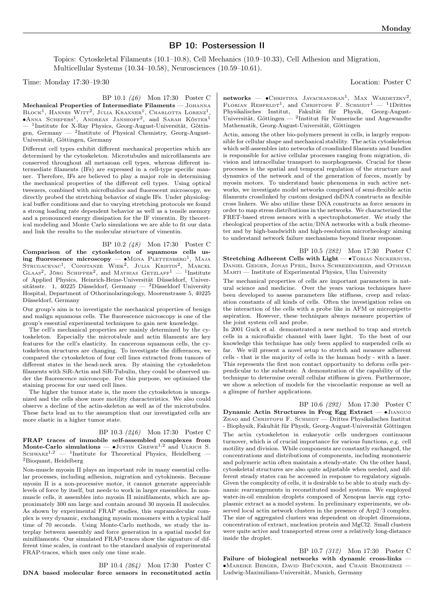# BP 10: Postersession II

Topics: Cytoskeletal Filaments (10.1–10.8), Cell Mechanics (10.9–10.33), Cell Adhesion and Migration, Multicellular Systems (10.34–10.58), Neurosciences (10.59–10.61).

Time: Monday 17:30–19:30 Location: Poster C

BP 10.1 (46) Mon 17:30 Poster C Mechanical Properties of Intermediate Filaments — JOHANNA Block<sup>1</sup>, Hannes Witt<sup>2</sup>, Julia Kraxner<sup>1</sup>, Charlotta Lorenz<sup>1</sup>,<br>●Anna Schepers<sup>1</sup>, Andreas Janshoff<sup>2</sup>, and Sarah Köster<sup>1</sup> — <sup>1</sup> Institute for X-Ray Physics, Georg-August-Universität, Göttingen, Germany — <sup>2</sup>Institute of Physical Chemistry, Georg-August-Universität, Göttingen, Germany

Different cell types exhibit different mechanical properties which are determined by the cytoskeleton. Microtubules and microfilaments are conserved throughout all metazoan cell types, whereas different intermediate filaments (IFs) are expressed in a cell-type specific manner. Therefore, IFs are believed to play a major role in determining the mechanical properties of the different cell types. Using optical tweezers, combined with microfluidics and fluorescent microscopy, we directly probed the stretching behavior of single IFs. Under physiological buffer conditions and due to varying stretching protocols we found a strong loading rate dependent behavior as well as a tensile memory and a pronounced energy dissipation for the IF vimentin. By theoretical modeling and Monte Carlo simulations we are able to fit our data and link the results to the molecular structure of vimentin.

BP 10.2 (48) Mon 17:30 Poster C Comparison of the cytoskeleton of squamous cells using fluorescence microscopy —  $\bullet$ Mona Plettenberg<sup>1</sup>, Maja STRUGACEVAC<sup>1</sup>, CONSTANZE WIEK<sup>2</sup>, JULIA KRISTIN<sup>2</sup>, MARCEL GLAAS<sup>2</sup>, JÖRG SCHIPPER<sup>2</sup>, and MATHIAS GETZLAFF<sup>1</sup> - <sup>1</sup>Institute of Applied Physics, Heinrich-Heine-Universität Düsseldorf, Universitätsstr. 1, 40225 Düsseldorf, Germany — <sup>2</sup>Düsseldorf University Hospital, Department of Othorinolaringology, Moorenstrasse 5, 40225 Düsseldorf, Germany

Our group's aim is to investigate the mechanical properties of benign and malign squamous cells. The fluorescence microscopy is one of the group's essential experimental techniques to gain new knowledge.

The cell's mechanical properties are mainly determined by the cytoskeleton. Especially the microtubule and actin filaments are key features for the cell's elasticity. In cancerous squamous cells, the cytoskeleton structures are changing. To investigate the differences, we compared the cytoskeleton of four cell lines extracted from tumors of different states in the head-neck area. By staining the cytoskeleton filaments with SiR-Actin and SiR-Tubulin, they could be observed under the fluorescence microscope. For this purpose, we optimized the staining process for our used cell lines.

The higher the tumor state is, the more the cytoskeleton is unorganized and the cells show more motility characteristics. We also could observe a decline of the actin-skeleton as well as of the microtubules. These facts lead us to the assumption that our investigated cells are more elastic in a higher tumor state.

BP 10.3 (246) Mon 17:30 Poster C FRAP traces of immobile self-assembled complexes from Monte-Carlo simulations —  $\bullet$ Justin Grewe<sup>1,2</sup> and Ulrich S. SCHWARZ<sup>1,2</sup>  $-$  <sup>1</sup>Institute for Theoretical Physics, Heidelberg  $-$ 

Non-muscle myosin II plays an important role in many essential cellular processes, including adhesion, migration and cytokinesis. Because myosin II is a non-processive motor, it cannot generate appreciable levels of force by itself, but needs to work in larger ensembles. In nonmuscle cells, it assembles into myosin II minifilaments, which are approximately 300 nm large and contain around 30 myosin II molecules. As shown by experimental FRAP studies, this supramolecular complex is very dynamic, exchanging myosin monomers with a typical half time of 70 seconds. Using Monte-Carlo methods, we study the interplay between assembly and force generation in a spatial model for minifilaments. Our simulated FRAP-traces show the signature of different time scales, in contrast to the standard analysis of experimental FRAP-traces, which uses only one time scale.

<sup>2</sup>Bioquant, Heidelberg

BP 10.4 (264) Mon 17:30 Poster C DNA based molecular force sensors in reconstituted actin

 $networks$   $\longrightarrow$  CHRISTINA JAYACHANDRAN<sup>1</sup>, MAX WARDETZKY<sup>2</sup>, FLORIAN REHFELDT<sup>1</sup>, and CHRISTOPH F. SCHMIDT<sup>1</sup> - <sup>1</sup>1Drittes Physikalisches Institut, Fakultät für Physik, Georg-August-Universität, Göttingen — <sup>2</sup> Institut für Numerische und Angewandte Mathematik, Georg-August-Universität, Göttingen

Actin, among the other bio-polymers present in cells, is largely responsible for cellular shape and mechanical stability. The actin cytoskeleton which self-assembles into networks of crosslinked filaments and bundles is responsible for active cellular processes ranging from migration, division and intracellular transport to morphogenesis. Crucial for these processes is the spatial and temporal regulation of the structure and dynamics of the network and of the generation of forces, mostly by myosin motors. To understand basic phenomena in such active networks, we investigate model networks comprised of semi-flexible actin filaments crosslinked by custom designed dsDNA constructs as flexible cross linkers. We also utilize these DNA constructs as force sensors in order to map stress distributions in the networks. We characterized the FRET-based stress sensors with a spectrophotometer. We study the rheological properties of the actin/DNA networks with a bulk rheometer and by high-bandwidth and high-resolution microrheology aiming to understand network failure mechanisms beyond linear response.

BP 10.5 (282) Mon 17:30 Poster C Stretching Adherent Cells with Light — •TOBIAS NECKERNUSS, Daniel Geiger, Jonas Pfeil, Irina Schrezenmeier, and Othmar MARTI — Institute of Experimental Physics, Ulm University

The mechanical properties of cells are important parameters in natural science and medicine. Over the years various techniques have been developed to assess parameters like stiffness, creep and relaxation constants of all kinds of cells. Often the investigation relies on the interaction of the cells with a probe like in AFM or micropipette aspiration. However, these techniques always measure properties of the joint system cell and probe.

In 2001 Guck et al. demonstrated a new method to trap and stretch cells in a microfluidic channel with laser light. To the best of our knowledge this technique has only been applied to suspended cells so far. We will present a novel setup to stretch and measure adherent cells - that is the majority of cells in the human body - with a laser. This represents the first non contact opportunity to deform cells perpendicular to the substrate. A demonstration of the capability of the technique to determine overall cellular stiffness is given. Furthermore, we show a selection of models for the viscoelastic response as well as a glimpse of further applications.

BP 10.6 (292) Mon 17:30 Poster C Dynamic Actin Structures in Frog Egg Extract — ∙Jianguo ZHAO and CHRISTOPH F. SCHMIDT — Drittes Physikalisches Institut - Biophysik, Fakultät für Physik, Georg-August-Universität Göttingen The actin cytoskeleton in eukaryotic cells undergoes continuous turnover, which is of crucial importance for various functions, e.g. cell motility and division. While components are constantly exchanged, the concentrations and distributions of components, including monomeric and polymeric actin often maintain a steady-state. On the other hand, cytoskeletal structures are also quite adjustable when needed, and different steady states can be accessed in response to regulatory signals. Given the complexity of cells, it is desirable to be able to study such dynamic rearrangements in reconstituted model systems. We employed water-in-oil emulsion droplets composed of Xenopus laevis egg cytoplasmic extract as a model system. In preliminary experiments, we observed local actin network clusters in the presence of Arp2/3 complex. The size of aggregated clusters was dependent on droplet dimensions, concentration of extract, nucleation protein and MgCl2. Small clusters were quite active and transported stress over a relatively long-distance inside the droplet.

BP 10.7 (312) Mon 17:30 Poster C Failure of biological networks with dynamic cross-links — ∙Mareike Berger, David Brückner, and Chase Broedersz — Ludwig-Maximilians-Universität, Munich, Germany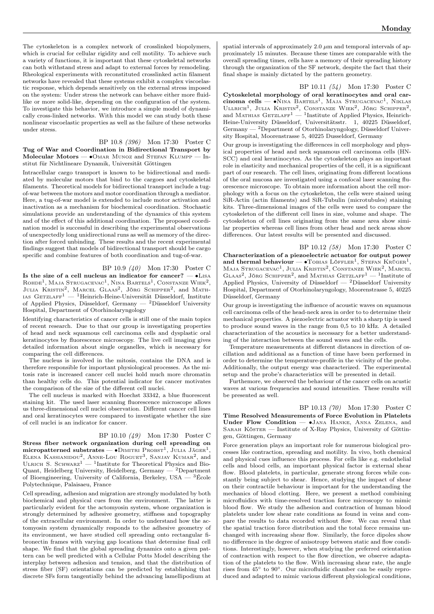The cytoskeleton is a complex network of crosslinked biopolymers, which is crucial for cellular rigidity and cell motility. To achieve such a variety of functions, it is important that these cytoskeletal networks can both withstand stress and adapt to external forces by remodeling. Rheological experiments with reconstituted crosslinked actin filament networks have revealed that these systems exhibit a complex viscoelastic response, which depends sensitively on the external stress imposed on the system: Under stress the network can behave either more fluidlike or more solid-like, depending on the configuration of the system. To investigate this behavior, we introduce a simple model of dynamically cross-linked networks. With this model we can study both these nonlinear viscoelastic properties as well as the failure of these networks under stress.

## BP 10.8 (396) Mon 17:30 Poster C Tug of War and Coordination in Bidirectional Transport by Molecular Motors — • OMAR MUNOZ and STEFAN KLUMPP — Institut für Nichtlineare Dynamik, Universität Göttingen

Intracellular cargo transport is known to be bidirectional and mediated by molecular motors that bind to the cargoes and cytoskeletal filaments. Theoretical models for bidirectional transport include a tugof-war between the motors and motor coordination through a mediator. Here, a tug-of-war model is extended to include motor activation and inactivation as a mechanism for biochemical coordination. Stochastic simulations provide an understanding of the dynamics of this system and of the effect of this additional coordination. The proposed coordination model is successful in describing the experimental observations of unexpectedly long unidirectional runs as well as memory of the direction after forced unbinding. These results and the recent experimental findings suggest that models of bidirectional transport should be cargo specific and combine features of both coordination and tug-of-war.

# BP 10.9 (40) Mon 17:30 Poster C

Is the size of a cell nucleus an indicator for cancer? — ∙Lisa ROHDE<sup>1</sup>, Maja Strugacevac<sup>1</sup>, Nina Bartels<sup>1</sup>, Constanze Wiek<sup>2</sup>, JULIA KRISTIN<sup>2</sup>, MARCEL GLAAS<sup>2</sup>, JÖRG SCHIPPER<sup>2</sup>, and MATH- $\textsc{1}$ ias Getz<br/>Laffr $^{-1}$ — $^{-1}$ Heinrich-Heine-Universität Düsseldorf, Institute of Applied Physics, Düsseldorf, Germany —  $^2$ Düsseldorf University Hospital, Department of Otorhinolaryngology

Identifying characteristics of cancer cells is still one of the main topics of recent research. Due to that our group is investigating properties of head and neck squamous cell carcinoma cells and dysplastic oral keratinocytes by fluorescence microscopy. The live cell imaging gives detailed information about single organelles, which is necessary for comparing the cell differences.

The nucleus is involved in the mitosis, contains the DNA and is therefore responsible for important physiological processes. As the mitosis rate is increased cancer cell nuclei hold much more chromatin than healthy cells do. This potential indicator for cancer motivates the comparison of the size of the different cell nuclei.

The cell nucleus is marked with Hoechst 33342, a blue fluorescent staining kit. The used laser scanning fluorescence microscope allows us three-dimensional cell nuclei observation. Different cancer cell lines and oral keratinocytes were compared to investigate whether the size of cell nuclei is an indicator for cancer.

# BP 10.10 (49) Mon 17:30 Poster C

Stress fiber network organization during cell spreading on micropatterned substrates —  $\bullet$ Dimitri Probst $^{-1},$  Julia Jäger $^{1},$ ELENA KASSIANIDOU<sup>2</sup>, ANNE-LOU ROGUET<sup>3</sup>, SANJAY KUMAR<sup>2</sup>, and<br>ULRICH S. SCHWARZ<sup>1</sup> — <sup>1</sup>Institute for Theoretical Physics and Bio-Quant, Heidelberg University, Heidelberg, Germany  $-$  <sup>2</sup>Department of Bioengineering, University of California, Berkeley, USA —  $^3\rm\acute{E}cole$ Polytechnique, Palaisaeu, France

Cell spreading, adhesion and migration are strongly modulated by both biochemical and physical cues from the environment. The latter is particularly evident for the actomyosin system, whose organization is strongly determined by adhesive geometry, stiffness and topography of the extracellular environment. In order to understand how the actomyosin system dynamically responds to the adhesive geometry of its environment, we have studied cell spreading onto rectangular fibronectin frames with varying gap locations that determine final cell shape. We find that the global spreading dynamics onto a given pattern can be well predicted with a Cellular Potts Model describing the interplay between adhesion and tension, and that the distribution of stress fiber (SF) orientations can be predicted by establishing that discrete SFs form tangentially behind the advancing lamellipodium at spatial intervals of approximately 2.0  $\mu$ m and temporal intervals of approximately 15 minutes. Because these times are comparable with the overall spreading times, cells have a memory of their spreading history through the organization of the SF network, despite the fact that their final shape is mainly dictated by the pattern geometry.

BP 10.11 (54) Mon 17:30 Poster C Cytoskeletal morphology of oral keratinocytes and oral carcinoma cells —  $\bullet$ Nina Bartels<sup>1</sup>, Maja Strugacevac<sup>1</sup>, Niklas ULLRICH<sup>1</sup>, JULIA KRISTIN<sup>2</sup>, CONSTANZE WIEK<sup>2</sup>, JÖRG SCHIPPER<sup>2</sup>, and MATHIAS GETZLAFF<sup>1</sup> — <sup>1</sup>Institute of Applied Physics, Heinrich-Heine-University Düsseldorf, Universitätsstr. 1, 40225 Düsseldorf, Germany  $-2$ Department of Otorhinolaryngology, Düsseldorf University Hospital, Moorenstrasse 5, 40225 Dusseldorf, Germany

Our group is investigating the differences in cell morphology and physical properties of head and neck squamous cell carcinoma cells (HN-SCC) and oral keratinocytes. As the cytoskeleton plays an important role in elasticity and mechanical properties of the cell, it is a significant part of our research. The cell lines, originating from different locations of the oral mucosa are investigated using a confocal laser scanning fluorescence microscope. To obtain more information about the cell morphology with a focus on the cytoskeleton, the cells were stained using SiR-Actin (actin filaments) and SiR-Tubulin (microtubules) staining kits. Three-dimensional images of the cells were used to compare the cytoskeleton of the different cell lines in size, volume and shape. The cytoskeleton of cell lines originating from the same area show similar properties whereas cell lines from other head and neck areas show differences. Our latest results will be presented and discussed.

BP 10.12 (58) Mon 17:30 Poster C Characterization of a piezoelectric actuator for output power and thermal behaviour —  $\bullet$ Tobias Löffler<sup>1</sup>, Stefan Krüger<sup>1</sup>, Maja Strugacevac<sup>1</sup>, Julia Kristin<sup>2</sup>, Constanze Wiek<sup>2</sup>, Marcel GLAAS<sup>2</sup>, JÖRG SCHIPPER<sup>2</sup>, and MATHIAS GETZLAFF<sup>1</sup> — <sup>1</sup>Institute of Applied Physics, University of Düsseldorf —  $^2$ Düsseldorf University Hospital, Department of Otorhinolaryngology, Moorenstrasse 5, 40225 Düsseldorf, Germany

Our group is investigating the influence of acoustic waves on squamous cell carcinoma cells of the head-neck area in order to to determine their mechanical properties. A piezoelectric actuator with a sharp tip is used to produce sound waves in the range from 0,5 to 10 kHz. A detailed characterization of the acoustics is necessary for a better understanding of the interaction between the sound waves and the cells.

Temperature measurements at different distances in direction of oscillation and additional as a function of time have been performed in order to determine the temperature-profile in the vicinity of the probe. Additionally, the output energy was characterized. The experimental setup and the probe's characteristics will be presented in detail.

Furthemore, we observed the behaviour of the cancer cells on acustic waves at various frequencies and sound intensities. These results will be presented as well.

## BP 10.13 (70) Mon 17:30 Poster C Time Resolved Measurements of Force Evolution in Platelets Under Flow Condition — ∙Jana Hanke, Anna Zelena, and Sarah Köster — Institute of X-Ray Physics, University of Göttingen, Göttingen, Germany

Force generation plays an important role for numerous biological processes like contraction, spreading and motility. In vivo, both chemical and physical cues influence this process. For cells like e.g. endothelial cells and blood cells, an important physical factor is external shear flow. Blood platelets, in particular, generate strong forces while constantly being subject to shear. Hence, studying the impact of shear on their contractile behaviour is important for the understanding the mechanics of blood clotting. Here, we present a method combining microfluidics with time-resolved traction force microscopy to mimic blood flow. We study the adhesion and contraction of human blood platelets under low shear rate conditions as found in veins and compare the results to data recorded without flow. We can reveal that the spatial traction force distribution and the total force remains unchanged with increasing shear flow. Similarly, the force dipoles show no difference in the degree of anisotropy between static and flow conditions. Interestingly, however, when studying the preferred orientation of contraction with respect to the flow direction, we observe adaptation of the platelets to the flow. With increasing shear rate, the angle rises from 45<sup>∘</sup> to 90∘. Our microfluidic chamber can be easily reproduced and adapted to mimic various different physiological conditions,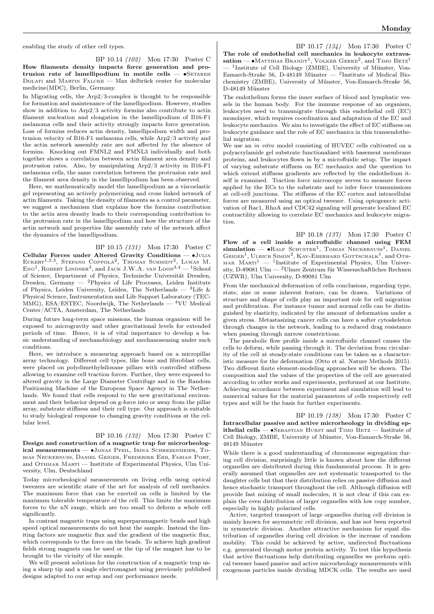Monday

enabling the study of other cell types.

BP 10.14 (102) Mon 17:30 Poster C How filaments density impacts force generation and protrusion rate of lamellipodium in motile cells —  $\bullet$ SETAREH Dolati and Martin Falcke — Max delbrück center for molecular medicine(MDC), Berlin, Germany.

In Migrating cells, the Arp2/3-complex is thought to be responsible for formation and maintenance of the lamellipodium. However, studies show in addition to Arp2/3 activity formins also contribute to actin filament nucleation and elongation in the lamellipodium of B16-F1 melanoma cells and their activity strongly impacts force generation. Loss of formins reduces actin density, lamellipodium width and protrusion velocity of B16-F1 melanoma cells, while Arp2/3 activity and the actin network assembly rate are not affected by the absence of formins. Knocking out FMNL2 and FMNL3 individually and both together shows a correlation between actin filament area density and protrusion rates. Also, by manipulating Arp2/3 activity in B16-F1 melanoma cells, the same correlation between the protrusion rate and the filament area density in the lamellipodium has been observed.

Here, we mathematically model the lamellipodium as a viscoelastic gel representing an actively polymerizing and cross linked network of actin filaments. Taking the density of filaments as a control parameter, we suggest a mechanism that explains how the formins contribution to the actin area density leads to their corresponding contribution to the protrusion rate in the lamellipodium and how the structure of the actin network and properties like assembly rate of the network affect the dynamics of the lamellipodium.

BP 10.15 (131) Mon 17:30 Poster C Cellular Forces under Altered Gravity Conditions — ∙Julia ECKERT<sup>1,2,3</sup>, STEFANO COPPOLA<sup>2</sup>, THOMAS SCHMIDT<sup>2</sup>, LUKAS M.  $\text{Enc}^1$ , Robert Lindner<sup>3</sup>, and Jack J.W.A. van Loon<sup>3,4</sup>  $-$  <sup>1</sup>School of Science, Department of Physics, Technische Universität Dresden, Dresden, Germany — <sup>2</sup>Physics of Life Processes, Leiden Institute of Physics, Leiden University, Leiden, The Netherlands —  $^3$ Life & Physical Science, Instrumentation and Life Support Laboratory (TEC-MMG), ESA/ESTEC, Noordwijk, The Netherlands — <sup>4</sup>VU Medical Center/ACTA, Amsterdam, The Netherlands

During future long-term space missions, the human organism will be exposed to microgravity and other gravitational levels for extended periods of time. Hence, it is of vital importance to develop a basic understanding of mechanobiology and mechanosensing under such conditions.

Here, we introduce a measuring approach based on a micropillar array technology. Different cell types, like bone and fibroblast cells, were placed on polydimethylsiloxane pillars with controlled stiffness allowing to examine cell traction forces. Further, they were exposed to altered gravity in the Large Diameter Centrifuge and in the Random Positioning Machine of the European Space Agency in The Netherlands. We found that cells respond to the new gravitational environment and their behavior depend on g-force into or away from the pillar array, substrate stiffness and their cell type. Our approach is suitable to study biological response to changing gravity conditions at the cellular level.

## BP 10.16 (132) Mon 17:30 Poster C

Design and construction of a magnetic trap for microrheological measurements — ∙Jonas Pfeil, Irina Schrezenmeier, Tobias Neckernuss, Daniel Geiger, Frederike Erb, Fabian Port, and OTHMAR MARTI — Institute of Experimental Physics, Ulm University, Ulm, Deutschland

Today microrheological measurements on living cells using optical tweezers are scientific state of the art for analysis of cell mechanics. The maximum force that can be exerted on cells is limited by the maximum tolerable temperature of the cell. This limits the maximum forces to the nN range, which are too small to deform a whole cell significantly.

In contrast magnetic traps using superparamagnetic beads and high speed optical measurements do not heat the sample. Instead the limiting factors are magnetic flux and the gradient of the magnetic flux, which corresponds to the force on the beads. To achieve high gradient fields strong magnets can be used or the tip of the magnet has to be brought to the vicinity of the sample.

We will present solutions for the construction of a magnetic trap using a sharp tip and a single electromagnet using previously published designs adapted to our setup and our performance needs.

BP 10.17 (134) Mon 17:30 Poster C The role of endothelial cell mechanics in leukocyte extravasation —  $\bullet$  Matthias Brandt<sup>1</sup>, Volker Gerke<sup>2</sup>, and Timo Betz<sup>1</sup> — <sup>1</sup> Institute of Cell Biology (ZMBE), University of Münster, Von-Esmarch-Straße 56, D-48149 Münster — <sup>2</sup>Institute of Medical Biochemistry (ZMBE), University of Münster, Von-Esmarch-Straße 56, D-48149 Münster

The endothelium forms the inner surface of blood and lymphatic vessels in the human body. For the immune response of an organism, leukocytes need to transmigrate through this endothelial cell (EC) monolayer, which requires coordination and adaptation of the EC and leukocyte mechanics. We aim to investigate the effect of EC stiffness on leukocyte guidance and the role of EC mechanics in this transendothelial migration.

We use an *in vitro* model consisting of HUVEC cells cultivated on a polyacrylamide gel substrate functionalized with basement membrane proteins, and leukocytes flown in by a microfluidic setup. The impact of varying substrate stiffness on EC mechanics and the question to which extend stiffness gradients are reflected by the endothelium itself is examined. Traction force microscopy serves to measure forces applied by the ECs to the substrate and to infer force transmissions at cell-cell junctions. The stiffness of the EC cortex and intracellular forces are measured using an optical tweezer. Using optogenecic activation of Rac1, RhoA and CDC42 signaling will generate localized EC contractility allowing to correlate EC mechanics and leukocyte migration.

BP 10.18 (137) Mon 17:30 Poster C Flow of a cell inside a microfluidic channel using FEM  ${\bf simulation}-\bullet{\bf R}_{\rm ALF}$  Schuster<sup>1</sup>, Tobias Neckernuss<sup>1</sup>, Daniel GEIGER<sup>1</sup>, ULRICH SIMON<sup>2</sup>, KAY-EBERHARD GOTTSCHALK<sup>1</sup>, and OTH-MAR  $MART^1$  — <sup>1</sup>Institute of Experimental Physics, Ulm University, D-89081 Ulm — <sup>2</sup>Ulmer Zentrum für Wissenschaftliches Rechnen (UZWR), Ulm University, D-89081 Ulm

From the mechanical deformation of cells conclusions, regarding type, state, size or some inherent feature, can be drawn. Variations of structure and shape of cells play an important role for cell migration and proliferation. For instance tumor and normal cells can be distinguished by elasticity, indicated by the amount of deformation under a given stress. Metastasizing cancer cells can have a softer cytoskeleton through changes in the network, leading to a reduced drag resistance when passing through narrow constrictions.

The parabolic flow profile inside a microfluidic channel causes the cells to deform, while passing through it. The deviation from circularity of the cell at steady-state conditions can be taken as a characteristic measure for the deformation (Otto et al. Nature Methods 2015). Two different finite element-modeling approaches will be shown. The composition and the values of the properties of the cell are generated according to other works and experiments, performed at our Institute. Achieving accordance between experiment and simulation will lead to numerical values for the material parameters of cells respectively cell types and will be the basis for further experiments.

BP 10.19 (138) Mon 17:30 Poster C Intracellular passive and active microrheology in dividing epithelial cells —  $\bullet$ SEBASTIAN HURST and TIMO BETZ — Institute of Cell Biology, ZMBE, University of Münster, Von-Esmarch-Straße 56, 48149 Münster

While there is a good understanding of chromosome segregation during cell division, surprisingly little is known about how the different organelles are distributed during this fundamental process. It is generally assumed that organelles are not systematic transported to the daughter cells but that their distribution relies on passive diffusion and hence stochastic transport throughout the cell. Although diffusion will provide fast mixing of small molecules, it is not clear if this can explain the even distribution of larger organelles with low copy number, especially in highly polarized cells.

Active, targeted transport of large organelles during cell division is mainly known for asymmetric cell division, and has not been reported in symmetric division. Another attractive mechanism for equal distribution of organelles during cell division is the increase of random mobility. This could be achieved by active, undirected fluctuations e.g. generated through motor protein activity. To test this hypothesis that active fluctuations help distributing organelles we perform optical tweezer based passive and active microrheology measurements with exogenous particles inside dividing MDCK cells. The results are used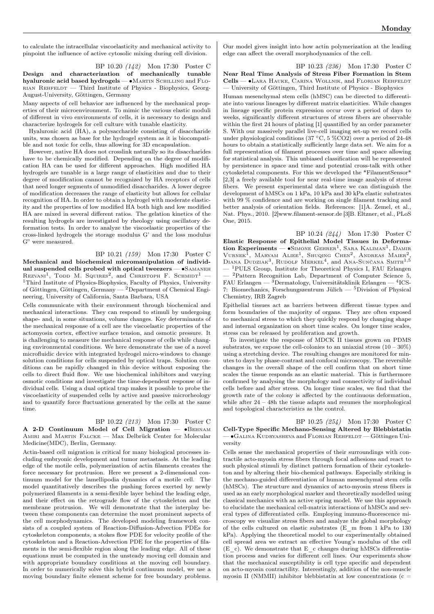to calculate the intracellular viscoelasticity and mechanical activity to pinpoint the influence of active cytosolic mixing during cell division.

BP 10.20 (142) Mon 17:30 Poster C

Design and characterization of mechanically tunable hyaluronic acid based hydrogels — ∙Martin Schilling and Flo- $R$ IAN  $R$ EHFELDT — Third Institute of Physics - Biophysics, Georg-August-University, Göttingen, Germany

Many aspects of cell behavior are influenced by the mechanical properties of their microenvironment. To mimic the various elastic moduli of different in vivo environments of cells, it is necessary to design and characterize hydrogels for cell culture with tunable elasticity.

Hyaluronic acid (HA), a polysaccharide consisting of disaccharide units, was chosen as base for the hydrogel system as it is biocompatible and not toxic for cells, thus allowing for 3D encapsulation.

However, native HA does not crosslink naturally so its disaccharides have to be chemically modified. Depending on the degree of modification HA can be used for different approaches. High modified HA hydrogels are tunable in a large range of elasticities and due to their degree of modification cannot be recognized by HA receptors of cells that need longer segments of unmodified disaccharides. A lower degree of modification decreases the range of elasticity but allows for cellular recognition of HA. In order to obtain a hydrogel with moderate elasticity and the properties of low modified HA both high and low modified HA are mixed in several different ratios. The gelation kinetics of the resulting hydrogels are investigated by rheology using oscillatory deformation tests. In order to analyze the viscoelastic properties of the cross-linked hydrogels the storage modulus G' and the loss modulus G" were measured.

BP 10.21 (159) Mon 17:30 Poster C Mechanical and biochemical micromanipulation of individual suspended cells probed with optical tweezers — •SAMANEH REZVANI<sup>1</sup>, TODD M. SQUIRES<sup>2</sup>, and CHRISTOPH F. SCHMIDT<sup>1</sup> -<sup>1</sup>Third Institute of Physics-Biophysics, Faculty of Physics, University of Göttingen, Göttingen, Germany — <sup>2</sup>Department of Chemical Engineering, University of California, Santa Barbara, USA

Cells communicate with their environment through biochemical and mechanical interactions. They can respond to stimuli by undergoing shape- and, in some situations, volume changes. Key determinants of the mechanical response of a cell are the viscoelastic properties of the actomyosin cortex, effective surface tension, and osmotic pressure. It is challenging to measure the mechanical response of cells while changing environmental conditions. We here demonstrate the use of a novel microfluidic device with integrated hydrogel micro-windows to change solution conditions for cells suspended by optical traps. Solution conditions can be rapidly changed in this device without exposing the cells to direct fluid flow. We use biochemical inhibitors and varying osmotic conditions and investigate the time-dependent response of individual cells. Using a dual optical trap makes it possible to probe the viscoelasticity of suspended cells by active and passive microrheology and to quantify force fluctuations generated by the cells at the same time.

#### BP 10.22 (213) Mon 17:30 Poster C

A 2-D Continuum Model of Cell Migration — ∙Behnam Amiri and Martin Falcke — Max Delbrück Center for Molecular Medicine(MDC), Berlin, Germany.

Actin-based cell migration is critical for many biological processes including embryonic development and tumor metastasis. At the leading edge of the motile cells, polymerization of actin filaments creates the force necessary for protrusion. Here we present a 2-dimensional continuum model for the lamellipodia dynamics of a motile cell. The model quantitatively describes the pushing forces exerted by newly polymerized filaments in a semi-flexible layer behind the leading edge, and their effect on the retrograde flow of the cytoskeleton and the membrane protrusion. We will demonstrate that the interplay between these components can determine the most prominent aspects of the cell morphodynamics. The developed modeling framework consists of a coupled system of Reaction-Diffusion-Advection PDEs for cytoskeleton components, a stokes flow PDE for velocity profile of the cytoskeleton and a Reaction-Advection PDE for the properties of filaments in the semi-flexible region along the leading edge. All of these equations must be computed in the unsteady moving cell domain and with appropriate boundary conditions at the moving cell boundary. In order to numerically solve this hybrid continuum model, we use a moving boundary finite element scheme for free boundary problems.

Our model gives insight into how actin polymerization at the leading edge can affect the overall morphodynamics of the cell.

BP 10.23 (236) Mon 17:30 Poster C Near Real Time Analysis of Stress Fiber Formation in Stem Cells — ∙Lara Hauke, Carina Wollnik, and Florian Rehfeldt — University of Göttingen, Third Institute of Physics - Biophysics

Human mesenchymal stem cells (hMSC) can be directed to differentiate into various lineages by different matrix elasticities. While changes in lineage specific protein expression occur over a period of days to weeks, significantly different structures of stress fibers are observable within the first 24 hours of plating [1] quantified by an order parameter S. With our massively parallel live-cell imaging set-up we record cells under physiological conditions (37 <sup>∘</sup>C, 5 %CO2) over a period of 24-48 hours to obtain a statistically sufficiently large data set. We aim for a full representation of filament processes over time and space allowing for statistical analysis. This unbiased classification will be represented by persistence in space and time and potential cross-talk with other cytoskeletal components. For this we developed the \*FilamentSensor\* [2,3] a freely available tool for near real-time image analysis of stress fibers. We present experimental data where we can distinguish the development of hMSCs on 1 kPa, 10 kPa and 30 kPa elastic substrates with 99 % confidence and are working on single filament tracking and better analysis of orientation fields. References: [1]A. Zemel, et al., Nat. Phys., 2010. [2]www.filament-sensor.de [3]B. Eltzner, et al., PLoS One, 2015.

BP 10.24 (244) Mon 17:30 Poster C Elastic Response of Epithelial Model Tissues in Deformation Experiments — •SIMONE GEHRER<sup>1</sup>, SARA KALIMAN<sup>1</sup>, DAMIR Vurnek<sup>1</sup>, Maryam Aliee<sup>1</sup>, Shuqing Chen<sup>2</sup>, Andreas Maier<sup>2</sup>, DIANA DUDZIAK<sup>3</sup>, RUDOLF MERKEL<sup>4</sup>, and ANA-SUNČANA SMITH<sup>1,5</sup>  $-$ <sup>1</sup>PULS Group, Institute for Theoretical Physics I, FAU Erlangen — <sup>2</sup>Pattern Recognition Lab, Department of Computer Science 5, FAU Erlangen — <sup>3</sup>Dermatology, Universitätsklinik Erlangen — <sup>4</sup> ICS-7: Biomechanics, Forschungszentrum Jülich — <sup>5</sup>Division of Physical Chemistry, IRB Zagreb

Epithelial tissues act as barriers between different tissue types and form boundaries of the majority of organs. They are often exposed to mechanical stress to which they quickly respond by changing shape and internal organization on short time scales. On longer time scales, stress can be released by proliferation and growth.

To investigate the response of MDCK II tissues grown on PDMS substrates, we expose the cell-colonies to an uniaxial stress  $(10 - 30\%)$ using a stretching device. The resulting changes are monitored for minutes to days by phase-contrast and confocal microscopy. The reversible changes in the overall shape of the cell confirm that on short time scales the tissue responds as an elastic material. This is furthermore confirmed by analysing the morphology and connectivity of individual cells before and after stress. On longer time scales, we find that the growth rate of the colony is affected by the continuous deformation, while after 24 – 48h the tissue adapts and resumes the morphological and topological characteristics as the control.

BP 10.25 (254) Mon 17:30 Poster C Cell-Type Specific Mechano-Sensing Altered by Blebbistatin — ∙Galina Kudryasheva and Florian Rehfeldt — Göttingen University

Cells sense the mechanical properties of their surroundings with contractile acto-myosin stress fibers through focal adhesions and react to such physical stimuli by distinct pattern formation of their cytoskeleton and by altering their bio-chemical pathways. Especially striking is the mechano-guided differentiation of human mesenchymal stem cells (hMSCs). The structure and dynamics of acto-myosin stress fibers is used as an early morphological marker and theoretically modelled using classical mechanics with an active spring model. We use this approach to elucidate the mechanical cell-matrix interactions of hMSCs and several types of differentiated cells. Employing immuno-fluorescence microscopy we visualize stress fibers and analyze the global morphology of the cells cultured on elastic substrates (E\_m from 1 kPa to 130 kPa). Applying the theoretical model to our experimentally obtained cell spread area we extract an effective Young's modulus of the cell  $(E_c)$ . We demonstrate that E<sub>c</sub> changes during hMSCs differentiation process and varies for different cell lines. Our experiments show that the mechanical susceptibility is cell type specific and dependent on acto-myosin contractility. Interestingly, addition of the non-muscle myosin II (NMMII) inhibitor blebbistatin at low concentrations  $(c =$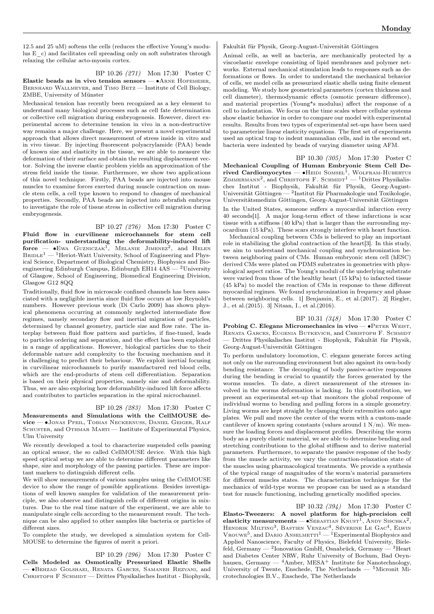12.5 and 25 uM) softens the cells (reduces the effective Young's modulus E\_c) and facilitates cell spreading only on soft substrates through relaxing the cellular acto-myosin cortex.

BP 10.26 (271) Mon 17:30 Poster C Elastic beads as in vivo tension sensors  $- \bullet$  ARNE HOFEMEIER. BERNHARD WALLMEYER, and TIMO BETZ — Institute of Cell Biology, ZMBE, University of Münster

Mechanical tension has recently been recognized as a key element to understand many biological processes such as cell fate determination or collective cell migration during embryogenesis. However, direct experimental access to determine tension in vivo in a non-destructive way remains a major challenge. Here, we present a novel experimental approach that allows direct measurement of stress inside in vitro and in vivo tissue. By injecting fluorescent polyacrylamide (PAA) beads of known size and elasticity in the tissue, we are able to measure the deformation of their surface and obtain the resulting displacement vector. Solving the inverse elastic problem yields an approximation of the stress field inside the tissue. Furthermore, we show two applications of this novel technique. Firstly, PAA beads are injected into mouse muscles to examine forces exerted during muscle contraction on muscle stem cells, a cell type known to respond to changes of mechanical properties. Secondly, PAA beads are injected into zebrafish embryos to investigate the role of tissue stress in collective cell migration during embryogenesis.

BP 10.27 (276) Mon 17:30 Poster C Fluid flow in curvilinear microchannels for stem cell purification- understanding the deformability-induced lift  $force = \bullet E$ wa Guzniczak<sup>1</sup>, Melanie Jimenez<sup>2</sup>, and Helen  $\ensuremath{\mathrm{Brilb}}\xspace^{-1}$  —  $^1\ensuremath{\mathrm{Heriot}}\xspace$  Watt University, School of Engineering and Physical Science, Department of Biological Chemistry, Biophysics and Bioengineering Edinburgh Campus, Edinburgh EH14 4AS — <sup>2</sup>University of Glasgow, School of Engineering, Biomedical Engineering Division, Glasgow G12 8QQ

Traditionally, fluid flow in microscale confined channels has been associated with a negligible inertia since fluid flow occurs at low Reynold's numbers. However previous work (Di Carlo 2009) has shown physical phenomena occurring at commonly neglected intermediate flow regimes, namely secondary flow and inertial migration of particles, determined by channel geometry, particle size and flow rate. The interplay between fluid flow pattern and particles, if fine-tuned, leads to particles ordering and separation, and the effect has been exploited in a range of applications. However, biological particles due to their deformable nature add complexity to the focusing mechanism and it is challenging to predict their behaviour. We exploit inertial focusing in curvilinear microchannels to purify manufactured red blood cells, which are the end-products of stem cell differentiation. Separation is based on their physical properties, namely size and deformability. Thus, we are also exploring how deformability-induced lift force affects and contributes to particles separation in the spiral microchannel.

# BP 10.28 (283) Mon 17:30 Poster C

Measurements and Simulations with the CellMOUSE device — ∙Jonas Pfeil, Tobias Neckernuss, Daniel Geiger, Ralf SCHUSTER, and OTHMAR MARTI — Institute of Experimental Physics, Ulm University

We recently developed a tool to characterize suspended cells passing an optical sensor, the so called CellMOUSE device. With this high speed optical setup we are able to determine different parameters like shape, size and morphology of the passing particles. These are important markers to distinguish different cells.

We will show measurements of various samples using the CellMOUSE device to show the range of possible applications. Besides investigations of well known samples for validation of the measurement principle, we also observe and distinguish cells of different origins in mixtures. Due to the real time nature of the experiment, we are able to manipulate single cells according to the measurement result. The technique can be also applied to other samples like bacteria or particles of different sizes.

To complete the study, we developed a simulation system for Cell-MOUSE to determine the figures of merit a priori.

#### BP 10.29 (296) Mon 17:30 Poster C

Cells Modeled as Osmotically Pressurized Elastic Shells — ∙Behzad Golshaei, Renata Garces, Samaneh Rezvani, and CHRISTOPH F SCHMIDT — Drittes Physikalisches Institut - Biophysik, Fakultät für Physik, Georg-August-Universität Göttingen

Animal cells, as well as bacteria, are mechanically protected by a viscoelastic envelope consisting of lipid membranes and polymer networks. External mechanical stimulation leads to responses such as deformations or flows. In order to understand the mechanical behavior of cells, we model cells as pressurized elastic shells using finite element modeling. We study how geometrical parameters (cortex thickness and cell diameter), thermodynamic effects (osmotic pressure difference), and material properties (Young\*s modulus) affect the response of a cell to indentation. We focus on the time scales where cellular systems show elastic behavior in order to compare our model with experimental results. Results from two types of experimental set-ups have been used to parameterize linear elasticity equations. The first set of experiments used an optical trap to indent mammalian cells, and in the second set, bacteria were indented by beads of varying diameter using AFM.

BP 10.30 (305) Mon 17:30 Poster C Mechanical Coupling of Human Embryonic Stem Cell Derived Cardiomyocytes —  $\bullet$ HEIDI SOMSEL<sup>1</sup>, WOLFRAM-HUBERTUS ZIMMERMANN<sup>2</sup>, and CHRISTOPH F. SCHMIDT<sup>1</sup> - <sup>1</sup>Drittes Physikalisches Institut - Biophysik, Fakultät für Physik, Georg-August-Universität Göttingen — <sup>2</sup> Institut für Pharmakologie und Toxikologie, Universitätsmedizin Göttingen, Georg-August-Universität Göttingen In the United States, someone suffers a myocardial infarction every 40 seconds[1]. A major long-term effect of these infarctions is scar tissue with a stiffness (40 kPa) that is larger than the surrounding myocardium (15 kPa). These scars strongly interfere with heart function.

Mechanical coupling between CMs is believed to play an important role in stabilizing the global contraction of the heart[3]. In this study, we aim to understand mechanical coupling and synchronization between neighboring pairs of CMs. Human embryonic stem cell (hESC) derived CMs were plated on PDMS substrates in geometries with physiological aspect ratios. The Young's moduli of the underlying substrate were varied from those of the healthy heart (15 kPa) to infarcted tissue (45 kPa) to model the reaction of CMs in response to these different myocardial regimes. We found synchronization in frequency and phase between neighboring cells. 1] Benjamin, E., et al.(2017). 2] Riegler, J., et al.(2015). 3] Nitsan, I., et al.(2016).

BP 10.31 (348) Mon 17:30 Poster C Probing C. Elegans Micromechanics in vivo — •PETER WEIST, Renata Garces, Eugenia Butkevich, and Christoph F. Schmidt — Drittes Physikalisches Institut - Biophysik, Fakultät für Physik, Georg-August-Universität Göttingen

To perform undulatory locomotion, C. elegans generate forces acting not only on the surrounding environment but also against its own-body bending resistance. The decoupling of body passive-active responses during the bending is crucial to quantify the forces generated by the worms muscles. To date, a direct measurement of the stresses involved in the worms deformation is lacking. In this contribution, we present an experimental set-up that monitors the global response of individual worms to bending and pulling forces in a simple geometry. Living worms are kept straight by clamping their extremities onto agar plates. We pull and move the center of the worm with a custom-made cantilever of known spring constants (values around  $1 \text{ N/m}$ ). We measure the loading forces and displacement profiles. Describing the worm body as a purely elastic material, we are able to determine bending and stretching contributions to the global stiffness and to derive material parameters. Furthermore, to separate the passive response of the body from the muscle activity, we vary the contraction-relaxation state of the muscles using pharmacological treatments. We provide a synthesis of the typical range of magnitudes of the worm's material parameters for different muscles states. The characterization technique for the mechanics of wild-type worms we propose can be used as a standard test for muscle functioning, including genetically modified species.

BP 10.32 (394) Mon 17:30 Poster C Elasto-Tweezers: A novel platform for high-precision cell elasticity measurements —  $\bullet$ SEBASTIAN KNUST<sup>1</sup>, ANDY SISCHKA<sup>2</sup>, HENDRIK MILTING<sup>3</sup>, BASTIEN VENZAC<sup>4</sup>, SÉVERINE LE GAC<sup>4</sup>, ELWIN<br>Vrouwe<sup>5</sup>, and DARIO ANSELMETTI<sup>1</sup> — <sup>1</sup>Experimental Biophysics and Applied Nanoscience, Faculty of Physics, Bielefeld University, Bielefeld, Germany — <sup>2</sup>Ionovation GmbH, Osnabrück, Germany — <sup>3</sup>Heart and Diabetes Center NRW, Ruhr University of Bochum, Bad Oeynhausen, Germany —  $4$ Amber, MESA<sup>+</sup> Institute for Nanotechnology, University of Twente, Enschede, The Netherlands — <sup>5</sup>Micronit Microtechnologies B.V., Enschede, The Netherlands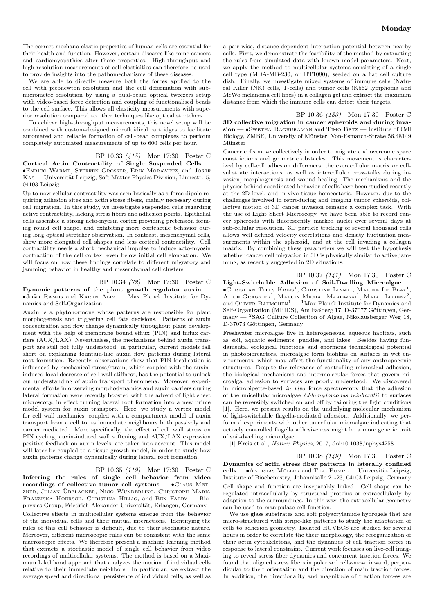The correct mechano-elastic properties of human cells are essential for their health and function. However, certain diseases like some cancers and cardiomyopathies alter those properties. High-throughput and high-resolution measurements of cell elasticities can therefore be used to provide insights into the pathomechanisms of these diseases.

We are able to directly measure both the forces applied to the cell with piconewton resolution and the cell deformation with submicrometre resolution by using a dual-beam optical tweezers setup with video-based force detection and coupling of functionalised beads to the cell surface. This allows all elasticity measurements with superior resolution compared to other techniques like optical stretchers.

To achieve high-throughput measurements, this novel setup will be combined with custom-designed microfluidical cartridges to facilitate automated and reliable formation of cell-bead complexes to perform completely automated measurements of up to 600 cells per hour.

## BP 10.33 (415) Mon 17:30 Poster C

Cortical Actin Contractility of Single Suspended Cells — ∙Enrico Warmt, Steffen Grosser, Erik Morawetz, and Josef Käs — Universität Leipzig, Soft Matter Physics Division, Linnéstr. 5, 04103 Leipzig

Up to now cellular contractility was seen basically as a force dipole requiring adhesion sites and actin stress fibers, mainly necessary during cell migration. In this study, we investigate suspended cells regarding active contractility, lacking stress fibers and adhesion points. Epithelial cells assemble a strong acto-myosin cortex providing pretension forming round cell shape, and exhibiting more contractile behavior during long optical stretcher observation. In contrast, mesenchymal cells, show more elongated cell shapes and less cortical contractility. Cell contractility needs a short mechanical impulse to induce acto-myosin contraction of the cell cortex, even below initial cell elongation. We will focus on how these findings correlate to different migratory and jamming behavior in healthy and mesenchymal cell clusters.

## BP 10.34 (72) Mon 17:30 Poster C

Dynamic patterns of the plant growth regulator auxin — ∙João Ramos and Karen Alim — Max Planck Institute for Dynamics and Self-Organization

Auxin is a phytohormone whose patterns are responsible for plant morphogenesis and triggering cell fate decisions. Patterns of auxin concentration and flow change dynamically throughout plant development with the help of membrane bound efflux (PIN) and influx carriers (AUX/LAX). Nevertheless, the mechanisms behind auxin transport are still not fully understood, in particular, current models fall short on explaining fountain-like auxin flow patterns during lateral root formation. Recently, observations show that PIN localisation is influenced by mechanical stress/strain, which coupled with the auxininduced local decrease of cell wall stiffness, has the potential to unlock our understanding of auxin transport phenomena. Moreover, experimental efforts in observing morphodynamics and auxin carriers during lateral formation were recently boosted with the advent of light sheet microscopy, in effect turning lateral root formation into a new prime model system for auxin transport. Here, we study a vertex model for cell wall mechanics, coupled with a compartment model of auxin transport from a cell to its immediate neighbours both passively and carrier mediated. More specifically, the effect of cell wall stress on PIN cycling, auxin-induced wall softening and AUX/LAX expression positive feedback on auxin levels, are taken into account. This model will later be coupled to a tissue growth model, in order to study how auxin patterns change dynamically during lateral root formation.

# BP 10.35 (119) Mon 17:30 Poster C

Inferring the rules of single cell behavior from video recordings of collective tumor cell systems — •CLAUS METzner, Julian Übelacker, Nico Wunderling, Christoph Mark, Franziska Hoersch, Christina Hillig, and Ben Fabry — Biophysics Group, Friedrich-Alexander Universität, Erlangen, Germany

Collective effects in multicellular systems emerge from the behavior of the individual cells and their mutual interactions. Identifying the rules of this cell behavior is difficult, due to their stochastic nature. Moreover, different microscopic rules can be consistent with the same macroscopic effects. We therefore present a machine learning method that extracts a stochastic model of single cell behavior from video recordings of multicellular systems. The method is based on a Maximum Likelihood approach that analyzes the motion of individual cells relative to their immediate neighbors. In particular, we extract the average speed and directional persistence of individual cells, as well as a pair-wise, distance-dependent interaction potential between nearby cells. First, we demonstrate the feasibility of the method by extracting the rules from simulated data with known model parameters. Next, we apply the method to multicellular systems consisting of a single cell type (MDA-MB-230, or HT1080), seeded on a flat cell culture dish. Finally, we investigate mixed systems of immune cells (Natural Killer (NK) cells, T-cells) and tumor cells (K562 lymphoma and MeWo melanoma cell lines) in a collagen gel and extract the maximum distance from which the immune cells can detect their targets.

BP 10.36 (133) Mon 17:30 Poster C 3D collective migration in cancer spheroids and during invasion — •Swetha Raghuraman and Timo Betz — Institute of Cell Biology, ZMBE, University of Münster, Von-Esmarch-Straße 56,48149 Münster

Cancer cells move collectively in order to migrate and overcome space constrictions and geometric obstacles. This movement is characterized by cell-cell adhesion differences, the extracellular matrix or cellsubstrate interactions, as well as intercellular cross-talks during invasion, morphogenesis and wound healing. The mechanisms and the physics behind coordinated behavior of cells have been studied recently at the 2D level, and in-vivo tissue homeostasis. However, due to the challenges involved in reproducing and imaging tumor spheroids, collective motion of 3D cancer invasion remains a complex task. With the use of Light Sheet Microscopy, we have been able to record cancer spheroids with fluorescently marked nuclei over several days at sub-cellular resolution. 3D particle tracking of several thousand cells allows well defined velocity correlations and density fluctuation measurements within the spheroid, and at the cell invading a collagen matrix. By combining these parameters we will test the hypothesis whether cancer cell migration in 3D is physically similar to active jamming, as recently suggested in 2D situations.

BP 10.37 (141) Mon 17:30 Poster C Light-Switchable Adhesion of Soil-Dwelling Microalgae — ∙Christian Titus Kreis<sup>1</sup> , Christine Linne<sup>1</sup> , Marine Le Blay<sup>1</sup> , ALICE GRAGNIER<sup>1</sup>, MARCIN MICHAL MAKOWSKI<sup>1</sup>, MAIKE LORENZ<sup>2</sup>, and OLIVER BÄUMCHEN<sup>1</sup> — <sup>1</sup>Max Planck Institute for Dynamics and Self-Organization (MPIDS), Am Faßberg 17, D-37077 Göttingen, Germany — <sup>2</sup>SAG Culture Collection of Algae, Nikolausberger Weg 18, D-37073 Göttingen, Germany

Freshwater microalgae live in heterogeneous, aqueous habitats, such as soil, aquatic sediments, puddles, and lakes. Besides having fundamental ecological functions and enormous technological potential in photobioreactors, microalgae form biofilms on surfaces in wet environments, which may affect the functionality of any anthropogenic structures. Despite the relevance of controlling microalgal adhesion, the biological mechanisms and intermolecular forces that govern microalgal adhesion to surfaces are poorly understood. We discovered in micropipette-based in vivo force spectroscopy that the adhesion of the unicellular microalgae Chlamydomonas reinhardtii to surfaces can be reversibly switched on and off by tailoring the light conditions [1]. Here, we present results on the underlying molecular mechanism of light-switchable flagella-mediated adhesion. Additionally, we performed experiments with other unicellular microalgae indicating that actively controlled flagella adhesiveness might be a more generic trait of soil-dwelling microalgae.

[1] Kreis et al., Nature Physics, 2017, doi:10.1038/nphys4258.

BP 10.38 (149) Mon 17:30 Poster C Dynamics of actin stress fiber patterns in laterally confined cells — ∙Andreas Müller and Tilo Pompe — Universität Leipzig, Institute of Biochemistry, Johannisalle 21-23, 04103 Leipzig, Germany Cell shape and function are inseparably linked. Cell shape can be regulated intracellularly by structural proteins or extracellularly by adaption to the surroundings. In this way, the extracellular geometry can be used to manipulate cell function.

We use glass substrates and soft polyacrylamide hydrogels that are micro-structured with stripe-like patterns to study the adaptation of cells to adhesion geometry. Isolated HUVECS are studied for several hours in order to correlate the their morphology, the reorganization of their actin cytoskeletons, and the dynamics of cell traction forces in response to lateral constraint. Current work focusses on live-cell imaging to reveal stress fiber dynamics and concurrent traction forces. We found that aligned stress fibers in polarized cellssmove inward, perpendicular to their orientation and the direction of main traction forces. In addition, the directionality and magnitude of traction forc-es are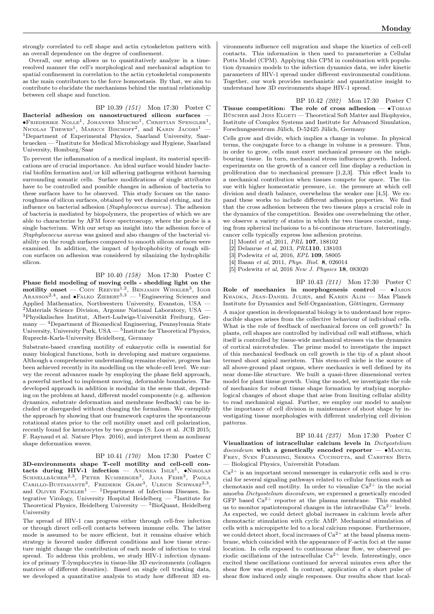strongly correlated to cell shape and actin cytoskeleton pattern with an overall dependence on the degree of confinement.

Overall, our setup allows us to quantitatively analyze in a timeresolved manner the cell's morphological and mechanical adaption to spatial confinement in correlation to the actin cytoskeletal components as the main contributors to the force homeostasis. By that, we aim to contribute to elucidate the mechanisms behind the mutual relationship between cell shape and function.

# BP 10.39 (151) Mon 17:30 Poster C

Bacterial adhesion on nanostructured silicon surfaces  $\bullet$ Friederike Nolle<sup>1</sup>, Johannes Mischo<sup>1</sup>, Christian Spengler<sup>1</sup>, NICOLAS THEWES<sup>1</sup>, MARKUS BISCHOFF<sup>2</sup>, and KARIN JACOBS<sup>1</sup> – <sup>1</sup>Department of Experimental Physics, Saarland University, Saarbruecken — <sup>2</sup> Institute for Medical Microbiology and Hygiene, Saarland University, Homburg/Saar

To prevent the inflammation of a medical implant, its material specifications are of crucial importance. An ideal surface would hinder bacterial biofilm formation and/or kill adhering pathogens without harming surrounding somatic cells. Surface modifications of single attributes have to be controlled and possible changes in adhesion of bacteria to these surfaces have to be observed. This study focuses on the nanoroughness of silicon surfaces, obtained by wet chemical etching, and its influence on bacterial adhesion (Staphylococcus aureus). The adhesion of bacteria is mediated by biopolymers, the properties of which we are able to characterize by AFM force spectroscopy, where the probe is a single bacterium. With our setup an insight into the adhesion force of Staphylococcus aureus was gained and also changes of the bacterial viability on the rough surfaces compared to smooth silicon surfaces were examined. In addition, the impact of hydrophobicity of rough silicon surfaces on adhesion was considered by silanizing the hydrophilic silicon.

BP 10.40 (158) Mon 17:30 Poster C

Phase field modeling of moving cells - shedding light on the  $\text{motility onset} - \text{Conv Res}^{1,2}$ , Benjamin Winkler<sup>3</sup>, Igor ARANSON<sup>2,4</sup>, and •FALKO ZIEBERT<sup>5,3</sup> — <sup>1</sup>Engineering Sciences and Applied Mathematics, Northwestern University, Evanston, USA — <sup>2</sup>Materials Science Division, Argonne National Laboratory, USA — <sup>3</sup>Physikalisches Institut, Albert-Ludwigs-Universität Freiburg, Germany — <sup>4</sup>Department of Biomedical Engineering, Pennsylvania State University, University Park, USA — <sup>5</sup>Institute for Theoretical Physics, Ruprecht-Karls-University Heidelberg, Germany

Substrate-based crawling motility of eukaryotic cells is essential for many biological functions, both in developing and mature organisms. Although a comprehensive understanding remains elusive, progress has been achieved recently in its modelling on the whole-cell level. We survey the recent advances made by employing the phase field approach, a powerful method to implement moving, deformable boundaries. The developed approach in addition is modular in the sense that, depending on the problem at hand, different model components (e.g. adhesion dynamics, substrate deformation and membrane feedback) can be included or disregarded without changing the formalism. We exemplify the approach by showing that our framework captures the spontaneous rotational states prior to the cell motility onset and cell polarization, recently found for keratocytes by two groups (S. Lou et al. JCB 2015; F. Raynaud et al. Nature Phys. 2016), and interpret them as nonlinear shape deformation waves.

BP 10.41 (170) Mon 17:30 Poster C 3D-environments shape T-cell motility and cell-cell contacts during HIV-1 infection — ANDREA  $MLE<sup>1</sup>$ , •NIKOLAS SCHNELLBÄCHER<sup>2,3</sup>, PETER KUMBERGER<sup>3</sup>, JANA FEHR<sup>3</sup>, PAOLA<br>CARILLO-BUSTAMANTE<sup>3</sup>, FREDERIK GRAW<sup>3</sup>, ULRICH SCHWARZ<sup>2,3</sup>, and OLIVER  $\text{Fack}^{-1}$  — <sup>1</sup>Department of Infectious Diseases, Integrative Virology, University Hospital Heidelberg — <sup>2</sup>Institute for Theoretical Physics, Heidelberg University — <sup>3</sup>BioQuant, Heidelberg University

The spread of HIV-1 can progress either through cell-free infection or through direct cell-cell contacts between immune cells. The latter mode is assumed to be more efficient, but it remains elusive which strategy is favored under different conditions and how tissue structure might change the contribution of each mode of infection to viral spread. To address this problem, we study HIV-1 infection dynamics of primary T-lymphocytes in tissue-like 3D environments (collagen matrices of different densities). Based on single cell tracking data, we developed a quantitative analysis to study how different 3D en-

vironments influence cell migration and shape the kinetics of cell-cell contacts. This information is then used to parameterize a Cellular Potts Model (CPM). Applying this CPM in combination with population dynamics models to the infection dynamics data, we infer kinetic parameters of HIV-1 spread under different environmental conditions. Together, our work provides mechanistic and quantitative insight to understand how 3D environments shape HIV-1 spread.

BP 10.42 (202) Mon 17:30 Poster C

Tissue competition: The role of cross adhesion —  $\bullet$ Tobias Büscher and Jens Elgeti — Theoretical Soft Matter and Biophysics, Institute of Complex Systems and Institute for Advanced Simulation, Forschungszentrum Jülich, D-52425 Jülich, Germany

Cells grow and divide, which implies a change in volume. In physical terms, the conjugate force to a change in volume is a pressure. Thus, in order to grow, cells must exert mechanical pressure on the neighbouring tissue. In turn, mechanical stress influences growth. Indeed, experiments on the growth of a cancer cell line display a reduction in proliferation due to mechanical pressure [1,2,3]. This effect leads to a mechanical contribution when tissues compete for space. The tissue with higher homeostatic pressure, i.e. the pressure at which cell division and death balance, overwhelms the weaker one [4,5]. We expand these works to include different adhesion properties. We find that the cross adhesion between the two tissues plays a crucial role in the dynamics of the competition. Besides one overwhelming the other, we observe a variety of states in which the two tissues coexist, ranging from spherical inclusions to a bi-continous structure. Interestingly, cancer cells typically express less adhesion proteins.

[1] Montel *et al*, 2011, *PRL* **107**, 188102

[2] Delanrue et al, 2013, PRL110, 138103

[3] Podewitz et al, 2016, EPL 109, 58005

[4] Basan et al, 2011, Phys. Biol. 8, 026014

[5] Podewitz et al, 2016 New J. Physics 18, 083020

BP 10.43 (211) Mon 17:30 Poster C Role of mechanics in morphogenesis control — ∙Jason Khadka, Jean-Daniel Julien, and Karen Alim — Max Planck Institute for Dynamics and Self-Organization, Göttingen, Germany

A major question in developmental biology is to understand how reproducible shapes arises from the collective behaviour of individual cells. What is the role of feedback of mechanical forces on cell growth? In plants, cell shapes are controlled by individual cell wall stiffness, which itself is controlled by tissue-wide mechanical stresses via the dynamics of cortical microtubules. The prime model to investigate the impact of this mechanical feedback on cell growth is the tip of a plant shoot termed shoot apical meristem. This stem-cell niche is the source of all above-ground plant organs, where mechanics is well defined by its near dome-like structure. We built a quasi-three dimensional vertex model for plant tissue growth. Using the model, we investigate the role of mechanics for robust tissue shape formation by studying morphological changes of shoot shape that arise from limiting cellular ability to read mechanical signal. Further, we employ our model to analyse the importance of cell division in maintenance of shoot shape by investigating tissue morphologies with different underlying cell division patterns.

BP 10.44 (237) Mon 17:30 Poster C Visualization of intracellular calcium levels in Dictyostelium discoideum with a genetically encoded reporter —  $\bullet$ MANUEL FREY, SVEN FLEMMING, SERENA CUCINOTTA, and CARSTEN BETA — Biological Physics, Universität Potsdam

 $Ca<sup>2+</sup>$  is an important second messenger in eukaryotic cells and is crucial for several signaling pathways related to cellular functions such as chemotaxis and cell motility. In order to visualize  $Ca^{2+}$  in the social amoeba Dictyostelium discoideum, we expressed a genetically encoded GFP based  $Ca^{2+}$  reporter at the plasma membrane. This enabled us to monitor spatiotemporal changes in the intracellular  $Ca^{2+}$  levels. As expected, we could detect global increases in calcium levels after chemotactic stimulation with cyclic AMP. Mechanical stimulation of cells with a micropipette led to a local calcium response. Furthermore, we could detect short, focal increases of  $Ca^{2+}$  at the basal plasma membrane, which coincided with the appearance of F-actin foci at the same location. In cells exposed to continuous shear flow, we observed periodic oscillations of the intracellular  $Ca^{2+}$  levels. Interestingly, once excited these oscillations continued for several minutes even after the shear flow was stopped. In contrast, application of a short pulse of shear flow induced only single responses. Our results show that local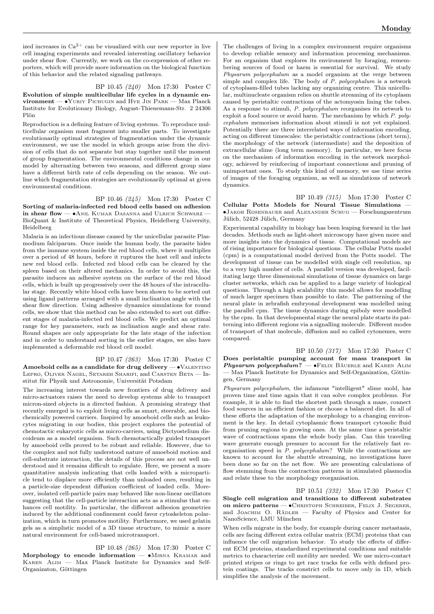ized increases in  $Ca^{2+}$  can be visualized with our new reporter in live cell imaging experiments and revealed interesting oscillatory behavior under shear flow. Currently, we work on the co-expression of other reporters, which will provide more information on the biological function of this behavior and the related signaling pathways.

BP 10.45 (240) Mon 17:30 Poster C

Evolution of simple multicellular life cycles in a dynamic environment — ∙Yuriy Pichugin and Hye Jin Park — Max Planck Institute for Evolutionary Biology, August-Thienemann-Str. 2 24306 Plön

Reproduction is a defining feature of living systems. To reproduce multicellular organism must fragment into smaller parts. To investigate evolutionarily optimal strategies of fragmentation under the dynamic environment, we use the model in which groups arise from the division of cells that do not separate but stay together until the moment of group fragmentation. The environmental conditions change in our model by alternating between two seasons, and different group sizes have a different birth rate of cells depending on the season. We outline which fragmentation strategies are evolutionarily optimal at given environmental conditions.

BP 10.46 (245) Mon 17:30 Poster C

Sorting of malaria-infected red blood cells based on adhesion in shear  $f_{\text{OW}} = \bullet A_{\text{NII}}$  KUMAR DASANNA and ULRICH SCHWARZ – BioQuant & Institute of Theoretical Physics, Heidelberg University, Heidelberg

Malaria is an infectious disease caused by the unicellular parasite Plasmodium falciparum. Once inside the human body, the parasite hides from the immune system inside the red blood cells, where it multiplies over a period of 48 hours, before it ruptures the host cell and infects new red blood cells. Infected red blood cells can be cleared by the spleen based on their altered mechanics. In order to avoid this, the parasite induces an adhesive system on the surface of the red blood cells, which is built up progressively over the 48 hours of the intracellular stage. Recently white blood cells have been shown to be sorted out using ligand patterns arranged with a small inclination angle with the shear flow direction. Using adhesive dynamics simulations for round cells, we show that this method can be also extended to sort out different stages of malaria-infected red blood cells. We predict an optimal range for key parameters, such as inclination angle and shear rate. Round shapes are only appropriate for the late stage of the infection and in order to understand sorting in the earlier stages, we also have implemented a deformable red blood cell model.

BP 10.47 (263) Mon 17:30 Poster C

Amoeboid cells as a candidate for drug delivery  $-$  • VALENTINO Lepro, Oliver Nagel, Setareh Sharifi, and Carsten Beta — Institut für Physik und Astronomie, Universität Potsdam

The increasing interest towards new frontiers of drug delivery and micro-actuators raises the need to develop systems able to transport micron-sized objects in a directed fashion. A promising strategy that recently emerged is to exploit living cells as smart, steerable, and biochemically powered carriers. Inspired by amoeboid cells such as leukocytes migrating in our bodies, this project explores the potential of chemotactic eukaryotic cells as micro-carriers, using Dictyostelium discoideum as a model organism. Such chemotactically guided transport by amoeboid cells proved to be robust and reliable. However, due to the complex and not fully understood nature of amoeboid motion and cell-substrate interaction, the details of this process are not well understood and it remains difficult to regulate. Here, we present a more quantitative analysis indicating that cells loaded with a microparticle tend to displace more efficiently than unloaded ones, resulting in a particle-size dependent diffusion coefficient of loaded cells. Moreover, isolated cell-particle pairs may behaved like non-linear oscillators suggesting that the cell-particle interaction acts as a stimulus that enhances cell motility. In particular, the different adhesion geometries induced by the additional confinement could favor cytoskeleton polarization, which in turn promotes motility. Furthermore, we used gelatin gels as a simplistic model of a 3D tissue structure, to mimic a more natural environment for cell-based microtransport.

BP 10.48 (265) Mon 17:30 Poster C Morphology to encode information — •MIRNA KRAMAR and Karen Alim — Max Planck Institute for Dynamics and Self-Organizaton, Göttingen

The challenges of living in a complex environment require organisms to develop reliable sensory and information processing mechanisms. For an organism that explores its environment by foraging, remembering sources of food or harm is essential for survival. We study Physarum polycephalum as a model organism at the verge between simple and complex life. The body of P. polycephalum is a network of cytoplasm-filled tubes lacking any organizing centre. This unicellular, multinucleate organism relies on shuttle streaming of its cytoplasm caused by peristaltic contractions of the actomyosin lining the tubes. As a response to stimuli, P. polycephalum reorganises its network to exploit a food source or avoid harm. The mechanism by which P. polycephalum memorises information about stimuli is not yet explained. Potentially there are three interrelated ways of information encoding, acting on different timescales: the peristaltic contractions (short term), the morphology of the network (intermediate) and the deposition of extracellular slime (long term memory). In particular, we here focus on the mechanism of information encoding in the network morphology, achieved by reinforcing of important connections and pruning of unimportant ones. To study this kind of memory, we use time series of images of the foraging organism, as well as simulations of network dynamics.

BP 10.49 (315) Mon 17:30 Poster C

Cellular Potts Models for Neural Tissue Simulations — ∙Jakob Rosenbauer and Alexander Schug — Forschungszentrum Jülich, 52428 Jülich, Germany

Experimental capability in biology has been leaping forward in the last decades. Methods such as light-sheet microscopy have given more and more insights into the dynamics of tissue. Computational models are of rising importance for biological questions. The cellular Potts model (cpm) is a computational model derived from the Potts model. The development of tissue can be modelled with single cell resolution, up to a very high number of cells. A parallel version was developed, facilitating large three dimensional simulations of tissue dynamics on large cluster networks, which can be applied to a large variety of biological questions. Through a high scalability this model allows for modelling of much larger specimen than possible to date. The patterning of the neural plate in zebrafish embryonal development was modelled using the parallel cpm. The tissue dynamics during epiboly were modelled by the cpm. In that developmental stage the neural plate starts its patterning into different regions via a signalling molecule. Different modes of transport of that molecule, diffusion and so called cytonemes, were compared.

BP 10.50 (317) Mon 17:30 Poster C Does peristaltic pumping account for mass transport in Physarum polycephalum? — •FELIX BÄUERLE and KAREN ALIM — Max Planck Institute for Dynamics and Self-Organization, Göttingen, Germany

Physarum polycephalum, the infamous "intelligent" slime mold, has proven time and time again that it can solve complex problems. For example, it is able to find the shortest path through a maze, connect food sources in an efficient fashion or choose a balanced diet. In all of these efforts the adaptation of the morphology to a changing environment is the key. In detail cytoplasmic flows transport cytosolic fluid from pruning regions to growing ones. At the same time a peristaltic wave of contractions spans the whole body plan. Can this traveling wave generate enough pressure to account for the relatively fast reorganisation speed in P. polycephalum? While the contractions are known to account for the shuttle streaming, no investigations have been done so far on the net flow. We are presenting calculations of flow stemming from the contraction patterns in stimulated plasmodia and relate these to the morphology reorganisation.

BP 10.51 (332) Mon 17:30 Poster C Single cell migration and transitions to different substrates on micro patterns — ∙Christoph Schreiber, Felix J. Segerer, and JOACHIM O. RÄDLER — Faculty of Physics and Center for NanoScience, LMU München

When cells migrate in the body, for example during cancer metastasis, cells are facing different extra cellular matrix (ECM) proteins that can influence the cell migration behavior. To study the effects of different ECM proteins, standardized experimental conditions and suitable metrics to characterize cell motility are needed. We use micro-contact printed stripes or rings to get race tracks for cells with defined protein coatings. The tracks constrict cells to move only in 1D, which simplifies the analysis of the movement.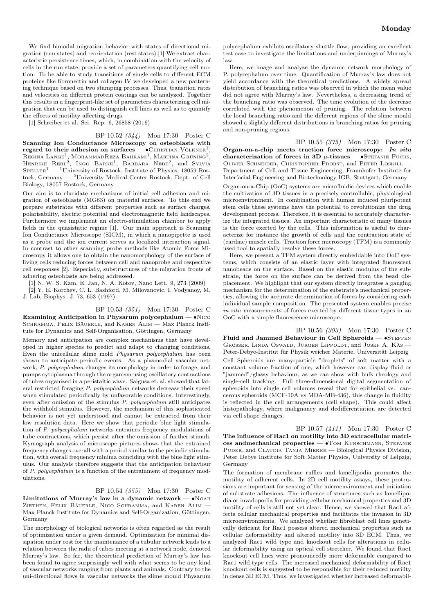We find bimodal migration behavior with states of directional migration (run states) and reorientation (rest states).[1] We extract characteristic persistence times, which, in combination with the velocity of cells in the run state, provide a set of parameters quantifying cell motion. To be able to study transitions of single cells to different ECM proteins like fibronectin and collagen IV we developed a new patterning technique based on two stamping processes. Thus, transition rates and velocities on different protein coatings can be analyzed. Together this results in a fingerprint-like set of parameters characterizing cell migration that can be used to distinguish cell lines as well as to quantify the effects of motility affecting drugs.

[1] Schreiber et al. Sci. Rep. 6, 26858 (2016)

BP 10.52 (344) Mon 17:30 Poster C Scanning Ion Conductance Microscopy on osteoblasts with regard to their adhesion on surfaces —  $\bullet$ Christian Völkner $^1,$ Regina Lange<sup>1</sup>, MohammadReza Bahrami<sup>1</sup>, Martina Grüning<sup>2</sup>,<br>Henrike Rebl<sup>2</sup>, Ingo Barke<sup>1</sup>, Barbara Nebe<sup>2</sup>, and Sylvia  $\textsc{SPELER}^{1}$  —  $^{1}$  University of Rostock, Institute of Physics, 18059 Rostock, Germany — <sup>2</sup>University Medical Center Rostock, Dept. of Cell Biology, 18057 Rostock, Germany

Our aim is to elucidate mechanisms of initial cell adhesion and migration of osteoblasts (MG63) on material surfaces. To this end we prepare substrates with different properties such as surface charges, polarisability, electric potential and electromagnetic field landscapes. Furthermore we implement an electro-stimulation chamber to apply fields in the quasistatic regime [1]. Our main approach is Scanning Ion Conductance Microscope (SICM), in which a nanopipette is used as a probe and the ion current serves as localized interaction signal. In contrast to other scanning probe methods like Atomic Force Microscopy it allows one to obtain the nanomorphology of the surface of living cells reducing forces between cell and nanoprobe and respective cell responses [2]. Especially, substructures of the migration fronts of adhering osteoblasts are being addressed.

[1] N. W. S. Kam, E. Jan, N. A. Kotov, Nano Lett. 9, 273 (2009)

[2] Y. E. Korchev, C. L. Bashford, M. Milovanovic, I. Vodyanoy, M. J. Lab, Biophys. J. 73, 653 (1997)

#### BP 10.53 (351) Mon 17:30 Poster C

Examining Anticipation in Physarum polycephalum — ∙Nico SCHRAMMA, FELIX BÄUERLE, and KAREN ALIM — Max Planck Institute for Dynamics and Self-Organisation, Göttingen, Germany

Memory and anticipation are complex mechanisms that have developed in higher species to predict and adapt to changing conditions. Even the unicellular slime mold Physarum polycephalum has been shown to anticipate periodic events. As a plasmodial vascular network, P. polycephalum changes its morphology in order to forage, and pumps cytoplasma through the organism using oscillatory contractions of tubes organized in a peristaltic wave. Saigusa et. al. showed that lateral restricted foraging P. polycephalum networks decrease their speed when stimulated periodically by unfavorable conditions. Interestingly, even after omission of the stimulus P. polycephalum still anticipates the withhold stimulus. However, the mechanism of this sophisticated behavior is not yet understood and cannot be extracted from their low resolution data. Here we show that periodic blue light stimulation of P. polycephalum networks entraines frequency modulations of tube contractions, which persist after the omission of further stimuli. Kymograph analysis of microscope pictures shows that the entrained frequency changes overall with a period similar to the periodic stimulation, with overall frequency minima coinciding with the blue light stimulus. Our analysis therefore suggests that the anticipation behaviour of P. polycephalum is a function of the entrainment of frequency modulations.

# BP 10.54 (355) Mon 17:30 Poster C

Limitations of Murray's law in a dynamic network — •NOAH ZIETHEN, FELIX BÄUERLE, NICO SCHRAMMA, and KAREN ALIM -Max Planck Institute for Dynamics and Self-Organization, Göttingen, Germany

The morphology of biological networks is often regarded as the result of optimization under a given demand. Optimization for minimal dissipation under cost for the maintenance of a tubular network leads to a relation between the radii of tubes meeting at a network node, denoted Murray's law. So far, the theoretical prediction of Murray's law has been found to agree surprisingly well with what seems to be any kind of vascular networks ranging from plants and animals. Contrary to the uni-directional flows in vascular networks the slime mould Physarum polycephalum exhibits oscillatory shuttle flow, providing an excellent test case to investigate the limitations and underpinnings of Murray's law.

Here, we image and analyze the dynamic network morphology of P. polycephalum over time. Quantification of Murray's law does not yield accordance with the theoretical predictions. A widely spread distribution of branching ratios was observed in which the mean value did not agree with Murray's law. Nevertheless, a decreasing trend of the branching ratio was observed. The time evolution of the decrease correlated with the phenomenon of pruning. The relation between the local branching ratio and the different regions of the slime mould showed a slightly different distributions in branching ratios for pruning and non-pruning regions.

BP 10.55 (375) Mon 17:30 Poster C Organ-on-a-chip meets traction force microscopy: In situ characterization of forces in 3D  $\mu$ -tissues — •STEFANIE FUCHS, OLIVER SCHNEIDER, CHRISTOPHER PROBST, and PETER LOSKILL Department of Cell and Tissue Engineering, Fraunhofer Institute for Interfacial Engineering and Biotechnology IGB, Stuttgart, Germany

Organ-on-a-Chip (OoC) systems are microfluidic devices which enable the cultivation of 3D tissues in a precisely controllable, physiological microenvironment. In combination with human induced pluripotent stem cells these systems have the potential to revolutionize the drug development process. Therefore, it is essential to accurately characterize the integrated tissues. An important characteristic of many tissues is the force exerted by the cells. This information is useful to characterize for instance the growth of cells and the contraction state of (cardiac) muscle cells. Traction force microscopy (TFM) is a commonly used tool to spatially resolve these forces.

Here, we present a TFM system directly embeddable into OoC systems, which consists of an elastic layer with integrated fluorescent nanobeads on the surface. Based on the elastic modulus of the substrate, the force on the surface can be derived from the bead displacement. We highlight that our system directly integrates a gauging mechanism for the determination of the substrate's mechanical properties, allowing the accurate determination of forces by considering each individual sample composition. The presented system enables precise in situ measurements of forces exerted by different tissue types in an OoC with a simple fluorescence microscope.

BP 10.56 (393) Mon 17:30 Poster C Fluid and Jammed Behaviour in Cell Spheroids — ∙Steffen GROSSER, LINDA OSWALD, JÜRGEN LIPPOLDT, and JOSEF A. KÄS — Peter-Debye-Institut für Physik weicher Materie, Universität Leipzig Cell Spheroids are many-particle "droplets" of soft matter with a constant volume fraction of one, which however can display fluid or " jammed"/glassy behaviour, as we can show with bulk rheology and single-cell tracking. Full three-dimensional digital segmentation of spheroids into single cell volumes reveal that for epithelial vs. cancerous spheroids (MCF-10A vs MDA-MB-436), this change in fluidity is reflected in the cell arrangements (cell shape). This could affect histopathology, where malignancy and dedifferentiation are detected via cell shape changes.

BP 10.57 (411) Mon 17:30 Poster C The influence of Rac1 on motility into 3D extracellular matrices andmechanical properties — • TOM KUNSCHMANN, STEFANIE PUDER, and CLAUDIA TANJA MIERKE - Biological Physics Division, Peter Debye Institute for Soft Matter Physics, University of Leipzig, Germany

The formation of membrane ruffles and lamellipodia promotes the motility of adherent cells. In 2D cell motility assays, these protrusions are important for sensing of the microenvironment and initiation of substrate adhesions. The influence of structures such as lamellipodia or invadopodia for providing cellular mechanical properties and 3D motility of cells is still not yet clear. Hence, we showed that Rac1 affects cellular mechanical properties and facilitates the invasion in 3D microenvironments. We analyzed whether fibroblast cell lines genetically deficient for Rac1 possess altered mechanical properties such as cellular deformability and altered motility into 3D ECM. Thus, we analyzed Rac1 wild type and knockout cells for alterations in cellular deformability using an optical cell stretcher. We found that Rac1 knockout cell lines were pronouncedly more deformable compared to Rac1 wild type cells. The increased mechanical deformability of Rac1 knockout cells is suggested to be responsible for their reduced motility in dense 3D ECM. Thus, we investigated whether increased deformabil-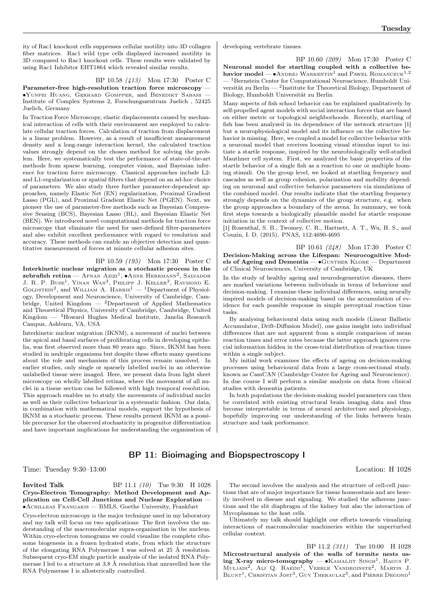ity of Rac1 knockout cells suppresses cellular motility into 3D collagen fiber matrices. Rac1 wild type cells displayed increased motility in 3D compared to Rac1 knockout cells. These results were validated by using Rac1 Inhibitor EHT1864 which revealed similar results.

# BP 10.58 (413) Mon 17:30 Poster C

Parameter-free high-resolution traction force microscopy -∙Yunfei Huang, Gerhard Gompper, and Benedikt Sabass — Institute of Complex Systems 2, Forschungszentrum Juelich , 52425 Juelich, Germany

In Traction Force Microscopy, elastic displacements caused by mechanical interaction of cells with their environment are employed to calculate cellular traction forces. Calculation of traction from displacement is a linear problem. However, as a result of insufficient measurement density and a long-range interaction kernel, the calculated traction values strongly depend on the chosen method for solving the problem. Here, we systematically test the performance of state-of-the-art methods from sparse learning, computer vision, and Bayesian inference for traction force microscopy. Classical approaches include L2 and L1-regularization or spatial filters that depend on an ad-hoc choice of parameters. We also study three further parameter-dependent approaches, namely Elastic Net (EN) regularization, Proximal Gradient Lasso (PGL), and Proximal Gradient Elastic Net (PGEN). Next, we pioneer the use of parameter-free methods such as Bayesian Compressive Sensing (BCS), Bayesian Lasso (BL), and Bayesian Elastic Net (BEN). We introduced novel computational methods for traction force microscopy that eliminate the need for user-defined filter-parameters and also exhibit excellent performance with regard to resolution and accuracy. These methods can enable an objective detection and quantitative measurement of forces at minute cellular adhesion sites.

#### BP 10.59 (195) Mon 17:30 Poster C

Interkinetic nuclear migration as a stochastic process in the **zebrafish retina** — Afnan Azizi<sup>1</sup>, •Anne Herrmann<sup>2</sup>, Salvador J. R. P. Buse<sup>1</sup>, Yinan Wan<sup>3</sup>, Philipp J. Keller<sup>3</sup>, Raymond E.<br>Goldstein<sup>2</sup>, and William A. Harris<sup>1</sup> — <sup>1</sup>Department of Physiology, Development and Neuroscience, University of Cambridge, Cambridge, United Kingdom  $-$  2Department of Applied Mathematics and Theoretical Physics, University of Cambridge, Cambridge, United Kingdom — <sup>3</sup>Howard Hughes Medical Institute, Janelia Research Campus, Ashburn, VA, USA

Interkinetic nuclear migration (IKNM), a movement of nuclei between the apical and basal surfaces of proliferating cells in developing epithelia, was first observed more than 80 years ago. Since, IKNM has been studied in multiple organisms but despite these efforts many questions about the role and mechanism of this process remain unsolved. In earlier studies, only single or sparsely labelled nuclei in an otherwise unlabelled tissue were imaged. Here, we present data from light sheet microscopy on wholly labelled retinas, where the movement of all nuclei in a tissue section can be followed with high temporal resolution. This approach enables us to study the movements of individual nuclei as well as their collective behaviour in a systematic fashion. Our data, in combination with mathematical models, support the hypothesis of IKNM as a stochastic process. These results present IKNM as a possible precursor for the observed stochasticity in progenitor differentiation and have important implications for understanding the organisation of developing vertebrate tissues.

BP 10.60 (209) Mon 17:30 Poster C Neuronal model for startling coupled with a collective behavior model —  $\bullet$ ANDREJ WARKENTIN<sup>1</sup> and PAWEL ROMANCZUK<sup>1,2</sup>  $-$ <sup>1</sup>Bernstein Center for Computational Neuroscience, Humboldt Universität zu Berlin — <sup>2</sup> Institute for Theoretical Biology, Department of Biology, Humboldt Universität zu Berlin

Many aspects of fish school behavior can be explained qualitatively by self-propelled agent models with social interaction forces that are based on either metric or topological neighborhoods. Recently, startling of fish has been analyzed in its dependence of the network structure [1] but a neurophysiological model and its influence on the collective behavior is missing. Here, we coupled a model for collective behavior with a neuronal model that receives looming visual stimulus input to initiate a startle response, inspired by the neurobiologically well-studied Mauthner cell system. First, we analyzed the basic properties of the startle behavior of a single fish as a reaction to one or multiple looming stimuli. On the group level, we looked at startling frequency and cascades as well as group cohesion, polarization and mobility depending on neuronal and collective behavior parameters via simulations of the combined model. Our results indicate that the startling frequency strongly depends on the dynamics of the group structure, e.g. when the group approaches a boundary of the arena. In summary, we took first steps towards a biologically plausible model for startle response initiation in the context of collective motion.

[1] Rosenthal, S. B., Twomey, C. R., Hartnett, A. T., Wu, H. S., and Couzin, I. D. (2015). PNAS, 112:4690-4695

BP 10.61 (248) Mon 17:30 Poster C Decision-Making across the Lifespan: Neurocognitive Models of Ageing and Dementia —  $•$ Gunther Klobe — Department of Clinical Neurosciences, University of Cambridge, UK

In the study of healthy ageing and neurodegenerative diseases, there are marked variations between individuals in terms of behaviour and decision-making. I examine these individual differences, using neurally inspired models of decision-making based on the accumulation of evidence for each possible response in simple perceptual reaction time tasks.

By analysing behavioural data using such models (Linear Ballistic Accumulator, Drift-Diffusion Model), one gains insight into individual differences that are not apparent from a simple comparison of mean reaction times and error rates because the latter approach ignores crucial information hidden in the cross-trial distribution of reaction times within a single subject.

My initial work examines the effects of ageing on decision-making processes using behavioural data from a large cross-sectional study, known as CamCAN (Cambridge Centre for Ageing and Neuroscience). In due course I will perform a similar analysis on data from clinical studies with dementia patients.

In both populations the decision-making model parameters can then be correlated with existing structural brain imaging data and thus become interpretable in terms of neural architecture and physiology, hopefully improving our understanding of the links between brain structure and task performance.

# BP 11: Bioimaging and Biopspectroscopy I

Time: Tuesday 9:30–13:00 Location: H 1028

### **Invited Talk** BP 11.1 (10) Tue 9:30 H 1028 Cryo-Electron Tomography: Method Development and Application on Cell-Cell Junctions and Nuclear Exploration — ∙Achilleas Frangakis — BMLS, Goethe University, Frankfurt

Cryo-electron microscopy is the major technique used in my laboratory and my talk will focus on two applications: The first involves the understanding of the macromolecular supra-organisation in the nucleus. Within cryo-electron tomograms we could visualize the complete ribosome biogenesis in a frozen hydrated state, from which the structure of the elongating RNA Polymerase I was solved at 25 Å resolution. Subsequent cryo-EM single particle analysis of the isolated RNA Polymerase I led to a structure at 3.8 Å resolution that unravelled how the RNA Polymerase I is allosterically controlled.

The second involves the analysis and the structure of cell-cell junctions that are of major importance for tissue homeostasis and are heavily involved in disease and signaling. We studied the adherens junctions and the slit diaphragm of the kidney but also the interaction of Mycoplasmas to the host cells.

Ultimately my talk should highlight our efforts towards visualizing interactions of macromolecular machineries within the unperturbed cellular context.

BP 11.2 (311) Tue 10:00 H 1028 Microstructural analysis of the walls of termite nests using X-ray micro-tomography —  $\bullet$ KAMALJIT SINGH<sup>1</sup>, BAGUS P. Muljadi<sup>2</sup>, Ali Q. Raeini<sup>1</sup>, Veerle Vandeginste<sup>2</sup>, Martin J.  $B$ LUNT<sup>1</sup>, CHRISTIAN  $J$ OST<sup>3</sup>, GUY THERAULAZ<sup>3</sup>, and PIERRE DEGOND<sup>1</sup>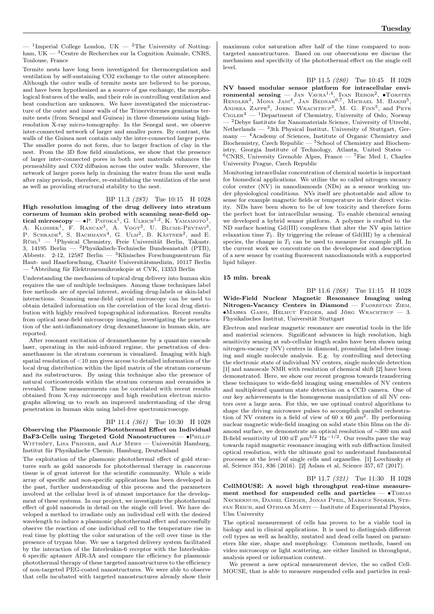$-$  <sup>1</sup>Imperial College London, UK  $-$  <sup>2</sup>The University of Nottingham, UK — <sup>3</sup>Centre de Recherches sur la Cognition Animale, CNRS, Toulouse, France

Termite nests have long been investigated for thermoregulation and ventilation by self-sustaining CO2 exchange to the outer atmosphere. Although the outer walls of termite nests are believed to be porous, and have been hypothesized as a source of gas exchange, the morphological features of the walls, and their role in controlling ventilation and heat conduction are unknown. We have investigated the microstructure of the outer and inner walls of the Trinervitermes geminatus termite nests (from Senegal and Guinea) in three dimensions using highresolution X-ray micro-tomography. In the Senegal nest, we observe inter-connected network of larger and smaller pores. By contrast, the walls of the Guinea nest contain only the inter-connected larger pores. The smaller pores do not form, due to larger fraction of clay in the nest. From the 3D flow field simulations, we show that the presence of larger inter-connected pores in both nest materials enhances the permeability and CO2 diffusion across the outer walls. Moreover, the network of larger pores help in draining the water from the nest walls after rainy periods, therefore, re-establishing the ventilation of the nest as well as providing structural stability to the nest.

#### BP 11.3 (287) Tue 10:15 H 1028

High resolution imaging of the drug delivery into stratum corneum of human skin probed with scanning near-field optical microscopy —  $\bullet$  P. Patoka<sup>1</sup>, G. Ulrich<sup>1,2</sup>, K. Yamamoto<sup>1</sup>, A. KLOSSEK<sup>1</sup>, F. RANCAN<sup>3</sup>, A. VOGT<sup>3</sup>, U. BLUME-PEYTAVI<sup>3</sup>, P. SCHRADE<sup>4</sup>, S. BACHMANN<sup>4</sup>, G. ULM<sup>2</sup>, B. KÄSTNER<sup>2</sup>, and E.  $R\ddot{v}_{HL}^1$  — <sup>1</sup>Physical Chemistry, Freie Universität Berlin, Takustr. 3, 14195 Berlin — <sup>2</sup>Physikalisch-Technische Bundesanstalt (PTB),  $\Delta$ bbestr. 2-12, 12587 Berlin — <sup>3</sup>Klinisches Forschungszentrum für Haut- und Haarforschung, Charité Universitätsmedizin, 10117 Berlin — <sup>4</sup>Abteilung für Elektronenmikroskopie at CVK, 13353 Berlin

Understanding the mechanism of topical drug delivery into human skin requires the use of multiple techniques. Among those techniques label free methods are of special interest, avoiding drug-labels or skin-label interactions. Scanning near-field optical microscopy can be used to obtain detailed information on the correlation of the local drug distribution with highly resolved topographical information. Recent results from optical near-field microscopy imaging, investigating the penetration of the anti-inflammatory drug dexamethasone in human skin, are reported.

After resonant excitation of dexamethasone by a quantum cascade laser, operating in the mid-infrared regime, the penetration of dexamethasone in the stratum corneum is visualized. Imaging with high spatial resolution of <10 nm gives access to detailed information of the local drug distribution within the lipid matrix of the stratum corneum and its substructures. By using this technique also the presence of natural corticosteroids within the stratum corneum and ceramides is revealed. These measurements can be correlated with recent results obtained from X-ray microscopy and high resolution electron micrographs allowing us to reach an improved understanding of the drug penetration in human skin using label-free spectromicroscopy.

## BP 11.4 (361) Tue 10:30 H 1028 Observing the Plasmonic Photothermal Effect on Individual BaF3-Cells using Targeted Gold Nanostructures — •PHILLIP WITTHÖFT, LISA PRISNER, and ALF MEWS - Universität Hamburg, Institut für Physikalische Chemie, Hamburg, Deutschland

The exploitation of the plasmonic photothermal effect of gold structures such as gold nanorods for photothermal therapy in cancerous tissue is of great interest for the scientific community. While a wide array of specific and non-specific applications has been developed in the past, further understanding of this process and the parameters involved at the cellular level is of utmost importance for the development of these systems. In our project, we investigate the photothermal effect of gold nanorods in detail on the single cell level. We have developed a method to irradiate only an individual cell with the desired wavelength to induce a plasmonic photothermal effect and successfully observe the reaction of one individual cell to the temperature rise in real time by plotting the color saturation of the cell over time in the presence of trypan blue. We use a targeted delivery system facilitated by the interaction of the Interleukin-6 receptor with the Interleukin-6 specific aptamer AIR-3A and compare the efficiency for plasmonic photothermal therapy of these targeted nanostructures to the efficiency of non-targeted PEG-coated nanostructures. We were able to observe that cells incubated with targeted nanostructures already show their maximum color saturation after half of the time compared to nontargeted nanostructures. Based on our observations we discuss the mechanism and specificity of the photothermal effect on the single cell level.

BP 11.5 (280) Tue 10:45 H 1028 NV based modular sensor platform for intracellular environmental sensing — JAN VAVRA<sup>1,4</sup>, IVAN REHOR<sup>2</sup>,  $\bullet$ TORSTEN RENDLER<sup>3</sup>, MONA JANI<sup>4</sup>, JAN BEDNAR<sup>6,7</sup>, MICHAEL M. BAKSH<sup>5</sup>, ANDREA ZAPPE<sup>3</sup>, JOERG WRACHTRUP<sup>3</sup>, M. G. FINN<sup>5</sup>, and PETR  $\textsc{Cicier}^4$  —  $^1\textsc{Department}$  of Chemistry, University of Oslo, Norway - <sup>2</sup>Debye Institute for Nanomaterials Science, University of Utrecht, Netherlands —  $33th$  Physical Institut, University of Stuttgart, Ger- $\,$  many  $^4$  Academy of Sciences, Institute of Organic Chemistry and Biochemistry, Czech Republic — <sup>5</sup>School of Chemistry and Biochemistry, Georgia Institute of Technology, Atlanta, United States — <sup>6</sup>CNRS, University Grenoble Alpes, France — <sup>7</sup>Fac Med 1, Charles University Prague, Czech Republic

Monitoring intracellular concentration of chemical moietis is important for biomedical applications. We utilize the so called nitrogen vacancy color center (NV) in nanodiamonds (NDs) as a sensor working under physiological conditions. NVs itself are photostable and allow to sense for example magnetic fields or temperature in their direct vicinity. NDs have been shown to be of low toxicity and therefore form the perfect host for intracellular sensing. To enable chemical sensing we developed a hybrid sensor platform. A polymer is crafted to the ND surface hosting Gd(III) complexes that alter the NV spin lattice relaxation time  $T_1$ . By triggering the release of Gd(III) by a chemical species, the change in  $T_1$  can be used to measure for example pH. In the current work we concentrate on the development and description of a new sensor by coating fluorescent nanodiamonds with a supported lipid bilayer.

#### 15 min. break

BP 11.6 (268) Tue 11:15 H 1028 Wide-Field Nuclear Magnetic Resonance Imaging using Nitrogen-Vacancy Centers in Diamond — FLORESTAN ZIEM, ∙Marwa Garsi, Helmut Fedder, and Jörg Wrachtrup — 3. Physikalisches Institut, Universität Stuttgart

Electron and nuclear magnetic resonance are essential tools in the life and material sciences. Significant advances in high resolution, high sensitivity sensing at sub-cellular length scales have been shown using nitrogen-vacancy (NV) centers in diamond, promising label-free imaging and single molecule analysis. E.g. by controlling and detecting the electronic state of individual NV centers, single molecule detection [1] and nanoscale NMR with resolution of chemical shift [2] have been demonstrated. Here, we show our recent progress towards transferring these techniques to wide-field imaging using ensembles of NV centers and multiplexed quantum state detection on a CCD camera. One of our key achievements is the homogenous manipulation of all NV centers over a large area. For this, we use optimal control algorithms to shape the driving microwave pulses to accomplish parallel orchestration of NV centers in a field of view of 60 x 60  $\mu$ m<sup>2</sup>. By performing nuclear magnetic wide-field imaging on solid state thin films on the diamond surface, we demonstrate an optical resolution of ∼300 nm and B-field sensitivity of 100 nT  $\mu$ m<sup>3/2</sup> Hz<sup>-1/2</sup>. Our results pave the way towards rapid magnetic resonance imaging with sub diffraction limited optical resolution, with the ultimate goal to understand fundamental processes at the level of single cells and organelles. [1] Lovchinsky et al, Science 351, 836 (2016). [2] Aslam et al, Science 357, 67 (2017).

BP 11.7 (321) Tue 11:30 H 1028 CellMOUSE: A novel high throughput real-time measurement method for suspended cells and particles — ∙Tobias Neckernuss, Daniel Geiger, Jonas Pfeil, Markus Sporer, Ste-FAN REICH, and OTHMAR MARTI — Institute of Experimental Physics, Ulm University

The optical measurement of cells has proven to be a viable tool in biology and in clinical applications. It is used to distinguish different cell types as well as healthy, mutated and dead cells based on parameters like size, shape and morphology. Common methods, based on video microscopy or light scattering, are either limited in throughput, analysis speed or information content.

We present a new optical measurement device, the so called Cell-MOUSE, that is able to measure suspended cells and particles in real-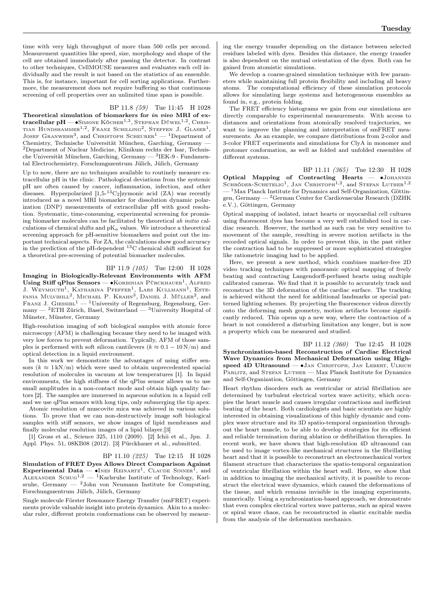time with very high throughput of more than 500 cells per second. Measurement quantities like speed, size, morphology and shape of the cell are obtained immediately after passing the detector. In contrast to other techniques, CellMOUSE measures and evaluates each cell individually and the result is not based on the statistics of an ensemble. This is, for instance, important for cell sorting applications. Furthermore, the measurement does not require buffering so that continuous screening of cell properties over an unlimited time span is possible.

#### BP 11.8 (59) Tue 11:45 H 1028

Theoretical simulation of biomarkers for in vivo MRI of extracellular p $\mathbf{H}$  — •Simone Köcher $^{1,3},$  Stephan Düwel $^{1,2},$  Christian Hundshammer<sup>1,2</sup>, Franz Schilling<sup>2</sup>, Steffen J. Glaser<sup>1</sup>, JOSEF GRANWEHR<sup>3</sup>, and CHRISTOPH SCHEURER<sup>1</sup> — <sup>1</sup>Department of Chemistry, Technische Universität München, Garching, Germany — <sup>2</sup>Department of Nuclear Medicine, Klinikum rechts der Isar, Technische Universität München, Garching, Germany —  $^3$ IEK-9 - Fundamental Electrochemistry, Forschungszentrum Jülich, Jülich, Germany

Up to now, there are no techniques available to routinely measure extracellular pH in the clinic. Pathological deviations from the systemic pH are often caused by cancer, inflammation, infection, and other diseases. Hyperpolarized  $[1,5^{-13}C_2]$ zymonic acid  $(ZA)$  was recently introduced as a novel MRI biomarker for dissolution dynamic polarization (DNP) measurements of extracellular pH with good resolution. Systematic, time-consuming, experimental screening for promising biomarker molecules can be facilitated by theoretical ab initio calculations of chemical shifts and  $pK_a$  values. We introduce a theoretical screening approach for pH-sensitive biomarkers and point out the important technical aspects. For ZA, the calculations show good accuracy in the prediction of the pH-dependent <sup>13</sup>C chemical shift sufficient for a theoretical pre-screening of potential biomarker molecules.

# BP 11.9 (105) Tue 12:00 H 1028

Imaging in Biologically-Relevant Environments with AFM Using Stiff qPlus Sensors — • Korbinian Pürckhauer<sup>1</sup>, Alfred J. WEYMOUTH<sup>1</sup>, KATHARINA PFEFFER<sup>1</sup>, LARS KULLMANN<sup>1</sup>, ESTE-FANIA MULVIHILL<sup>2</sup>, MICHAEL P. KRAHN<sup>3</sup>, DANIEL J. MÜLLER<sup>2</sup>, and FRANZ J. GIESSIBL<sup>1</sup> — <sup>1</sup>University of Regensburg, Regensburg, Germany —  ${}^{2}$ ETH Zürich, Basel, Switzerland —  ${}^{3}$ University Hospital of Münster, Münster, Germany

High-resolution imaging of soft biological samples with atomic force microscopy (AFM) is challenging because they need to be imaged with very low forces to prevent deformation. Typically, AFM of those samples is performed with soft silicon cantilevers  $(k \approx 0.1 - 10 \text{ N/m})$  and optical detection in a liquid environment.

In this work we demonstrate the advantages of using stiffer sensors  $(k \approx 1 \text{ kN/m})$  which were used to obtain unprecedented spacial resolution of molecules in vacuum at low temperatures [1]. In liquid environments, the high stiffness of the qPlus sensor allows us to use small amplitudes in a non-contact mode and obtain high quality factors [2]. The samples are immersed in aqueous solution in a liquid cell and we use qPlus sensors with long tips, only submerging the tip apex.

Atomic resolution of muscovite mica was achieved in various solutions. To prove that we can non-destructively image soft biological samples with stiff sensors, we show images of lipid membranes and finally molecular resolution images of a lipid bilayer.[3]

[1] Gross et al., Science 325, 1110 (2009). [2] Ichii et al., Jpn. J. Appl. Phys. 51, 08KB08 (2012). [3] Pürckhauer et al., submitted.

BP 11.10 (225) Tue 12:15 H 1028 Simulation of FRET Dyes Allows Direct Comparison Against Experimental Data —  $\bullet$ Ines Reinartz<sup>1</sup>, Claude Sinner<sup>1</sup>, and  $A$ LEXANDER SCHUG<sup>1,2</sup> — <sup>1</sup>Karlsruhe Institute of Technology, Karlsruhe, Germany  $^2$ John von Neumann Institute for Computing, Forschungszentrum Jülich, Jülich, Germany

Single molecule Förster Resonance Energy Transfer (smFRET) experiments provide valuable insight into protein dynamics. Akin to a molecular ruler, different protein conformations can be observed by measur-

ing the energy transfer depending on the distance between selected residues labeled with dyes. Besides this distance, the energy transfer is also dependent on the mutual orientation of the dyes. Both can be gained from atomistic simulations.

We develop a coarse-grained simulation technique with few parameters while maintaining full protein flexibility and including all heavy atoms. The computational efficiency of these simulation protocols allows for simulating large systems and heterogeneous ensembles as found in, e.g., protein folding.

The FRET efficiency histograms we gain from our simulations are directly comparable to experimental measurements. With access to distances and orientations from atomically resolved trajectories, we want to improve the planning and interpretation of smFRET measurements. As an example, we compare distributions from 2-color and 3-color FRET experiments and simulations for ClyA in monomer and protomer conformation, as well as folded and unfolded ensembles of different systems.

BP 11.11 (365) Tue 12:30 H 1028 Optical Mapping of Contracting Hearts — •JOHANNES<br>SCHRÖDER-SCHETELIG<sup>1</sup>, JAN CHRISTOPH<sup>1,2</sup>, and STEFAN LUTHER<sup>1,2</sup> <sup>1</sup>Max Planck Institute for Dynamics and Self-Organization, Göttingen, Germany — <sup>2</sup>German Center for Cardiovascular Research (DZHK e.V.), Göttingen, Germany

Optical mapping of isolated, intact hearts or myocardial cell cultures using fluorescent dyes has become a very well established tool in cardiac research. However, the method as such can be very sensitive to movement of the sample, resulting in severe motion artifacts in the recorded optical signals. In order to prevent this, in the past either the contraction had to be suppressed or more sophisticated strategies like ratiometric imaging had to be applied.

Here, we present a new method, which combines marker-free 2D video tracking techniques with panoramic optical mapping of freely beating and contracting Langendorff-perfused hearts using multiple calibrated cameras. We find that it is possible to accurately track and reconstruct the 3D deformation of the cardiac surface. The tracking is achieved without the need for additional landmarks or special patterned lighting schemes. By projecting the fluorescence videos directly onto the deforming mesh geometry, motion artifacts become significantly reduced. This opens up a new way, where the contraction of a heart is not considered a disturbing limitation any longer, but is now a property which can be measured and studied.

BP 11.12 (360) Tue 12:45 H 1028 Synchronization-based Reconstruction of Cardiac Electrical Wave Dynamics from Mechanical Deformation using Highspeed 4D Ultrasound — • JAN CHRISTOPH, JAN LEBERT, ULRICH PARLITZ, and STEFAN LUTHER — Max Planck Institute for Dynamics and Self-Organization, Göttingen, Germany

Heart rhythm disorders such as ventricular or atrial fibrillation are determined by turbulent electrical vortex wave activity, which occupies the heart muscle and causes irregular contractions and inefficient beating of the heart. Both cardiologists and basic scientists are highly interested in obtaining visualizations of this highly dynamic and complex wave structure and its 3D spatio-temporal organization throughout the heart muscle, to be able to develop strategies for its efficient and reliable termination during ablation or defibrillation therapies. In recent work, we have shown that high-resolution 4D ultrasound can be used to image vortex-like mechanical structures in the fibrillating heart and that it is possible to reconstruct an electromechanical vortex filament structure that characterizes the spatio-temporal organization of ventricular fibrillation within the heart wall. Here, we show that in addition to imaging the mechanical activity, it is possible to reconstruct the electrical wave dynamics, which caused the deformations of the tissue, and which remains invisible in the imaging experiments, numerically. Using a synchronization-based approach, we demonstrate that even complex electrical vortex wave patterns, such as spiral waves or spiral wave chaos, can be reconstructed in elastic excitable media from the analysis of the deformation mechanics.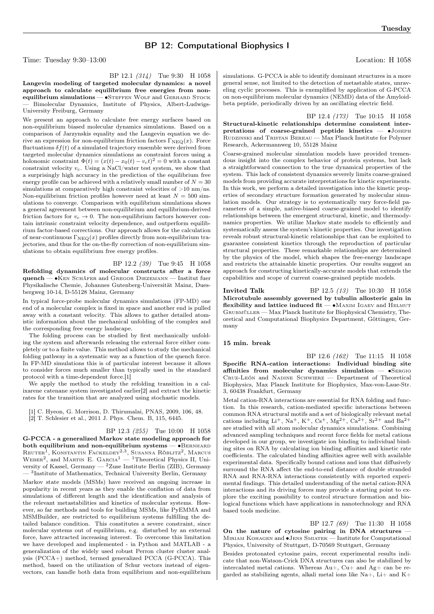# BP 12: Computational Biophysics I

Time: Tuesday 9:30–13:00 Location: H 1058

BP 12.1 (314) Tue 9:30 H 1058 Langevin modeling of targeted molecular dynamics: a novel approach to calculate equilibrium free energies from nonequilibrium simulations — •STEFFEN WOLF and GERHARD STOCK — Bimolecular Dynamics, Institute of Physics, Albert-Ludwigs-University Freiburg, Germany

We present an approach to calculate free energy surfaces based on non-equilibrium biased molecular dynamics simulations. Based on a comparison of Jarzynskis equality and the Langevin equation we derive an expression for non-equilibrium friction factors  $\Gamma_{\text{NEQ}}(x)$ . Force fluctuations  $\delta f(t)$  of a simulated trajectory ensemble were derived from targeted molecular dynamics simulations as constraint forces using a holonomic constraint  $\Phi(t) = (x(t) - x_0(t) - v_c t)^2 = 0$  with a constant constraint velocity  $v_c$ . Using a NaCl/water test system, we show that a surprisingly high accuracy in the prediction of the equilibrium free energy profile can be achieved with a relatively small number of  $N = 30$ simulations at comparatively high constraint velocities of  $>10$  nm/ns. Non-equilibrium friction profiles however need at least  $N = 500$  simulations to converge. Comparison with equilibrium simulations shows a general agreement between non-equilibrium and equilibrium-derived friction factors for  $v_c \to 0$ . The non-equilibrium factors however contain intrinsic constraint velocity dependence, and outperform equilibrium factor-based corrections. Our approach allows for the calculation of near-continuous  $\Gamma_{\text{NEO}}(x)$  profiles directly from non-equilibrium trajectories, and thus for the on-the-fly correction of non-equilibrium simulations to obtain equilibrium free energy profiles.

BP 12.2 (39) Tue 9:45 H 1058 Refolding dynamics of molecular constructs after a force quench — •KEN SCHÄFER and GREGOR DIEZEMANN — Institut fuer Physikalische Chemie, Johannes Gutenberg-Universität Mainz, Duesbergweg 10-14, D-55128 Mainz, Germany

In typical force-probe molecular dynamics simulations (FP-MD) one end of a molecular complex is fixed in space and another end is pulled away with a constant velocity. This allows to gather detailed atomistic information about the mechanical unfolding of the complex and the corresponding free energy landscape.

The folding process can be studied by first mechanically unfolding the system and afterwards releasing the external force either completely or to a finite value. This method allows to study the mechanical folding pathway in a systematic way as a function of the quench force. In FP-MD simulations this is of particular interest because it allows to consider forces much smaller than typically used in the standard protocol with a time-dependent force.[1]

We apply the method to study the refolding transition in a calixarene catenane system investigated earlier[2] and extract the kinetic rates for the transition that are analyzed using stochastic models.

[1] C. Hyeon, G. Morrison, D. Thirumalai, PNAS, 2009, 106, 48. [2] T. Schlesier et al., 2011 J. Phys. Chem. B, 115, 6445.

BP 12.3 (255) Tue 10:00 H 1058 G-PCCA - a generalized Markov state modeling approach for both equilibrium and non-equilibrium systems — ∙Bernhard REUTER<sup>1</sup>, KONSTANTIN FACKELDEY<sup>2,3</sup>, SUSANNA RÖBLITZ<sup>2</sup>, MARCUS<br>WEBER<sup>2</sup>, and MARTIN E. GARCIA<sup>1</sup> — <sup>1</sup>Theoretical Physics II, University of Kassel, Germany — <sup>2</sup>Zuse Institute Berlin (ZIB), Germany

— <sup>3</sup> Institute of Mathematics, Technical University Berlin, Germany

Markov state models (MSMs) have received an ongoing increase in popularity in recent years as they enable the conflation of data from simulations of different length and the identification and analysis of the relevant metastabilities and kinetics of molecular systems. However, so far methods and tools for building MSMs, like PyEMMA and MSMBuilder, are restricted to equilibrium systems fulfilling the detailed balance condition. This constitutes a severe constraint, since molecular systems out of equilibrium, e.g. disturbed by an external force, have attracted increasing interest. To overcome this limitation we have developed and implemented - in Python and MATLAB - a generalization of the widely used robust Perron cluster cluster analysis (PCCA+) method, termed generalized PCCA (G-PCCA). This method, based on the utilization of Schur vectors instead of eigenvectors, can handle both data from equilibrium and non-equilibrium

simulations. G-PCCA is able to identify dominant structures in a more general sense, not limited to the detection of metastable states, unraveling cyclic processes. This is exemplified by application of G-PCCA on non-equilibrium molecular dynamics (NEMD) data of the Amyloidbeta peptide, periodically driven by an oscillating electric field.

BP 12.4 (173) Tue 10:15 H 1058 Structural-kinetic relationships determine consistent interpretations of coarse-grained peptide kinetics — ∙Joseph Rudzinski and Tristan Bereau — Max Planck Institute for Polymer Research, Ackermannweg 10, 55128 Mainz

Coarse-grained molecular simulation models have provided tremendous insight into the complex behavior of protein systems, but lack a straightforward connection to the true dynamical properties of the system. This lack of consistent dynamics severely limits coarse-grained models from providing accurate interpretations for kinetic experiments. In this work, we perform a detailed investigation into the kinetic properties of secondary structure formation generated by molecular simulation models. Our strategy is to systematically vary force-field parameters of a simple, native-biased coarse-grained model to identify relationships between the emergent structural, kinetic, and thermodynamics properties. We utilize Markov state models to efficiently and systematically assess the system's kinetic properties. Our investigation reveals robust structural-kinetic relationships that can be exploited to guarantee consistent kinetics through the reproduction of particular structural properties. These remarkable relationships are determined by the physics of the model, which shapes the free-energy landscape and restricts the attainable kinetic properties. Our results suggest an approach for constructing kinetically-accurate models that extends the capabilities and scope of current coarse-grained peptide models.

**Invited Talk** BP 12.5 (13) Tue 10:30 H 1058 Microtubule assembly governed by tubulin allosteric gain in flexibility and lattice induced fit — • MAXIM IGAEV and HELMUT GRUBMÜLLER — Max Planck Institute for Biophysical Chemistry, Theoretical and Computational Biophysics Department, Göttingen, Germany

15 min. break

BP 12.6 (162) Tue 11:15 H 1058 Specific RNA-cation interactions: Individual binding site affinities from molecular dynamics simulation — ∙Sergio Cruz-León and Nadine Schwierz — Department of Theoretical Biophysics, Max Planck Institute for Biophysics, Max-von-Laue-Str. 3, 60438 Frankfurt, Germany

Metal cation-RNA interactions are essential for RNA folding and function. In this research, cation-mediated specific interactions between common RNA structural motifs and a set of biologically relevant metal cations including Li<sup>+</sup>, Na<sup>+</sup>, K<sup>+</sup>, Cs<sup>+</sup>, Mg<sup>2+</sup>, Ca<sup>2+</sup>, Sr<sup>2+</sup> and Ba<sup>2+</sup> are studied with all atom molecular dynamics simulations. Combining advanced sampling techniques and recent force fields for metal cations developed in our group, we investigate ion binding to individual binding sites on RNA by calculating ion binding affinities and kinetic rate coefficients. The calculated binding affinities agree well with available experimental data. Specifically bound cations and ions that diffusively surround the RNA affect the end-to-end distance of double stranded RNA and RNA-RNA interactions consistently with reported experimental findings. This detailed understanding of the metal cation-RNA interactions and its driving forces may provide a starting point to explore the exciting possibility to control structure formation and biological functions which have applications in nanotechnology and RNA based tools medicine.

BP 12.7 (69) Tue 11:30 H 1058 On the nature of cytosine pairing in DNA structures -Miriam Kohagen and ∙Jens Smiatek — Institute for Computational Physics, University of Stuttgart, D-70569 Stuttgart, Germany

Besides protonated cytosine pairs, recent experimental results indicate that non-Watson-Crick DNA structures can also be stabilized by intercalated metal cations. Whereas  $Au+$ ,  $Cu+$  and  $Ag+$  can be regarded as stabilizing agents, alkali metal ions like  $Na+$ ,  $Li+$  and  $K+$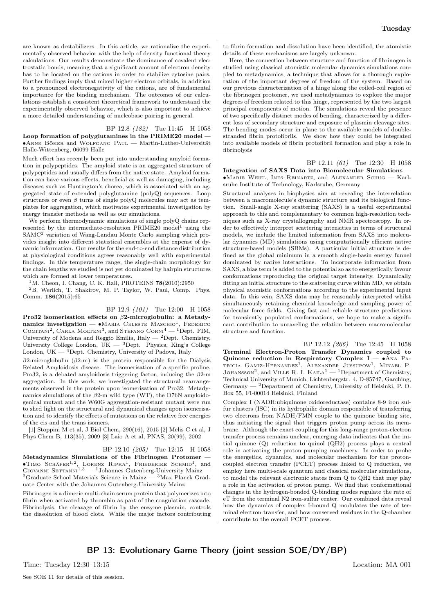are known as destabilizers. In this article, we rationalize the experimentally observed behavior with the help of density functional theory calculations. Our results demonstrate the dominance of covalent electrostatic bonds, meaning that a significant amount of electron density has to be located on the cations in order to stabilize cytosine pairs. Further findings imply that mixed higher electron orbitals, in addition to a pronounced electronegativity of the cations, are of fundamental importance for the binding mechanism. The outcomes of our calculations establish a consistent theoretical framework to understand the experimentally observed behavior, which is also important to achieve a more detailed understanding of nucleobase pairing in general.

#### BP 12.8 (182) Tue 11:45 H 1058 Loop formation of polyglutamines in the PRIME20 model — ∙Arne Böker and Wolfgang Paul — Martin-Luther-Universität

Much effort has recently been put into understanding amyloid formation in polypeptides. The amyloid state is an aggregated structure of polypeptides and usually differs from the native state. Amyloid formation can have various effects, beneficial as well as damaging, including diseases such as Huntington's chorea, which is associated with an aggregated state of extended polyglutamine (polyQ) sequences. Loop structures or even  $\beta$  turns of single polyQ molecules may act as templates for aggregation, which motivates experimental investigation by energy transfer methods as well as our simulations.

Halle-Wittenberg, 06099 Halle

We perform thermodynamic simulations of single polyQ chains represented by the intermediate-resolution  $PRIME20$  model<sup>1</sup> using the SAMC<sup>2</sup> variation of Wang-Landau Monte Carlo sampling which provides insight into different statistical ensembles at the expense of dynamic information. Our results for the end-to-end distance distribution at physiological conditions agrees reasonably well with experimental findings. In this temperature range, the single-chain morphology for the chain lengths we studied is not yet dominated by hairpin structures which are formed at lower temperatures.

<sup>1</sup>M. Cheon, I. Chang, C. K. Hall, PROTEINS  $78(2010):2950$ 

<sup>2</sup>B. Werlich, T. Shakirov, M. P. Taylor, W. Paul, Comp. Phys. Comm. 186(2015):65

BP 12.9 (101) Tue 12:00 H 1058

Pro32 isomerisation effects on  $\beta$ 2-microglobulin: a Metadynamics investigation — • MARIA CELESTE MASCHIO<sup>1</sup>, FEDERICO COMITANI<sup>2</sup>, CARLA MOLTENI<sup>3</sup>, and STEFANO CORNI<sup>4</sup> — <sup>1</sup>Dept. FIM, University of Modena and Reggio Emilia, Italy  $-{}^{2}$ Dept. Chemistry, University College London,  $UK - {^{3}}$ Dept. Physics, King's College London,  $UK - {}^{4}$ Dept. Chemistry, University of Padova, Italy

 $\beta$ 2-microglobulin ( $\beta$ 2-m) is the protein responsible for the Dialysis Related Amyloidosis disease. The isomerisation of a specific proline, Pro32, is a debated amyloidosis triggering factor, inducing the  $\beta$ 2-m aggregation. In this work, we investigated the structural rearrangements observed in the protein upon isomerisation of Pro32. Metadynamics simulations of the  $\beta$ 2-m wild type (WT), the D76N amyloidogenical mutant and the W60G aggregation-resistant mutant were run to shed light on the structural and dynamical changes upon isomerisation and to identify the effects of mutations on the relative free energies of the cis and the trans isomers.

[1] Stoppini M et al, J Biol Chem, 290(16), 2015 [2] Melis C et al, J Phys Chem B, 113(35), 2009 [3] Laio A et al, PNAS, 20(99), 2002

BP 12.10 (205) Tue 12:15 H 1058 Metadynamics Simulations of the Fibrinogen Protomer — •Тімо Sснäfer<sup>1,2</sup>, Lorenz Ripka<sup>1</sup>, Friederike Schmid<sup>1</sup>, and Giovanni Settanni<sup>1,3</sup> — <sup>1</sup>Johannes Gutenberg-University Mainz — <sup>2</sup>Graduate School Materials Science in Mainz  $-$  <sup>3</sup>Max Planck Graduate Center with the Johannes Gutenberg-University Mainz

Fibrinogen is a dimeric multi-chain serum protein that polymerizes into fibrin when activated by thrombin as part of the coagulation cascade. Fibrinolysis, the cleavage of fibrin by the enzyme plasmin, controls the dissolution of blood clots. While the major factors contributing

to fibrin formation and dissolution have been identified, the atomistic details of these mechanisms are largely unknown.

Here, the connection between structure and function of fibrinogen is studied using classical atomistic molecular dynamics simulations coupled to metadynamics, a technique that allows for a thorough exploration of the important degrees of freedom of the system. Based on our previous characterization of a hinge along the coiled-coil region of the fibrinogen protomer, we used metadynamics to explore the major degrees of freedom related to this hinge, represented by the two largest principal components of motion. The simulations reveal the presence of two specifically distinct modes of bending, characterized by a different loss of secondary structure and exposure of plasmin cleavage sites. The bending modes occur in plane to the available models of doublestranded fibrin protofibrils. We show how they could be integrated into available models of fibrin protofibril formation and play a role in fibrinolysis

# BP 12.11 (61) Tue 12:30 H 1058

Integration of SAXS Data into Biomolecular Simulations — ∙Marie Weiel, Ines Reinartz, and Alexander Schug — Karlsruhe Institute of Technology, Karlsruhe, Germany

Structural analyses in biophysics aim at revealing the interrelation between a macromolecule's dynamic structure and its biological function. Small-angle X-ray scattering (SAXS) is a useful experimental approach to this and complementary to common high-resolution techniques such as X-ray crystallography and NMR spectroscopy. In order to effectively interpret scattering intensities in terms of structural models, we include the limited information from SAXS into molecular dynamics (MD) simulations using computationally efficient native structure-based models (SBMs). A particular initial structure is defined as the global minimum in a smooth single-basin energy funnel dominated by native interactions. To incorporate information from SAXS, a bias term is added to the potential so as to energetically favour conformations reproducing the original target intensity. Dynamically fitting an initial structure to the scattering curve within MD, we obtain physical atomistic conformations according to the experimental input data. In this vein, SAXS data may be reasonably interpreted whilst simultaneously retaining chemical knowledge and sampling power of molecular force fields. Giving fast and reliable structure predictions for transiently populated conformations, we hope to make a significant contribution to unraveling the relation between macromolecular structure and function.

BP 12.12 (266) Tue 12:45 H 1058 Terminal Electron-Proton Transfer Dynamics coupled to Quinone reduction in Respiratory Complex I —  $•$ ANA PA-TRICIA GAMIZ-HERNANDEZ<sup>1</sup>, ALEXANDER JUSSUPOW<sup>1</sup>, MIKAEL P. JOHANSSON<sup>2</sup>, and VILLE R. I. KAILA<sup>1</sup> — <sup>1</sup>Department of Chemistry, Technical University of Munich, Lichtenbergstr. 4, D-85747, Garching, Germany — <sup>2</sup>Department of Chemistry, University of Helsinki, P. O. Box 55, FI-00014 Helsinki, Finland

Complex I (NADH:ubiquinone oxidoreductase) contains 8-9 iron sulfur clusters (ISC) in its hydrophilic domain responsible of transferring two electrons from NADH/FMN couple to the quinone binding site, thus initiating the signal that triggers proton pump across its membrane. Although the exact coupling for this long-range proton-electron transfer process remains unclear, emerging data indicates that the initial quinone (Q) reduction to quinol (QH2) process plays a central role in activating the proton pumping machinery. In order to probe the energetics, dynamics, and molecular mechanism for the protoncoupled electron transfer (PCET) process linked to Q reduction, we employ here multi-scale quantum and classical molecular simulations, to model the relevant electronic states from Q to QH2 that may play a role in the activation of proton pump. We find that conformational changes in the hydrogen-bonded Q-binding modes regulate the rate of eT from the terminal N2 iron-sulfur center. Our combined data reveal how the dynamics of complex I-bound Q modulates the rate of terminal electron transfer, and how conserved residues in the Q-chamber contribute to the overall PCET process.

# BP 13: Evolutionary Game Theory (joint session SOE/DY/BP)

Time: Tuesday 12:30–13:15 Location: MA 001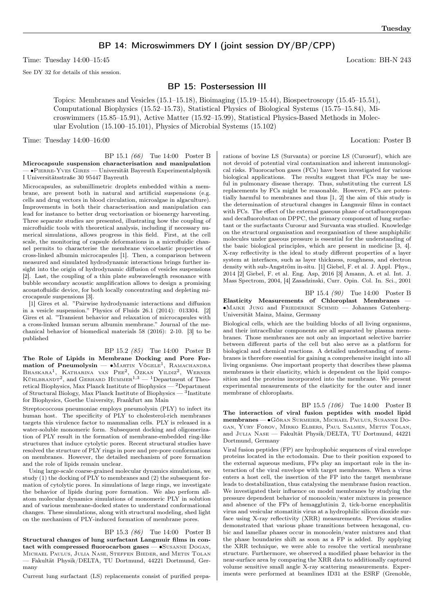# BP 14: Microswimmers DY I (joint session DY/BP/CPP)

Time: Tuesday 14:00–15:45 Location: BH-N 243

See DY 32 for details of this session.

# BP 15: Postersession III

Topics: Membranes and Vesicles (15.1–15.18), Bioimaging (15.19–15.44), Biospectroscopy (15.45–15.51), Computational Biophysics (15.52–15.73), Statistical Physics of Biological Systems (15.75–15.84), Microswimmers (15.85–15.91), Active Matter (15.92–15.99), Statistical Physics-Based Methods in Molecular Evolution (15.100–15.101), Physics of Microbial Systems (15.102)

Time: Tuesday 14:00–16:00 Location: Poster B

BP 15.1 (66) Tue 14:00 Poster B Microcapsule suspension characterisation and manipulation — ∙Pierre-Yves Gires — Universität Bayreuth Experimentalphysik I Universitätsstraße 30 95447 Bayreuth

Microcapsules, as submillimetric droplets embedded within a membrane, are present both in natural and artificial suspensions (e.g. cells and drug vectors in blood circulation, microalgae in algaculture). Improvements in both their characterisation and manipulation can lead for instance to better drug vectorisation or bioenergy harvesting. Three separate studies are presented, illustrating how the coupling of microfluidic tools with theoretical analysis, including if necessary numerical simulations, allows progress in this field. First, at the cell scale, the monitoring of capsule deformations in a microfluidic channel permits to characterise the membrane viscoelastic properties of cross-linked albumin microcapsules [1]. Then, a comparison between measured and simulated hydrodynamic interactions brings further insight into the origin of hydrodynamic diffusion of vesicles suspensions [2]. Last, the coupling of a thin plate subwavelength resonance with bubble secondary acoustic amplification allows to design a promising acoustofluidic device, for both locally concentrating and depleting microcapsule suspensions [3].

[1] Gires et al. "Pairwise hydrodynamic interactions and diffusion in a vesicle suspension." Physics of Fluids 26.1 (2014): 013304. [2] Gires et al. "Transient behavior and relaxation of microcapsules with a cross-linked human serum albumin membrane." Journal of the mechanical behavior of biomedical materials 58 (2016): 2-10. [3] to be published

BP 15.2 (85) Tue 14:00 Poster B The Role of Lipids in Membrane Docking and Pore Formation of Pneumolysin —  $\bullet$ Martin Vögele<sup>1</sup>, Ramachandra Bhaskara<sup>1</sup>, Katharina van Pee<sup>2</sup>, Özkan Yildiz<sup>2</sup>, Werner KÜHLBRANDT<sup>2</sup>, and GERHARD HUMMER<sup>1,3</sup> — <sup>1</sup>Department of Theoretical Biophysics, Max Planck Institute of Biophysics — <sup>2</sup>Department of Structural Biology, Max Planck Institute of Biophysics — <sup>3</sup>Institute for Biophysics, Goethe University, Frankfurt am Main

Streptococcous pneumoniae employs pneumolysin (PLY) to infect its human host. The specificity of PLY to cholesterol-rich membranes targets this virulence factor to mammalian cells. PLY is released in a water-soluble monomeric form. Subsequent docking and oligomerization of PLY result in the formation of membrane-embedded ring-like structures that induce cytolytic pores. Recent structural studies have resolved the structure of PLY rings in pore and pre-pore conformations on membranes. However, the detailed mechanism of pore formation and the role of lipids remain unclear.

Using large-scale coarse-grained molecular dynamics simulations, we study (1) the docking of PLY to membranes and (2) the subsequent formation of cytolytic pores. In simulations of large rings, we investigate the behavior of lipids during pore formation. We also perform allatom molecular dynamics simulations of monomeric PLY in solution and of various membrane-docked states to understand conformational changes. These simulations, along with structural modeling, shed light on the mechanism of PLY-induced formation of membrane pores.

BP 15.3 (86) Tue 14:00 Poster B Structural changes of lung surfactant Langmuir films in contact with compressed fluorocarbon gases — ∙Susanne Dogan, Michael Paulus, Julia Nase, Steffen Bieder, and Metin Tolan — Fakultät Physik/DELTA, TU Dortmund, 44221 Dortmund, Germany

Current lung surfactant (LS) replacements consist of purified prepa-

rations of bovine LS (Survanta) or porcine LS (Curosurf), which are not devoid of potential viral contamination and inherent immunological risks. Fluorocarbon gases (FCs) have been investigated for various biological applications. The results suggest that FCs may be useful in pulmonary disease therapy. Thus, substituting the current LS replacements by FCs might be reasonable. However, FCs are potentially harmful to membranes and thus [1, 2] the aim of this study is the determination of structural changes in Langmuir films in contact with FCs. The effect of the external gaseous phase of octafluoropropan and decafluorobutan on DPPC, the primary component of lung surfactant or the surfactants Curosur and Survanta was studied. Knowledge on the structural organisation and reorganisation of these amphiphilic molecules under gaseous pressure is essential for the understanding of the basic biological principles, which are present in medicine [3, 4]. X-ray reflectivity is the ideal to study different properties of a layer system at interfaces, such as layer thickness, roughness, and electron density with sub-Angström in-situ. [1] Giebel, F. et al. J. Appl. Phys., 2014 [2] Giebel, F. et al. Eng. Asp, 2016 [3] Amann, A. et al. Int. J. Mass Spectrom, 2004, [4] Zasadzinski, Curr. Opin. Col. In. Sci., 2001

BP 15.4 (90) Tue 14:00 Poster B

Elasticity Measurements of Chloroplast Membranes — ∙Maike Jung and Friederike Schmid — Johannes Gutenberg-Universität Mainz, Mainz, Germany

Biological cells, which are the building blocks of all living organisms, and their intracellular components are all separated by plasma membranes. Those membranes are not only an important selective barrier between different parts of the cell but also serve as a platform for biological and chemical reactions. A detailed understanding of membranes is therefore essential for gaining a comprehensive insight into all living organisms. One important property that describes these plasma membranes is their elasticity, which is dependent on the lipid composition and the proteins incorporated into the membrane. We present experimental measurements of the elasticity for the outer and inner membrane of chloroplasts.

BP 15.5 (106) Tue 14:00 Poster B The interaction of viral fusion peptides with model lipid membranes — ∙Göran Surmeier, Michael Paulus, Susanne Dogan, Yury Forov, Mirko Elbers, Paul Salmen, Metin Tolan, and Julia Nase — Fakultät Physik/DELTA, TU Dortmund, 44221 Dortmund, Germany

Viral fusion peptides (FP) are hydrophobic sequences of viral envelope proteins located in the ectodomain. Due to their position exposed to the external aqueous medium, FPs play an important role in the interaction of the viral envelope with target membranes. When a virus enters a host cell, the insertion of the FP into the target membrane leads to destabilization, thus catalysing the membrane fusion reaction. We investigated their influence on model membranes by studying the pressure dependent behavior of monoolein/water mixtures in presence and absence of the FPs of hemagglutinin 2, tick-borne encephalitis virus and vesicular stomatitis virus at a hydrophilic silicon dioxide surface using X-ray reflectivity (XRR) measurements. Previous studies demonstrated that various phase transitions between hexagonal, cubic and lamellar phases occur in monoolein/water mixtures and that the phase boundaries shift as soon as a FP is added. By applying the XRR technique, we were able to resolve the vertical membrane structure. Furthermore, we observed a modified phase behavior in the near-surface area by comparing the XRR data to additionally captured volume sensitive small angle X-ray scattering measurements. Experiments were performed at beamlines ID31 at the ESRF (Grenoble,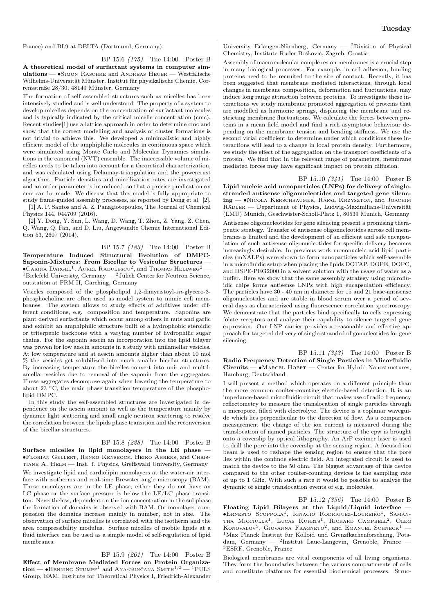France) and BL9 at DELTA (Dortmund, Germany).

BP 15.6 (175) Tue 14:00 Poster B A theoretical model of surfactant systems in computer simulations — ∙Simon Raschke and Andreas Heuer — Westfälische Wilhelms-Universität Münster, Institut für physikalische Chemie, Corrensstraße 28/30, 48149 Münster, Germany

The formation of self assembled structures such as micelles has been intensively studied and is well understood. The property of a system to develop micelles depends on the concentration of surfactant molecules and is typically indicated by the critical micelle concentration (cmc). Recent studies[1] use a lattice approach in order to determine cmc and show that the correct modelling and analysis of cluster formations is not trivial to achieve this. We developed a minimalistic and highly efficient model of the amphiphilic molecules in continuous space which were simulated using Monte Carlo and Molecular Dynamics simulations in the canonical (NVT) ensemble. The inaccessible volume of micelles needs to be taken into account for a theoretical characterization, and was calculated using Delaunay-triangulation and the powercrust algorithm. Particle densities and micellization rates are investigated and an order parameter is introduced, so that a precise predication on cmc can be made. We discuss that this model is fully appropriate to study frame-guided assembly processes, as reported by Dong et al. [2]. [1] A. P. Santos and A. Z. Panagiotopoulos, The Journal of Chemical

Physics 144, 044709 (2016).

[2] Y. Dong, Y. Sun, L. Wang, D. Wang, T. Zhou, Z. Yang, Z. Chen, Q. Wang, Q. Fan, and D. Liu, Angewandte Chemie International Edition 53, 2607 (2014).

BP 15.7 (183) Tue 14:00 Poster B Temperature Induced Structural Evolution of DMPC-Saponin-Mixtures: From Bicellar to Vesicular Structures - $\bullet$ Carina Dargel<sup>1</sup>, Aurel Radulescu<sup>2</sup>, and Thomas Hellweg<sup>2</sup> — <sup>1</sup>Bielefeld University, Germany —  $2$ Jülich Center for Neutron Science, outstation at FRM II, Garching, Germany

Vesicles composed of the phospholipid 1,2-dimyristoyl-sn-glycero-3 phosphocholine are often used as model system to mimic cell membranes. The system allows to study effects of additives under different conditions, e.g. composition and temperature. Saponins are plant derived surfactants which occur among others in nuts and garlic and exhibit an amphiphilic structure built of a hydrophobic steroidic or triterpenic backbone with a varying number of hydrophilic sugar chains. For the saponin aescin an incorporation into the lipid bilayer was proven for low aescin amounts in a study with unilamellar vesicles. At low temperature and at aescin amounts higher than about 10 mol % the vesicles get solubilized into much smaller bicellar structures. By increasing temperature the bicelles convert into uni- and multilamellar vesicles due to removal of the saponin from the aggregates. These aggregates decompose again when lowering the temperature to about 23 <sup>∘</sup>C, the main phase transition temperature of the phospholipid DMPC.

In this study the self-assembled structures are investigated in dependence on the aescin amount as well as the temperature mainly by dynamic light scattering and small angle neutron scattering to resolve the correlation between the lipids phase transition and the reconversion of the bicellar structures.

#### BP 15.8 (228) Tue 14:00 Poster B

Surface micelles in lipid monolayers in the LE phase ∙Florian Gellert, Renko Kensbock, Heiko Ahrens, and Christiane A. Helm — Inst. f. Physics, Greifswald University, Germany We investigate lipid and cardiolipin monolayers at the water-air interface with isotherms and real-time Brewster angle microscopy (BAM). These monolayers are in the LE phase; either they do not have an LC phase or the surface pressure is below the LE/LC phase transiton. Nevertheless, dependent on the ion concentration in the subphase the formation of domains is observed with BAM. On monolayer compression the domains increase mainly in number, not in size. The observation of surface micelles is correlated with the isotherm and the area compressibility modulus. Surface micelles of mobile lipids at a fluid interface can be used as a simple model of self-regulation of lipid membranes.

BP 15.9 (261) Tue 14:00 Poster B

Effect of Membrane Mediated Forces on Protein Organization —  $\bullet$ Henning Stumpf<sup>1</sup> and Ana-Sunčana Smith<sup>1,2</sup> — <sup>1</sup>PULS Group, EAM, Institute for Theoretical Physics I, Friedrich-Alexander

University Erlangen-Nürnberg, Germany  $-$  <sup>2</sup>Division of Physical Chemistry, Institute Ruđer Bošković, Zagreb, Croatia

Assembly of macromolecular complexes on membranes is a crucial step in many biological processes. For example, in cell adhesion, binding proteins need to be recruited to the site of contact. Recently, it has been suggested that membrane mediated interactions, through local changes in membrane composition, deformation and fluctuations, may induce long range attraction between proteins. To investigate these interactions we study membrane promoted aggregation of proteins that are modelled as harmonic springs, displacing the membrane and restricting membrane fluctuations. We calculate the forces between proteins in a mean field model and find a rich asymptotic behaviour depending on the membrane tension and bending stiffness. We use the second virial coefficient to determine under which conditions these interactions will lead to a change in local protein density. Furthermore, we study the effect of the aggregation on the transport coefficients of a protein. We find that in the relevant range of parameters, membrane mediated forces may have significant impact on protein diffusion.

BP 15.10 (341) Tue 14:00 Poster B Lipid nucleic acid nanoparticles (LNPs) for delivery of singlestranded antisense oligonucleotides and targeted gene silencing — ∙Nicola Kerschbaumer, Rafal Krzyszton, and Joachim Rädler — Department of Physics, Ludwig-Maximilians-Universität (LMU) Munich, Geschwister-Scholl-Platz 1, 80539 Munich, Germany Antisense oligonucleotides for gene silencing present a promising therapeutic strategy. Transfer of antisense oligonucleotides across cell membranes is limited and the development of an efficient and safe encapsulation of such antisense oligonucleotides for specific delivery becomes increasingly desirable. In previous work mononucleic acid lipid particles (mNALPs) were shown to form nanoparticles which self-assemble in a microfluidic setup when placing the lipids DOTAP, DOPE, DOPC, and DSPE-PEG2000 in a solvent solution with the usage of water as a buffer. Here we show that the same assembly strategy using microfluidic chips forms antisense LNPs with high encapsulation efficiency. The particles have 30 - 40 nm in diameter for 15 and 21 base-antisense oligonucleotides and are stable in blood serum over a period of several days as characterized using fluorescence correlation spectroscopy. We demonstrate that the particles bind specifically to cells expressing folate receptors and analyze their capability to silence targeted gene expression. Our LNP carrier provides a reasonable and effective approach for targeted delivery of single-stranded oligonucleotides for gene silencing.

BP 15.11 (343) Tue 14:00 Poster B Radio Frequency Detection of Single Particles in Micorfluidic Circuits — • MARCEL HOEFT — Center for Hybrid Nanostructures, Hamburg, Deutschland

I will present a method which operates on a different principle than the more common coulter-counting electric-based detection. It is an impedance-based microfluidic circuit that makes use of radio frequency reflectometry to measure the translocation of single particles through a micropore, filled with electrolyte. The device is a coplanar waveguide which lies perpendicular to the direction of flow. As a comparison measurement the change of the ion current is measured during the translocation of named particles. The structure of the cpw is brought onto a coverslip by optical lithography. An ArF excimer laser is used to drill the pore into the coverslip at the sensing region. A focused ion beam is used to reshape the sensing region to ensure that the pore lies within the confinde electric field. An integrated circuit is used to match the device to the 50 ohm. The biggest advantage of this device compared to the other coulter-counting devices is the sampling rate of up to 1 GHz. With such a rate it would be possible to analyze the dynamic of single translocation events of e.g. molecules.

BP 15.12 (356) Tue 14:00 Poster B Floating Lipid Bilayers at the Liquid/Liquid interface — ∙Ernesto Scoppola<sup>1</sup> , Ignacio Rodriguez-Loureiro<sup>1</sup> , Saman-THA MICCIULLA<sup>1</sup>, LUCAS KUHRTS<sup>1</sup>, RICHARD CAMPBELL<sup>2</sup>, OLEG<br>KONOVALOV<sup>3</sup>, GIOVANNA FRAGNETO<sup>2</sup>, and EMANUEL SCHNECK<sup>1</sup> <sup>1</sup>Max Planck Institut fur Kolloid und Grenzfkachenforschung, Potsdam, Germany — <sup>2</sup> Institut Laue-Langevin, Grenoble, France — <sup>3</sup>ESRF, Grenoble, France

Biological membranes are vital components of all living organisms. They form the boundaries between the various compartments of cells and constitute platforms for essential biochemical processes. Struc-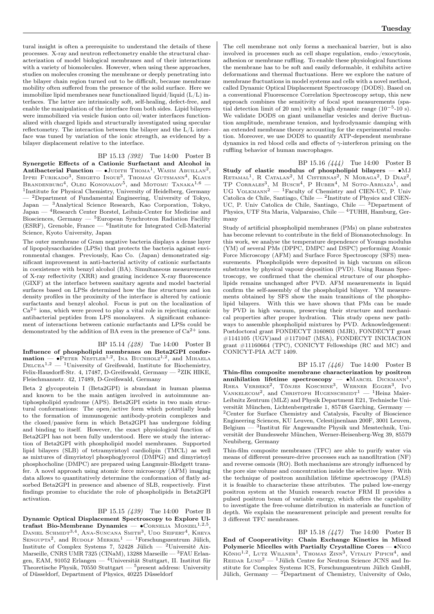tural insight is often a prerequisite to understand the details of these processes. X-ray and neutron reflectometry enable the structural characterization of model biological membranes and of their interactions with a variety of biomolecules. However, when using these approaches, studies on molecules crossing the membrane or deeply penetrating into the bilayer chain region turned out to be difficult, because membrane mobility often suffered from the presence of the solid surface. Here we immobilize lipid membranes near functionalized liquid (liquid  $(L/L)$  interfaces. The latter are intrinsically soft, self-healing, defect-free, and enable the manipulation of the interface from both sides. Lipid bilayers were immobilized via vesicle fusion onto oil/water interfaces functionalized with charged lipids and structurally investigated using specular reflectometry. The interaction between the bilayer and the L/L interface was tuned by variation of the ionic strength, as evidenced by a bilayer displacement relative to the interface.

BP 15.13 (392) Tue 14:00 Poster B Synergetic Effects of a Cationic Surfactant and Alcohol in Antibacterial Function —  $\bullet$ Judith Thoma<sup>1</sup>, Wasim Abuillan<sup>2</sup>, Ippei Furikado<sup>3</sup>, Shigeto Inoue<sup>3</sup>, Thomas Gutsmann<sup>4</sup>, Klaus<br>Brandenburg<sup>4</sup>, Oleg Konovalov<sup>5</sup>, and Motomu Tanaka<sup>1,6</sup> — <sup>1</sup>Institute for Physical Chemistry, University of Heidelberg, Germany

 $-$  <sup>2</sup>Department of Fundamental Engineering, University of Tokyo, Japan — <sup>3</sup>Analytical Science Research, Kao Corporation, Tokyo, Japan — <sup>4</sup>Research Center Borstel, Leibniz-Center for Medicine and Biosciences, Germany —  ${}^{5}$ European Synchrotron Radiation Facility (ESRF), Grenoble, France — <sup>6</sup> Institute for Integrated Cell-Material Science, Kyoto University, Japan

The outer membrane of Gram negative bacteria displays a dense layer of lipopolysaccharides (LPSs) that protects the bacteria against environmental changes. Previously, Kao Co. (Japan) demonstrated significant improvement in anti-bacterial activity of cationic surfactants in coexistence with benzyl alcohol (BA). Simultaneous measurements of X-ray reflectivity (XRR) and grazing incidence X-ray fluorescence (GIXF) at the interface between sanitary agents and model bacterial surfaces based on LPSs determined how the fine structures and ion density profiles in the proximity of the interface is altered by cationic surfactants and benzyl alcohol. Focus is put on the localization of  $Ca<sup>2+</sup>$  ions, which were proved to play a vital role in rejecting cationic antibacterial peptides from LPS monolayers. A significant enhancement of interactions between cationic surfactants and LPSs could be demonstrated by the addition of BA even in the presence of  $Ca^{2+}$  ions.

BP 15.14 (428) Tue 14:00 Poster B Influence of phospholipid membranes on Beta2GPI confor $mation - ePETER Nest, I, INA BUCHHOLZ<sup>1,2</sup>, and MHAELA$  $\text{DECEA}^{1,2}$  — <sup>1</sup>University of Greifswald, Institute for Biochemistry, Felix-Hausdorff-Str. 4, 17487, D-Greifswald, Germany  $-$  <sup>2</sup>ZIK HIKE, Fleischmannstr. 42, 17489, D-Greifswald, Germany

Beta 2 glycoprotein I (Beta2GPI) is abundant in human plasma and known to be the main antigen involved in autoimmune antiphospholipid syndrome (APS). Beta2GPI exists in two main structural conformations: The open/active form which potentially leads to the formation of immunogenic antibody-protein complexes and the closed/passive form in which Beta2GPI has undergone folding and binding to itself. However, the exact physiological function of Beta2GPI has not been fully understood. Here we study the interaction of Beta2GPI with phospholipid model membranes. Supported lipid bilayers (SLB) of tetramyristoyl cardiolipin (TMCL) as well as mixtures of dimyristoyl phosphoglycerol (DMPG) and dimyristoyl phosphocholine (DMPC) are prepared using Langmuir-Blodgett transfer. A novel approach using atomic force microscopy (AFM) imaging data allows to quantitatively determine the conformation of flatly adsorbed Beta2GPI in presence and absence of SLB, respectively. First findings promise to elucidate the role of phospholipids in Beta2GPI activation.

#### BP 15.15 (439) Tue 14:00 Poster B

Dynamic Optical Displacement Spectroscopy to Explore Ultrafast Bio-Membrane Dynamics —  $\bullet$ Cornelia Monzel<sup>1,2,5</sup>, Daniel Schmidt<sup>3,4</sup>, Ana-Suncana Smith<sup>3</sup>, Udo Seifert<sup>4</sup>, Kheya SENGUPTA<sup>2</sup>, and RUDOLF MERKEL<sup>1</sup> — <sup>1</sup>Forschungszentrum Jülich, Institute of Complex Systems 7, 52428 Jülich — <sup>2</sup>Université Aix-Marseille, CNRS UMR 7325 (CINaM), 13288 Marseille —  ${}^{3}\text{FAU}$  Erlangen, EAM, 91052 Erlangen — <sup>4</sup>Universität Stuttgart, II. Institut für Theoretische Physik,  $70\overline{5}50$  Stuttgart —  $^5$ present address: University of Düsseldorf, Department of Physics, 40225 Düsseldorf

The cell membrane not only forms a mechanical barrier, but is also involved in processes such as cell shape regulation, endo-/exocytosis, adhesion or membrane ruffling. To enable these physiological functions the membrane has to be soft and easily deformable, it exhibits active deformations and thermal fluctuations. Here we explore the nature of membrane fluctuations in model systems and cells with a novel method, called Dynamic Optical Displacement Spectroscopy (DODS). Based on a conventional Fluorescence Correlation Spectroscopy setup, this new approach combines the sensitivity of focal spot measurements (spatial detection limit of 20 nm) with a high dynamic range  $(10^{-5}$ -10 s). We validate DODS on giant unilamellar vesicles and derive fluctuation amplitude, membrane tension, and hydrodynamic damping with an extended membrane theory accounting for the experimental resolution. Moreover, we use DODS to quantify ATP-dependent membrane dynamics in red blood cells and effects of  $\gamma$ -interferon priming on the ruffling behavior of human macrophages.

BP 15.16 (444) Tue 14:00 Poster B Study of elastic modulus of phospholipid bilayers — ∙MJ RETAMAL<sup>1</sup>, R CATALAN<sup>2</sup>, M CISTERNAS<sup>2</sup>, N MORAGA<sup>2</sup>, D DIAZ<sup>2</sup>, TP CORRALES<sup>3</sup>, M BUSCH<sup>4</sup>, P HUBER<sup>4</sup>, M SOTO-ARRIAZA<sup>1</sup>, and UG VOLKMANN<sup>2</sup> — <sup>1</sup>Faculty of Chemistry and CIEN-UC, P. Univ Catolica de Chile, Santiago, Chile — <sup>2</sup> Institute of Physics and CIEN-UC, P. Univ Catolica de Chile, Santiago, Chile — <sup>3</sup>Department of Physics, UTF Sta Maria, Valparaiso, Chile — <sup>4</sup>TUHH, Hamburg, Germany

Study of artificial phospholipid membranes (PMs) on plane substrates has become relevant to contribute in the field of Bionanotechnology. In this work, we analyse the temperature dependence of Youngs modulus (YM) of several PMs (DPPC, DMPC and DSPC) performing Atomic Force Microscopy (AFM) and Surface Force Spectroscopy (SFS) measurements. Phospholipids were deposited in high vacuum on silicon substrates by physical vapour deposition (PVD). Using Raman Spectroscopy, we confirmed that the chemical structure of our phospholipids remains unchanged after PVD. AFM measurements in liquid confirm the self-assembly of the phospholipid bilayer. YM measurements obtained by SFS show the main transitions of the phospholipid bilayers. With this we have shown that PMs can be made by PVD in high vacuum, preserving their structure and mechanical properties after proper hydration. This study opens new pathways to assemble phospholipid mixtures by PVD. Acknowledgement: Postdoctoral grant FONDECYT 3160803 (MJR), FONDECYT grant  $\#1141105$  (UGV)and  $\#1171047$  (MSA), FONDECYT INICIACION grant #11160664 (TPC), CONICYT Fellowships (RC and MC) and CONICYT-PIA ACT 1409.

BP 15.17 (446) Tue 14:00 Poster B Thin-film composite membrane characterization by positron annihilation lifetime spectroscopy —  $\bullet$ MARCEL DICKMANN<sup>1</sup> RHEA VERBEKE<sup>2</sup>, TÖNJES KOSCHINE<sup>3</sup>, WERNER EGGER<sup>3</sup>, IVO VANKELECOM<sup>2</sup>, and CHRISTOPH HUGENSCHMIDT<sup>1</sup> - <sup>1</sup>Heinz Maier-Leibnitz Zentrum (MLZ) and Physik Department E21, Technische Universität München, Lichtenbergstraße 1, 85748 Garching, Germany — <sup>2</sup>Center for Surface Chemistry and Catalysis, Faculty of Bioscience Engineering Sciences, KU Leuven, Celestijnenlaan 200F, 3001 Leuven, Belgium — <sup>3</sup> Institut für Angewandte Physik und Messtechnik, Universität der Bundeswehr München, Werner-Heisenberg-Weg 39, 85579 Neubiberg, Germany

Thin-film composite membranes (TFC) are able to purify water via means of different pressure-drive processes such as nanofiltration (NF) and reverse osmosis (RO). Both mechanisms are strongly influenced by the pore size volume and concentration inside the selective layer. With the technique of positron annihilation lifetime spectroscopy (PALS) it is feasible to characterize these attributes. The pulsed low-energy positron system at the Munich research reactor FRM II provides a pulsed positron beam of variable energy, which offers the capability to investigate the free-volume distribution in materials as function of depth. We explain the measurement principle and present results for 3 different TFC membranes.

BP 15.18 (447) Tue 14:00 Poster B End of Cooperativity: Chain Exchange Kinetics in Mixed Polymeric Micelles with Partially Crystalline Cores — ∙Nico König<sup>1,2</sup>, Lutz Willner<sup>1</sup>, Thomas ZINN<sup>3</sup>, VITALIY PIPICH<sup>4</sup>, and Reidar Lund<sup>2</sup> — <sup>1</sup>Jülich Centre for Neutron Science JCNS and Institute for Complex Systems ICS, Forschungszentrum Jülich GmbH, Jülich, Germany — <sup>2</sup>Department of Chemistry, University of Oslo,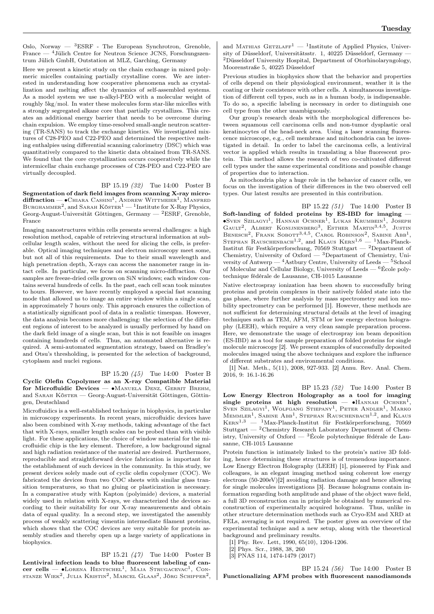Oslo, Norway  $-$  <sup>3</sup>ESRF - The European Synchrotron, Grenoble, France — <sup>4</sup>Jülich Centre for Neutron Science JCNS, Forschungszentrum Jülich GmbH, Outstation at MLZ, Garching, Germany

Here we present a kinetic study on the chain exchange in mixed polymeric micelles containing partially crystalline cores. We are interested in understanding how cooperative phenomena such as crystallization and melting affect the dynamics of self-assembled systems. As a model system we use n-alkyl-PEO with a molecular weight of roughly 5kg/mol. In water these molecules form star-like micelles with a strongly segregated alkane core that partially crystallizes. This creates an additional energy barrier that needs to be overcome during chain expulsion. We employ time-resolved small-angle neutron scattering (TR-SANS) to track the exchange kinetics. We investigated mixtures of C28-PEO and C22-PEO and determined the respective melting enthalpies using differential scanning calorimetry (DSC) which was quantitatively compared to the kinetic data obtained from TR-SANS. We found that the core crystallization occurs cooperatively while the intermicellar chain exchange processes of C28-PEO and C22-PEO are virtually decoupled.

BP 15.19 (32) Tue 14:00 Poster B Segmentation of dark field images from scanning X-ray micro- $\operatorname{diffraction} - \bullet$ Chiara Cassini<sup>1</sup>, Andrew Wittmeier<sup>1</sup>, Manfred Burghammer<sup>2</sup>, and Sarah Köster<sup>1</sup> — <sup>1</sup>Institute for X-Ray Physics, Georg-August-Universität Göttingen, Germany — <sup>2</sup>ESRF, Grenoble, France

Imaging nanostructures within cells presents several challenges: a high resolution method, capable of retrieving structural information at subcellular length scales, without the need for slicing the cells, is preferable. Optical imaging techniques and electron microscopy meet some, but not all of this requirements. Due to their small wavelength and high penetration depth, X-rays can access the nanometer range in intact cells. In particular, we focus on scanning micro-diffraction. Our samples are freeze-dried cells grown on SiN windows; each window contains several hundreds of cells. In the past, each cell scan took minutes to hours. However, we have recently employed a special fast scanning mode that allowed us to image an entire window within a single scan, in approximately 7 hours only. This approach ensures the collection of a statistically significant pool of data in a realistic timespan. However, the data analysis becomes more challenging: the selection of the different regions of interest to be analyzed is usually performed by hand on the dark field image of a single scan, but this is not feasible on images containing hundreds of cells. Thus, an automated alternative is required. A semi-automated segmentation strategy, based on Bradley's and Otsu's thresholding, is presented for the selection of background, cytoplasm and nuclei regions.

BP 15.20 (45) Tue 14:00 Poster B Cyclic Olefin Copolymer as an X-ray Compatible Material for Microfluidic Devices — • MANUELA DENZ, GERRIT BREHM, and Sarah Köster — Georg-August-Universität Göttingen, Göttingen, Deutschland

Microfluidics is a well-established technique in biophysics, in particular in microscopy experiments. In recent years, microfluidic devices have also been combined with X-ray methods, taking advantage of the fact that with X-rays, smaller length scales can be probed than with visible light. For these applications, the choice of window material for the microfluidic chip is the key element. Therefore, a low background signal and high radiation resistance of the material are desired. Furthermore, reproducible and straightforward device fabrication is important for the establishment of such devices in the community. In this study, we present devices solely made out of cyclic olefin copolymer (COC). We fabricated the devices from two COC sheets with similar glass transition temperatures, so that no gluing or plasticization is necessary. In a comparative study with Kapton (polyimide) devices, a material widely used in relation with X-rays, we characterized the devices according to their suitability for our X-ray measurements and obtain data of equal quality. In a second step, we investigated the assembly process of weakly scattering vimentin intermediate filament proteins, which shows that the COC devices are very suitable for protein assembly studies and thereby open up a large variety of applications in biophysics.

BP 15.21 (47) Tue 14:00 Poster B Lentiviral infection leads to blue fluorescent labeling of can- $\text{cer cells} \longrightarrow \text{Lorena Hentschel}^1$ , Maja Strugacevac<sup>1</sup>, Constanze Wiek<sup>2</sup>, Julia Kristin<sup>2</sup>, Marcel Glaas<sup>2</sup>, Jörg Schipper<sup>2</sup>,

and MATHIAS  $GETZLAFF<sup>1</sup>$  — <sup>1</sup>Institute of Applied Physics, University of Düsseldorf, Universitätsstr. 1, 40225 Düsseldorf, Germany — <sup>2</sup>Düsseldorf University Hospital, Department of Otorhinolaryngology, Moorenstraße 5, 40225 Düsseldorf

Previous studies in biophysics show that the behavior and properties of cells depend on their physiological environment, weather it is the coating or their coexistence with other cells. A simultaneous investigation of different cell types, such as in a human body, is indispensable. To do so, a specific labeling is necessary in order to distinguish one cell type from the other unambiguously.

Our group's research deals with the morphological differences between squamous cell carcinoma cells and non-tumor dysplastic oral keratinocytes of the head-neck area. Using a laser scanning fluorescence microscope, e.g., cell membrane and mitochondria can be investigated in detail. In order to label the carcinoma cells, a lentiviral vector is applied which results in translating a blue fluorescent protein. This method allows the research of two co-cultivated different cell types under the same experimental conditions and possible change of properties due to interaction.

As mitochondria play a huge role in the behavior of cancer cells, we focus on the investigation of their differences in the two observed cell types. Our latest results are presented in this contribution.

BP 15.22 (51) Tue 14:00 Poster B Soft-landing of folded proteins by ES-IBD for imaging — ∙Sven Szilagyi<sup>1</sup> , Hannah Ochner<sup>1</sup> , Lukas Krumbein<sup>1</sup> , Joseph GAULT<sup>2</sup>, ALBERT KONIJNENBERG<sup>3</sup>, ESTHER MARTIN<sup>3,4,5</sup>, JUSTIN BENESCH<sup>2</sup>, FRANK SOBOTT<sup>3,4,5</sup>, CAROL ROBINSON<sup>2</sup>, SABINE ABB<sup>1</sup>, STEPHAN RAUSCHENBACH<sup>1,2</sup>, and KLAUS KERN<sup>1,6</sup> - <sup>1</sup>Max-Planck-Institut für Festkörperforschung, 70569 Stuttgart — <sup>2</sup>Department of Chemistry, University of Oxford —  ${}^{3}$ Department of Chemistry, University of Antwerp —  $4$ Astbury Centre, University of Leeds —  $5$ School of Molecular and Cellular Biology, University of Leeds —  $^6$ École polytechnique fédérale de Lausanne, CH-1015 Lausanne

Native electrospray ionization has been shown to successfully bring proteins and protein complexes in their natively folded state into the gas phase, where further analysis by mass spectrometry and ion mobility spectrometry can be performed [1]. However, these methods are not sufficient for determining structural details at the level of imaging techniques such as TEM, AFM, STM or low energy electron holography (LEEH), which require a very clean sample preparation process. Here, we demonstrate the usage of electrospray ion beam deposition (ES-IBD) as a tool for sample preparation of folded proteins for single molecule microscopy [2]. We present examples of successfully deposited molecules imaged using the above techniques and explore the influence of different substrates and environmental conditions.

[1] Nat. Meth., 5(11), 2008, 927-933. [2] Annu. Rev. Anal. Chem. 2016, 9: 16.1-16.26

BP 15.23 (52) Tue 14:00 Poster B Low Energy Electron Holography as a tool for imaging single proteins at high resolution —  $\bullet$ HANNAH OCHNER<sup>1</sup>, SVEN SZILAGYI<sup>1</sup>, WOLFGANG STIEPANY<sup>1</sup>, PETER ANDLER<sup>1</sup>, MARKO  $MEMMERR<sup>1</sup>$ , SABINE ABB<sup>1</sup>, STEPHAN RAUSCHENBACH<sup>1,2</sup>, and KLAUS Kern1,<sup>3</sup> — <sup>1</sup>Max-Planck-Institut für Festkörperforschung, 70569 Stuttgart — <sup>2</sup>Chemistry Research Laboratory Department of Chemistry, University of Oxford — <sup>3</sup>École polytechnique fédérale de Lausanne, CH-1015 Lausanne

Protein function is intimately linked to the protein's native 3D folding, hence determining these structures is of tremendous importance. Low Energy Electron Holography (LEEH) [1], pioneered by Fink and colleagues, is an elegant imaging method using coherent low energy electrons (50-200eV)[2] avoiding radiation damage and hence allowing for single molecules investigations [3]. Because holograms contain information regarding both amplitude and phase of the object wave field, a full 3D reconstruction can in principle be obtained by numerical reconstruction of experimentally acquired holograms. Thus, unlike in other structure determination methods such as Cryo-EM and XRD at FELs, averaging is not required. The poster gives an overview of the experimental technique and a new setup, along with the theoretical background and preliminary results.

[1] Phy. Rev. Lett, 1990, 65(10), 1204-1206.

[2] Phys. Scr., 1988, 38, 260

[3] PNAS 114, 1474-1479 (2017)

BP 15.24 (56) Tue 14:00 Poster B Functionalizing AFM probes with fluorescent nanodiamonds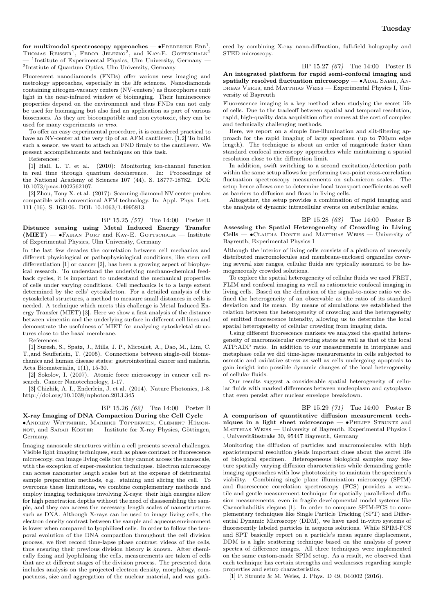for multimodal spectroscopy approaches —  $\bullet$ Frederike Erb $^1,$ THOMAS REISSER<sup>1</sup>, FEDOR JELEZKO<sup>2</sup>, and KAY-E. GOTTSCHALK<sup>1</sup>  $-$  <sup>1</sup>Institute of Experimental Physics, Ulm University, Germany  $-$ 2 Intstiute of Quantum Optics, Ulm University, Germany

Fluorescent nanodiamonds (FNDs) offer various new imaging and metrology approaches, especially in the life sciences. Nanodiamonds containing nitrogen-vacancy centers (NV-centers) as fluorophores emit light in the near-infrared window of bioimaging. Their luminescence properties depend on the environment and thus FNDs can not only be used for bioimaging but also find an application as part of various biosensors. As they are biocompatible and non cytotoxic, they can be used for many experiments in vivo.

To offer an easy experimental procedure, it is considered practical to have an NV-center at the very tip of an AFM cantilever. [1,2] To build such a sensor, we want to attach an FND firmly to the cantilever. We present accomplishments and techniques on this task.

References:

[1] Hall, L. T. et al. (2010): Monitoring ion-channel function in real time through quantum decoherence. In: Proceedings of the National Academy of Sciences 107 (44), S. 18777-18782. DOI: 10.1073/pnas.1002562107.

[2] Zhou, Tony X. et al. (2017): Scanning diamond NV center probes compatible with conventional AFM technology. In: Appl. Phys. Lett. 111 (16), S. 163106. DOI: 10.1063/1.4995813.

BP 15.25 (57) Tue 14:00 Poster B Distance sensing using Metal Induced Energy Transfer  $(MIET)$  —  $\bullet$ FABIAN PORT and KAY-E. GOTTSCHALK — Institute of Experimental Physics, Ulm University, Germany

In the last few decades the correlation between cell mechanics and different physiological or pathophysiological conditions, like stem cell differentiation [1] or cancer [2], has been a growing aspect of biophysical research. To understand the underlying mechano-chemical feedback cycles, it is important to understand the mechanical properties of cells under varying conditions. Cell mechanics is to a large extent determined by the cells' cytoskeleton. For a detailed analysis of the cytoskeletal structures, a method to measure small distances in cells is needed. A technique which meets this challenge is Metal Induced Energy Transfer (MIET) [3]. Here we show a first analysis of the distance between vimentin and the underlying surface in different cell lines and demonstrate the usefulness of MIET for analyzing cytoskeletal structures close to the basal membrane.

References:

[1] Suresh, S., Spatz, J., Mills, J. P., Micoulet, A., Dao, M., Lim, C. T.,and Seufferlein, T. (2005). Connections between single-cell biomechanics and human disease states: gastrointestinal cancer and malaria. Acta Biomaterialia, 1(1), 15-30.

[2] Sokolov, I. (2007). Atomic force microscopy in cancer cell research. Cancer Nanotechnology, 1-17.

[3] Chizhik, A. I., Enderlein, J. et al. (2014). Nature Photonics, 1-8. http://doi.org/10.1038/nphoton.2013.345

BP 15.26 (62) Tue 14:00 Poster B

X-ray Imaging of DNA Compaction During the Cell Cycle — ∙Andrew Wittmeier, Mareike Töpperwien, Clément Hémon-NOT, and SARAH KÖSTER — Institute for X-ray Physics, Göttingen, Germany.

Imaging nanoscale structures within a cell presents several challenges. Visible light imaging techniques, such as phase contrast or fluorescence microscopy, can image living cells but they cannot access the nanoscale, with the exception of super-resolution techniques. Electron microscopy can access nanometer length scales but at the expense of detrimental sample preparation methods, e.g. staining and slicing the cell. To overcome these limitations, we combine complementary methods and employ imaging techniques involving X-rays: their high energies allow for high penetration depths without the need of disassembling the sample, and they can access the necessary length scales of nanostructures such as DNA. Although X-rays can be used to image living cells, the electron density contrast between the sample and aqueous environment is lower when compared to lyophilized cells. In order to follow the temporal evolution of the DNA compaction throughout the cell division process, we first record time-lapse phase contrast videos of the cells, thus ensuring their previous division history is known. After chemically fixing and lyophilizing the cells, measurements are taken of cells that are at different stages of the division process. The presented data includes analysis on the projected electron density, morphology, compactness, size and aggregation of the nuclear material, and was gathered by combining X-ray nano-diffraction, full-field holography and STED microscopy.

BP 15.27 (67) Tue 14:00 Poster B An integrated platform for rapid semi-confocal imaging and spatially resolved fluctuation microscopy —  $\bullet$ ADAL SABRI, ANdreas Veres, and Matthias Weiss — Experimental Physics I, University of Bayreuth

Fluorescence imaging is a key method when studying the secret life of cells. Due to the tradeoff between spatial and temporal resolution, rapid, high-quality data acquisition often comes at the cost of complex and technically challenging methods.

Here, we report on a simple line-illumination and slit-filtering approach for the rapid imaging of large specimen (up to  $700 \mu m$  edge length). The technique is about an order of magnitude faster than standard confocal microscopy approaches while maintaining a spatial resolution close to the diffraction limit.

In addition, swift switching to a second excitation/detection path within the same setup allows for performing two-point cross-correlation fluctuation spectroscopy measurements on sub-micron scales. The setup hence allows one to determine local transport coefficients as well as barriers to diffusion and flows in living cells.

Altogether, the setup provides a combination of rapid imaging and the analysis of dynamic intracellular events on subcellular scales.

BP 15.28 (68) Tue 14:00 Poster B Assessing the Spatial Heterogeneity of Crowding in Living Cells — ∙Claudia Donth and Matthias Weiss — University of Bayreuth, Experimental Physics I

Although the interior of living cells consists of a plethora of unevenly distributed macromolecules and membrane-enclosed organelles covering several size ranges, cellular fluids are typically assumed to be homogeneously crowded solutions.

To explore the spatial heterogeneity of cellular fluids we used FRET, FLIM and confocal imaging as well as ratiometric confocal imaging in living cells. Based on the definition of the signal-to-noise ratio we defined the heterogeneity of an observable as the ratio of its standard deviation and its mean. By means of simulations we established the relation between the heterogeneity of crowding and the heterogeneity of emitted fluorescence intensity, allowing us to determine the local spatial heterogeneity of cellular crowding from imaging data.

Using different fluorescence markers we analyzed the spatial heterogeneity of macromolecular crowding states as well as that of the local ATP:ADP ratio. In addition to our measurements in interphase and metaphase cells we did time-lapse measurements in cells subjected to osmotic and oxidative stress as well as cells undergoing apoptosis to gain insight into possible dynamic changes of the local heterogeneity of cellular fluids.

Our results suggest a considerable spatial heterogeneity of cellular fluids with marked differences between nucleoplasm and cytoplasm that even persist after nuclear envelope breakdown.

BP 15.29 (71) Tue 14:00 Poster B A comparison of quantitative diffusion measurement techniques in a light sheet microscope — •PHILIPP STRUNTZ and MATTHIAS WEISS — University of Bayreuth, Experimental Physics I , Universitätsstraße 30, 95447 Bayreuth, Germany

Monitoring the diffusion of particles and macromolecules with high spatiotemporal resolution yields important clues about the secret life of biological specimen. Heterogeneous biological samples may feature spatially varying diffusion characteristics while demanding gentle imaging approaches with low phototoxicity to maintain the specimen's viability. Combining single plane illumination microscopy (SPIM) and fluorescence correlation spectroscopy (FCS) provides a versatile and gentle measurement technique for spatially parallelized diffusion measurements, even in fragile developmental model systems like Caenorhabditis elegans [1]. In order to compare SPIM-FCS to complementary techniques like Single Particle Tracking (SPT) and Differential Dynamic Microscopy (DDM), we have used in-vitro systems of fluorescently labeled particles in aequous solutions. While SPIM-FCS and SPT basically report on a particle's mean square displacement, DDM is a light scattering technique based on the analysis of power spectra of difference images. All three techniques were implemented on the same custom-made SPIM setup. As a result, we observed that each technique has certain strengths and weaknesses regarding sample properties and setup characteristics.

[1] P. Struntz & M. Weiss, J. Phys. D 49, 044002 (2016).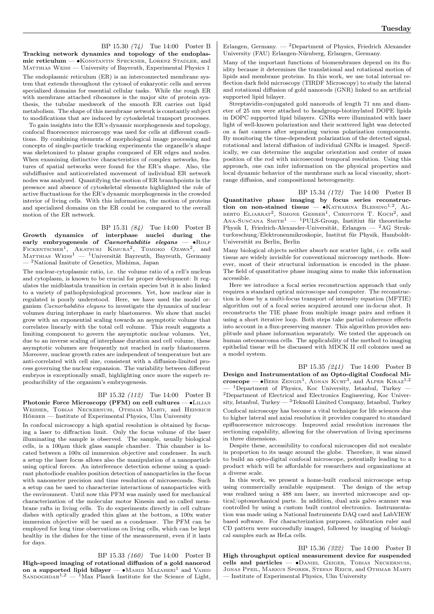BP 15.30 (74) Tue 14:00 Poster B Tracking network dynamics and topology of the endoplasmic reticulum — • KONSTANTIN SPECKNER, LORENZ STADLER, and  $\textsc{Matr}$  Weiss — University of Bayreuth, Experimental Physics 1 The endoplasmic reticulum (ER) is an interconnected membrane system that extends throughout the cytosol of eukaryotic cells and serves

specialized domains for essential cellular tasks. While the rough ER with membrane attached ribosomes is the major site of protein synthesis, the tubular meshwork of the smooth ER carries out lipid metabolism. The shape of this membrane network is constantly subject to modifications that are induced by cytoskeletal transport processes.

To gain insights into the ER's dynamic morphogenesis and topology, confocal fluorescence microscopy was used for cells at different conditions. By combining elements of morphological image processing and concepts of single-particle tracking experiments the organelle's shape was skeletonized to planar graphs composed of ER edges and nodes. When examining distinctive characteristics of complex networks, features of spatial networks were found for the ER's shape. Also, the subdiffusive and anticorrelated movement of individual ER network nodes was analyzed. Quantifying the motion of ER branchpoints in the presence and absence of cytoskeletal elements highlighted the role of active fluctuations for the ER's dynamic morphogenesis in the crowded interior of living cells. With this information, the motion of proteins and specialized domains on the ER could be compared to the overall motion of the ER network.

BP 15.31 (84) Tue 14:00 Poster B Growth dynamics of interphase nuclei during the early embryogenesis of *Caenorhabditis elegans* —  $\bullet$ ROLF FICKENTSCHER<sup>1</sup>, AKATSUKI KIMURA<sup>2</sup>, TOMOKO OZAWA<sup>2</sup>, and MATTHIAS WEISS<sup>1</sup> — <sup>1</sup>Universität Bayreuth, Bayreuth, Germany  $-$ <sup>2</sup>National Insitute of Genetics, Mishima, Japan

The nuclear-cytoplasmic ratio, i.e. the volume ratio of a cell's nucleus and cytoplasm, is known to be crucial for proper development: It regulates the midblastula transition in certain species but it is also linked to a variety of pathophysiological processes. Yet, how nuclear size is regulated is poorly understood. Here, we have used the model organism Caenorhabditis elegans to investigate the dynamics of nuclear volumes during interphase in early blastomeres. We show that nuclei grow with an exponential scaling towards an asymptotic volume that correlates linearly with the total cell volume. This result suggests a limiting component to govern the asymptotic nuclear volumes. Yet, due to an inverse scaling of interphase duration and cell volume, these asymptotic volumes are frequently not reached in early blastomeres. Moreover, nuclear growth rates are independent of temperature but are anti-correlated with cell size, consistent with a diffusion-limited process governing the nuclear expansion. The variability between different embryos is exceptionally small, highlighting once more the superb reproducibility of the organism's embryogenesis.

BP 15.32 (112) Tue 14:00 Poster B Photonic Force Microscopy (PFM) on cell cultures — •LILIAN Weißer, Tobias Neckernuss, Othmar Marti, and Heinrich HÖRBER — Institute of Experimental Physics, Ulm University

In confocal microscopy a high spatial resolution is obtained by focusing a laser to diffraction limit. Only the focus volume of the laser illuminating the sample is observed. The sample, usually biological cells, is a  $100\mu m$  thick glass sample chamber. This chamber is located between a 100x oil immersion objective and condenser. In such a setup the laser focus allows also the manipulation of a nanoparticle using optical forces. An interference detection scheme using a quadrant photodiode enables position detection of nanoparticles in the focus with nanometer precision and time resolution of microseconds. Such a setup can be used to characterize interactions of nanoparticles with the environment. Until now this PFM was mainly used for mechanical characterization of the molecular motor Kinesin and so called membrane rafts in living cells. To do experiments directly in cell culture dishes with optically graded thin glass at the bottom, a 100x water immersion objective will be used as a condensor. The PFM can be employed for long time observations on living cells, which can be kept healthy in the dishes for the time of the measurement, even if it lasts for days.

BP 15.33 (160) Tue 14:00 Poster B High-speed imaging of rotational diffusion of a gold nanorod on a supported lipid bilayer — • MAHDI MAZAHERI<sup>1</sup> and VAHID SANDOGHDAR<sup>1,2</sup> — <sup>1</sup>Max Planck Institute for the Science of Light, Erlangen, Germany.  $-$  <sup>2</sup>Department of Physics, Friedrich Alexander University (FAU) Erlangen-Nürnberg, Erlangen, Germany.

Many of the important functions of biomembranes depend on its fluidity because it determines the translational and rotational motion of lipids and membrane proteins. In this work, we use total internal reflection dark field microscopy (TIRDF Microscopy) to study the lateral and rotational diffusion of gold nanorods (GNR) linked to an artificial supported lipid bilayer.

Streptavidin-conjugated gold nanorods of length 71 nm and diameter of 25 nm were attached to headgroup-biotinylated DOPE lipids in DOPC supported lipid bilayers. GNRs were illuminated with laser light of well-known polarization and their scattered light was detected on a fast camera after separating various polarization components. By monitoring the time-dependent polarization of the detected signal, rotational and lateral diffusion of individual GNRs is imaged. Specifically, we can determine the angular orientation and center of mass position of the rod with microsecond temporal resolution. Using this approach, one can infer information on the physical properties and local dynamic behavior of the membrane such as local viscosity, shortrange diffusion, and compositional heterogeneity.

BP 15.34 (172) Tue 14:00 Poster B Quantitative phase imaging by focus series reconstruction on non-stained tissue — •KATHARINA BLESSING<sup>1,2</sup>, AL-BERTO ELJARRAT<sup>2</sup>, SIMONE GEHRER<sup>1</sup>, CHRISTOPH T. KOCH<sup>2</sup>, and ANA-SUNČANA SMITH<sup>1</sup> — <sup>1</sup>PULS-Group, Institiut für theoretische Physik I, Friedrich-Alexander-Universität, Erlangen — <sup>2</sup>AG Strukturforschung/Elektronenmikroskopie, Institut für Physik, Humboldt-Universität zu Berlin, Berlin

Many biological objects neither absorb nor scatter light, i.e. cells and tissue are widely invisible for conventional microscopy methods. However, most of their structural information is encoded in the phase. The field of quantitative phase imaging aims to make this information accessible.

Here we introduce a focal series reconstruction approach that only requires a standard optical microscope and computer. The reconstruction is done by a multi-focus transport of intensity equation (MFTIE) algorithm out of a focal series acquired around one in-focus shot. It reconstructs the TIE phase from multiple image pairs and refines it using a short iterative loop. Both steps take partial coherence effects into account in a flux-preserving manner. This algorithm provides amplitude and phase information separately. We tested the approach on human osteosarcoma cells. The applicability of the method to imaging epithelial tissue will be discussed with MDCK II cell colonies used as a model system.

BP 15.35 (241) Tue 14:00 Poster B Design and Instrumentation of an Opto-digital Confocal Microscope —  $\bullet$ BERK ZENGIN<sup>1</sup>, ADNAN KURT<sup>3</sup>, and ALPER KIRAZ<sup>1,2</sup> <sup>1</sup>Department of Physics, Koc University, Istanbul, Turkey — <sup>2</sup>Department of Electrical and Electronics Engineering, Koc University, Istanbul, Turkey — <sup>3</sup>Teknofil Limited Company, Istanbul, Turkey Confocal microscopy has become a vital technique for life sciences due to higher lateral and axial resolution it provides compared to standard epifluorescence microscopy. Improved axial resolution increases the sectioning capability, allowing for the observation of living specimens in three dimensions.

Despite these, accessibility to confocal microscopes did not escalate in proportion to its usage around the globe. Therefore, it was aimed to build an opto-digital confocal microscope, potentially leading to a product which will be affordable for researchers and organizations at a diverse scale.

In this work, we present a home-built confocal microscope setup using commercially available equipment. The design of the setup was realized using a 488 nm laser, an inverted microscope and optical/optomechanical parts. In addition, dual axis galvo scanner was controlled by using a custom built control electronics. Instrumentation was made using a National Instruments DAQ card and LabVIEW based software. For characterization purposes, calibration ruler and CD pattern were successfully imaged, followed by imaging of biological samples such as HeLa cells.

BP 15.36 (322) Tue 14:00 Poster B High throughput optical measurement device for suspended cells and particles — ∙Daniel Geiger, Tobias Neckernuss, JONAS PFEIL, MARKUS SPORER, STEFAN REICH, and OTHMAR MARTI — Institute of Experimental Physics, Ulm University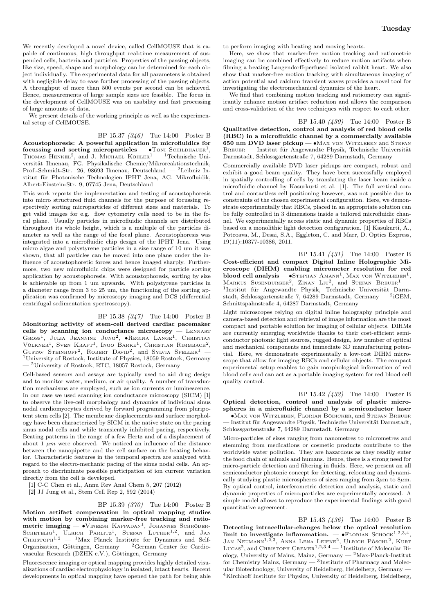We recently developed a novel device, called CellMOUSE that is capable of continuous, high throughput real-time measurement of suspended cells, bacteria and particles. Properties of the passing objects, like size, speed, shape and morphology can be determined for each object individually. The experimental data for all parameters is obtained with negligible delay to ease further processing of the passing objects. A throughput of more than 500 events per second can be achieved. Hence, measurements of large sample sizes are feasible. The focus in the development of CellMOUSE was on usability and fast processing of large amounts of data.

We present details of the working principle as well as the experimental setup of CellMOUSE.

BP 15.37 (346) Tue 14:00 Poster B Acoustophoresis: A powerful application in microfluidics for focussing and sorting microparticles —  $\bullet$ Toni Schildhauer,<sup>1</sup>, THOMAS HENKEL<sup>2</sup>, and J. MICHAEL KÖHLER<sup>1</sup> — <sup>1</sup>Technische Universität Ilmenau, FG. Physikalische Chemie/Mikroreaktionstechnik, Prof.-Schmidt-Str. 26, 98693 Ilmenau, Deutschland — <sup>2</sup>Leibniz Institut für Photonische Technologien IPHT Jena, AG. Mikrofluidik, Albert-Einstein-Str. 9, 07745 Jena, Deutschland

This work reports the implementation and testing of acoustophoresis into micro structured fluid channels for the purpose of focussing respectively sorting microparticles of different sizes and materials. To get valid images for e.g. flow cytometry cells need to be in the focal plane. Usually particles in microfluidic channels are distributed throughout its whole height, which is a multiple of the particles diameter as well as the range of the focal plane. Acoustophoresis was integrated into a microfluidic chip design of the IPHT Jena. Using micro algae and polystyrene particles in a size range of 10 um it was shown, that all particles can be moved into one plane under the influence of acoustophoretic forces and hence imaged sharply. Furthermore, two new microfluidic chips were designed for particle sorting application by acoustophoresis. With acoustophoresis, sorting by size is achievable up from 1 um upwards. With polystyrene particles in a diameter range from 3 to 25 um, the functioning of the sorting application was confirmed by microscopy imaging and DCS (differential centrifugal sedimentation spectroscopy).

BP 15.38 (347) Tue 14:00 Poster B Monitoring activity of stem-cell derived cardiac pacemaker cells by scanning ion conductance microscopy — Lennart Gross<sup>1</sup>, Julia Jeannine Jung<sup>2</sup>, •Regina Lange<sup>1</sup>, Christian Völkner<sup>1</sup>, Sven Kraft<sup>1</sup>, Ingo Barke<sup>1</sup>, Christian Rimmbach<sup>2</sup>, GUSTAV STEINHOFF<sup>2</sup>, ROBERT DAVID<sup>2</sup>, and SYLVIA SPELLER<sup>1</sup> – <sup>1</sup>University of Rostock, Institute of Physics, 18059 Rostock, Germany — <sup>2</sup>University of Rostock, RTC, 18057 Rostock, Germany

Cell-based sensors and assays are typically used to aid drug design and to monitor water, medium, or air quality. A number of transduction mechanisms are employed, such as ion currents or luminescence. In our case we used scanning ion conductance microscopy (SICM) [1] to observe the live-cell morphology and dynamics of individual sinus nodal cardiomyocytes derived by forward programming from pluripotent stem cells [2]. The membrane displacements and surface morphology have been characterized by SICM in the native state on the pacing sinus nodal cells and while transiently inhibited pacing, respectively. Beating patterns in the range of a few Hertz and of a displacement of about 1  $\mu$ m were observed. We noticed an influence of the distance between the nanopipette and the cell surface on the beating behavior. Characteristic features in the temporal spectra are analyzed with regard to the electro-mechanic pacing of the sinus nodal cells. An approach to discriminate possible participation of ion current variation directly from the cell is developed.

[1] C-C Chen et al., Annu Rev Anal Chem 5, 207 (2012)

[2] JJ Jung et al., Stem Cell Rep 2, 592 (2014)

### BP 15.39 (370) Tue 14:00 Poster B

Motion artifact compensation in optical mapping studies with motion by combining marker-free tracking and ratiometric imaging — •Vineesh Каррарам<sup>1</sup>, Johannes Schröder-<br>Scheтelig<sup>1</sup>, Ulrich Parlitz<sup>1</sup>, Stefan Luther<sup>1,2</sup>, and Jan CHRISTOPH<sup>1,2</sup> — <sup>1</sup>Max Planck Institute for Dynamics and Self-Organization, Göttingen, Germany —  ${}^{2}$ German Center for Cardiovascular Research (DZHK e.V.), Göttingen, Germany

Fluorescence imaging or optical mapping provides highly detailed visualizations of cardiac electrophysiology in isolated, intact hearts. Recent developments in optical mapping have opened the path for being able to perform imaging with beating and moving hearts.

Here, we show that marker-free motion tracking and ratiometric imaging can be combined effectively to reduce motion artifacts when filming a beating Langendorff-perfused isolated rabbit heart. We also show that marker-free motion tracking with simultaneous imaging of action potential and calcium transient waves provides a novel tool for investigating the electromechanical dynamics of the heart.

We find that combining motion tracking and ratiometry can significantly enhance motion artifact reduction and allows the comparison and cross-validation of the two techniques with respect to each other.

BP 15.40 (430) Tue 14:00 Poster B Qualitative detection, control and analysis of red blood cells (RBC) in a microfluidic channel by a commercially available 650 nm DVD laser pickup — ∙Max von Witzleben and Stefan Breuer — Institut für Angewandte Physik, Technische Universität Darmstadt, Schlossgartenstraße 7, 64289 Darmstadt, Germany

Commercially available DVD laser pickups are compact, robust and exhibit a good beam quality. They have been successfully employed in spatially controlling of cells by translating the laser beam inside a microfluidic channel by Kasurkurti et al. [1]. The full vertical control and contactless cell positioning however, was not possible due to constraints of the chosen experimental configuration. Here, we demonstrate experimentally that RBCs, placed in an appropriate solution can be fully controlled in 3 dimensions inside a tailored microfluidic channel. We experimentally access static and dynamic properties of RBCs based on a monolithic light detection configuration. [1] Kasukurti, A., Potcoava, M., Desai, S.A., Eggleton, C. and Marr, D. Optics Express, 19(11):10377-10386, 2011.

BP 15.41 (431) Tue 14:00 Poster B Cost-efficient and compact Digital Inline Holographic Microscope (DIHM) enabling micrometer resolution for red blood cell analysis — •STEPHAN AMANN<sup>1</sup>, MAX VON WITZLEBEN<sup>1</sup>, MARKUS SUSENBURGER<sup>2</sup>, ZINAN LIU<sup>2</sup>, and STEFAN BREUER<sup>1</sup> -1 Institut für Angewandte Physik, Technische Universität Darmstadt, Schlossgartenstraße 7, 64289 Darmstadt, Germany — <sup>2</sup>iGEM, Schnittspahnstraße 4, 64287 Darmstadt, Germany

Light microscopes relying on digital inline holography principle and camera-based detection and retrieval of image information are the most compact and portable solution for imaging of cellular objects. DIHMs are currently emerging worldwide thanks to their cost-efficient semiconductor photonic light sources, rugged design, low number of optical and mechanical components and immediate 3D manufacturing potential. Here, we demonstrate experimentally a low-cost DIHM microscope that allow for imaging RBCs and cellular objects. The compact experimental setup enables to gain morphological information of red blood cells and can act as a portable imaging system for red blood cell quality control.

BP 15.42 (432) Tue 14:00 Poster B Optical detection, control and analysis of plastic microspheres in a microfluidic channel by a semiconductor laser — ∙Max von Witzleben, Florian Bödicker, and Stefan Breuer — Institut für Angewandte Physik, Technische Universität Darmstadt, Schlossgartenstraße 7, 64289 Darmstadt, Germany

Micro-particles of sizes ranging from nanometres to micrometres and stemming from medications or cosmetic products contribute to the worldwide water pollution. They are hazardous as they readily enter the food chain of animals and humans. Hence, there is a strong need for micro-particle detection and filtering in fluids. Here, we present an all semiconductor photonic concept for detecting, relocating and dynamically studying plastic microspheres of sizes ranging from  $3\mu$ m to  $8\mu$ m. By optical control, interferometric detection and analysis, static and dynamic properties of micro-particles are experimentally accessed. A simple model allows to reproduce the experimental findings with good quantitative agreement.

BP 15.43 (436) Tue 14:00 Poster B Detecting intracellular-changes below the optical resolution limit to investigate inflammation.  $- \bullet$  FLORIAN SCHOCK<sup>1,2,3,4</sup> JAN NEUMANN<sup>1,2,3</sup>, ANNA LENA LEIFKE<sup>2</sup>, ULRICH PÖSCHL<sup>2</sup>, KURT<br>LUCAS<sup>2</sup>, and CHRISTOPH CREMER<sup>1,2,3,4</sup> — <sup>1</sup>Institute of Molecular Biology, University of Mainz, Mainz, Germany — <sup>2</sup>Max-Planck-Institut for Chemistry Mainz, Germany  $-$  <sup>3</sup>Institute of Pharmacy and Molecular Biotechnology, University of Heidelberg, Heidelberg, Germany — <sup>4</sup>Kirchhoff Institute for Physics, University of Heidelberg, Heidelberg,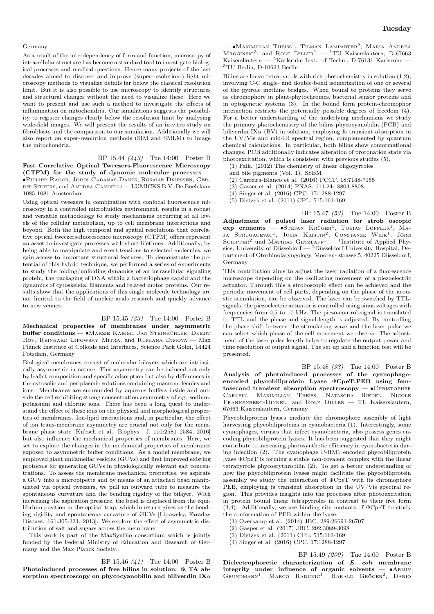#### Germany

As a result of the interdependency of form and function, microscopy of intracellular structure has become a standard tool to investigate biological processes and medical questions. Hence many projects of the last decades aimed to discover and improve (super-resolution-) light microscopy methods to visualize details far below the classical resolution limit. But it is also possible to use microscopy to identify structures and structural changes without the need to visualize these. Here we want to present and use such a method to investigate the effects of inflammation on mitochondria. Our simulations suggests the possibility to register changes clearly below the resolution limit by analysing wide-field images. We will present the results of an in-vitro study on fibroblasts and the comparison to our simulation. Additionally we will also report on super-resolution methods (SIM and SMLM) to image the mitochondria.

BP 15.44 (443) Tue 14:00 Poster B Fast Correlative Optical Tweezers-Fluorescence Microscopy (CTFM) for the study of dynamic molecular processes ∙Philipp Rauch, Jordi Cabanas-Danés, Rosalie Driessen, Gerrit Sitters, and Andrea Candelli — LUMICKS B.V. De Boelelaan 1085 1081 Amsterdam

Using optical tweezers in combination with confocal fluorescence microscopy in a controlled microfluidics environment, results in a robust and versatile methodology to study mechanisms occurring at all levels of the cellular metabolism, up to cell membrane interactions and beyond. Both the high temporal and spatial resolutions that correlative optical tweezers-fluorescence microscopy (CTFM) offers represent an asset to investigate processes with short lifetimes. Additionally, by being able to manipulate and exert tensions to selected molecules, we gain access to important structural features. To demonstrate the potential of this hybrid technique, we performed a series of experiments to study the folding/unfolding dynamics of an intracellular signaling protein, the packaging of DNA within a bacteriophage capsid and the dynamics of cytoskeletal filaments and related motor proteins. Our results show that the applications of this single molecule technology are not limited to the field of nucleic acids research and quickly advance to new venues.

BP 15.45 (33) Tue 14:00 Poster B Mechanical properties of membranes under asymmetric buffer conditions — • MARZIE KARIMI, JAN STEINKÜHLER, DEBJIT Roy, Reinhard Lipowsky Mitra, and Rumiana Dimova — Max Planck Institute of Colloids and Interfaces, Science Park Golm, 14424 Potsdam, Germany

Biological membranes consist of molecular bilayers which are intrinsically asymmetric in nature. This asymmetry can be induced not only by leaflet composition and specific adsorption but also by differences in the cytosolic and periplasmic solutions containing macromolecules and ions. Membranes are surrounded by aqueous buffers inside and outside the cell exhibiting strong concentration asymmetry of e.g. sodium, potassium and chlorine ions. There has been a long quest to understand the effect of these ions on the physical and morphological properties of membranes. Ion-lipid interactions and, in particular, the effect of ion trans-membrane asymmetry are crucial not only for the membrane phase state [Kubsch et al. Biophys. J. 110:2581–2584, 2016] but also influence the mechanical properties of membranes. Here, we set to explore the changes in the mechanical properties of membranes exposed to asymmetric buffer conditions. As a model membrane, we employed giant unilamellar vesicles (GUVs) and first improved existing protocols for generating GUVs in physiologically relevant salt concentrations. To assess the membrane mechanical properties, we aspirate a GUV into a micropipette and by means of an attached bead manipulated via optical tweezers, we pull an outward tube to measure the spontaneous curvature and the bending rigidity of the bilayer. With increasing the aspiration pressure, the bead is displaced from the equilibrium position in the optical trap, which in return gives us the bending rigidity and spontaneous curvature of GUVs [Lipowsky, Faraday Discuss. 161:305-331, 2013]. We explore the effect of asymmetric distribution of salt and sugars across the membrane.

This work is part of the MaxSynBio consortium which is jointly funded by the Federal Ministry of Education and Research of Germany and the Max Planck Society.

BP 15.46 (41) Tue 14:00 Poster B Photoinduced processes of free bilins in solution: fs TA absorption spectroscopy on phycocyanobilin and biliverdin  $IX\alpha$ 

 $-$  •Maximilian Theiss<sup>1</sup>, Tilman Lamparter<sup>2</sup>, Maria Andrea Mroginski<sup>3</sup>, and ROLF DILLER<sup>1</sup> - <sup>1</sup>TU Kaiserslautern, D-67663 Kaiserslautern — <sup>2</sup>Karlsruhe Inst. of Techn., D-76131 Karlsruhe -<sup>3</sup>TU Berlin, D-10623 Berlin

Bilins are linear tetrapyrrols with rich photochemistry in solution (1,2), involving C-C single- and double-bond isomerization of one or several of the pyrrole methine bridges. When bound to proteins they serve as chromophore in plant-phytochromes, bacterial sensor proteins and in optogenetic systems (3). In the bound form protein-chromophor interaction restricts the potentially possible degrees of freedom (4). For a better understanding of the underlying mechanisms we study the primary photochemistry of the bilins phycocyanobilin (PCB) and biliverdin IX $\alpha$  (BV) in solution, employing fs transient absorption in the UV/Vis and mid-IR spectral region, complemented by quantum chemical calculations. In particular, both bilins show conformational changes, PCB additionally indicates alteration of protonation state via photoexcitation, which is consistent with previous studies (5).

(1) Falk. (2012) The chemistry of linear oligopyrroles

and bile pigments (Vol. 1). SSBM

(2) Carreira-Blanco et al. (2016) PCCP. 18:7148-7155

(3) Gasser et al. (2014) PNAS. 111.24: 8803-8808.

(4) Singer et al. (2016) CPC. 17:1288-1297

(5) Dietzek et al. (2011) CPL. 515:163-169

BP 15.47 (53) Tue 14:00 Poster B Adjustment of pulsed laser radiation for strob oscopic exp eriments — •STEFAN KRÜGER<sup>1</sup>, TOBIAS LÖFFLER<sup>1</sup>, MA-JA STRUGACEVAC<sup>1</sup>, JULIA KRISTIN<sup>2</sup>, CONSTANZE WIEK<sup>1</sup>, JÖRG SCHIPPER<sup>2</sup> und MATHIAS GETZLAFF<sup>1</sup> — <sup>1</sup>Institute of Applied Physics, University of Düsseldorf — <sup>2</sup>Düsseldorf University Hospital, Department of Otorhinolaryngology, Mooren- strasse 5, 40225 Düsseldorf, Germany

This contribution aims to adjust the laser radiation of a fluorescence microscope depending on the oscillating movement of a piezoelectric actuator. Through this a stroboscopic effect can be achieved and the periodic movement of cell parts, depending on the phase of the acoustic stimulation, can be observed. The laser can be switched by TTLsignals, the piezoelectric actuator is controlled using sinus voltages with frequencies from 0,5 to 10 kHz. The piezo-control-signal is translated to TTL and the phase and signal-length is adjusted. By controlling the phase shift between the stimulating wave and the laser pulse we can select which phase of the cell movement we observe. The adjustment of the laser pulse length helps to regulate the output power and time resolution of output signal. The set up and a function test will be presented.

BP 15.48 (93) Tue 14:00 Poster B Analysis of photoinduced processes of the cyanophageencoded phycobiliprotein Lyase ΦCpeT:PEB using femtosecond transient absorption spectroscopy — • CHRISTOPHER Carlein, Maximilian Theiß, Natascha Riedel, Nicole Frankenberg-Dinkel, and Rolf Diller — TU Kaiserslautern, 67663 Kaiserslautern, Germany

Phycobiliprotein lyases mediate the chromophore assembly of light harvesting phycobiliproteins in cyanobacteria (1). Interestingly, some cyanophages, viruses that infect cyanobacteria, also possess genes encoding phycobiliprotein lyases. It has been suggested that they might contribute to increasing photosynthetic efficiency in cyanobacteria during infection (2). The cyanophage P-HM1 encoded phycobiliprotein lyase ΦCpeT is forming a stable non-covalent complex with the linear tetrapyrrole phycoerythrobilin (2). To get a better understanding of how the phycobiliprotein lyases might facilitate the phycobiliprotein assembly we study the interaction of ΦCpeT with its chromophore PEB, employing fs transient absorption in the UV/Vis spectral region. This provides insights into the processes after photoexcitation in protein bound linear tetrapyrroles in contrast to their free form  $(3,4)$ . Additionally, we use binding site mutants of  $\Phi$ CpeT to study the conformation of PEB within the lyase.

(1) Overkamp et al. (2014) JBC. 289:26691-26707

(2) Gasper et al. (2017) JBC. 292:3089-3098

(3) Dietzek et al. (2011) CPL. 515:163-169

(4) Singer et al. (2016) CPC. 17:1288-1297

BP 15.49 (200) Tue 14:00 Poster B Dielectrophoretic characterization of E. coli membrane integrity under influence of organic solvents — ∙Armin GRUNDMANN<sup>1</sup>, MARCO RADUKIC<sup>1</sup>, HARALD GRÖGER<sup>2</sup>, DARIO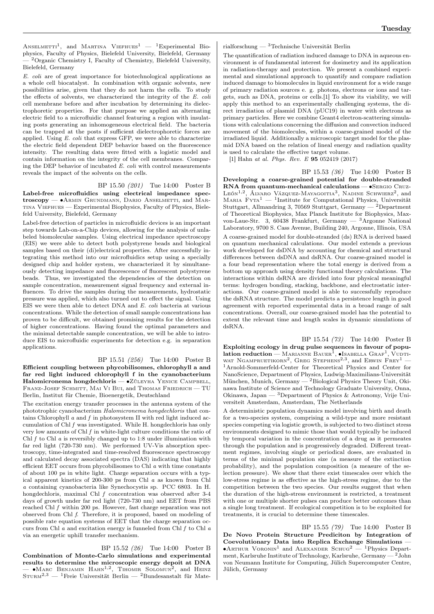ANSELMETTI<sup>1</sup>, and MARTINA VIEFHUES<sup>1</sup> - <sup>1</sup>Experimental Biophysics, Faculty of Physics, Bielefeld University, Bielefeld, Germany <sup>2</sup>Organic Chemistry I, Faculty of Chemistry, Bielefeld University, Bielefeld, Germany

E. coli are of great importance for biotechnological applications as a whole cell biocatalyst. In combination with organic solvents, new possibilities arise, given that they do not harm the cells. To study the effects of solvents, we characterized the integrity of the E. coli cell membrane before and after incubation by determining its dielectrophoretic properties. For that purpose we applied an alternating electric field to a microfluidic channel featuring a region with insulating posts generating an inhomogeneous electrical field. The bacteria can be trapped at the posts if sufficient dielectrophoretic forces are applied. Using E. coli that express GFP, we were able to characterize the electric field dependent DEP behavior based on the fluorescence intensity. The resulting data were fitted with a logistic model and contain information on the integrity of the cell membranes. Comparing the DEP behavior of incubated E. coli with control measurements reveals the impact of the solvents on the cells.

#### BP 15.50 (201) Tue 14:00 Poster B

Label-free microfluidics using electrical impedance spectroscopy — • ARMIN GRUNDMANN, DARIO ANSELMETTI, and MARtina Viefhues — Experimental Biophysics, Faculty of Physics, Bielefeld University, Bielefeld, Germany

Label-free detection of particles in microfluidic devices is an important step towards Lab-on-a-Chip devices, allowing for the analysis of unlabeled biomolecular samples. Using electrical impedance spectroscopy (EIS) we were able to detect both polystyrene beads and biological samples based on their (di)electrical properties. After successfully integrating this method into our microfluidics setup using a specially designed chip and holder system, we characterized it by simultaneously detecting impedance and fluorescence of fluorescent polystyrene beads. Thus, we investigated the dependencies of the detection on sample concentration, measurement signal frequency and external influences. To drive the samples during the measurements, hydrostatic pressure was applied, which also turned out to effect the signal. Using EIS we were then able to detect DNA and E. coli bacteria at various concentrations. While the detection of small sample concentrations has proven to be difficult, we obtained promising results for the detection of higher concentrations. Having found the optimal parameters and the minimal detectable sample concentration, we will be able to introduce EIS to microfluidic experiments for detection e.g. in separation applications.

### BP 15.51 (256) Tue 14:00 Poster B

Efficient coupling between phycobilisomes, chlorophyll a and far red light induced chlorophyll f in the cyanobacterium Halomicronema hongdechloris — ∙Züleyha Yenice Campbell, FRANZ-JOSEF SCHMITT, MAI VI BUI, and THOMAS FRIEDRICH - TU Berlin, Institut für Chemie, Bioenergetik, Deutschland

The excitation energy transfer processes in the antenna system of the phototrophic cyanobacterium Halomicronema hongdechloris that contains Chlorophyll  $a$  and  $f$  in photosystem II with red light induced accumulation of Chl  $f$  was investigated. While H. hongdechloris has only very low amounts of Chl f in white-light culture conditions the ratio of Chl  $f$  to Chl  $a$  is reversibly changed up to 1:8 under illumination with far red light (720-730 nm). We performed UV-Vis absorption spectroscopy, time-integrated and time-resolved fluorescence spectroscopy and calculated decay associated spectra (DAS) indicating that highly efficient EET occurs from phycobilisomes to Chl a with time constants of about 100 ps in white light. Charge separation occurs with a typical apparent kinetics of 200-300 ps from Chl a as known from Chl a containing cyanobacteria like Synechocystis sp. PCC 6803. In H. hongdechloris, maximal Chl f concentration was observed after 3-4 days of growth under far red light (720-730 nm) and EET from PBS reached Chl f within 200 ps. However, fast charge separation was not observed from Chl f. Therefore, it is proposed, based on modeling of possible rate equation systems of EET that the charge separation occurs from Chl a and excitation energy is funneled from Chl f to Chl a via an energetic uphill transfer mechanism.

BP 15.52 (26) Tue 14:00 Poster B Combination of Monte-Carlo simulations and experimental results to determine the microscopic energy depoit at DNA — ∙Marc Benjamin Hahn1,<sup>2</sup> , Tihomir Solomun<sup>2</sup> , and Heinz  $S_{\text{TURM}}^{2,3}$  — <sup>1</sup>Freie Universität Berlin — <sup>2</sup>Bundesanstalt für Materialforschung —  ${}^{3}$ Technische Universität Berlin

The quantification of radiation induced damage to DNA in aqueous environment is of fundamental interest for dosimetry and its application in radiation-therapy and protection. We present a combined experimental and simulational approach to quantify and compare radiation induced damage to biomolecules in liquid environment for a wide range of primary radiation sources e. g. photons, electrons or ions and targets, such as DNA, proteins or cells.[1] To show its viability, we will apply this method to an experimentally challenging systems, the direct irradiation of plasmid DNA (pUC19) in water with electrons as primary particles. Here we combine Geant4 electron-scattering simulations with calculations concerning the diffusion and convection induced movement of the biomolecules, within a coarse-grained model of the irradiated liquid. Additionally a microscopic target model for the plasmid DNA based on the relation of lineal energy and radiation quality is used to calculate the effective target volume.

[1] Hahn at al. Phys. Rev. E 95 052419 (2017)

BP 15.53 (36) Tue 14:00 Poster B Developing a coarse-grained potential for double-stranded RNA from quantum-mechanical calculations — •SERGIO CRUZ-LEÓN<sup>1,2</sup>, ÁLVARO VÁZQUEZ-MAYAGOITIA<sup>3</sup>, NADINE SCHWIERZ<sup>2</sup>, and<br>MARIA FYTA<sup>1</sup> — <sup>1</sup>Institute for Computational Physics, Universität Stuttgart, Allmandring 3, 70569 Stuttgart, Germany — <sup>2</sup>Department of Theoretical Biophysics, Max Planck Institute for Biophysics, Maxvon-Laue-Str. 3, 60438 Frankfurt, Germany — <sup>3</sup>Argonne National Laboratory, 9700 S. Cass Avenue, Building 240, Argonne, Illinois, USA

A coarse-grained model for double-stranded (ds) RNA is derived based on quantum mechanical calculations. Our model extends a previous work developed for dsDNA by accounting for chemical and structural differences between dsDNA and dsRNA. Our coarse-grained model is a four bead representation where the total energy is derived from a bottom up approach using density functional theory calculations. The interactions within dsRNA are divided into four physical meaningful terms: hydrogen bonding, stacking, backbone, and electrostatic interactions. Our coarse-grained model is able to successfully reproduce the dsRNA structure. The model predicts a persistence length in good agreement with reported experimental data in a broad range of salt concentrations. Overall, our coarse-grained model has the potential to extent the relevant time and length scales in dynamic simulations of dsRNA.

BP 15.54 (73) Tue 14:00 Poster B Exploiting ecology in drug pulse sequences in favour of population reduction — MARIANNE BAUER<sup>1</sup>,  $\bullet$ ISABELLA GRAF<sup>1</sup>, VUDTI-WAT NGAMPRUETIKORN<sup>2</sup>, GREG STEPHENS<sup>2,3</sup>, and ERWIN FREY<sup>1</sup> – <sup>1</sup>Arnold-Sommerfeld-Center for Theoretical Physics and Center for NanoScience, Department of Physics, Ludwig-Maximilians-Universität München, Munich, Germany — <sup>2</sup>Biological Physics Theory Unit, Okinawa Institute of Science and Technology Graduate University, Onna, Okinawa, Japan — <sup>3</sup>Department of Physics & Astronomy, Vrije Universiteit Amsterdam, Amsterdam, The Netherlands

A deterministic population dynamics model involving birth and death for a two-species system, comprising a wild-type and more resistant species competing via logistic growth, is subjected to two distinct stress environments designed to mimic those that would typically be induced by temporal variation in the concentration of a drug as it permeates through the population and is progressively degraded. Different treatment regimes, involving single or periodical doses, are evaluated in terms of the minimal population size (a measure of the extinction probability), and the population composition (a measure of the selection pressure). We show that there exist timescales over which the low-stress regime is as effective as the high-stress regime, due to the competition between the two species. Our results suggest that when the duration of the high-stress environment is restricted, a treatment with one or multiple shorter pulses can produce better outcomes than a single long treatment. If ecological competition is to be exploited for treatments, it is crucial to determine these timescales.

BP 15.55 (79) Tue 14:00 Poster B De Novo Protein Structure Prediciton by Integration of Coevolutionary Data into Replica Exchange Simulations — ∙Arthur Voronin<sup>1</sup> and Alexander Schug<sup>2</sup> — <sup>1</sup>Physics Department, Karlsruhe Institute of Technology, Karlsruhe, Germany —  $^2\mathrm{John}$ von Neumann Institute for Computing, Jülich Supercomputer Centre, Jülich, Germany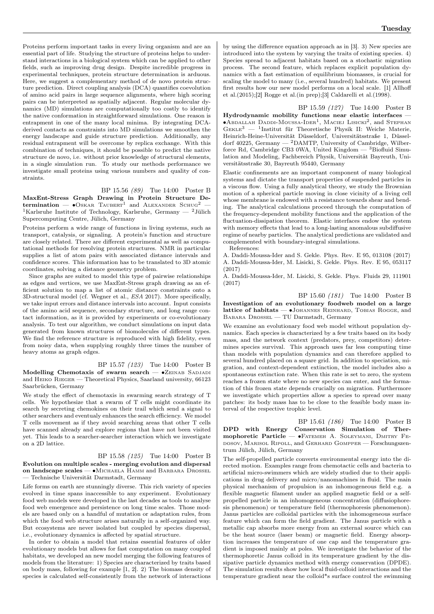Proteins perform important tasks in every living organism and are an essential part of life. Studying the structure of proteins helps to understand interactions in a biological system which can be applied to other fields, such as improving drug design. Despite incredible progress in experimental techniques, protein structure determination is arduous. Here, we suggest a complementary method of de novo protein structure prediction. Direct coupling analysis (DCA) quantifies coevolution of amino acid pairs in large sequence alignments, where high scoring pairs can be interpreted as spatially adjacent. Regular molecular dynamics (MD) simulations are computationally too costly to identify the native conformation in straightforward simulations. One reason is entrapment in one of the many local minima. By integrating DCAderived contacts as constraints into MD simulations we smoothen the energy landscape and guide structure prediction. Additionally, any residual entrapment will be overcome by replica exchange. With this combination of techniques, it should be possible to predict the native structure de novo, i.e. without prior knowledge of structural elements, in a single simulation run. To study our methods performance we investigate small proteins using various numbers and quality of constraints.

BP 15.56 (89) Tue 14:00 Poster B

MaxEnt-Stress Graph Drawing in Protein Structure Determination —  $\bullet$ Oskar Taubert<sup>1</sup> and Alexander Schug<sup>2</sup> -<sup>1</sup>Karlsruhe Institute of Technology, Karlsruhe, Germany — <sup>2</sup>Jülich Supercomputing Centre, Jülich, Germany

Proteins perform a wide range of functions in living systems, such as transport, catalysis, or signaling. A protein's function and structure are closely related. There are different experimental as well as computational methods for resolving protein structures. NMR in particular supplies a list of atom pairs with associated distance intervals and confidence scores. This information has to be translated to 3D atomic coordinates, solving a distance geometry problem.

Since graphs are suited to model this type of pairwise relationships as edges and vertices, we use MaxEnt-Stress graph drawing as an efficient solution to map a list of atomic distance constraints onto a 3D-structural model (cf. Wegner et al., ESA 2017). More specifically, we take input errors and distance intervals into account. Input consists of the amino acid sequence, secondary structure, and long range contact information, as it is provided by experiments or co-evolutionary analysis. To test our algorithm, we conduct simulations on input data generated from known structures of biomolecules of different types. We find the reference structure is reproduced with high fidelity, even from noisy data, when supplying roughly three times the number of heavy atoms as graph edges.

BP 15.57 (123) Tue 14:00 Poster B Modelling Chemotaxis of swarm search — •ZEINAB SADJADI and Heiko Rieger — Theoretical Physics, Saarland university, 66123 Saarbrücken, Germany

We study the effect of chemotaxis in swarming search strategy of T cells. We hypothesize that a swarm of T cells might coordinate its search by secreting chemokines on their trail which send a signal to other searchers and eventualy enhances the search efficiency. We model T cells movement as if they avoid searching areas that other T cells have scanned already and explore regions that have not been visited yet. This leads to a searcher-searcher interaction which we investigate on a 2D lattice.

BP 15.58 (125) Tue 14:00 Poster B Evolution on multiple scales - merging evolution and dispersal on landscape scales — •MICHAELA HAMM and BARBARA DROSSEL — Technische Universität Darmstadt, Germany

Life forms on earth are stunningly diverse. This rich variety of species evolved in time spans inaccessible to any experiment. Evolutionary food web models were developed in the last decades as tools to analyse food web emergence and persistence on long time scales. Those models are based only on a handful of mutation or adaptation rules, from which the food web structure arises naturally in a self-organized way. But ecosystems are never isolated but coupled by species dispersal, i.e., evolutionary dynamics is affected by spatial structure.

In order to obtain a model that retains essential features of older evolutionary models but allows for fast computation on many coupled habitats, we developed an new model merging the following features of models from the literature: 1) Species are characterized by traits based on body mass, following for example [1, 2]. 2) The biomass density of species is calculated self-consistently from the network of interactions

by using the difference equation approach as in [3]. 3) New species are introduced into the system by varying the traits of existing species. 4) Species spread to adjacent habitats based on a stochastic migration process. The second feature, which replaces explicit population dynamics with a fast estimation of equilibrium biomasses, is crucial for scaling the model to many (i.e., several hundred) habitats. We present first results how our new model performs on a local scale. [1] Allhoff et al.(2015);[2] Rogge et al.(in prep);[3] Caldarelli et al.(1998).

BP 15.59 (127) Tue 14:00 Poster B

Hydrodynamic mobility functions near elastic interfaces — ∙Abdallah Daddi-Moussa-Ider<sup>1</sup> , Maciej Lisicki<sup>2</sup> , and Stephan Gekle<sup>3</sup> — <sup>1</sup> Institut für Theoretische Physik II: Weiche Materie, Heinrich-Heine-Universität Düsseldorf, Universitätsstraße 1, Düsseldorf 40225, Germany — <sup>2</sup>DAMTP, University of Cambridge, Wilberforce Rd, Cambridge CB3 0WA, United Kingdom  $-$  3Biofluid Simulation and Modeling, Fachbereich Physik, Universität Bayreuth, Universitätsstraße 30, Bayreuth 95440, Germany

Elastic confinements are an important component of many biological systems and dictate the transport properties of suspended particles in a viscous flow. Using a fully analytical theory, we study the Brownian motion of a spherical particle moving in close vicinity of a living cell whose membrane is endowed with a resistance towards shear and bending. The analytical calculations proceed through the computation of the frequency-dependent mobility functions and the application of the fluctuation-dissipation theorem. Elastic interfaces endow the system with memory effects that lead to a long-lasting anomalous subdiffusive regime of nearby particles. The analytical predictions are validated and complemented with boundary-integral simulations.

References:

A. Daddi-Moussa-Ider and S. Gekle. Phys. Rev. E 95, 013108 (2017) A. Daddi-Moussa-Ider, M. Lisicki, S. Gekle. Phys. Rev. E 95, 053117 (2017)

A. Daddi-Moussa-Ider, M. Lisicki, S. Gekle. Phys. Fluids 29, 111901 (2017)

BP 15.60 (181) Tue 14:00 Poster B Investigation of an evolutionary foodweb model on a large lattice of habitats — ∙Johannes Reinhard, Tobias Rogge, and Babara Drossel — TU Darmstadt, Germany

We examine an evolutionary food web model without population dynamics. Each species is characterized by a few traits based on its body mass, and the network context (predators, prey, competitors) determines species survival. This approach uses far less computing time than models with population dynamics and can therefore applied to several hundred placed on a square grid. In addition to speciation, migration, and context-dependent extinction, the model includes also a spontaneous extinction rate. When this rate is set to zero, the system reaches a frozen state where no new species can enter, and the formation of this frozen state depends crucially on migration. Furthermore we investigate which properties allow a species to spread over many patches: its body mass has to be close to the feasible body mass interval of the respective trophic level.

BP 15.61 (186) Tue 14:00 Poster B DPD with Energy Conservation Simulation of Thermophoretic Particle — ∙Fatemeh A. Soleymani, Dmitry Fedosov, Marisol Ripoll, and Gerhard Gompper — Forschungszentrum Jülich, Jülich, Germany

The self-propelled particle converts environmental energy into the directed motion. Examples range from chemotactic cells and bacteria to artificial micro-swimmers which are widely studied due to their applications in drug delivery and micro/nanomachines in fluid. The main physical mechanism of propulsion is an inhomogeneous field e.g. a flexible magnetic filament under an applied magnetic field or a selfpropelled particle in an inhomogeneous concentration (diffusiophoresis phenomenon) or temperature field (thermophoresis phenomenon). Janus particles are colloidal particles with the inhomogeneous surface feature which can form the field gradient. The Janus particle with a metallic cap absorbs more energy from an external source which can be the heat source (laser beam) or magnetic field. Energy absorption increases the temperature of one cap and the temperature gradient is imposed mainly at poles. We investigate the behavior of the thermophoretic Janus colloid in its temperature gradient by the dissipative particle dynamics method with energy conservation (DPDE). The simulation results show how local fluid-colloid interactions and the temperature gradient near the colloid\*s surface control the swimming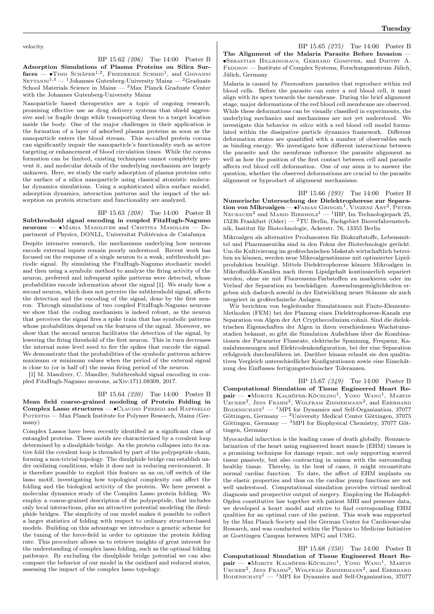velocity.

BP 15.62 (206) Tue 14:00 Poster B Adsorption Simulations of Plasma Proteins on Silica Sur- $\text{faces} \rightharpoonup \text{Timo } \text{SchräFER}^{1,2}$ , Friederike Schmid<sup>1</sup>, and Giovanni  $\text{SETTANN}^{1,3}$  — <sup>1</sup>Johannes Gutenberg-University Mainz — <sup>2</sup>Graduate School Materials Science in Mainz — <sup>3</sup>Max Planck Graduate Center with the Johannes Gutenberg-University Mainz

Nanoparticle based therapeutics are a topic of ongoing research, promising effective use as drug delivery systems that shield aggressive and/or fragile drugs while transporting them to a target location inside the body. One of the major challenges in their application is the formation of a layer of adsorbed plasma proteins as soon as the nanoparticle enters the blood stream. This so-called protein corona can significantly impair the nanoparticle's functionality such as active targeting or enhancement of blood circulation times. While the corona formation can be limited, existing techniques cannot completely prevent it, and molecular details of the underlying mechanism are largely unknown. Here, we study the early adsorption of plasma proteins onto the surface of a silica nanoparticle using classical atomistic molecular dynamics simulations. Using a sophisticated silica surface model, adsorption dynamics, interaction patterns and the impact of the adsorption on protein structure and functionality are analyzed.

### BP 15.63 (208) Tue 14:00 Poster B

Subthreshold signal encoding in coupled FitzHugh-Nagumo neurons — •Maria Masoliver and Cristina Masoller — Department of Physics, DONLL, Universitat Politècnica de Catalunya

Despite intensive research, the mechanisms underlying how neurons encode external inputs remain poorly understood. Recent work has focused on the response of a single neuron to a weak, subthreshold periodic signal. By simulating the FitzHugh-Nagumo stochastic model and then using a symbolic method to analyze the firing activity of the neuron, preferred and infrequent spike patterns were detected, whose probabilities encode information about the signal [1]. We study how a second neuron, which does not perceive the subthreshold signal, affects the detection and the encoding of the signal, done by the first neuron. Through simulations of two coupled FitzHugh-Nagumo neurons we show that the coding mechanism is indeed robust, as the neuron that perceives the signal fires a spike train that has symbolic patterns whose probabilities depend on the features of the signal. Moreover, we show that the second neuron facilitates the detection of the signal, by lowering the firing threshold of the first neuron. This in turn decreases the internal noise level need to fire the spikes that encode the signal. We demonstrate that the probabilities of the symbolic patterns achieve maximum or minimum values when the period of the external signal is close to (or is half of) the mean firing period of the neuron.

[1] M. Masoliver, C. Masoller, Subthreshold signal encoding in coupled FitzHugh-Nagumo neurons, arXiv:1711.08309, 2017.

BP 15.64 (220) Tue 14:00 Poster B Mean field coarse-grained modeling of Protein Folding in

Complex Lasso structures —  $\bullet$ CLAUDIO PEREGO and RAFFAELLO POTESTIO — Max Planck Institute for Polymer Research, Mainz (Germany)

Complex Lassos have been recently identified as a significant class of entangled proteins. These motifs are charactierized by a covalent loop determined by a disulphide bridge. As the protein collapses into its native fold the covalent loop is threaded by part of the polypeptide chain, forming a non-trivial topology. The disulphide bridge can establish under oxidizing conditions, while it does not in reducing environment. It is therefore possible to exploit this feature as an on/off switch of the lasso motif, investigating how topological complexity can affect the folding and the biological activity of the protein. We here present a molecular dynamics study of the Complex Lasso protein folding. We employ a coarse-grained description of the polypeptide, that includes only local interactions, plus an attractive potential modeling the disulphide bridges. The simplicity of our model makes it possible to collect a larger statistics of folding with respect to ordinary structure-based models. Building on this advantage we introduce a genetic scheme for the tuning of the force-field in order to optimize the protein folding rate. This procedure allows us to retrieve insights of great interest for the understanding of complex lasso folding, such as the optimal folding pathways. By excluding the disulphide bridge potential we can also compare the behavior of our model in the oxidized and reduced states, assessing the impact of the complex lasso topology.

BP 15.65 (275) Tue 14:00 Poster B The Alignment of the Malaria Parasite Before Invasion — ∙Sebastian Hillringhaus, Gerhard Gompper, and Dmitry A. Fedosov — Institute of Complex Systems, Forschungszentrum Jülich, Jülich, Germany

Malaria is caused by Plasmodium parasites that reproduce within red blood cells. Before the parasite can enter a red blood cell, it must align with its apex towards the membrane. During the brief alignment stage, major deformations of the red blood cell membrane are observed. While these deformations can be visually classified in experiments, the underlying mechanics and mechanisms are not yet understood. We investigate this behavior in silico with a red blood cell model formulated within the dissipative particle dynamics framework. Different deformation states are quantified with a number of observables such as binding energy. We investigate how different interactions between the parasite and the membrane influence the parasite alignment as well as how the position of the first contact between cell and parasite affects red blood cell deformation. One of our aims is to answer the question, whether the observed deformations are crucial to the parasite alignment or byproduct of alignment mechanisms.

### BP 15.66 (293) Tue 14:00 Poster B

Numerische Untersuchung der Dielektrophorese zur Separation von Mikroalgen —  $\bullet$ Fabian Gringel<sup>1</sup>, Vinzenz Abt<sup>2</sup>, Peter NEUBAUER<sup>2</sup> und MARIO BIRKHOLZ<sup>1</sup> — <sup>1</sup>IHP, Im Technologiepark 25, 15236 Frankfurt (Oder) —  $^2$ TU Berlin, Fachgebiet Bioverfahrenstechnik, Institut für Biotechnologie, Ackerstr. 76, 13355 Berlin

Mikroalgen als alternative Produzenten für Biokraftstoffe, Lebensmittel und Pharmazeutika sind in den Fokus der Biotechnologie gerückt. Um die Kultivierung im großtechnischen Maßstab wirtschaftlich betreiben zu können, werden neue Mikroalgenstämme mit optimierter Lipidproduktion benötigt. Mittels Dielektrophorese können Mikroalgen in Mikrofluidik-Kanälen nach ihrem Lipidgehalt kontinuierlich separiert werden, ohne sie mit Fluoreszenz-Farbstoffen zu markieren oder im Verlauf der Separation zu beschädigen. Anwendungsmöglichkeiten ergeben sich dadurch sowohl in der Entwicklung neuer Stämme als auch integriert in großtechnische Anlagen.

Wir berichten von begleitender Simulationen mit Finite-Elemente-Methoden (FEM) bei der Planung eines Dielektrophorese-Kanals zur Separation von Algen der Art Crypthecodinium cohnii. Sind die dielektrischen Eigenschaften der Algen in ihren verschiedenen Wachstumsstadien bekannt, so gibt die Simulation Aufschluss über die Kombinationen der Parameter Flussrate, elektrische Spannung, Frequenz, Kanalabmessungen und Elektrodenkonfiguration, bei der eine Separation erfolgreich durchzuführen ist. Darüber hinaus erlaubt sie den qualitativen Vergleich unterschiedlicher Konfigurationen sowie eine Einschätzung des Einflusses fertigungstechnischer Toleranzen.

BP 15.67 (349) Tue 14:00 Poster B Computational Simulation of Tissue Engineered Heart Repair — ∙Moritz Kalhöfer-Köchling<sup>1</sup> , Yong Wang<sup>1</sup> , Martin UECKER<sup>2</sup>, JENS FRAHM<sup>3</sup>, WOLFRAM ZIMMERMANN<sup>2</sup>, and EBERHARD BODENSCHATZ<sup>1</sup> — <sup>1</sup>MPI for Dynamics and Self-Organization, 37077 Göttingen, Germany — <sup>2</sup>University Medical Center Göttingen, 37075 Göttingen, Germany — <sup>3</sup>MPI for Biophysical Chemistry, 37077 Göttingen, Germany

Myocardial infarction is the leading cause of death globally. Remuscularization of the heart using engineered heart muscle (EHM) tissues is a promising technique for damage repair, not only supporting scarred tissue passively, but also contracting in unison with the surrounding healthy tissue. Thereby, in the best of cases, it might reconstitute normal cardiac function. To date, the affect of EHM implants on the elastic properties and thus on the cardiac pump functions are not well understood. Computational simulation provides virtual medical diagnosis and prospective output of surgery. Employing the Holzapfel-Ogden constitutive law together with patient MRI and pressure data, we developed a heart model and strive to find corresponding EHM qualities for an optimal cure of the patient. This work was supported by the Max Planck Society and the German Center for Cardiovascular Research, and was conducted within the Physics to Medicine Initiative at Goettingen Campus between MPG and UMG.

BP 15.68 (350) Tue 14:00 Poster B Computational Simulation of Tissue Engineered Heart Repair — ∙Moritz Kalhöfer-Köchling<sup>1</sup> , Yong Wang<sup>1</sup> , Martin UECKER<sup>2</sup>, JENS FRAHM<sup>3</sup>, WOLFRAM ZIMMERMANN<sup>2</sup>, and EBERHARD BODENSCHATZ<sup>1</sup> — <sup>1</sup>MPI for Dynamics and Self-Organization, 37077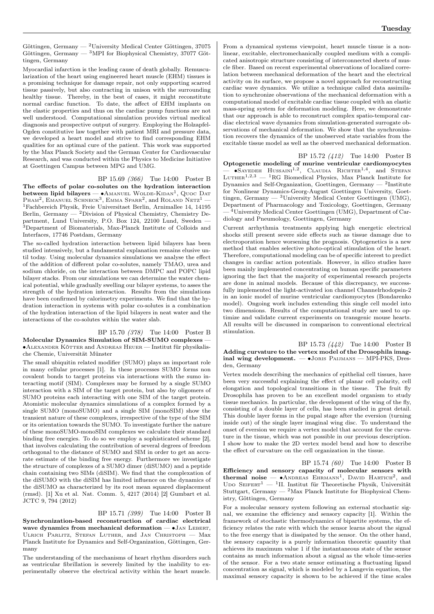Göttingen, Germany — <sup>2</sup>University Medical Center Göttingen, 37075 Göttingen, Germany  $-3$  MPI for Biophysical Chemistry, 37077 Göttingen, Germany

Myocardial infarction is the leading cause of death globally. Remuscularization of the heart using engineered heart muscle (EHM) tissues is a promising technique for damage repair, not only supporting scarred tissue passively, but also contracting in unison with the surrounding healthy tissue. Thereby, in the best of cases, it might reconstitute normal cardiac function. To date, the affect of EHM implants on the elastic properties and thus on the cardiac pump functions are not well understood. Computational simulation provides virtual medical diagnosis and prospective output of surgery. Employing the Holzapfel-Ogden constitutive law together with patient MRI and pressure data, we developed a heart model and strive to find corresponding EHM qualities for an optimal cure of the patient. This work was supported by the Max Planck Society and the German Center for Cardiovascular Research, and was conducted within the Physics to Medicine Initiative at Goettingen Campus between MPG and UMG.

BP 15.69 (366) Tue 14:00 Poster B

The effects of polar co-solutes on the hydration interaction  ${\rm \bf between\ lipid\ bilayers-}}$  • Amanuel Wolde-Kidan<sup>1</sup>, Quoc Dat PHAM<sup>2</sup>, EMANUEL SCHNECK<sup>3</sup>, EMMA SPARR<sup>2</sup>, and ROLAND NETZ<sup>1</sup> — <sup>1</sup>Fachbereich Physik, Freie Universitaet Berlin, Arnimallee 14, 14195 Berlin, Germany — <sup>2</sup>Division of Physical Chemistry, Chemistry Department, Lund University, P.O. Box 124, 22100 Lund, Sweden -<sup>3</sup>Department of Biomaterials, Max-Planck Institute of Colloids and Interfaces, 17746 Postdam, Germany

The so-called hydration interaction between lipid bilayers has been studied intensively, but a fundamental explanation remains elusive until today. Using molecular dynamics simulations we analyse the effect of the addition of different polar co-solutes, namely TMAO, urea and sodium chloride, on the interaction between DMPC and POPC lipid bilayer stacks. From our simulations we can determine the water chemical potential, while gradually swelling our bilayer systems, to asses the strength of the hydration interaction. Results from the simulations have been confirmed by calorimetry experiments. We find that the hydration interaction in systems with polar co-solutes is a combination of the hydration interaction of the lipid bilayers in neat water and the interactions of the co-solutes within the water slab.

BP 15.70 (378) Tue 14:00 Poster B Molecular Dynamics Simulation of SIM-SUMO complexes — ∙Alexander Kötter and Andreas Heuer — Institut für physikalische Chemie, Universität Münster

The small ubiquitin related modifier (SUMO) plays an important role in many cellular processes [1]. In these processes SUMO forms non covalent bonds to target proteins via interactions with the sumo interacting motif (SIM). Complexes may be formed by a single SUMO interaction with a SIM of the target protein, but also by oligomers of SUMO proteins each interacting with one SIM of the target protein. Atomistic molecular dynamics simulations of a complex formed by a single SUMO (monoSUMO) and a single SIM (monoSIM) show the transient nature of these complexes, irrespective of the type of the SIM or its orientation towards the SUMO. To investigate further the nature of these monoSUMO-monoSIM complexes we calculate their standard binding free energies. To do so we employ a sophisticated scheme [2], that involves calculating the contribution of several degrees of freedom orthogonal to the distance of SUMO and SIM in order to get an accurate estimate of the binding free energy. Furthermore we investigate the structure of complexes of a SUMO dimer (diSUMO) and a peptide chain containing two SIMs (diSIM). We find that the complexation of the diSUMO with the diSIM has limited influence on the dynamics of the diSUMO as characterized by its root mean squared displacement (rmsd). [1] Xu et al. Nat. Comm. 5, 4217 (2014) [2] Gumbart et al. JCTC 9, 794 (2012)

### BP 15.71 (399) Tue 14:00 Poster B

Synchronization-based reconstruction of cardiac electrical wave dynamics from mechanical deformation —  $\bullet$  JAN LEBERT, Ulrich Parlitz, Stefan Luther, and Jan Christoph — Max Planck Institute for Dynamics and Self-Organization, Göttingen, Germany

The understanding of the mechanisms of heart rhythm disorders such as ventricular fibrillation is severely limited by the inability to experimentally observe the electrical activity within the heart muscle.

From a dynamical systems viewpoint, heart muscle tissue is a nonlinear, excitable, electromechanically coupled medium with a complicated anisotropic structure consisting of interconnected sheets of muscle fiber. Based on recent experimental observations of localized correlation between mechanical deformation of the heart and the electrical activity on its surface, we propose a novel approach for reconstructing cardiac wave dynamics. We utilize a technique called data assimilation to synchronize observations of the mechanical deformation with a computational model of excitable cardiac tissue coupled with an elastic mass-spring system for deformation modeling. Here, we demonstrate that our approach is able to reconstruct complex spatio-temporal cardiac electrical wave dynamics from simulation-generated surrogate observations of mechanical deformation. We show that the synchronization recovers the dynamics of the unobserved state variables from the excitable tissue model as well as the observed mechanical deformation.

BP 15.72 (412) Tue 14:00 Poster B Optogenetic modeling of murine ventricular cardiomyocytes  $-$  •Sayedeh Hussaini<sup>1,2</sup>, Claudia Richter<sup>1,4</sup>, and Stefan LUTHER<sup>1,2,3</sup>  $-$  <sup>1</sup>RG Biomedical Physics, Max Planck Institute for Dynamics and Self-Organization, Goettingen, Germany  $-$  <sup>2</sup>Institute for Nonlinear Dynamics-Georg-August Goettingen University, Goettingen, Germany — <sup>3</sup>University Medical Center Goettingen (UMG), Department of Pharmacology and Toxicology, Goettingen, Germany — <sup>4</sup>University Medical Center Goettingen (UMG), Department of Cardiology and Pneumology, Goettingen, Germany

Current arrhythmia treatments applying high energetic electrical shocks still present severe side effects such as tissue damage due to electroporation hence worsening the prognosis. Optogenetics is a new method that enables selective photo-optical stimulation of the heart. Therefore, computational modeling can be of specific interest to predict changes in cardiac action potentials. However, in silico studies have been mainly implemented concentrating on human specific parameters ignoring the fact that the majority of experimental research projects are done in animal models. Because of this discrepancy, we successfully implemented the light-activated ion channel Channelrhodopsin-2 in an ionic model of murine ventricular cardiomyocytes (Bondarenko model). Ongoing work includes extending this single cell model into two dimensions. Results of the computational study are used to optimize and validate current experiments on transgenic mouse hearts. All results will be discussed in comparison to conventional electrical stimulation.

#### BP 15.73 (442) Tue 14:00 Poster B Adding curvature to the vertex model of the Drosophila imaginal wing development. — ∙Joris Paijmans — MPI-PKS, Dresden, Germany

Vertex models describing the mechanics of epithelial cell tissues, have been very successful explaining the effect of planar cell polarity, cell elongation and topological transitions in the tissue. The fruit fly Drosophila has proven to be an excellent model organism to study tissue mechanics. In particular, the development of the wing of the fly, consisting of a double layer of cells, has been studied in great detail. This double layer forms in the pupal stage after the eversion (turning inside out) of the single layer imaginal wing disc. To understand the onset of eversion we require a vertex model that account for the curvature in the tissue, which was not possible in our previous description. I show how to make the 2D vertex model bend and how to describe the effect of curvature on the cell organization in the tissue.

BP 15.74 (60) Tue 14:00 Poster B Efficiency and sensory capacity of molecular sensors with thermal noise —  $\bullet$ ANDREAS EHRMANN<sup>1</sup>, DAVID HARTICH<sup>2</sup>, and UDO SEIFERT<sup>1</sup> — <sup>1</sup>II. Institut für Theoretische Physik, Universität Stuttgart, Germany —  $2$ Max Planck Institute for Biophysical Chemistry, Göttingen, Germany

For a molecular sensory system following an external stochastic signal, we examine the efficiency and sensory capacity [1]. Within the framework of stochastic thermodynamics of bipartite systems, the efficiency relates the rate with which the sensor learns about the signal to the free energy that is dissipated by the sensor. On the other hand, the sensory capacity is a purely information theoretic quantity that achieves its maximum value 1 if the instantaneous state of the sensor contains as much information about a signal as the whole time-series of the sensor. For a two state sensor estimating a fluctuating ligand concentration as signal, which is modeled by a Langevin equation, the maximal sensory capacity is shown to be achieved if the time scales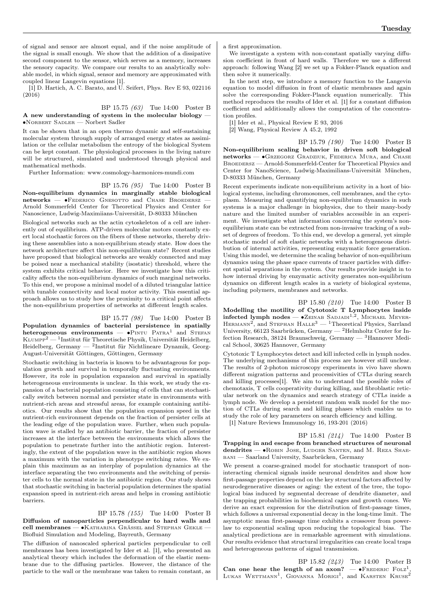of signal and sensor are almost equal, and if the noise amplitude of the signal is small enough. We show that the addition of a dissipative second component to the sensor, which serves as a memory, increases the sensory capacity. We compare our results to an analytically solvable model, in which signal, sensor and memory are approximated with coupled linear Langevin equations [1].

[1] D. Hartich, A. C. Barato, and U. Seifert, Phys. Rev E 93, 022116  $(2016)$ 

BP 15.75 (63) Tue 14:00 Poster B

#### A new understanding of system in the molecular biology — ∙Norbert Sadler — Norbert Sadler

It can be shown that in an open thermo dynamic and self-sustaining molecular system through supply of arranged energy states as assimilation or the cellular metabolism the entropy of the biological System can be kept constant. The physiological processes in the living nature will be structured, simulated and understood through physical and mathematical methods.

Further Information: www.cosmology-harmonices-mundi.com

### BP 15.76 (95) Tue 14:00 Poster B

Non-equilibrium dynamics in marginally stable biological networks — •Federico Gnesotto and Chase Broedersz Arnold Sommerfeld Center for Theoretical Physics and Center for Nanoscience, Ludwig-Maximiians-Universität, D-80333 München

Biological networks such as the actin cytoskeleton of a cell are inherently out of equilibrium. ATP-driven molecular motors constantly exert local stochastic forces on the fibers of these networks, thereby driving these assemblies into a non-equilibrium steady state. How does the network architecture affect this non-equilibrium state? Recent studies have proposed that biological networks are weakly connected and may be poised near a mechanical stability (isostatic) threshold, where the system exhibits critical behavior. Here we investigate how this criticality affects the non-equilibrium dynamics of such marginal networks. To this end, we propose a minimal model of a diluted triangular lattice with tunable connectivity and local motor activity. This essential approach allows us to study how the proximity to a critical point affects the non-equilibrium properties of networks at different length scales.

#### BP 15.77 (98) Tue 14:00 Poster B

Population dynamics of bacterial persistence in spatially heterogeneous environments — •PINTU PATRA<sup>1</sup> and STEFAN  $KL$ UMPP<sup>2</sup> — <sup>1</sup>Institut für Theoretische Physik, Universität Heidelberg, Heidelberg, Germany — <sup>2</sup>Institut für Nichtlineare Dynamik, Georg-August-Universität Göttingen, Göttingen, Germany

Stochastic switching in bacteria is known to be advantageous for population growth and survival in temporally fluctuating environments. However, its role in population expansion and survival in spatially heterogeneous environments is unclear. In this work, we study the expansion of a bacterial population consisting of cells that can stochastically switch between normal and persister state in environments with nutrient-rich areas and stressful areas, for example containing antibiotics. Our results show that the population expansion speed in the nutrient-rich environment depends on the fraction of persister cells at the leading edge of the population wave. Further, when such population wave is stalled by an antibiotic barrier, the fraction of persister increases at the interface between the environments which allows the population to penetrate further into the antibiotic region. Interestingly, the extent of the population wave in the antibiotic region shows a maximum with the variation in phenotype switching rates. We explain this maximum as an interplay of population dynamics at the interface separating the two environments and the switching of persister cells to the normal state in the antibiotic region. Our study shows that stochastic switching in bacterial population determines the spatial expansion speed in nutrient-rich areas and helps in crossing antibiotic barriers.

### BP 15.78 (155) Tue 14:00 Poster B

Diffusion of nanoparticles perpendicular to hard walls and cell membranes — ∙Katharina Gräßel and Stephan Gekle — Biofluid Simulation and Modeling, Bayreuth, Germany

The diffusion of nanoscaled spherical particles perpendicular to cell membranes has been investigated by Ider et al. [1], who presented an analytical theory which includes the deformation of the elastic membrane due to the diffusing particles. However, the distance of the particle to the wall or the membrane was taken to remain constant, as a first approximation.

We investigate a system with non-constant spatially varying diffusion coefficient in front of hard walls. Therefore we use a different approach: following Wang [2] we set up a Fokker-Planck equation and then solve it numerically.

In the next step, we introduce a memory function to the Langevin equation to model diffusion in front of elastic membranes and again solve the corresponding Fokker-Planck equation numerically. This method reproduces the results of Ider et al. [1] for a constant diffusion coefficient and additionally allows the computation of the concentration profiles.

[1] Ider et al., Physical Review E 93, 2016

[2] Wang, Physical Review A 45.2, 1992

BP 15.79 (190) Tue 14:00 Poster B Non-equilibrium scaling behavior in driven soft biological networks — •Grzegorz Gradziuk, Federica Mura, and Chase BROEDERSZ — Arnold-Sommerfeld-Center for Theoretical Physics and Center for NanoScience, Ludwig-Maximilians-Universität München, D-80333 München, Germany

Recent experiments indicate non-equilibrium activity in a host of biological systems, including chromosomes, cell membranes, and the cytoplasm. Measuring and quantifying non-equilibrium dynamics in such systems is a major challenge in biophysics, due to their many-body nature and the limited number of variables accessible in an experiment. We investigate what information concerning the system's nonequilibrium state can be extracted from non-invasive tracking of a subset of degrees of freedom. To this end, we develop a general, yet simple stochastic model of soft elastic networks with a heterogeneous distribution of internal activities, representing enzymatic force generation. Using this model, we determine the scaling behavior of non-equilibrium dynamics using the phase space currents of tracer particles with different spatial separations in the system. Our results provide insight in to how internal driving by enzymatic activity generates non-equilibrium dynamics on different length scales in a variety of biological systems, including polymers, membranes and networks.

BP 15.80 (210) Tue 14:00 Poster B Modelling the motility of Cytotoxic T Lymphocytes inside infected lymph nodes —  $•$ ZEINAB SADJADI<sup>1,2</sup>, MICHAEL MEYER-HERMANN<sup>2</sup>, and STEPHAN HALLE<sup>3</sup> — <sup>1</sup>Theoretical Physics, Sarrland University, 66123 Saarbrücken, Germany — <sup>2</sup>Helmholtz Center for Infection Research, 38124 Braunschweig, Germany — <sup>3</sup>Hannover Medical School, 30625 Hannover, Germany

Cytotoxic T Lymphocytes detect and kill infected cells in lymph nodes. The underlying mechanisms of this process are however still unclear. The results of 2-photon microscopy experiments in vivo have shown different migration patterns and processivities of CTLs during search and killing processes[1]. We aim to understand the possible roles of chemotaxis, T cells cooperativity during killing, and fibroblastic reticular network on the dynamics and search strategy of CTLs inside a lymph node. We develop a persistent random walk model for the motion of CTLs during search and killing phases which enables us to study the role of key parameters on search efficiency and killing.

[1] Nature Reviews Immunology 16, 193-201 (2016)

BP 15.81 (214) Tue 14:00 Poster B Trapping in and escape from branched structures of neuronal dendrites — •ROBIN JOSE, LUDGER SANTEN, and M. REZA SHAEbani — Saarland University, Saarbrücken, Germany

We present a coarse-grained model for stochastic transport of noninteracting chemical signals inside neuronal dendrites and show how first-passage properties depend on the key structural factors affected by neurodegenerative diseases or aging: the extent of the tree, the topological bias induced by segmental decrease of dendrite diameter, and the trapping probabilities in biochemical cages and growth cones. We derive an exact expression for the distribution of first-passage times, which follows a universal exponential decay in the long-time limit. The asymptotic mean first-passage time exhibits a crossover from powerlaw to exponential scaling upon reducing the topological bias. The analytical predictions are in remarkable agreement with simulations. Our results evidence that structural irregularities can create local traps and heterogeneous patterns of signal transmission.

BP 15.82 (243) Tue 14:00 Poster B Can one hear the length of an axon?  $- \cdot$ FREDERIC FOLZ<sup>1</sup>, LUKAS WETTMANN<sup>1</sup>, GIOVANNA MORIGI<sup>1</sup>, and KARSTEN KRUSE<sup>2</sup>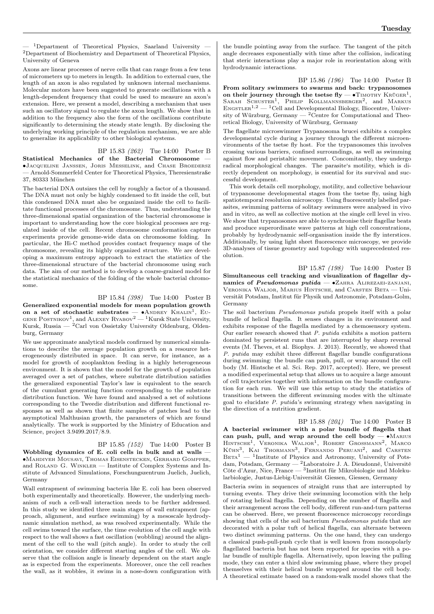$-$  <sup>1</sup>Department of Theoretical Physics, Saarland University — <sup>2</sup>Department of Biochemistry and Department of Theoretical Physics, University of Geneva

Axons are linear processes of nerve cells that can range from a few tens of micrometers up to meters in length. In addition to external cues, the length of an axon is also regulated by unknown internal mechanisms. Molecular motors have been suggested to generate oscillations with a length-dependent frequency that could be used to measure an axon's extension. Here, we present a model, describing a mechanism that uses such an oscillatory signal to regulate the axon length. We show that in addition to the frequency also the form of the oscillations contribute significantly to determining the steady state length. By disclosing the underlying working principle of the regulation mechanism, we are able to generalize its applicability to other biological systems.

BP 15.83 (262) Tue 14:00 Poster B

Statistical Mechanics of the Bacterial Chromosome ∙Jacqueline Janssen, Joris Messelink, and Chase Broedersz — Arnold-Sommerfeld Center for Theoretical Physics, Theresienstraße 37, 80333 München

The bacterial DNA outsizes the cell by roughly a factor of a thousand. The DNA must not only be highly condensed to fit inside the cell, but this condensed DNA must also be organized inside the cell to facilitate functional processes of the chromosome. Thus, understanding the three-dimensional spatial organization of the bacterial chromosome is important to understanding how the core biological processes are regulated inside of the cell. Recent chromosome conformation capture experiments provide genome-wide data on chromosome folding. In particular, the Hi-C method provides contact frequency maps of the chromosome, revealing its highly organized structure. We are developing a maximum entropy approach to extract the statistics of the three-dimensional structure of the bacterial chromosome using such data. The aim of our method is to develop a coarse-grained model for the statistical mechanics of the folding of the whole bacterial chromosome.

### BP 15.84 (398) Tue 14:00 Poster B

Generalized exponential models for mean population growth on a set of stochastic substrates —  $\bullet$ ANDREY KHALIN<sup>1</sup>, EU-GENE  $\mathrm{PosTNIKOV}^{1},$  and  $\mathrm{ALEXEY}$   $\mathrm{RYABOV}^{2}-{}^{1}\mathrm{Kursk}$  State University, Kursk, Russia — <sup>2</sup>Carl von Ossietzky University Oldenburg, Oldenburg, Germany

We use approximate analytical models confirmed by numerical simulations to describe the average population growth on a resource heterogeneously distributed in space. It can serve, for instance, as a model for growth of zooplankton feeding in a highly heterogeneous environment. It is shown that the model for the growth of population averaged over a set of patches, where substrate distribution satisfies the generalized exponential Taylor's law is equivalent to the search of the cumulant generating function corresponding to the substrate distribution function. We have found and analysed a set of solutions corresponding to the Tweedie distribution and different functional responses as well as shown that finite samples of patches lead to the asymptotical Malthusian growth, the parameters of which are found analytically. The work is supported by the Ministry of Education and Science, project 3.9499.2017/8.9.

BP 15.85 (152) Tue 14:00 Poster B Wobbling dynamics of E. coli cells in bulk and at walls — ∙Mahdiyeh Mousavi, Thomas Eisenstecken, Gerhard Gompper, and Roland G. Winkler — Institute of Complex Systems and Institute of Advanced Simulations, Forschungszentrum Juelich, Juelich, Germany

Wall entrapment of swimming bacteria like E. coli has been observed both experimentally and theoretically. However, the underlying mechanism of such a cell-wall interaction needs to be further addressed. In this study we identified three main stages of wall entrapment (approach, alignment, and surface swimming) by a mesoscale hydrodynamic simulation method, as was resolved experimentally. While the cell swims toward the surface, the time evolution of the cell angle with respect to the wall shows a fast oscillation (wobbling) around the alignment of the cell to the wall (pitch angle). In order to study the cell orientation, we consider different starting angles of the cell. We observe that the collision angle is linearly dependent on the start angle as is expected from the experiments. Moreover, once the cell reaches the wall, as it wobbles, it swims in a nose-down configuration with

the bundle pointing away from the surface. The tangent of the pitch angle decreases exponentially with time after the collision, indicating that steric interactions play a major role in reorientation along with hydrodynamic interactions.

BP 15.86 (196) Tue 14:00 Poster B

From solitary swimmers to swarms and back: trypanosomes on their journey through the tsetse fly —  $\bullet$ Timothy Krüger<sup>1</sup>, SARAH SCHUSTER<sup>1</sup>, PHILIP KOLLMANNSBERGER<sup>2</sup>, and MARKUS  $\text{EncsrLER}^{1,2}$  — <sup>1</sup>Cell and Developmental Biology, Biocentre, University of Würzburg, Germany  $-2$  Centre for Computational and Theoretical Biology, University of Würzburg, Germany

The flagellate microswimmer Trypanosoma brucei exhibits a complex developmental cycle during a journey through the different microenvironments of the tsetse fly host. For the trypanosomes this involves crossing various barriers, confined surroundings, as well as swimming against flow and peristaltic movement. Concomitantly, they undergo radical morphological changes. The parasite's motility, which is directly dependent on morphology, is essential for its survival and successful development.

This work details cell morphology, motility, and collective behaviour of trypanosome developmental stages from the tsetse fly, using high spatiotemporal resolution microscopy. Using fluorescently labelled parasites, swimming patterns of solitary swimmers were analysed in vivo and in vitro, as well as collective motion at the single cell level in vivo. We show that trypanosomes are able to synchronise their flagellar beats and produce superordinate wave patterns at high cell concentrations, probably by hydrodynamic self-organisation inside the fly interstices. Additionally, by using light sheet fluorescence microscopy, we provide 3D-analyses of tissue geometry and topology with unprecedented resolution.

BP 15.87 (198) Tue 14:00 Poster B Simultaneous cell tracking and visualization of flagellar dynamics of Pseudomonas putida — •ZAHRA ALIREZAEI-ZANJANI, Veronika Waljor, Marius Hintsche, and Carsten Beta — Universität Potsdam, Institut für Physik und Astronomie, Potsdam-Golm, Germany

The soil bacterium Pseudomonas putida propels itself with a polar bundle of helical flagella. It senses changes in its environment and exhibits response of the flagella mediated by a chemosensory system. Our earlier research showed that P. putida exhibits a motion pattern dominated by persistent runs that are interrupted by sharp reversal events (M. Theves, et al. Biophys. J. 2013). Recently, we showed that P. putida may exhibit three different flagellar bundle configurations during swimming: the bundle can push, pull, or wrap around the cell body (M. Hintsche et al. Sci. Rep. 2017, accepted). Here, we present a modified experimental setup that allows us to acquire a large amount of cell trajectories together with information on the bundle configuration for each run. We will use this setup to study the statistics of transitions between the different swimming modes with the ultimate goal to elucidate P. putida's swimming strategy when navigating in the direction of a nutrition gradient.

BP 15.88 (204) Tue 14:00 Poster B A bacterial swimmer with a polar bundle of flagella that can push, pull, and wrap around the cell body — ∙Marius HINTSCHE<sup>1</sup>, VERONIKA WALJOR<sup>1</sup>, ROBERT GROSSMANN<sup>2</sup>, MARCO KÜHN<sup>3</sup>, KAI THORMANN<sup>3</sup>, FERNANDO PERUANI<sup>2</sup>, and CARSTEN  $BETA<sup>1</sup>$  — <sup>1</sup>Institute of Physics and Astronomy, University of Potsdam, Potsdam, Germany — <sup>2</sup>Laboratoire J. A. Dieudonné, Université Côte d'Azur, Nice, France — <sup>3</sup> Institut für Mikrobiologie und Molekularbiologie, Justus-Liebig-Universität Giessen, Giessen, Germany

Bacteria swim in sequences of straight runs that are interrupted by turning events. They drive their swimming locomotion with the help of rotating helical flagella. Depending on the number of flagella and their arrangement across the cell body, different run-and-turn patterns can be observed. Here, we present fluorescence microscopy recordings showing that cells of the soil bacterium Pseudomonas putida that are decorated with a polar tuft of helical flagella, can alternate between two distinct swimming patterns. On the one hand, they can undergo a classical push-pull-push cycle that is well known from monopolarly flagellated bacteria but has not been reported for species with a polar bundle of multiple flagella. Alternatively, upon leaving the pulling mode, they can enter a third slow swimming phase, where they propel themselves with their helical bundle wrapped around the cell body. A theoretical estimate based on a random-walk model shows that the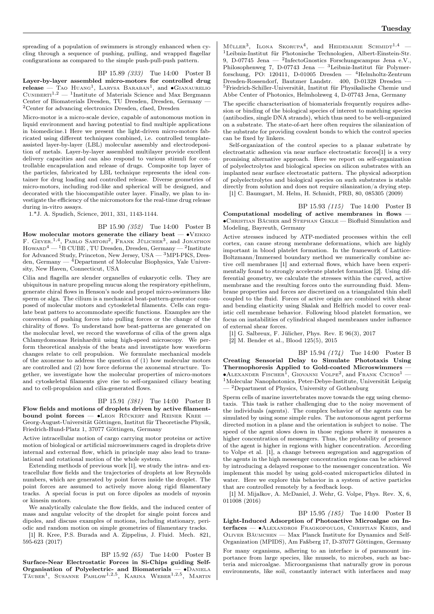spreading of a population of swimmers is strongly enhanced when cycling through a sequence of pushing, pulling, and wrapped flagellar configurations as compared to the simple push-pull-push pattern.

BP 15.89 (333) Tue 14:00 Poster B Layer-by-layer assembled micro-motors for controlled drug  $\mathbf{release} = \text{Tao Huana}^1$ , Larysa Baraban<sup>1</sup>, and  $\bullet$ Gianaurelio CUNIBERTI<sup>1,2</sup> — <sup>1</sup>Institute of Materials Science and Max Bergmann Center of Biomaterials Dresden, TU Dresden, Dresden, Germany — <sup>2</sup>Center for advancing electronics Dresden, cfaed, Dresden

Micro-motor is a micro-scale device, capable of autonomous motion in liquid environment and having potential to find multiple applications in biomedicine.1 Here we present the light-driven micro-motors fabricated using different techniques combined, i.e. controlled templateassisted layer-by-layer (LBL) molecular assembly and electrodeposition of metals. Layer-by-layer assembled multilayer provide excellent delivery capacities and can also respond to various stimuli for controllable encapsulation and release of drugs. Composite top layer of the particles, fabricated by LBL technique represents the ideal container for drug loading and controlled release. Diverse geometries of micro-motors, including rod-like and spherical will be designed, and decorated with the biocompatible outer layer. Finally, we plan to investigate the efficiency of the micromotors for the real-time drug release during in-vitro assays.

1.\*J. A. Spudich, Science, 2011, 331, 1143-1144.

BP 15.90 (352) Tue 14:00 Poster B How molecular motors generate the ciliary beat — • VEIKKO F. GEYER.<sup>1,4</sup>, PABLO SARTORI<sup>2</sup>, FRANK JÜLICHER<sup>3</sup>, and JONATHON  $\rm{HowARD}^4$  —  $\rm{^1B}$  CUBE , TU Dresden, Dresden, Germany —  $\rm{^2Institute}$ for Advanced Study, Princeton, New Jersey, USA — <sup>3</sup>MPI-PKS, Dresden, Germany  $-$ <sup>4</sup>Department of Molecular Biophysics, Yale University, New Haven, Connecticut, USA

Cilia and flagella are slender organelles of eukaryotic cells. They are ubiquitous in nature propeling mucus along the respiratory epithelium, generate chiral flows in Henson's node and propel micro-swimmers like sperm or alga. The cilium is a mechanical beat-pattern-generator composed of molecular motors and cytoskeletal filaments. Cells can regulate beat patters to accommodate specific functions. Examples are the conversion of pushing forces into pulling forces or the change of the chirality of flows. To understand how beat-patterns are generated on the molecular level, we record the waveforms of cilia of the green alga Chlamydomonas Reinhardtii using high-speed microscopy. We perform theoretical analysis of the beats and investigate how waveform changes relate to cell propulsion. We formulate mechanical models of the axoneme to address the question of (1) how molecular motors are controlled and (2) how force deforms the axonemal structure. Together, we investigate how the molecular properties of micro-motors and cytoskeletal filaments give rise to self-organized ciliary beating and to cell-propulsion and cilia-generated flows.

### BP 15.91 (381) Tue 14:00 Poster B

Flow fields and motions of droplets driven by active filamentbound point forces — ∙Leon Rückert and Reiner Kree — Georg-August-Universität Göttingen, Institut für Theoretische Physik, Friedrich-Hund-Platz 1, 37077 Göttingen, Germany

Active intracellular motion of cargo carrying motor proteins or active motion of biological or artificial microswimmers caged in droplets drive internal and external flow, which in principle may also lead to translational and rotational motion of the whole system.

Extending methods of previous work [1], we study the intra- and extracellular flow fields and the trajectories of droplets at low Reynolds numbers, which are generated by point forces inside the droplet. The point forces are assumed to actively move along rigid filamentary tracks. A special focus is put on force dipoles as models of myosin or kinesin motors.

We analytically calculate the flow fields, and the induced center of mass and angular velocity of the droplet for single point forces and dipoles, and discuss examples of motions, including stationary, periodic and random motion on simple geometries of filamentary tracks.

[1] R. Kree, P.S. Burada and A. Zippelius, J. Fluid. Mech. 821, 595-623 (2017)

BP 15.92 (65) Tue 14:00 Poster B Surface-Near Electrostatic Forces in Si-Chips guiding Self-Organisation of Polyelectric- and Biomaterials — ∙Daniela TÄUBER<sup>1</sup>, SUSANNE PAHLOW<sup>1,2,5</sup>, KARINA WEBER<sup>1,2,5</sup>, MARTIN

 $M\ddot{\omega}$ LER<sup>3</sup>, ILONA SKORUPA<sup>4</sup>, and HEIDEMARIE SCHMIDT<sup>1,4</sup> – <sup>1</sup>Leibniz-Institut für Photonische Technologien, Albert-Einstein-Str. 9, D-07745 Jena — <sup>2</sup> InfectoGnostics Forschungscampus Jena e.V., Philosophenweg 7, D-07743 Jena — <sup>3</sup>Leibniz-Institut für Polymerforschung, PO: 120411, D-01005 Dresden — <sup>4</sup>Helmholtz-Zentrum Dresden-Rossendorf, Bautzner Landstr. 400, D-01328 Dresden — <sup>5</sup>Friedrich-Schiller-Universität, Institut für Physikalische Chemie und Abbe Center of Photonics, Helmholzweg 4, D-07743 Jena, Germany

The specific characterisation of biomaterials frequently requires adhesion or binding of the biological species of interest to matching species (antibodies, single DNA strands), which thus need to be well-organized on a substrate. The state-of-art here often requires the silanization of the substrate for providing covalent bonds to which the control species can be fixed by linkers.

Self-organization of the control species to a planar substrate by electrostatic adhesion via near surface electrostatic forces[1] is a very promising alternative approach. Here we report on self-organization of polyelectrolytes and biological species on silicon substrates with an implanted near surface electrostatic pattern. The physical adsorption of polyelectrolytes and biological species on such substrates is stable directly from solution and does not require silanization/a drying step.

[1] C. Baumgart, M. Helm, H. Schmidt, PRB, 80, 085305 (2009)

BP 15.93 (115) Tue 14:00 Poster B Computational modeling of active membranes in flows — ∙Christian Bächer and Stephan Gekle — Biofluid Simulation and Modeling, Bayreuth, Germany

Active stresses induced by ATP-mediated processes within the cell cortex, can cause strong membrane deformations, which are highly important in blood platelet formation. In the framework of Lattice-Boltzmann/Immersed boundary method we numerically combine active cell membranes [1] and external flows, which have been experimentally found to strongly accelerate platelet formation [2]. Using differential geometry, we calculate the stresses within the curved, active membrane and the resulting forces onto the surrounding fluid. Membrane properties and forces are discretized on a triangulated thin shell coupled to the fluid. Forces of active origin are combined with shear and bending elasticity using Skalak and Helfrich model to cover realistic cell membrane behavior. Following blood platelet formation, we focus on instabilities of cylindrical shaped membranes under influence of external shear forces.

[1] G. Salbreux, F. Jülicher, Phys. Rev. E 96(3), 2017

[2] M. Bender et al., Blood 125(5), 2015

BP 15.94 (174) Tue 14:00 Poster B Creating Sensorial Delay to Simulate Phototaxis Using Thermophoresis Applied to Gold-coated Microswimmers —  $\bullet$ ALEXANDER FISCHER<sup>1</sup>, GIOVANNI VOLPE<sup>2</sup>, and FRANK CICHOS<sup>1</sup> — <sup>1</sup>Molecular Nanophotonics, Peter-Debye-Institute, Universität Leipzig — <sup>2</sup>Department of Physics, University of Gothenburg

Sperm cells of marine invertebrates move towards the egg using chemotaxis. This task is rather challenging due to the noisy movement of the individuals (agents). The complex behavior of the agents can be simulated by using some simple rules. The autonomous agent performs directed motion in a plane and the orientation is subject to noise. The speed of the agent slows down in those regions where it measures a higher concentration of messengers. Thus, the probability of presence of the agent is higher in regions with higher concentration. According to Volpe et al. [1], a change between segregation and aggregation of the agents in the high messenger concentration regions can be achieved by introducing a delayed response to the messenger concentration. We implement this model by using gold-coated microparticles diluted in water. Here we explore this behavior in a system of active particles that are controlled remotely by a feedback loop.

[1] M. Mijalkov, A. McDaniel, J. Wehr, G. Volpe, Phys. Rev. X, 6, 011008 (2016)

BP 15.95 (185) Tue 14:00 Poster B Light-Induced Adsorption of Photoactive Microalgae on Interfaces — ∙Alexandros Fragkopoulos, Christian Kreis, and Oliver Bäumchen — Max Planck Institute for Dynamics and Self-Organization (MPIDS), Am Faßberg 17, D-37077 Göttingen, Germany For many organisms, adhering to an interface is of paramount importance from large species, like mussels, to microbes, such as bacteria and microalgae. Microorganisms that naturally grow in porous environments, like soil, constantly interact with interfaces and may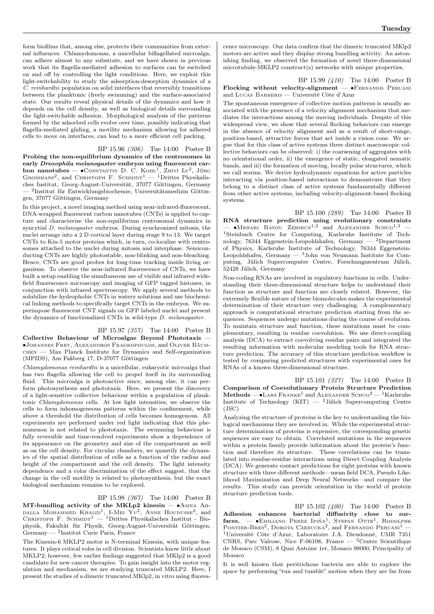form biofilms that, among else, protects their communities from external influences. Chlamydomonas, a unicellular biflagellated microalga, can adhere almost to any substrate, and we have shown in previous work that its flagella-mediated adhesion to surfaces can be switched on and off by controlling the light conditions. Here, we exploit this light-switchability to study the adsorption-desorption dynamics of a C. reinhardtii population on solid interfaces that reversibly transitions between the planktonic (freely swimming) and the surface-associated state. Our results reveal physical details of the dynamics and how it depends on the cell density, as well as biological details surrounding the light-switchable adhesion. Morphological analysis of the patterns formed by the adsorbed cells evolve over time, possibly indicating that flagella-mediated gliding, a motility mechanism allowing for adhered cells to move on interfaces, can lead to a more efficient cell packing.

BP 15.96 (306) Tue 14:00 Poster B Probing the non-equilibrium dynamics of the centrosomes in early Drosophila melanogaster embryos using fluorescent carbon nanotubes — •Constantin D. C. Kohl<sup>1</sup>, Zhiyi Lv<sup>2</sup>, Jörg GROSSHANS<sup>2</sup>, and CHRISTOPH F. SCHMIDT<sup>1</sup> - <sup>1</sup>Drittes Physikalisches Institut, Georg-August-Universität, 37077 Göttingen, Germany — <sup>2</sup> Institut für Entwicklungsbiochemie, Universitätsmedizin Göttingen, 37077 Göttingen, Germany

In this project, a novel imaging method using near-infrared-fluorescent, DNA-wrapped fluorescent carbon nanotubes (CNTs) is applied to capture and characterize the non-equilibrium centrosomal dynamics in syncytial D. melanogaster embryos. During synchronized mitosis, the nuclei arrange into a 2 D cortical layer during stage 9 to 13. We target CNTs to Kin-5 motor proteins which, in turn, co-localize with centrosomes attached to the nuclei during mitosis and interphase. Semiconducting CNTs are highly photostable, non-blinking and non-bleaching. Hence, CNTs are good probes for long-time tracking inside living organisms. To observe the near-infrared fluorescence of CNTs, we have built a setup enabling the simultaneous use of visible and infrared widefield fluorescence microscopy and imaging of GFP tagged histones, in conjunction with infrared spectroscopy. We apply several methods to solubilize the hydrophobic CNTs in watery solutions and use biochemical linking methods to specifically target CNTs in the embryos. We superimpose fluorescent CNT signals on GFP labeled nuclei and present the dynamics of functionalized CNTs in wild-type D. melanogaster.

## BP 15.97 (357) Tue 14:00 Poster B

Collective Behaviour of Microalgae Beyond Phototaxis — ∙Johannes Frey, Alexandros Fragkopoulos, and Oliver Bäumchen — Max Planck Institute for Dynamics and Self-organization (MPIDS), Am Faßberg 17, D-37077 Göttingen

Chlamydomonas reinhardtii is a unicellular, eukaryotic microalga that has two flagella allowing the cell to propel itself in its surrounding fluid. This microalga is photoactive since, among else, it can perform photosynthesis and phototaxis. Here, we present the discovery of a light-sensitive collective behaviour within a population of planktonic Chlamydomonas cells. At low light intensities, we observe the cells to form inhomogeneous patterns within the confinement, while above a threshold the distribution of cells becomes homogenous. All experiments are performed under red light indicating that this phenomenon is not related to phototaxis. The swimming behaviour is fully reversible and time-resolved experiments show a dependence of its appearance on the geometry and size of the compartment as well as on the cell density. For circular chambers, we quantify the dynamics of the spatial distribution of cells as a function of the radius and height of the compartment and the cell density. The light intensity dependence and a color discrimination of the effect suggest, that the change in the cell motility is related to photosynthesis, but the exact biological mechanism remains to be explored.

### BP 15.98 (367) Tue 14:00 Poster B

MT-bundling activity of the MKLp2 kinesin — ∙Amna Ab-DALLA MOHAMMED  $\text{KHALID}^1$ , I-MEI  $\text{Yu}^2$ , ANNE HOUDUSSE<sup>2</sup>, and CHRISTOPH F. SCHMIDT<sup>1</sup> — <sup>1</sup>Drittes Physikalisches Institut - Biophysik, Fakultät für Physik, Georg-August-Universität Göttingen, Germany — <sup>2</sup> Institut Curie Paris, France

The Kinesin-6 MKLP2 motor is N-terminal Kinesin, with unique features. It plays critical roles in cell division. Scientists know little about MKLP2; however, few earlier findings suggested that MKlp2 is a good candidate for new cancer therapies. To gain insight into the motor regulation and mechanism, we are studying truncated MKLP2. Here, I present the studies of a dimeric truncated MKlp2, in vitro using fluorescence microscopy. Our data confirm that the dimeric truncated MKlp2 motors are active and they display strong bundling activity. An astonishing finding, we observed the formation of novel three-dimensional microtubule-MKLP2 construct(s) networks with unique properties.

BP 15.99 (410) Tue 14:00 Poster B Flocking without velocity-alignment — ∙Fernando Peruani and Lucas Barberis — Université Côte d'Azur

The spontaneous emergence of collective motion patterns is usually associated with the presence of a velocity alignment mechanism that mediates the interactions among the moving individuals. Despite of this widespread view, we show that several flocking behaviors can emerge in the absence of velocity alignment and as a result of short-range, position-based, attractive forces that act inside a vision cone. We argue that for this class of active systems three distinct macroscopic collective behaviors can be observed: i) the coarsening of aggregates with no orientational order, ii) the emergence of static, elongated nematic bands, and iii) the formation of moving, locally polar structures, which we call worms. We derive hydrodynamic equations for active particles interacting via position-based interactions to demonstrate that they belong to a distinct class of active systems fundamentally different from other active systems, including velocity-alignment-based flocking systems.

BP 15.100 (289) Tue 14:00 Poster B RNA structure prediction using evolutionary constraints  $\bullet$ Mehari Bayou Zerihun<sup>1,2</sup> and Alexander Schug<sup>1,3</sup> — <sup>1</sup>Steinbuch Centre for Computing, Karlsruhe Institute of Technology, 76344 Eggenstein-Leopoldshafen, Germany — <sup>2</sup>Department of Physics, Karlsruhe Institute of Technology, 76344 Eggenstein-Leopoldshafen, Germany — <sup>3</sup>John von Neumann Institute for Computing, Jülich Supercomputer Centre, Forschungszentrum Jülich, 52428 Jülich, Germany

Non-coding RNAs are involved in regulatory functions in cells. Understanding their three-dimensional structure helps to understand their function as structure and function are closely related. However, the extremely flexible nature of these biomolecules makes the experimental determination of their structure very challenging. A complementary approach is computational structure prediction starting from the sequences. Sequences undergo mutations during the course of evolution. To maintain structure and function, these mutations must be complementary, resulting in residue coevolution. We use direct-coupling analysis (DCA) to extract coevolving residue pairs and integrated the resulting information with molecular modeling tools for RNA structure prediction. The accuracy of this structure prediction workflow is tested by comparing predicted structures with experimental ones for RNAs of a known three-dimensional structure.

BP 15.101 (327) Tue 14:00 Poster B Comparison of Coevolutionary Protein Structure Prediction Methods —  $\bullet$ LARS FRANKE<sup>1</sup> and ALEXANDER SCHUG<sup>2</sup> — <sup>1</sup>Karlsruhe Institute of Technology (KIT)  $-$  <sup>2</sup>Jülich Supercomputing Centre (JSC)

Analyzing the structure of proteins is the key to understanding the biological mechanisms they are involved in. While the experimental structure determination of proteins is expensive, the corresponding genetic sequences are easy to obtain. Correlated mutations in the sequences within a protein family provide information about the protein's function and therefore its structure. These correlations can be translated into residue-residue interactions using Direct Coupling Analysis (DCA). We generate contact predictions for eight proteins with known structure with three different methods—mean field DCA, Pseudo Likelihood Maximization and Deep Neural Networks—and compare the results. This study can provide orientation in the world of protein structure prediction tools.

BP 15.102 (400) Tue 14:00 Poster B Adhesion enhances bacterial diffusivity close to sur**faces.** —  $\bullet$ EMILIANO PEREZ IPIÑA<sup>1</sup>, STEFAN OTTE<sup>1</sup>, RODOLPHE PONTIER-BRES<sup>2</sup>, DOROTA CZERUCKA<sup>2</sup>, and FERNANDO PERUANI<sup>1</sup> <sup>1</sup>Université Côte d'Azur, Laboratoire J.A. Dieudonné, UMR 7351 CNRS, Parc Valrose, Nice F-06108, France — <sup>2</sup>Centre Scientifique de Monaco (CSM), 8 Quai Antoine 1er, Monaco 98000, Principality of Monaco

It is well known that peritrichous bacteria are able to explore the space by performing "run and tumble" motion when they are far from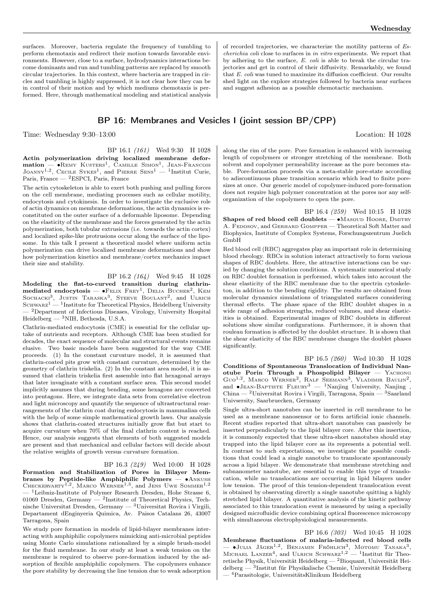surfaces. Moreover, bacteria regulate the frequency of tumbling to perform chemotaxis and redirect their motion towards favorable environments. However, close to a surface, hydrodynamics interactions become dominants and run and tumbling patterns are replaced by smooth circular trajectories. In this context, where bacteria are trapped in circles and tumbling is highly suppressed, it is not clear how they can be in control of their motion and by which mediums chemotaxis is performed. Here, through mathematical modeling and statistical analysis

### BP 16: Membranes and Vesicles I (joint session BP/CPP)

Time: Wednesday 9:30–13:00 Location: H 1028

BP 16.1 (161) Wed 9:30 H 1028 Actin polymerization driving localized membrane defor $mation$  —  $\bullet$ REMY KUSTERS<sup>1</sup>, CAMILLE SIMON<sup>1</sup>, JEAN-FRANCOIS JOANNY<sup>1,2</sup>, CECILE SYKES<sup>1</sup>, and PIERRE SENS<sup>1</sup> — <sup>1</sup>Institut Curie, Paris, France — <sup>2</sup>ESPCI, Paris, France

The actin cytoskeleton is able to exert both pushing and pulling forces on the cell membrane, mediating processes such as cellular motility, endocytosis and cytokinesis. In order to investigate the exclusive role of actin dynamics on membrane deformations, the actin dynamics is reconstituted on the outer surface of a deformable liposome. Depending on the elasticity of the membrane and the forces generated by the actin polymerization, both tubular extrusions (i.e. towards the actin cortex) and localized spike-like protrusions occur along the surface of the liposome. In this talk I present a theoretical model where uniform actin polymerization can drive localized membrane deformations and show how polymerization kinetics and membrane/cortex mechanics impact their size and stability.

BP 16.2 (164) Wed 9:45 H 1028 Modeling the flat-to-curved transition during clathrinmediated endocytosis —  $\bullet$ Felix Frey<sup>1</sup>, Delia Bucher<sup>2</sup>, Kem Sochacki<sup>3</sup>, Justin Taraska<sup>3</sup>, Steeve Boulant<sup>2</sup>, and Ulrich SCHWARZ<sup>1</sup> — <sup>1</sup> Institute for Theoretical Physics, Heidelberg University — <sup>2</sup>Department of Infectious Diseases, Virology, University Hospital Heidelberg — <sup>3</sup>NIH, Bethesda, U.S.A.

Clathrin-mediated endocytosis (CME) is essential for the cellular uptake of nutrients and receptors. Although CME has been studied for decades, the exact sequence of molecular and structural events remains elusive. Two basic models have been suggested for the way CME proceeds. (1) In the constant curvature model, it is assumed that clathrin-coated pits grow with constant curvature, determined by the geometry of clathrin triskelia. (2) In the constant area model, it is assumed that clathrin triskelia first assemble into flat hexagonal arrays that later invaginate with a constant surface area. This second model implicitly assumes that during bending, some hexagons are converted into pentagons. Here, we integrate data sets from correlative electron and light microscopy and quantify the sequence of ultrastructural rearrangements of the clathrin coat during endocytosis in mammalian cells with the help of some simple mathematical growth laws. Our analysis shows that clathrin-coated structures initially grow flat but start to acquire curvature when 70% of the final clathrin content is reached. Hence, our analysis suggests that elements of both suggested models are present and that mechanical and cellular factors will decide about the relative weights of growth versus curvature formation.

#### BP 16.3 (249) Wed 10:00 H 1028

Formation and Stabilization of Pores in Bilayer Membranes by Peptide-like Amphiphilic Polymers — ∙Ankush CHECKERVARTY<sup>1,2</sup>, MARCO WERNER<sup>1,3</sup>, and JENS UWE SOMMER<sup>1,2</sup> <sup>- 1</sup>Leibniz-Institute of Polymer Research Dresden, Hohe Strasse 6, 01069 Dresden, Germany  $-$  <sup>2</sup>Institute of Theoretical Physics, Technische Universitat Dresden, Germany — <sup>3</sup>Universitat Rovira i Virgili, Departament dEnginyeria Quimica, Av. Paisos Catalans 26, 43007 Tarragona, Spain

We study pore formation in models of lipid-bilayer membranes interacting with amphiphilic copolymers mimicking anti-microbial peptides using Monte Carlo simulations rationalized by a simple brush-model for the fluid membrane. In our study at least a weak tension on the membrane is required to observe pore-formation induced by the adsorption of flexible amphiphilic copolymers. The copolymers enhance the pore stability by decreasing the line tension due to weak adsorption

along the rim of the pore. Pore formation is enhanced with increasing length of copolymers or stronger stretching of the membrane. Both solvent and copolymer permeability increase as the pore becomes stable. Pore-formation proceeds via a meta-stable pore-state according to adiscontinuous phase transition scenario which lead to finite poresizes at once. Our generic model of copolymer-induced pore-formation does not require high polymer concentration at the pores nor any selforganization of the copolymers to open the pore.

of recorded trajectories, we characterize the motility patterns of Escherichia coli close to surfaces in in vitro experiments. We report that by adhering to the surface, E. coli is able to break the circular trajectories and get in control of their diffusivity. Remarkably, we found that E. coli was tuned to maximize its diffusion coefficient. Our results shed light on the explore strategies followed by bacteria near surfaces

and suggest adhesion as a possible chemotactic mechanism.

BP 16.4 (259) Wed 10:15 H 1028 Shapes of red blood cell doublets — •Masoud Hoore, DMITRY A. FEDOSOV, and GERHARD GOMPPER - Theoretical Soft Matter and Biophysics, Institute of Complex Systems, Forschungszentrum Juelich GmbH

Red blood cell (RBC) aggregates play an important role in determining blood rheology. RBCs in solution interact attractively to form various shapes of RBC doublets. Here, the attractive interactions can be varied by changing the solution conditions. A systematic numerical study on RBC doublet formation is performed, which takes into account the shear elasticity of the RBC membrane due to the spectrin cytoskeleton, in addition to the bending rigidity. The results are obtained from molecular dynamics simulations of triangulated surfaces considering thermal effects. The phase space of the RBC doublet shapes in a wide range of adhesion strengths, reduced volumes, and shear elasticities is obtained. Experimental images of RBC doublets in different solutions show similar configurations. Furthermore, it is shown that rouleau formation is affected by the doublet structure. It is shown that the shear elasticity of the RBC membrane changes the doublet phases significantly.

BP 16.5 (260) Wed 10:30 H 1028 Conditions of Spontaneous Translocation of Individual Nanotube Porin Through a Phospolipid Bilayer — YACHONG Guo<sup>1,2</sup>, Marco Werner<sup>2</sup>, Ralf Seemann<sup>3</sup>, Vladimir Baulin<sup>2</sup>, and  $\bullet$ JEAN-BAPTISTE FLEURY<sup>3</sup> — <sup>1</sup>Nanjing University, Nanjing , China — <sup>2</sup>Universitat Rovira i Virgili, Tarragona, Spain — <sup>3</sup>Saarland Univsersity, Saarbruecken, Germany

Single ultra-short nanotubes can be inserted in cell membrane to be used as a membrane nanosensor or to form artificial ionic channels. Recent studies reported that ultra-short nanotubes can passively be inserted perpendicularly to the lipid bilayer core. After this insertion, it is commonly expected that these ultra-short nanotubes should stay trapped into the lipid bilayer core as its represents a potential well. In contrast to such expectations, we investigate the possible conditions that could lead a single nanotube to translocate spontaneously across a lipid bilayer. We demonstrate that membrane stretching and subnanometer nanotube, are essential to enable this type of translocation, while no translocations are occurring in lipid bilayers under low tension. The proof of this tension-dependent translocation event is obtained by observating directly a single nanotube quitting a highly stretched lipid bilayer. A quantitative analysis of the kinetic pathway associated to this translocation event is measured by using a specially designed microfluidic device combining optical fluorescence microscopy with simultaneous electrophysiological measurements.

BP 16.6 (303) Wed 10:45 H 1028 Membrane fluctuations of malaria-infected red blood cells — •Julia Jäger<sup>1,2</sup>, Велјамим Fröhlich<sup>3</sup>, Мотомu Талака<sup>3</sup>, Міснаеl Lanzer<sup>4</sup>, and Ulrich Schwarz<sup>1,2</sup> — <sup>1</sup>Institut für Theoretische Physik, Universität Heidelberg — <sup>2</sup>Bioquant, Universität Heidelberg — <sup>3</sup> Institut für Physikalische Chemie, Universität Heidelberg — <sup>4</sup>Parasitologie, UniversitätsKlinikum Heidelberg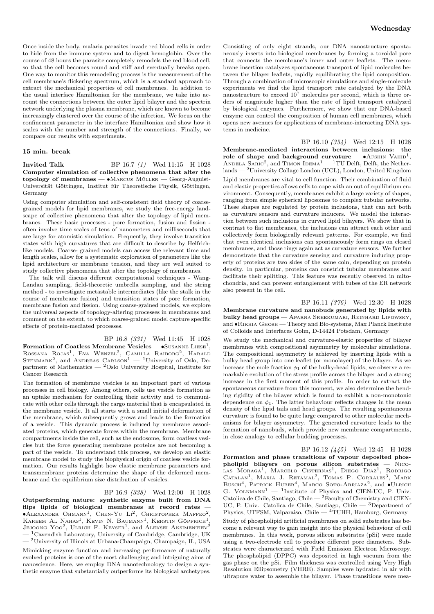Once inside the body, malaria parasites invade red blood cells in order to hide from the immune system and to digest hemoglobin. Over the course of 48 hours the parasite completely remodels the red blood cell, so that the cell becomes round and stiff and eventually breaks open. One way to monitor this remodeling process is the measurement of the cell membrane's flickering spectrum, which is a standard approach to extract the mechanical properties of cell membranes. In addition to the usual interface Hamiltonian for the membrane, we take into account the connections between the outer lipid bilayer and the spectrin network underlying the plasma membrane, which are known to become increasingly clustered over the course of the infection. We focus on the confinement parameter in the interface Hamiltonian and show how it scales with the number and strength of the connections. Finally, we compare our results with experiments.

#### 15 min. break

**Invited Talk** BP 16.7 (1) Wed 11:15 H 1028 Computer simulation of collective phenomena that alter the topology of membranes — ∙Marcus Müller — Georg-Auguist-Universität Göttingen, Institut für Theoretische Physik, Göttingen, Germany

Using computer simulation and self-consistent field theory of coarsegrained models for lipid membranes, we study the free-energy landscape of collective phenomena that alter the topology of lipid membranes. These basic processes - pore formation, fusion and fission often involve time scales of tens of nanometers and milliseconds that are large for atomistic simulation. Frequently, they involve transition states with high curvatures that are difficult to describe by Helfrichlike models. Coarse- grained models can access the relevant time and length scales, allow for a systematic exploration of parameters like the lipid architecture or membrane tension, and they are well suited to study collective phenomena that alter the topology of membranes.

The talk will discuss different computational techniques - Wang-Landau sampling, field-theoretic umbrella sampling, and the string method - to investigate metastable intermediates (like the stalk in the course of membrane fusion) and transition states of pore formation, membrane fusion and fission. Using coarse-grained models, we explore the universal aspects of topology-altering processes in membranes and comment on the extent, to which coarse-grained model capture specific effects of protein-mediated processes.

BP 16.8 (331) Wed 11:45 H 1028  $\rm{Formation~of~Coatless~Membrane~Vesicles\rm\bf -\bullet}$ Susanne Liese $^1,$ ROSSANA ROJAS<sup>1</sup>, EVA WENZEL<sup>2</sup>, CAMILLA RAIBORG<sup>2</sup>, HARALD STENMARK<sup>2</sup>, and ANDREAS  $C$ ARLSON<sup>1</sup> — <sup>1</sup>University of Oslo, Department of Mathematics — <sup>2</sup>Oslo University Hospital, Institute for Cancer Research

The formation of membrane vesicles is an important part of various processes in cell biology. Among others, cells use vesicle formation as an uptake mechanism for controlling their activity and to communicate with other cells through the cargo material that is encapsulated in the membrane vesicle. It all starts with a small initial deformation of the membrane, which subsequently grows and leads to the formation of a vesicle. This dynamic process is induced by membrane associated proteins, which generate forces within the membrane. Membrane compartments inside the cell, such as the endosome, form coatless vesicles but the force generating membrane proteins are not becoming a part of the vesicle. To understand this process, we develop an elastic membrane model to study the biophysical origin of coatless vesicle formation. Our results highlight how elastic membrane parameters and transmembrane proteins determine the shape of the deformed membrane and the equilibrium size distribution of vesicles.

#### BP 16.9 (338) Wed 12:00 H 1028

Outperforming nature: synthetic enzyme built from DNA flips lipids of biological membranes at record rates  $\bullet$ Alexander Ohmann<sup>1</sup>, Chen-Yu Li<sup>2</sup>, Christopher Maffeo<sup>2</sup>, Kareem Al Nahas<sup>1</sup>, Kevin N. Baumann<sup>1</sup>, Kerstin Göpfrich<sup>1</sup> Kareem Al Nahas<sup>1</sup>, Kevin N. Baumann<sup>1</sup>, Kerstin Göpfrich<sup>1</sup>,<br>Jejoong Yoo<sup>2</sup>, Ulrich F. Keyser<sup>1</sup>, and Aleksei Aksimentiev<sup>2</sup>  $-$ <sup>1</sup>Cavendish Laboratory, University of Cambridge, Cambridge, UK  $^2$  University of Illinois at Urbana-Champaign, Champaign, IL, USA

Mimicking enzyme function and increasing performance of naturally evolved proteins is one of the most challenging and intriguing aims of nanoscience. Here, we employ DNA nanotechnology to design a synthetic enzyme that substantially outperforms its biological archetypes.

Consisting of only eight strands, our DNA nanostructure spontaneously inserts into biological membranes by forming a toroidal pore that connects the membrane's inner and outer leaflets. The membrane insertion catalyzes spontaneous transport of lipid molecules between the bilayer leaflets, rapidly equilibrating the lipid composition. Through a combination of microscopic simulations and single-molecule experiments we find the lipid transport rate catalyzed by the DNA nanostructure to exceed  $10^7$  molecules per second, which is three orders of magnitude higher than the rate of lipid transport catalyzed by biological enzymes. Furthermore, we show that our DNA-based enzyme can control the composition of human cell membranes, which opens new avenues for applications of membrane-interacting DNA systems in medicine.

BP 16.10 (354) Wed 12:15 H 1028 Membrane-mediated interactions between inclusions: the role of shape and background curvature —  $\bullet$ AFSHIN VAHID<sup>1</sup>, ANDELA SARIC<sup>2</sup>, and TIMON IDEMA<sup>1</sup> — <sup>1</sup>TU Delft, Delft, the Netherlands — <sup>2</sup>University Collage London (UCL), London, United Kingdom Lipid membranes are vital to cell function. Their combination of fluid and elastic properties allows cells to cope with an out of equilibrium environment. Consequently, membranes exhibit a large variety of shapes, ranging from simple spherical liposomes to complex tubular networks. These shapes are regulated by protein inclusions, that can act both as curvature sensors and curvature inducers. We model the interaction between such inclusions in curved lipid bilayers. We show that in contrast to flat membranes, the inclusions can attract each other and collectively form biologically relevant patterns. For example, we find that even identical inclusions can spontaneously form rings on closed membranes, and those rings again act as curvature sensors. We further demonstrate that the curvature sensing and curvature inducing property of proteins are two sides of the same coin, depending on protein density. In particular, proteins can constrict tubular membranes and facilitate their splitting. This feature was recently observed in mitochondria, and can prevent entanglement with tubes of the ER network also present in the cell.

BP 16.11 (376) Wed 12:30 H 1028 Membrane curvature and nanobuds generated by lipids with bulky head groups — Aparna Sreekumari, Reinhard Lipowsky, and ∙Rikhia Ghosh — Theory and Bio-systems, Max Planck Institute of Colloids and Interfaces Golm, D-14424 Potsdam, Germany

We study the mechanical and curvature-elastic properties of bilayer membranes with compositional asymmetry by molecular simulations. The compositional asymmetry is achieved by inserting lipids with a bulky head group into one leaflet (or monolayer) of the bilayer. As we increase the mole fraction  $\phi_1$  of the bulky-head lipids, we observe a remarkable evolution of the stress profile across the bilayer and a strong increase in the first moment of this profile. In order to extract the spontaneous curvature from this moment, we also determine the bending rigidity of the bilayer which is found to exhibit a non-monotonic dependence on  $\phi_1$ . The latter behaviour reflects changes in the mean density of the lipid tails and head groups. The resulting spontaneous curvature is found to be quite large compared to other molecular mechanisms for bilayer asymmetry. The generated curvature leads to the formation of nanobuds, which provide new membrane compartments, in close analogy to cellular budding processes.

BP 16.12 (445) Wed 12:45 H 1028 Formation and phase transitions of vapour deposited phospholipid bilayers on porous silicon substrates — Nico-LAS MORAGA<sup>1</sup>, MARCELO CISTERNAS<sup>1</sup>, DIEGO DIAZ<sup>1</sup>, RODRIGO CATALAN<sup>1</sup>, MARIA J. RETAMAL<sup>2</sup>, TOMAS P. CORRALES<sup>3</sup>, MARK Busch<sup>4</sup>, PATRICK HUBER<sup>4</sup>, MARCO SOTO-ARRIAZA<sup>2</sup>, and •ULRICH G. VOLKMANN<sup>1</sup> - <sup>1</sup>Institute of Physics and CIEN-UC, P. Univ. Catolica de Chile, Santiago, Chile — <sup>2</sup>Faculty of Chemistry and CIEN-UC, P. Univ. Catolica de Chile, Santiago, Chile — <sup>3</sup>Department of Physics, UTFSM, Valparaiso, Chile —  $^{4}$ TUHH, Hamburg, Germany

Study of phospholipid artificial membranes on solid substrates has become a relevant way to gain insight into the physical behaviour of cell membranes. In this work, porous silicon substrates (pSi) were made using a two-electrode cell to produce different pore diameters. Substrates were characterized with Field Emission Electron Microscopy. The phospholipid (DPPC) was deposited in high vacuum from the gas phase on the pSi. Film thickness was controlled using Very High Resolution Ellipsometry (VHRE). Samples were hydrated in air with ultrapure water to assemble the bilayer. Phase transitions were mea-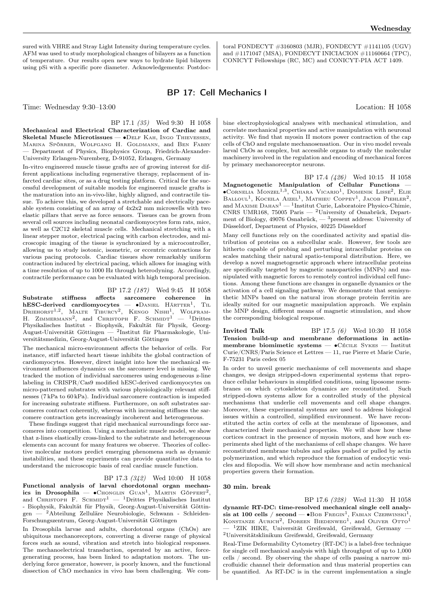sured with VHRE and Stray Light Intensity during temperature cycles. AFM was used to study morphological changes of bilayers as a function of temperature. Our results open new ways to hydrate lipid bilayers using pSi with a specific pore diameter. Acknowledgements: Postdoc-

toral FONDECYT #3160803 (MJR), FONDECYT #1141105 (UGV) and  $\#1171047$  (MSA), FONDECYT INICIACION  $\#11160664$  (TPC), CONICYT Fellowships (RC, MC) and CONICYT-PIA ACT 1409.

## BP 17: Cell Mechanics I

Time: Wednesday 9:30–13:00 Location: H 1058

BP 17.1 (35) Wed 9:30 H 1058 Mechanical and Electrical Characterization of Cardiac and Skeletal Muscle Microtissues — • DELF KAH, INGO THIEVESSEN, Marina Spörrer, Wolfgang H. Goldmann, and Ben Fabry — Department of Physics, Biophysics Group, Friedrich-Alexander-University Erlangen-Nuremberg, D-91052, Erlangen, Germany

In-vitro engineered muscle tissue grafts are of growing interest for different applications including regenerative therapy, replacement of infarcted cardiac sites, or as a drug testing platform. Critical for the successful development of suitable models for engineered muscle grafts is the maturation into an in-vivo-like, highly aligned, and contractile tissue. To achieve this, we developed a stretchable and electrically paceable system consisting of an array of 4x2x2 mm microwells with two elastic pillars that serve as force sensors. Tissues can be grown from several cell sources including neonatal cardiomyocytes form rats, mice, as well as C2C12 skeletal muscle cells. Mechanical stretching with a linear stepper motor, electrical pacing with carbon electrodes, and microscopic imaging of the tissue is synchronized by a microcontroller, allowing us to study isotonic, isometric, or eccentric contractions for various pacing protocols. Cardiac tissues show remarkably uniform contraction induced by electrical pacing, which allows for imaging with a time resolution of up to 1000 Hz through heterodyning. Accordingly, contractile performance can be evaluated with high temporal precision.

BP 17.2 (187) Wed 9:45 H 1058 Substrate stiffness affects sarcomere coherence in hESC-derived cardiomyocytes –  $\bullet$ Daniel Härtter<sup>1</sup>, Til Driehorst<sup>1,2</sup>, Malte Tiburcy<sup>2</sup>, Kengo Nishi<sup>1</sup>, Wolfram-H. ZIMMERMANN<sup>2</sup>, and CHRISTOPH F. SCHMIDT<sup>1</sup>  $-$  <sup>1</sup>Drittes Physikalisches Institut - Biophysik, Fakultät für Physik, Georg-August-Universität Göttingen — <sup>2</sup> Institut für Pharmakologie, Universitätsmedizin, Georg-August-Universität Göttingen

The mechanical micro-environment affects the behavior of cells. For instance, stiff infarcted heart tissue inhibits the global contraction of cardiomyocytes. However, direct insight into how the mechanical environment influences dynamics on the sarcomere level is missing. We tracked the motion of individual sarcomeres using endogeneous z-line labeling in CRISPR/Cas9 modified hESC-derived cardiomyocytes on micro-patterned substrates with various physiologically relevant stiffnesses (7 kPa to 60 kPa). Individual sarcomere contraction is impeded for increasing substrate stiffness. Furthermore, on soft substrates sarcomeres contract coherently, whereas with increasing stiffness the sarcomere contraction gets increasingly incoherent and heterogeneous.

These findings suggest that rigid mechanical surroundings force sarcomeres into competition. Using a mechanistic muscle model, we show that z-lines elastically cross-linked to the substrate and heterogeneous elements can account for many features we observe. Theories of collective molecular motors predict emerging phenomena such as dynamic instabilities, and these experiments can provide quantitative data to understand the microscopic basis of real cardiac muscle function.

### BP 17.3 (342) Wed 10:00 H 1058

Functional analysis of larval chordotonal organ mechanics in Drosophila —  $\bullet$ Chonglin Guan<sup>1</sup>, Martin Göpfert<sup>2</sup>, and CHRISTOPH F. SCHMIDT<sup>1</sup> — <sup>1</sup>Drittes Physikalisches Institut - Biophysik, Fakultät für Physik, Georg-August-Universität Göttingen — <sup>2</sup>Abteilung Zelluläre Neurobiologie, Schwann - Schleiden-Forschungszentrum, Georg-August-Universität Göttingen

In Drosophila larvae and adults, chordotonal organs (ChOs) are ubiquitous mechanoreceptors, converting a diverse range of physical forces such as sound, vibration and stretch into biological responses. The mechanoelectrical transduction, operated by an active, forcegenerating process, has been linked to adaptation motors. The underlying force generator, however, is poorly known, and the functional dissection of ChO mechanics in vivo has been challenging. We combine electrophysiological analyses with mechanical stimulation, and correlate mechanical properties and active manipulation with neuronal activity. We find that myosin II motors power contraction of the cap cells of ChO and regulate mechanosensation. Our in vivo model reveals larval ChOs as complex, but accessible organs to study the molecular machinery involved in the regulation and encoding of mechanical forces by primary mechanoreceptor neurons.

BP 17.4 (426) Wed 10:15 H 1058 Magnetogenetic Manipulation of Cellular Functions — ∙Cornelia Monzel1,<sup>3</sup> , Chiara Vicario<sup>1</sup> , Domenik Lisse<sup>2</sup> , Elie BALLOUL<sup>1</sup>, KOCEILA AIZEL<sup>1</sup>, MATHIEU COPPEY<sup>1</sup>, JACOB PIEHLER<sup>2</sup>, and MAXIME DAHAN<sup>1</sup> — <sup>1</sup>Institut Curie, Laboratoire Physico-Chimie, CNRS UMR168, 75005 Paris — <sup>2</sup>University of Osnabrück, Department of Biology, 49076 Osnabrück,  $-$ <sup>3</sup>present address: University of Düsseldorf, Department of Physics, 40225 Düsseldorf

Many cell functions rely on the coordinated activity and spatial distribution of proteins on a subcellular scale. However, few tools are hitherto capable of probing and perturbing intracellular proteins on scales matching their natural spatio-temporal distribution. Here, we develop a novel magnetogenetic approach where intracellular proteins are specifically targeted by magnetic nanoparticles (MNPs) and manipulated with magnetic forces to remotely control individual cell functions. Among these functions are changes in organelle dynamics or the activation of a cell signaling pathway. We demonstrate that semisynthetic MNPs based on the natural iron storage protein ferritin are ideally suited for our magnetic manipulation approach. We explain the MNP design, different means of magnetic stimulation, and show the corresponding biological response.

**Invited Talk** BP 17.5 (6) Wed 10:30 H 1058 Tension build-up and membrane deformations in actinmembrane biomimetic systems — ∙Cécile Sykes — Institut Curie/CNRS/Paris Science et Lettres — 11, rue Pierre et Marie Curie, F-75231 Paris cedex 05

In order to unveil generic mechanisms of cell movements and shape changes, we design stripped-down experimental systems that reproduce cellular behaviours in simplified conditions, using liposome membranes on which cytoskeleton dynamics are reconstituted. Such stripped-down systems allow for a controlled study of the physical mechanisms that underlie cell movements and cell shape changes. Moreover, these experimental systems are used to address biological issues within a controlled, simplified environment. We have reconstituted the actin cortex of cells at the membrane of liposomes, and characterized their mechanical properties. We will show how these cortices contract in the presence of myosin motors, and how such experiments shed light of the mechanisms of cell shape changes. We have reconstituted membrane tubules and spikes pushed or pulled by actin polymerization, and which reproduce the formation of endocytic vesicles and filopodia. We will show how membrane and actin mechanical properties govern their formation.

#### 30 min. break

BP 17.6 (328) Wed 11:30 H 1058 dynamic RT-DC: time-resolved mechanical single cell analysis at 100 cells / second —  $\bullet$ Bob Fregin<sup>1</sup>, Fabian Czerwinski<sup>1</sup>, KONSTANZE AURICH<sup>2</sup>, DOREEN BIEDENWEG<sup>1</sup>, and OLIVER OTTO<sup>1</sup> <sup>1</sup>ZIK HIKE, Universität Greifswald, Greifswald, Germany - $^{2}$ Universitätsklinikum Greifswald, Greifswald, Germany

Real-Time Deformability Cytometry (RT-DC) is a label-free technique for single cell mechanical analysis with high throughput of up to 1,000 cells / second. By observing the shape of cells passing a narrow microfluidic channel their deformation and thus material properties can be quantified. As RT-DC is in the current implementation a single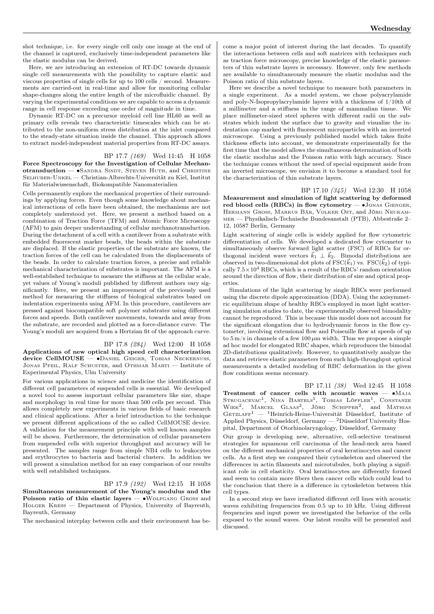shot technique, i.e. for every single cell only one image at the end of the channel is captured, exclusively time-independent parameters like the elastic modulus can be derived.

Here, we are introducing an extension of RT-DC towards dynamic single cell measurements with the possibility to capture elastic and viscous properties of single cells for up to 100 cells / second. Measurements are carried-out in real-time and allow for monitoring cellular shape-changes along the entire length of the microfluidic channel. By varying the experimental conditions we are capable to access a dynamic range in cell response exceeding one order of magnitude in time.

Dynamic RT-DC on a precursor myeloid cell line HL60 as well as primary cells reveals two characteristic timescales which can be attributed to the non-uniform stress distribution at the inlet compared to the steady-state situation inside the channel. This approach allows to extract model-independent material properties from RT-DC assays.

### BP 17.7 (169) Wed 11:45 H 1058

Force Spectroscopy for the Investigation of Cellular Mechanotransduction — ∙Sandra Sindt, Steven Huth, and Christine Selhuber-Unkel — Christian-Albrechts-Universität zu Kiel, Institut für Materialwissenschaft, Biokompatible Nanomaterialien

Cells permanently explore the mechanical properties of their surroundings by applying forces. Even though some knowledge about mechanical interactions of cells have been obtained, the mechanisms are not completely understood yet. Here, we present a method based on a combination of Traction Force (TFM) and Atomic Force Microscopy (AFM) to gain deeper understanding of cellular mechanotransduction. During the detachment of a cell with a cantilever from a substrate with embedded fluorescent marker beads, the beads within the substrate are displaced. If the elastic properties of the substrate are known, the traction forces of the cell can be calculated from the displacements of the beads. In order to calculate traction forces, a precise and reliable mechanical characterization of substrates is important. The AFM is a well-established technique to measure the stiffness at the cellular scale, yet values of Young's moduli published by different authors vary significantly. Here, we present an improvement of the previously used method for measuring the stiffness of biological substrates based on indentation experiments using AFM. In this procedure, cantilevers are pressed against biocompatible soft polymer substrates using different forces and speeds. Both cantilever movements, towards and away from the substrate, are recorded and plotted as a force-distance curve. The Young's moduli are acquired from a Hertzian fit of the approach curve.

#### BP 17.8 (284) Wed 12:00 H 1058 Applications of new optical high speed cell characterization device CellMOUSE — ∙Daniel Geiger, Tobias Neckernuss, JONAS PFEIL, RALF SCHUSTER, and OTHMAR MARTI - Institute of Experimental Physics, Ulm University

For various applications in science and medicine the identification of different cell parameters of suspended cells is essential. We developed a novel tool to assess important cellular parameters like size, shape and morphology in real time for more than 500 cells per second. This allows completely new experiments in various fields of basic research and clinical applications. After a brief introduction to the technique we present different applications of the so called CellMOUSE device. A validation for the measurement principle with well known samples will be shown. Furthermore, the determination of cellular parameters from suspended cells with superior throughput and accuracy will be presented. The samples range from simple NB4 cells to leukocytes and erythrocytes to bacteria and bacterial clusters. In addition we will present a simulation method for an easy comparison of our results with well established techniques.

BP 17.9 (192) Wed 12:15 H 1058 Simultaneous measurement of the Young's modulus and the Poisson ratio of thin elastic layers — •WOLFGANG GROSS and Holger Kress — Department of Physics, University of Bayreuth, Bayreuth, Germany

The mechanical interplay between cells and their environment has be-

come a major point of interest during the last decades. To quantify the interactions between cells and soft matrices with techniques such as traction force microscopy, precise knowledge of the elastic parameters of thin substrate layers is necessary. However, only few methods are available to simultaneously measure the elastic modulus and the Poisson ratio of thin substrate layers.

Here we describe a novel technique to measure both parameters in a single experiment. As a model system, we chose polyacrylamide and poly-N-Isopropylacrylamide layers with a thickness of 1/10th of a millimeter and a stiffness in the range of mammalian tissue. We place millimeter-sized steel spheres with different radii on the substrates which indent the surface due to gravity and visualize the indentation cap marked with fluorescent microparticles with an inverted microscope. Using a previously published model which takes finite thickness effects into account, we demonstrate experimentally for the first time that the model allows the simultaneous determination of both the elastic modulus and the Poisson ratio with high accuracy. Since the technique comes without the need of special equipment aside from an inverted microscope, we envision it to become a standard tool for the characterization of thin substrate layers.

BP 17.10 (345) Wed 12:30 H 1058 Measurement and simulation of light scattering by deformed red blood cells (RBCs) in flow cytometry — •JONAS GIENGER, HERMANN GROSS, MARKUS BÄR, VOLKER OST, and JÖRG NEUKAMmer — Physikalisch-Technische Bundesanstalt (PTB), Abbestraße 2– 12, 10587 Berlin, Germany

Light scattering of single cells is widely applied for flow cytometric differentiation of cells. We developed a dedicated flow cytometer to simultaneously observe forward light scatter (FSC) of RBCs for orthogonal incident wave vectors  $\vec{k}_1 \perp \vec{k}_2$ . Bimodal distributions are observed in two-dimensional dot plots of  $\text{FSC}(\vec{k}_1)$  vs.  $\text{FSC}(\vec{k}_2)$  of typically  $7.5 \times 10^4$  RBCs, which is a result of the RBCs' random orientation around the direction of flow, their distribution of size and optical properties.

Simulations of the light scattering by single RBCs were performed using the discrete dipole approximation (DDA). Using the axisymmetric equilibrium shape of healthy RBCs employed in most light scattering simulation studies to date, the experimentally observed bimodality cannot be reproduced. This is because this model does not account for the significant elongation due to hydrodynamic forces in the flow cytometer, involving extensional flow and Poiseuille flow at speeds of up to  $5 \text{ m/s}$  in channels of a few  $100 \mu \text{m}$  width. Thus we propose a simple ad hoc model for elongated RBC shapes, which reproduces the bimodal 2D-distributions qualitatively. However, to quantitatively analyze the data and retrieve elastic parameters from such high-throughput optical measurements a detailed modeling of RBC deformation in the given flow conditions seems necessary.

BP 17.11 (38) Wed 12:45 H 1058 Treatment of cancer cells with acoustic waves — •MAJA STRUGACEVAC<sup>1</sup>, NINA BARTELS<sup>1</sup>, TOBIAS LÖFFLER<sup>1</sup>, CONSTANZE WIEK<sup>2</sup>, MARCEL GLAAS<sup>2</sup>, JÖRG SCHIPPER<sup>2</sup>, and MATHIAS  $\rm GETZLAFF^1$  — <sup>1</sup>Heinrich-Heine-Universität Düsseldorf, Institute of Applied Physics, Düsseldorf, Germany — <sup>2</sup>Düsseldorf University Hospital, Department of Otorhinolaryngology, Düsseldorf, Germany

Our group is developing new, alternative, cell-selective treatment strategies for squamous cell carcinoma of the head-neck area based on the different mechanical properties of oral keratinocytes and cancer cells. As a first step we compared their cytoskeleton and observed the differences in actin filaments and microtubules, both playing a significant role in cell elasticity. Oral keratinocytes are differently formed and seem to contain more fibers then cancer cells which could lead to the conclusion that there is a difference in cytoskeleton between this cell types.

In a second step we have irradiated different cell lines with acoustic waves exhibiting frequencies from 0.5 up to 10 kHz. Using different frequencies and input power we investigated the behavior of the cells exposed to the sound waves. Our latest results will be presented and discussed.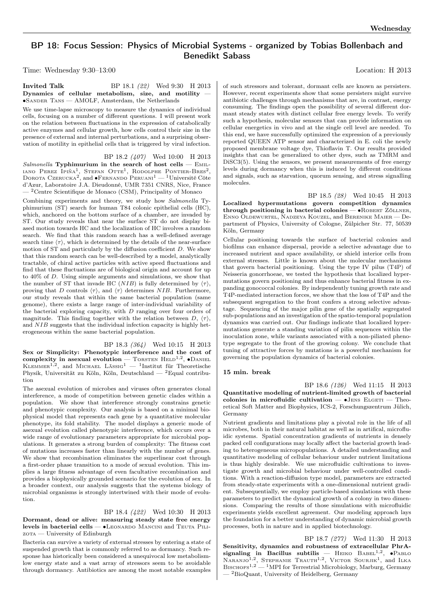# BP 18: Focus Session: Physics of Microbial Systems - organized by Tobias Bollenbach and Benedikt Sabass

Time: Wednesday 9:30–13:00 Location: H 2013

#### **Invited Talk** BP 18.1 (22) Wed 9:30 H 2013 Dynamics of cellular metabolism, size, and motility ∙Sander Tans — AMOLF, Amsterdam, the Netherlands

We use time-lapse microscopy to measure the dynamics of individual cells, focusing on a number of different questions. I will present work on the relation between fluctuations in the expression of catabolically active enzymes and cellular growth, how cells control their size in the presence of external and internal perturbations, and a surprising observation of motility in epithelial cells that is triggered by viral infection.

### BP 18.2 (407) Wed 10:00 H 2013

 $Salmonella$  Typhimurium in the search of host cells —  $EMIL$ iano Perez Ipiña<sup>1</sup>, Stefan Otte<sup>1</sup>, Rodolphe Pontier-Bres<sup>2</sup>,<br>Dorota Czerucka<sup>2</sup>, and •Fernando Peruani<sup>1</sup> — <sup>1</sup>Université Côte d'Azur, Laboratoire J.A. Dieudonné, UMR 7351 CNRS, Nice, France <sup>2</sup>Centre Scientifique de Monaco (CSM), Principality of Monaco

Combining experiments and theory, we study how Salmonella Typhimurium (ST) search for human T84 colonic epithelial cells (HC), which, anchored on the bottom surface of a chamber, are invaded by ST. Our study reveals that near the surface ST do not display biased motion towards HC and the localization of HC involves a random search. We find that this random search has a well-defined average search time  $\langle \tau \rangle$ , which is determined by the details of the near-surface motion of  $ST$  and particularly by the diffusion coefficient  $D$ . We show that this random search can be well-described by a model, analytically tractable, of chiral active particles with active speed fluctuations and find that these fluctuations are of biological origin and account for up to  $40\%$  of D. Using simple arguments and simulations, we show that the number of ST that invade HC ( $NIB$ ) is fully determined by  $\langle \tau \rangle$ , proving that D controls  $\langle \tau \rangle$ , and  $\langle \tau \rangle$  determines NIB. Furthermore, our study reveals that within the same bacterial population (same genome), there exists a large range of inter-individual variability of the bacterial exploring capacity, with  $D$  ranging over four orders of magnitude. This finding together with the relation between  $D, \langle \tau \rangle$ , and  $NIB$  suggests that the individual infection capacity is highly heterogeneous within the same bacterial population.

BP 18.3 (364) Wed 10:15 H 2013 Sex or Simplicity: Phenotypic interference and the cost of complexity in asexual evolution — TORSTEN  $\text{HELD}^{1,2}$ ,  $\bullet$  DANIEL KLEMMER<sup>1,2</sup>, and MICHAEL LÄSSIG<sup>1</sup> — <sup>1</sup>Institut für Theoretische Physik, Universität zu Köln, Köln, Deutschland — <sup>2</sup>Equal contribution

The asexual evolution of microbes and viruses often generates clonal interference, a mode of competition between genetic clades within a population. We show that interference strongly constrains genetic and phenotypic complexity. Our analysis is based on a minimal biophysical model that represents each gene by a quantitative molecular phenotype, its fold stability. The model displays a generic mode of asexual evolution called phenotypic interference, which occurs over a wide range of evolutionary parameters appropriate for microbial populations. It generates a strong burden of complexity: The fitness cost of mutations increases faster than linearly with the number of genes. We show that recombination eliminates the superlinear cost through a first-order phase transition to a mode of sexual evolution. This implies a large fitness advantage of even facultative recombination and provides a biophysically grounded scenario for the evolution of sex. In a broader context, our analysis suggests that the systems biology of microbial organisms is strongly intertwined with their mode of evolution.

## BP 18.4 (422) Wed 10:30 H 2013

Dormant, dead or alive: measuring steady state free energy levels in bacterial cells — •LEONARDO MANCINI and TEUTA PILI $z$ OTA — University of Edinburgh

Bacteria can survive a variety of external stresses by entering a state of suspended growth that is commonly referred to as dormancy. Such response has historically been considered a unequivocal low metabolismlow energy state and a vast array of stressors seem to be avoidable through dormancy. Antibiotics are among the most notable examples of such stressors and tolerant, dormant cells are known as persisters. However, recent experiments show that some persisters might survive antibiotic challenges through mechanisms that are, in contrast, energy consuming. The findings open the possibility of several different dormant steady states with distinct cellular free energy levels. To verify such a hypothesis, molecular sensors that can provide information on cellular energetics in vivo and at the single cell level are needed. To this end, we have successfully optimized the expression of a previously reported QUEEN ATP sensor and characterized in E. coli the newly proposed membrane voltage dye, Thioflavin T. Our results provided insights that can be generalized to other dyes, such as TMRM and DiSC3(5). Using the sensors, we present measurements of free energy levels during dormancy when this is induced by different conditions and signals, such as starvation, quorum sensing, and stress signalling molecules.

BP 18.5 (28) Wed 10:45 H 2013 Localized hypermutations govern competition dynamics through positioning in bacterial colonies — •ROBERT ZÖLLNER, Enno Oldewurtel, Nadzeya Kouzel, and Berenike Maier — Department of Physics, University of Cologne, Zülpicher Str. 77, 50539 Köln, Germany

Cellular positioning towards the surface of bacterial colonies and biofilms can enhance dispersal, provide a selective advantage due to increased nutrient and space availability, or shield interior cells from external stresses. Little is known about the molecular mechanisms that govern bacterial positioning. Using the type IV pilus (T4P) of Neisseria gonorrhoeae, we tested the hypothesis that localized hypermutations govern positioning and thus enhance bacterial fitness in expanding gonococcal colonies. By independently tuning growth rate and T4P-mediated interaction forces, we show that the loss of T4P and the subsequent segregation to the front confers a strong selective advantage. Sequencing of the major pilin gene of the spatially segregated sub-populations and an investigation of the spatio-temporal population dynamics was carried out. Our findings indicate that localized hypermutations generate a standing variation of pilin sequences within the inoculation zone, while variants associated with a non-piliated phenotype segregate to the front of the growing colony. We conclude that tuning of attractive forces by mutations is a powerful mechanism for governing the population dynamics of bacterial colonies.

#### 15 min. break

BP 18.6 (126) Wed 11:15 H 2013 Quantitative modeling of nutrient-limited growth of bacterial colonies in microfluidic cultivation  $-$  •Jens Elgeri — Theoretical Soft Matter and Biophysics, ICS-2, Forschungszentrum Jülich, Germany

Nutrient gradients and limitations play a pivotal role in the life of all microbes, both in their natural habitat as well as in artifical, microfluidic systems. Spatial concentration gradients of nutrients in densely packed cell configurations may locally affect the bacterial growth leading to heterogeneous micropopulations. A detailed understanding and quantitative modeling of cellular behaviour under nutrient limitations is thus highly desirable. We use microfluidic cultivations to investigate growth and microbial behaviour under well-controlled conditions. With a reaction-diffusion type model, parameters are extracted from steady-state experiments with a one-dimensional nutrient gradient. Subsequentially, we employ particle-based simulations with these parameters to predict the dynamical growth of a colony in two dimensions. Comparing the results of those simulations with microfluidic experiments yields excellent agreement. Our modeling approach lays the foundation for a better understanding of dynamic microbial growth processes, both in nature and in applied biotechnology.

BP 18.7 (277) Wed 11:30 H 2013 Sensitivity, dynamics and robustness of extracellular PhrAsignaling in Bacillus subtilis — HEIKO BABEL<sup>1,2</sup>,  $\bullet$ PABLO<br>NARANJO<sup>1,2</sup>, STEPHANIE TRAUTH<sup>1,2</sup>, VICTOR SOURJIK<sup>1</sup>, and ILKA BISCHOFS<sup>1,2</sup> — <sup>1</sup>MPI for Terrestrial Microbiology, Marburg, Germany — <sup>2</sup>BioQuant, University of Heidelberg, Germany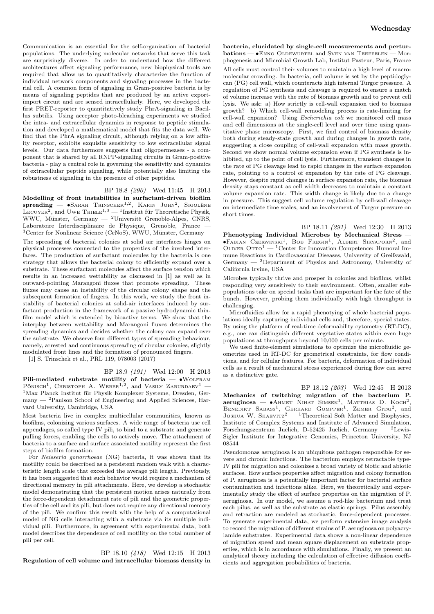Communication is an essential for the self-organization of bacterial populations. The underlying molecular networks that serve this task are surprisingly diverse. In order to understand how the different architectures affect signaling performance, new biophysical tools are required that allow us to quantitatively characterize the function of individual network components and signaling processes in the bacterial cell. A common form of signaling in Gram-positive bacteria is by means of signaling peptides that are produced by an active exportimport circuit and are sensed intracellularly. Here, we developed the first FRET-reporter to quantitatively study PhrA-signaling in Bacillus subtilis. Using acceptor photo-bleaching experiments we studied the intra- and extracellular dynamics in response to peptide stimulation and developed a mathematical model that fits the data well. We find that the PhrA signaling circuit, although relying on a low affinity receptor, exhibits exquisite sensitivity to low extracellular signal levels. Our data furthermore suggests that oligopermeases - a component that is shared by all RNPP-signaling circuits in Gram-positive bacteria - play a central role in governing the sensitivity and dynamics of extracellular peptide signaling, while potentially also limiting the robustness of signaling in the presence of other peptides.

### BP 18.8 (290) Wed 11:45 H 2013

Modelling of front instabilities in surfactant-driven biofilm  ${\rm spreading} \;-\; {\bullet} {\rm SARAH} \;\; {\rm Transchek}^{1,2}, \;\; {\rm KARN} \;\; {\rm John^2}, \;\; {\rm SIGOLÈNE}$ LECUYER<sup>2</sup>, and UWE THIELE<sup>1,3</sup> — <sup>1</sup>Institut für Theoretische Physik, WWU, Münster, Germany — <sup>2</sup>Université Grenoble-Alpes, CNRS, Laboratoire Interdisciplinaire de Physique, Grenoble, France — <sup>3</sup>Center for Nonlinear Science (CeNoS), WWU, Münster, Germany

The spreading of bacterial colonies at solid air interfaces hinges on physical processes connected to the properties of the involved interfaces. The production of surfactant molecules by the bacteria is one strategy that allows the bacterial colony to efficiently expand over a substrate. These surfactant molecules affect the surface tension which results in an increased wettability as discussed in [1] as well as in outward-pointing Marangoni fluxes that promote spreading. These fluxes may cause an instability of the circular colony shape and the subsequent formation of fingers. In this work, we study the front instability of bacterial colonies at solid-air interfaces induced by surfactant production in the framework of a passive hydrodynamic thinfilm model which is extended by bioactive terms. We show that the interplay between wettability and Marangoni fluxes determines the spreading dynamics and decides whether the colony can expand over the substrate. We observe four different types of spreading behaviour, namely, arrested and continuous spreading of circular colonies, slightly modulated front lines and the formation of pronounced fingers.

[1] S. Trinschek et al., PRL 119, 078003 (2017)

BP 18.9 (191) Wed 12:00 H 2013 Pili-mediated substrate motility of bacteria — •WOLFRAM Pönisch<sup>1</sup>, Christoph A. Weber<sup>1,2</sup>, and Vasily Zaburdaev<sup>1</sup> -<sup>1</sup>Max Planck Institut für Physik Komplexer Systeme, Dresden, Germany — <sup>2</sup>Paulson School of Engineering and Applied Sciences, Harvard University, Cambridge, USA

Most bacteria live in complex multicellular communities, known as biofilms, colonizing various surfaces. A wide range of bacteria use cell appendages, so called type IV pili, to bind to a substrate and generate pulling forces, enabling the cells to actively move. The attachment of bacteria to a surface and surface associated motility represent the first steps of biofilm formation.

For Neisseria gonorrhoeae (NG) bacteria, it was shown that its motility could be described as a persistent random walk with a characteristic length scale that exceeded the average pili length. Previously, it has been suggested that such behavior would require a mechanism of directional memory in pili attachments. Here, we develop a stochastic model demonstrating that the persistent motion arises naturally from the force-dependent detachment rate of pili and the geometric properties of the cell and its pili, but does not require any directional memory of the pili. We confirm this result with the help of a computational model of NG cells interacting with a substrate via its multiple individual pili. Furthermore, in agreement with experimental data, both model describes the dependence of cell motility on the total number of pili per cell.

BP 18.10 (418) Wed 12:15 H 2013 Regulation of cell volume and intracellular biomass density in

bacteria, elucidated by single-cell measurements and pertur**bations — •ENNO OLDEWURTEL and SVEN VAN TEEFFELEN — Mor**phogenesis and Microbial Growth Lab, Institut Pasteur, Paris, France All cells must control their volumes to maintain a high level of macromolecular crowding. In bacteria, cell volume is set by the peptidoglycan (PG) cell wall, which counteracts high internal Turgor pressure. A regulation of PG synthesis and cleavage is required to ensure a match of volume increase with the rate of biomass growth and to prevent cell lysis. We ask: a) How strictly is cell-wall expansion tied to biomass growth? b) Which cell-wall remodeling process is rate-limiting for cell-wall expansion? Using Escherichia coli we monitored cell mass and cell dimensions at the single-cell level and over time using quantitative phase microscopy. First, we find control of biomass density both during steady-state growth and during changes in growth rate, suggesting a close coupling of cell-wall expansion with mass growth. Second we show normal volume expansion even if PG synthesis is inhibited, up to the point of cell lysis. Furthermore, transient changes in the rate of PG cleavage lead to rapid changes in the surface expansion rate, pointing to a control of expansion by the rate of PG cleavage. However, despite rapid changes in surface expansion rate, the biomass density stays constant as cell width decreases to maintain a constant volume expansion rate. This width change is likely due to a change in pressure. This suggest cell volume regulation by cell-wall cleavage on intermediate time scales, and an involvement of Turgor pressure on short times.

#### BP 18.11 (291) Wed 12:30 H 2013

Phenotyping Individual Microbes by Mechanical Stress — ∙Fabian Czerwinski<sup>1</sup> , Bob Fregin<sup>1</sup> , Albert Siryaporn<sup>2</sup> , and OLIVER OTTO<sup>1</sup> — <sup>1</sup>Center for Innovation Competence: Humoral Immune Reactions in Cardiovascular Diseases, University of Greifswald, Germany  $-$  <sup>2</sup>Department of Physics and Astronomy, University of California Irvine, USA

Microbes typically thrive and prosper in colonies and biofilms, whilst responding very sensitively to their environment. Often, smaller subpopulations take on special tasks that are important for the fate of the bunch. However, probing them individually with high throughput is challenging.

Microfluidics allow for a rapid phenotying of whole bacterial populations ideally capturing individual cells and, therefore, special states. By using the platform of real-time deformability cytometry (RT-DC), e.g., one can distinguish different vegetative states within even huge populations at throughputs beyond 10,000 cells per minute.

We used finite-element simulations to optimize the microfluidic geometries used in RT-DC for geometrical constraints, for flow conditions, and for cellular features. For bacteria, deformation of individual cells as a result of mechanical stress experienced during flow can serve as a distinctive gate.

BP 18.12 (203) Wed 12:45 H 2013 Mechanics of twitching migration of the bacterium P.  $\text{aeruginosa}$  —  $\bullet$  AHMET NIHAT SIMSEK<sup>1</sup>, MATTHIAS D. KOCH<sup>2</sup>, BENEDIKT SABASS<sup>1</sup>, GERHARD GOMPPER<sup>1</sup>, ZEMER GITAI<sup>2</sup>, and JOSHUA W. SHAEVITZ<sup>2</sup> — <sup>1</sup>Theoretical Soft Matter and Biophysics, Institute of Complex Systems and Institute of Advanced Simulation, Forschungszentrum Juelich, D-52425 Juelich, Germany — <sup>2</sup>Lewis-Sigler Institute for Integrative Genomics, Princeton University, NJ 08544

Pseudomonas aeruginosa is an ubiquitous pathogen responsible for severe and chronic infections. The bacterium employs retractable type-IV pili for migration and colonizes a broad variety of biotic and abiotic surfaces. How surface properties affect migration and colony formation of P. aeruginosa is a potentially important factor for bacterial surface contamination and infections alike. Here, we theoretically and experimentally study the effect of surface properties on the migration of P. aeruginosa. In our model, we assume a rod-like bacterium and treat each pilus, as well as the substrate as elastic springs. Pilus assembly and retraction are modeled as stochastic, force-dependent processes. To generate experimental data, we perform extensive image analysis to record the migration of different strains of P. aeruginosa on polyacrylamide substrates. Experimental data shows a non-linear dependence of migration speed and mean square displacement on substrate properties, which is in accordance with simulations. Finally, we present an analytical theory including the calculation of effective diffusion coefficients and aggregation probabilities of bacteria.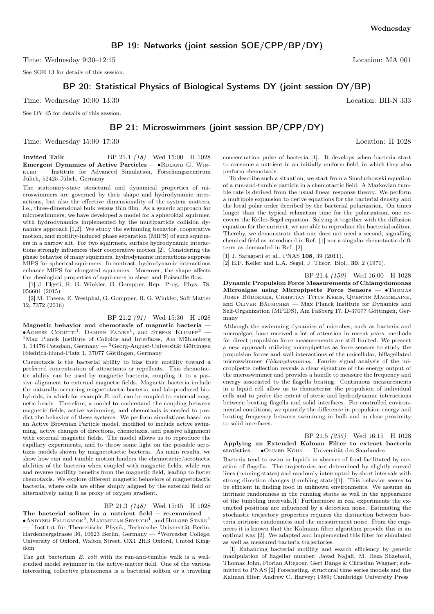## BP 19: Networks (joint session SOE/CPP/BP/DY)

Time: Wednesday 9:30–12:15 Location: MA 001

See SOE 13 for details of this session.

## BP 20: Statistical Physics of Biological Systems DY (joint session DY/BP)

Time: Wednesday 10:00–13:30 Location: BH-N 333

See DY 45 for details of this session.

## BP 21: Microswimmers (joint session BP/CPP/DY)

Time: Wednesday 15:00–17:30 Location: H 1028

**Invited Talk** BP 21.1 (18) Wed 15:00 H 1028 Emergent Dynamics of Active Particles — ∙Roland G. Winkler — Institute for Advanced Simulation, Forschungszemtrum Jülich, 52425 Jülich, Germany

The stationary-state structural and dynamical properties of microswimmers are governed by their shape and hydrodynamic interactions, but also the effective dimensionality of the system matters, i.e., three-dimensional bulk versus thin film. As a generic approach for microswimmers, we have developed a model for a spheroidal squirmer, with hydrodynamics implemented by the multiparticle collision dynamics approach [1,2]. We study the swimming behavior, cooperative motion, and motility-induced phase separation (MIPS) of such squirmers in a narrow slit. For two squirmers, surface hydrodynamic interactions strongly influences their cooperative motion [2]. Considering the phase behavior of many squirmers, hydrodynamic interactions suppress MIPS for spherical squirmers. In contrast, hydrodynamic interactions enhance MIPS for elongated squirmers. Moreover, the shape affects the rheological properties of squirmers in shear and Poiseuille flow.

[1] J. Elgeti, R. G. Winkler, G. Gompper, Rep. Prog. Phys. 78, 056601 (2015)

[2] M. Theers, E. Westphal, G. Gompper, R. G. Winkler, Soft Matter 12, 7372 (2016)

### BP 21.2 (91) Wed 15:30 H 1028

Magnetic behavior and chemotaxis of magnetic bacteria —  $\bullet$ Agnese Codutti<sup>1</sup>, Damien Faivre<sup>1</sup>, and Stefan Klumpp<sup>2</sup> –  ${}^{1}\mathrm{Max}$  Planck Institute of Colloids and Interfaces, Am Mühlenberg 1, 14476 Potsdam, Germany  $-2$  Georg-August-Universität Göttingen Friedrich-Hund-Platz 1, 37077 Göttingen, Germany

Chemotaxis is the bacterial ability to bias their motility toward a preferred concentration of attractants or repellents. This chemotactic ability can be used by magnetic bacteria, coupling it to a passive alignment to external magnetic fields. Magnetic bacteria include the naturally-occurring magnetotactic bacteria, and lab-produced biohybrids, in which for example E. coli can be coupled to external magnetic beads. Therefore, a model to understand the coupling between magnetic fields, active swimming, and chemotaxis is needed to predict the behavior of these systems. We perform simulations based on an Active Brownian Particle model, modified to include active swimming, active changes of directions, chemotaxis, and passive alignment with external magnetic fields. The model allows us to reproduce the capillary experiments, and to throw some light on the possible aerotaxis models shown by magnetotactic bacteria. As main results, we show how run and tumble motion hinders the chemotactic/aerotactic abilities of the bacteria when coupled with magnetic fields, while run and reverse motility benefits from the magnetic field, leading to faster chemotaxis. We explore different magnetic behaviors of magnetotactic bacteria, where cells are either simply aligned by the external field or alternatively using it as proxy of oxygen gradient.

### BP 21.3 (148) Wed 15:45 H 1028

The bacterial soliton in a nutrient field  $-$  re-examined  $\bullet$ Andrzej Palugniok<sup>2</sup>, Maximilian Seyrich<sup>1</sup>, and Holger Stark<sup>1</sup> — <sup>1</sup> Institut für Theoretische Physik, Technische Universität Berlin, Hardenbergstrasse 36, 10623 Berlin, Germany — <sup>2</sup>Worcester College, University of Oxford, Walton Street, OX1 2HB Oxford, United Kingdom

The gut bacterium E. coli with its run-and-tumble walk is a wellstudied model swimmer in the active-matter field. One of the various interesting collective phenomena is a bacterial soliton or a traveling concentration pulse of bacteria [1]. It develops when bacteria start to consume a nutrient in an initially uniform field, in which they also perform chemotaxis.

To describe such a situation, we start from a Smoluchowski equation of a run-and-tumble particle in a chemotactic field. A Markovian tumble rate is derived from the usual linear response theory. We perform a multipole expansion to derive equations for the bacterial density and the local polar order decribed by the bacterial polarization. On times longer than the typical relaxation time for the polarization, one recovers the Keller-Segel equation. Solving it together with the diffusion equation for the nutrient, we are able to reproduce the bacterial soliton. Thereby, we demonstrate that one does not need a second, signalling chemical field as introduced in Ref. [1] nor a singular chemotactic drift term as demanded in Ref. [2].

[1] J. Saragosti et al., PNAS **108**, 39 (2011).

[2] E.F. Keller and L.A. Segel, J. Theor. Biol., 30, 2 (1971).

BP 21.4 (150) Wed 16:00 H 1028

Dynamic Propulsion Force Measurements of Chlamydomonas Microalgae using Micropipette Force Sensors — ∙Thomas Josef Böddeker, Christian Titus Kreis, Quentin Magdelaine, and OLIVER BÄUMCHEN — Max Planck Institute for Dynamics and Self-Organization (MPIDS), Am Faßberg 17, D-37077 Göttingen, Germany

Although the swimming dynamics of microbes, such as bacteria and microalgae, have received a lot of attention in recent years, methods for direct propulsion force measurements are still limited. We present a new approach utilizing micropipettes as force sensors to study the propulsion forces and wall interactions of the unicellular, biflagellated microswimmer Chlamydomonas. Fourier signal analysis of the micropipette deflection reveals a clear signature of the energy output of the microswimmer and provides a handle to measure the frequency and energy associated to the flagella beating. Continuous measurements in a liquid cell allow us to characterize the propulsion of individual cells and to probe the extent of steric and hydrodynamic interactions between beating flagella and solid interfaces. For controlled environmental conditions, we quantify the difference in propulsion energy and beating frequency between swimming in bulk and in close proximity to solid interfaces.

BP 21.5 (235) Wed 16:15 H 1028 Applying an Extended Kalman Filter to extract bacteria statistics — ∙Oliver Köhn — Universität des Saarlandes

Bacteria tend to swim in liquids in absence of food facilitated by creation of flagella. The trajectories are determined by slightly curved lines (running states) and randomly interrupted by short intervals with strong direction changes (tumbling state)[1]. This behavior seems to be efficient in finding food in unknown environments. We assume an intrinsic randomness in the running states as well in the appearance of the tumbling intervals.[1] Furthermore in real experiments the extracted positions are influenced by a detection noise. Estimating the stochastic trajectory properties requires the distinction between bacteria intrinsic randomness and the measurement noise. From the engineers it is known that the Kalmann filter algorithm provide this in an optimal way [2]. We adapted and implemented this filter for simulated as well as measured bacteria trajectories.

[1] Enhancing bacterial motility and search efficiency by genetic manipulation of flagellar number; Javad Najafi, M. Reza Shaebani, Thomas John, Florian Altegoer, Gert Bange & Christian Wagner; submitted to PNAS [2] Forecasting, structural time series models and the Kalman filter; Andrew C. Harvey; 1989; Cambridge University Press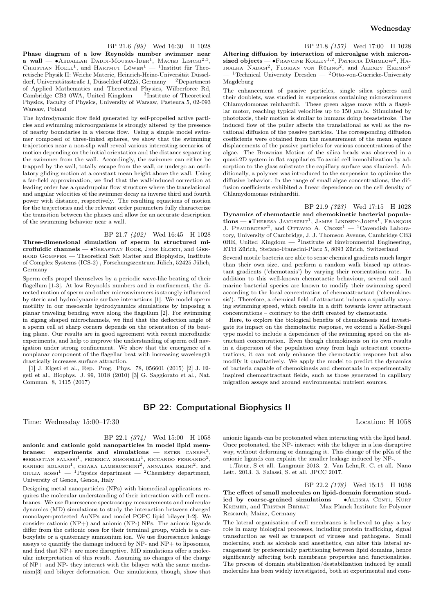BP 21.6 (99) Wed 16:30 H 1028 Phase diagram of a low Reynolds number swimmer near **a wall** — • Abdallah Daddi-Moussa-Ider<sup>1</sup>, Maciej Lisicki<sup>2,3</sup>, CHRISTIAN HOELL<sup>1</sup>, and HARTMUT LÖWEN<sup>1</sup> — <sup>1</sup>Institut für Theoretische Physik II: Weiche Materie, Heinrich-Heine-Universität Düsseldorf, Universitätsstraße 1, Düsseldorf 40225, Germany — <sup>2</sup>Department of Applied Mathematics and Theoretical Physics, Wilberforce Rd, Cambridge CB3 0WA, United Kingdom — <sup>3</sup> Institute of Theoretical Physics, Faculty of Physics, University of Warsaw, Pasteura 5, 02-093 Warsaw, Poland

The hydrodynamic flow field generated by self-propelled active particles and swimming microorganisms is strongly altered by the presence of nearby boundaries in a viscous flow. Using a simple model swimmer composed of three-linked spheres, we show that the swimming trajectories near a non-slip wall reveal various interesting scenarios of motion depending on the initial orientation and the distance separating the swimmer from the wall. Accordingly, the swimmer can either be trapped by the wall, totally escape from the wall, or undergo an oscillatory gliding motion at a constant mean height above the wall. Using a far-field approximation, we find that the wall-induced correction at leading order has a quadrupolar flow structure where the translational and angular velocities of the swimmer decay as inverse third and fourth power with distance, respectively. The resulting equations of motion for the trajectories and the relevant order parameters fully characterize the transition between the phases and allow for an accurate description of the swimming behavior near a wall.

BP 21.7 (402) Wed 16:45 H 1028 Three-dimensional simulation of sperm in structured microfluidic channels — • SEBASTIAN RODE, JENS ELGETI, and GERhard Gompper — Theoretical Soft Matter and Biophysics, Institute of Complex Systems (ICS-2) , Forschungszentrum Jülich, 52425 Jülich, Germany

Sperm cells propel themselves by a periodic wave-like beating of their flagellum [1-3]. At low Reynolds numbers and in confinement, the directed motion of sperm and other microswimmers is strongly influenced by steric and hydrodynamic surface interactions [1]. We model sperm motility in our mesoscale hydrodynamics simulations by imposing a planar traveling bending wave along the flagellum [2]. For swimming in zigzag shaped microchannels, we find that the deflection angle of a sperm cell at sharp corners depends on the orientation of its beating plane. Our results are in good agreement with recent microfluidic experiments, and help to improve the understanding of sperm cell navigation under strong confinement. We show that the emergence of a nonplanar component of the flagellar beat with increasing wavelength drastically increases surface attraction.

[1] J. Elgeti et al., Rep. Prog. Phys. 78, 056601 (2015) [2] J. Elgeti et al., Biophys. J. 99, 1018 (2010) [3] G. Saggiorato et al., Nat. Commun. 8, 1415 (2017)

## BP 22: Computational Biophysics II

Time: Wednesday 15:00–17:30 Location: H 1058

BP 22.1 (374) Wed 15:00 H 1058 anionic and cationic gold nanoparticles in model lipid membranes: experiments and simulations – ESTER CANEPA<sup>2</sup>,  $\bullet$ sebastian salassi<sup>1</sup>, federica simonelli<sup>1</sup>, riccardo ferrando<sup>2</sup>, RANIERI ROLANDI<sup>1</sup>, CHIARA LAMBRUSCHINI<sup>2</sup>, ANNALISA RELINI<sup>2</sup>, and<br>GIULIA ROSSI<sup>1</sup> — <sup>1</sup>Physics department — <sup>2</sup>Chemistry department, University of Genoa, Genoa, Italy

Designing metal nanoparticles (NPs) with biomedical applications requires the molecular understanding of their interaction with cell membranes. We use fluorescence spectroscopy measurements and molecular dynamics (MD) simulations to study the interaction between charged monolayer-protected AuNPs and model POPC lipid bilayer[1-2]. We consider cationic  $(NP+)$  and anionic  $(NP-)$  NPs. The anionic ligands differ from the cationic ones for their terminal group, which is a carboxylate or a quaternary ammonium ion. We use fluorescence leakage assays to quantify the damage induced by NP- and NP+ to liposomes, and find that NP+ are more disruptive. MD simulations offer a molecular interpretation of this result. Assuming no changes of the charge of NP+ and NP- they interact with the bilayer with the same mechanism[3] and bilayer deformation. Our simulations, though, show that

BP 21.8 (157) Wed 17:00 H 1028 Altering diffusion by interaction of microalgae with micronsized objects —  $\bullet$ Francine Kolley<sup>1,2</sup>, Patricia Dähmlow<sup>2</sup>, Ha-JNALKA NADASI<sup>2</sup>, FLORIAN VON RÜLING<sup>2</sup>, and ALEXEY EREMIN<sup>2</sup> <sup>1</sup> Technical University Dresden — <sup>2</sup>Otto-von-Guericke-University Magdeburg

The enhancement of passive particles, single silica spheres and their doublets, was studied in suspensions containing microswimmers Chlamydomonas reinhardtii. These green algae move with a flagellar motor, reaching typical velocities up to 150  $\mu$ m/s. Stimulated by phototaxis, their motion is similar to humans doing breaststroke. The induced flow of the puller affects the translational as well as the rotational diffusion of the passive particles. The corresponding diffusion coefficients were obtained from the measurement of the mean square displacements of the passive particles for various concentrations of the algae. The Brownian Motion of the silica beads was observed in a quasi-2D system in flat cappilaries.To avoid cell immobilization by adsorption to the glass substrate the capillary surface was silanized. Additionally, a polymer was introduced to the suspension to optimize the diffusive behavior. In the range of small algae concentrations, the diffusion coefficients exhibited a linear dependence on the cell density of Chlamydomonas reinhardtii.

BP 21.9 (323) Wed 17:15 H 1028 Dynamics of chemotactic and chemokinetic bacterial popula $tions$  —  $\bullet$ Theresa Jakuszeit<sup>1</sup>, James Lindsey-Jones<sup>1</sup>, François J. PEAUDECERF<sup>2</sup>, and OTTAVIO A. CROZE<sup>1</sup> — <sup>1</sup>Cavendish Laboratory, University of Cambridge, J. J. Thomson Avenue, Cambridge CB3  $0$ HE, United Kingdom — <sup>2</sup>Institute of Environmental Engineering, ETH Zürich, Stefano-Franscini-Platz 5, 8093 Zürich, Switzerland

Several motile bacteria are able to sense chemical gradients much larger than their own size, and perform a random walk biased up attractant gradients ('chemotaxis') by varying their reorientation rate. In addition to this well-known chemotactic behaviour, several soil and marine bacterial species are known to modify their swimming speed according to the local concentration of chemoattractant ('chemokinesis'). Therefore, a chemical field of attractant induces a spatially varying swimming speed, which results in a drift towards lower attractant concentrations – contrary to the drift created by chemotaxis.

Here, to explore the biological benefits of chemokinesis and investigate its impact on the chemotactic response, we extend a Keller-Segel type model to include a dependence of the swimming speed on the attractant concentration. Even though chemokinesis on its own results in a dispersion of the population away from high attractant concentrations, it can not only enhance the chemotactic response but also modify it qualitatively. We apply the model to predict the dynamics of bacteria capable of chemokinesis and chemotaxis in experimentally inspired chemoattractant fields, such as those generated in capillary migration assays and around environmental nutrient sources.

anionic ligands can be protonated when interacting with the lipid head. Once protonated, the NP- interact with the bilayer in a less disruptive way, without deforming or damaging it. This change of the pKa of the anionic ligands can explain the smaller leakage induced by NP-.

1.Tatur, S et all. Langmuir 2013. 2. Van Lehn,R. C. et all. Nano Lett. 2013. 3. Salassi, S. et all. JPCC 2017.

BP 22.2 (178) Wed 15:15 H 1058

The effect of small molecules on lipid-domain formation studied by coarse-grained simulations — •ALESSIA CENTI, KURT Kremer, and Tristan Bereau — Max Planck Institute for Polymer Research, Mainz, Germany

The lateral organisation of cell membranes is believed to play a key role in many biological processes, including protein trafficking, signal transduction as well as transport of viruses and pathogens. Small molecules, such as alcohols and anesthetics, can alter this lateral arrangement by preferentially partitioning between lipid domains, hence significantly affecting both membrane properties and functionalities. The process of domain stabilization/destabilization induced by small molecules has been widely investigated, both at experimental and com-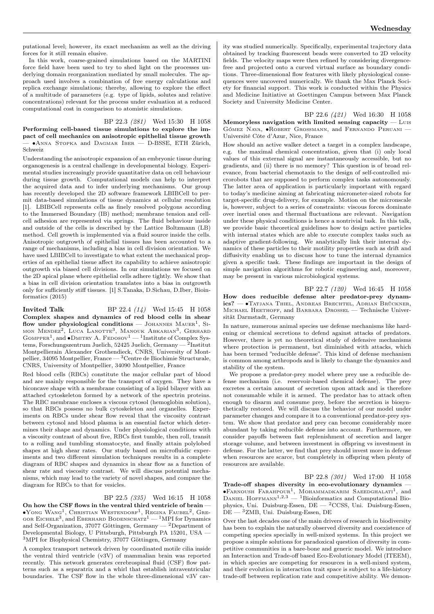putational level; however, its exact mechanism as well as the driving forces for it still remain elusive.

In this work, coarse-grained simulations based on the MARTINI force field have been used to try to shed light on the processes underlying domain reorganization mediated by small molecules. The approach used involves a combination of free energy calculations and replica exchange simulations; thereby, allowing to explore the effect of a multitude of parameters (e.g. type of lipids, solutes and relative concentrations) relevant for the process under evaluation at a reduced computational cost in comparison to atomistic simulations.

#### BP 22.3 (281) Wed 15:30 H 1058

Performing cell-based tissue simulations to explore the impact of cell mechanics on anisotropic epithelial tissue growth — ∙Anna Stopka and Dagmar Iber — D-BSSE, ETH Zürich, Schweiz

Understanding the anisotropic expansion of an embryonic tissue during organogenesis is a central challenge in developmental biology. Experimental studies increasingly provide quantitative data on cell behaviour during tissue growth. Computational models can help to interpret the acquired data and to infer underlying mechanisms. Our group has recently developed the 2D software framework LBIBCell to permit data-based simulations of tissue dynamics at cellular resolution [1]. LBIBCell represents cells as finely resolved polygons according to the Immersed Boundary (IB) method; membrane tension and cellcell adhesion are represented via springs. The fluid behaviour inside and outside of the cells is described by the Lattice Boltzmann (LB) method. Cell growth is implemented via a fluid source inside the cells. Anisotropic outgrowth of epithelial tissues has been accounted to a range of mechanisms, including a bias in cell division orientation. We have used LBIBCell to investigate to what extent the mechanical properties of an epithelial tissue affect its capability to achieve anisotropic outgrowth via biased cell divisions. In our simulations we focused on the 2D apical plane where epithelial cells adhere tightly. We show that a bias in cell division orientation translates into a bias in outgrowth only for sufficiently stiff tissues. [1] S.Tanaka, D.Sichau, D.Iber, Bioinformatics (2015)

**Invited Talk** BP 22.4 (14) Wed 15:45 H 1058 Complex shapes and dynamics of red blood cells in shear flow under physiological conditions  $-$  JOHANNES MAUER<sup>1</sup>, SImon Mendez<sup>2</sup>, Luca Lanotte<sup>3</sup>, Manouk Abkarian<sup>3</sup>, Gerhard  $\text{GompER}^1$ , and  $\bullet$ DMITRY A. FEDOSOV<sup>1</sup> — <sup>1</sup>Institute of Complex Systems, Forschungszentrum Juelich, 52425 Juelich, Germany —  $^2$ Institut Montpellierain Alexander Grothendieck, CNRS, University of Montpellier, 34095 Montpellier, France — <sup>3</sup>Centre de Biochimie Structurale, CNRS, University of Montpellier, 34090 Montpellier, France

Red blood cells (RBCs) constitute the major cellular part of blood and are mainly responsible for the transport of oxygen. They have a biconcave shape with a membrane consisting of a lipid bilayer with an attached cytoskeleton formed by a network of the spectrin proteins. The RBC membrane encloses a viscous cytosol (hemoglobin solution), so that RBCs possess no bulk cytoskeleton and organelles. Experiments on RBCs under shear flow reveal that the viscosity contrast between cytosol and blood plasma is an essential factor which determines their shape and dynamics. Under physiological conditions with a viscosity contrast of about five, RBCs first tumble, then roll, transit to a rolling and tumbling stomatocyte, and finally attain polylobed shapes at high shear rates. Our study based on microfluidic experiments and two different simulation techniques results in a complete diagram of RBC shapes and dynamics in shear flow as a function of shear rate and viscosity contrast. We will discuss potential mechanisms, which may lead to the variety of novel shapes, and compare the diagram for RBCs to that for vesicles.

### BP 22.5 (335) Wed 16:15 H 1058

On how the CSF flows in the ventral third ventricle of brain —  $\bullet$ Yong Wang<sup>1</sup>, Christian Westendorf<sup>1</sup>, Regina Faubel<sup>2</sup>, Gre-GOR EICHELE<sup>3</sup>, and EBERHARD BODENSCHATZ<sup>1</sup> — <sup>1</sup>MPI for Dynamics and Self-Organization, 37077 Göttingen, Germany  $-$  2Department of Developmental Biology, U Pittsburgh, Pittsburgh PA 15201, USA — <sup>3</sup>MPI for Biophysical Chemistry, 37077 Göttingen, Germany

A complex transport network driven by coordinated motile cilia inside the ventral third ventricle (v3V) of mammalian brain was reported recently. This network generates cerebrospinal fluid (CSF) flow patterns such as a separatrix and a whirl that establish intraventricular boundaries. The CSF flow in the whole three-dimensional v3V cavity was studied numerically. Specifically, experimental trajectory data obtained by tracking fluorescent beads were converted to 2D velocity fields. The velocity maps were then refined by considering divergencefree and projected onto a curved virtual surface as boundary conditions. Three-dimensional flow features with likely physiological consequences were uncovered numerically. We thank the Max Planck Society for financial support. This work is conducted within the Physics and Medicine Initiative at Goettingen Campus between Max Planck Society and University Medicine Center.

BP 22.6 (421) Wed 16:30 H 1058 Memoryless navigation with limited sensing capacity  $-$  Luis GÓMEZ NAVA, •ROBERT GROSSMANN, and FERNANDO PERUANI -Université Côte d'Azur, Nice, France

How should an active walker detect a target in a complex landscape, e.g. the maximal chemical concentration, given that (i) only local values of this external signal are instantaneously accessible, but no gradients, and (ii) there is no memory? This question is of broad relevance, from bacterial chemotaxis to the design of self-controlled microrobots that are supposed to perform complex tasks autonomously. The latter area of application is particularly important with regard to today's medicine aiming at fabricating micrometer-sized robots for target-specific drug-delivery, for example. Motion on the micronscale is, however, subject to a series of constraints: viscous forces dominate over inertial ones and thermal fluctuations are relevant. Navigation under these physical conditions is hence a nontrivial task. In this talk, we provide basic theoretical guidelines how to design active particles with internal states which are able to execute complex tasks such as adaptive gradient-following. We analytically link their internal dynamics of these particles to their motility properties such as drift and diffusivity enabling us to discuss how to tune the internal dynamics given a specific task. These findings are important in the design of simple navigation algorithms for robotic engineering and, moreover, may be present in various microbiological systems.

#### BP 22.7 (120) Wed 16:45 H 1058

How does reducible defense alter predator-prey dynamics? — ∙Tatjana Thiel, Andreas Brechtel, Adrian Brückner, Michael Heethoff, and Barbara Drossel — Technische Universität Darmstadt, Germany

In nature, numerous animal species use defense mechanisms like hardening or chemical secretions to defend against attacks of predators. However, there is yet no theoretical study of defensive mechanisms where protection is permanent, but diminished with attacks, which has been termed "reducible defense". This kind of defense mechanism is common among arthropods and is likely to change the dynamics and stability of the system.

We propose a predator-prey model where prey use a reducible defense mechanism (i.e. reservoir-based chemical defense). The prey excretes a certain amount of secretion upon attack and is therefore not consumable while it is armed. The predator has to attack often enough to disarm and consume prey, before the secretion is biosynthetically restored. We will discuss the behavior of our model under parameter changes and compare it to a conventional predator-prey system. We show that predator and prey can become considerably more abundant by taking reducible defense into account. Furthermore, we consider payoffs between fast replenishment of secretion and larger storage volume, and between investment in offspring vs investment in defense. For the latter, we find that prey should invest more in defense when resources are scarce, but completely in offspring when plenty of resources are available.

BP 22.8 (301) Wed 17:00 H 1058 Trade-off shapes diversity in eco-evolutionary dynamics — ∙Farnoush Farahpour<sup>1</sup> , Mohammadkarim Saeedghalati<sup>1</sup> , and DANIEL  $Horr$ MANN<sup>1,2,3</sup>  $-$  <sup>1</sup>Bioinformatics and Computational Biophysics, Uni. Duisburg-Essen, DE — <sup>2</sup>CCSS, Uni. Duisburg-Essen, DE — <sup>3</sup>ZMB, Uni. Duisburg-Essen, DE

Over the last decades one of the main drivers of research in biodiversity has been to explain the naturally observed diversity and coexistence of competing species specially in well-mixed systems. In this project we propose a simple solutions for paradoxical question of diversity in competitive communities in a bare-bone and generic model. We introduce an Interaction and Trade-off based Eco-Evolutionary Model (ITEEM), in which species are competing for resources in a well-mixed system, and their evolution in interaction trait space is subject to a life-history trade-off between replication rate and competitive ability. We demon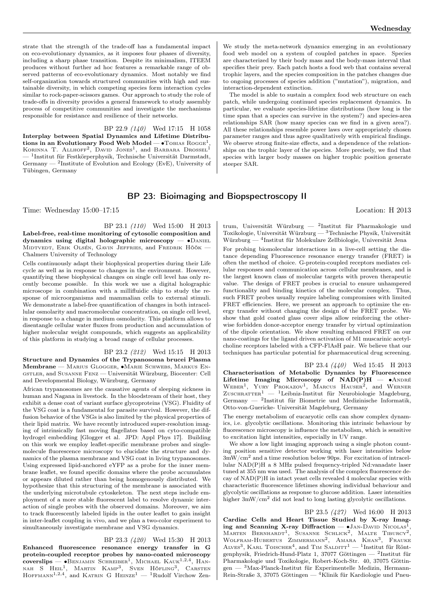strate that the strength of the trade-off has a fundamental impact on eco-evolutionary dynamics, as it imposes four phases of diversity, including a sharp phase transition. Despite its minimalism, ITEEM produces without further ad hoc features a remarkable range of observed patterns of eco-evolutionary dynamics. Most notably we find self-organization towards structured communities with high and sustainable diversity, in which competing species form interaction cycles similar to rock-paper-scissors games. Our approach to study the role of trade-offs in diversity provides a general framework to study assembly process of competitive communities and investigate the mechanisms responsible for resistance and resilience of their networks.

BP 22.9 (140) Wed 17:15 H 1058 Interplay between Spatial Dynamics and Lifetime Distributions in an Evolutionary Food Web Model — •TOBIAS ROGGE<sup>1</sup> tions in an Evolutionary Food Web Model — •Toblas Rogge<sup>1</sup>,<br>Korinna T. Allhoff<sup>2</sup>, David Jones<sup>1</sup>, and Barbara Drossel<sup>1</sup> — <sup>1</sup> Institut für Festkörperphysik, Technische Universität Darmstadt, Germany — <sup>2</sup>Institute of Evolution and Ecology (EvE), University of Tübingen, Germany

We study the meta-network dynamics emerging in an evolutionary food web model on a system of coupled patches in space. Species are characterized by their body mass and the body-mass interval that specifies their prey. Each patch hosts a food web that contains several trophic layers, and the species composition in the patches changes due to ongoing processes of species addition ("mutation"), migration, and interaction-dependent extinction.

The model is able to sustain a complex food web structure on each patch, while undergoing continued species replacement dynamics. In particular, we evaluate species-lifetime distributions (how long is the time span that a species can survive in the system?) and species-area relationships SAR (how many species can we find in a given area?). All these relationships resemble power laws over appropriately chosen parameter ranges and thus agree qualitatively with empirical findings. We observe strong finite-size effects, and a dependence of the relationships on the trophic layer of the species. More precisely, we find that species with larger body masses on higher trophic position generate steeper SAR.

## BP 23: Bioimaging and Biopspectroscopy II

Time: Wednesday 15:00–17:15 Location: H 2013

BP 23.1 (110) Wed 15:00 H 2013 Label-free, real-time monitoring of cytosolic composition and dynamics using digital holographic microscopy — ∙Daniel MIDTVEDT, ERIK OLSÉN, GAVIN JEFFRIES, and FREDRIK HÖÖK -Chalmers University of Technology

Cells continuously adapt their biophysical properties during their Life cycle as well as in response to changes in the environment. However, quantifying these biophysical changes on single cell level has only recently become possible. In this work we use a digital holographic microscope in combination with a millifluidic chip to study the response of microorganisms and mammalian cells to external stimuli. We demonstrate a label-free quantification of changes in both intracellular osmolarity and macromolecular concentration, on single cell level, in response to a change in medium osmolarity. This platform allows to disentangle cellular water fluxes from production and accumulation of higher molecular weight compounds, which suggests an applicability of this platform in studying a broad range of cellular processes.

BP 23.2 (212) Wed 15:15 H 2013 Structure and Dynamics of the Trypanosoma brucei Plasma Membrane — Marius Glogger, ∙Marie Schwebs, Markus Engstler, and Susanne Fenz — Universität Würzburg, Biocenter: Cell and Developmental Biology, Würzburg, Germany

African trypanosomes are the causative agents of sleeping sickness in human and Nagana in livestock. In the bloodstream of their host, they exhibit a dense coat of variant surface glycoproteins (VSG). Fluidity of the VSG coat is a fundamental for parasite survival. However, the diffusion behavior of the VSGs is also limited by the physical properties of their lipid matrix. We have recently introduced super-resolution imaging of intrinsically fast moving flagellates based on cyto-compatible hydrogel embedding [Glogger et al. JPD: Appl Phys 17]. Building on this work we employ leaflet-specific membrane probes and singlemolecule fluorescence microscopy to elucidate the structure and dynamics of the plasma membrane and VSG coat in living trypanosomes. Using expressed lipid-anchored eYFP as a probe for the inner membrane leaflet, we found specific domains where the probe accumulates or appears diluted rather than being homogenously distributed. We hypothesize that this structuring of the membrane is associated with the underlying microtubule cytoskeleton. The next steps include employment of a more stable fluorescent label to resolve dynamic interaction of single probes with the observed domains. Moreover, we aim to track fluorescently labeled lipids in the outer leaflet to gain insight in inter-leaflet coupling in vivo, and we plan a two-color experiment to simultaneously investigate membrane and VSG dynamics.

## BP 23.3 (420) Wed 15:30 H 2013

Enhanced fluorescence resonance energy transfer in G protein-coupled receptor probes by nano-coated microscopy  $\text{coverslips} = \bullet \text{Benjamin}$  Schreiber<sup>1</sup>, Michael Kauk<sup>1,2,4</sup>, Hannah S Heil<sup>1</sup>, Martin Kamp<sup>3</sup>, Sven Höfling<sup>3</sup>, Carsten  $H$ OFFMANN<sup>1,2,4</sup>, and KATRIN G  $H$ EINZE<sup>1</sup> — <sup>1</sup>Rudolf Virchow Zen-

trum, Universität Würzburg — <sup>2</sup> Institut für Pharmakologie und Toxikologie, Universität Würzburg — <sup>3</sup>Technische Physik, Universität Würzburg — <sup>4</sup> Institut für Molekulare Zellbiologie, Universität Jena

For probing biomolecular interactions in a live-cell setting the distance depending Fluorescence resonance energy transfer (FRET) is often the method of choice. G-protein-coupled receptors mediates cellular responses and communication across cellular membranes, and is the largest known class of molecular targets with proven therapeutic value. The design of FRET probes is crucial to ensure unhampered functionality and binding kinetics of the molecular complex. Thus, such FRET probes usually require labeling compromises with limited FRET efficiencies. Here, we present an approach to optimize the energy transfer without changing the design of the FRET probe. We show that gold coated glass cover slips allow reinforcing the otherwise forbidden donor-acceptor energy transfer by virtual optimization of the dipole orientation. We show resulting enhanced FRET on our nano-coatings for the ligand driven activation of M1 muscarinic acetylcholine receptors labeled with a CFP-FlAsH pair. We believe that our techniques has particular potential for pharmaceutical drug screening.

BP 23.4 (440) Wed 15:45 H 2013 Characterisation of Metabolic Dynamics by Fluorescence Lifetime Imaging Microscopy of NAD(P)H —  $\bullet$ ANDRÉ WEBER<sup>1</sup>, YURY PROKAZOV<sup>1</sup>, MARCUS HAUSER<sup>2</sup>, and WERNER  $Z$ uschratter $1 - 1$ Leibniz-Institut für Neurobiologie Magdeburg, Germany — <sup>2</sup> Institut für Biometrie und Medizinische Informatik, Otto-von-Guericke- Universität Magdeburg, Germany

The energy metabolism of eucaryotic cells can show complex dynamics, i.e. glycolytic oscillations. Monitoring this intrinsic behaviour by fluorescence microscopy is influence the metabolism, which is sensitive to excitation light intensities, especially in UV range.

We show a low light imaging approach using a single photon counting position sensitive detector working with laser intensities below  $3 \text{mW/cm}^2$  and a time resolution below 90ps. For excitation of intracellular NAD(P)H a 8 MHz pulsed frequency-tripled Nd:vanadate laser tuned at 355 nm was used. The analysis of the complex fluorescence decay of NAD(P)H in intact yeast cells revealed 4 molecular species with characteristic fluorescence lifetimes showing individual behaviour and glycolytic oscillations as response to glucose addition. Laser intensities higher  $3mW/cm<sup>2</sup>$  did not lead to long lasting glycolytic oscillations.

BP 23.5 (427) Wed 16:00 H 2013 Cardiac Cells and Heart Tissue Studied by X-ray Imaging and Scanning X-ray Diffraction —  $\bullet$  JAN-DAVID NICOLAS<sup>1</sup> , MARTEN BERNHARDT<sup>1</sup>, SUSANNE SCHLICK<sup>2</sup>, MALTE TIBURCY<sup>2</sup>, WOLFRAM-HUBERTUS ZIMMERMANN<sup>2</sup>, AMARA KHAN<sup>3</sup>, FRAUKE ALVES<sup>3</sup>, KARL TOISCHER<sup>4</sup>, and TIM SALDITT<sup>1</sup> — <sup>1</sup>Institut für Röntgenphysik, Friedrich-Hund-Platz 1, 37077 Göttingen — <sup>2</sup>Institut für Pharmakologie und Toxikologie, Robert-Koch-Str. 40, 37075 Göttingen — <sup>3</sup>Max-Planck-Institut für Experimentelle Medizin, Hermann-Rein-Straße 3, 37075 Göttingen — <sup>4</sup>Klinik für Kardiologie und Pneu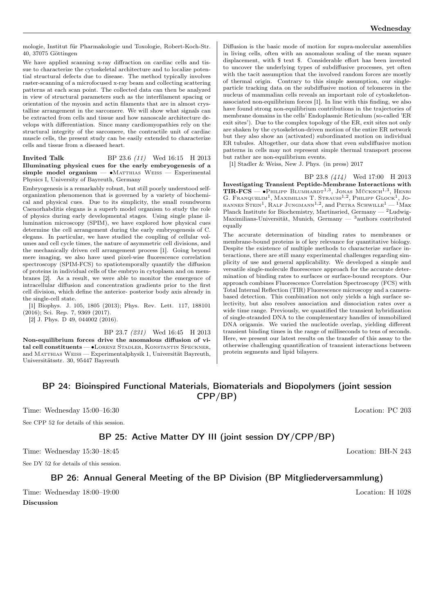mologie, Institut für Pharmakologie und Toxologie, Robert-Koch-Str. 40, 37075 Göttingen

We have applied scanning x-ray diffraction on cardiac cells and tissue to characterize the cytoskeletal architecture and to localize potential structural defects due to disease. The method typically involves raster-scanning of a microfocused x-ray beam and collecting scattering patterns at each scan point. The collected data can then be analyzed in view of structural parameters such as the interfilament spacing or orientation of the myosin and actin filaments that are in almost crystalline arrangement in the sarcomere. We will show what signals can be extracted from cells and tissue and how nanoscale architecture develops with differentiation. Since many cardiomyopathies rely on the structural integrity of the sarcomere, the contractile unit of cardiac muscle cells, the present study can be easily extended to characterize cells and tissue from a diseased heart.

Invited Talk BP 23.6 (11) Wed 16:15 H 2013 Illuminating physical cues for the early embryogenesis of a simple model organism —  $\bullet$ Matthias Weiss — Experimental Physics I, University of Bayreuth, Germany

Embryogenesis is a remarkably robust, but still poorly understood selforganization phenomenon that is governed by a variety of biochemical and physical cues. Due to its simplicity, the small roundworm Caenorhabditis elegans is a superb model organism to study the role of physics during early developmental stages. Using single plane illumination microscopy (SPIM), we have explored how physical cues determine the cell arrangement during the early embryogenesis of C. elegans. In particular, we have studied the coupling of cellular volumes and cell cycle times, the nature of asymmetric cell divisions, and the mechanically driven cell arrangement process [1]. Going beyond mere imaging, we also have used pixel-wise fluorescence correlation spectroscopy (SPIM-FCS) to spatiotemporally quantify the diffusion of proteins in individual cells of the embryo in cytoplasm and on membranes [2]. As a result, we were able to monitor the emergence of intracellular diffusion and concentration gradients prior to the first cell division, which define the anterior- posterior body axis already in the single-cell state.

[1] Biophys. J. 105, 1805 (2013); Phys. Rev. Lett. 117, 188101 (2016); Sci. Rep. 7, 9369 (2017).

[2] J. Phys. D 49, 044002 (2016).

BP 23.7 (231) Wed 16:45 H 2013 Non-equilibrium forces drive the anomalous diffusion of vital cell constituents — ∙Lorenz Stadler, Konstantin Speckner, and MATTHIAS WEISS — Experimentalphysik 1, Universität Bayreuth, Universitätsstr. 30, 95447 Bayreuth

Diffusion is the basic mode of motion for supra-molecular assemblies in living cells, often with an anomalous scaling of the mean square displacement, with \$ text \$. Considerable effort has been invested to uncover the underlying types of subdiffusive processes, yet often with the tacit assumption that the involved random forces are mostly of thermal origin. Contrary to this simple assumption, our singleparticle tracking data on the subdiffusive motion of telomeres in the nucleus of mammalian cells reveals an important role of cytoskeletonassociated non-equilibrium forces [1]. In line with this finding, we also have found strong non-equilibrium contributions in the trajectories of membrane domains in the cells' Endoplasmic Reticulum (so-called 'ER exit sites'). Due to the complex topology of the ER, exit sites not only are shaken by the cytoskeleton-driven motion of the entire ER network but they also show an (activated) subordinated motion on individual ER tubules. Altogether, our data show that even subdiffusive motion patterns in cells may not represent simple thermal transport process but rather are non-equilibrium events.

[1] Stadler & Weiss, New J. Phys. (in press) 2017

BP 23.8 (414) Wed 17:00 H 2013 Investigating Transient Peptide-Membrane Interactions with TIR-FCS —  $\bullet$ Philipp Blumhardt<sup>1,3</sup>, Jonas Mücksch<sup>1,3</sup>, Henri G. FRANQUELIM<sup>1</sup>, MAXIMILIAN T. STRAUSS<sup>1,2</sup>, PHILIPP GLOCK<sup>1</sup>, JO-HANNES STEIN<sup>1</sup>, RALF JUNGMANN<sup>1,2</sup>, and PETRA SCHWILLE<sup>1</sup> — <sup>1</sup>Max Planck Institute for Biochemistry, Martinsried, Germany —  $^2\mbox{Ludwig}$ Maximilians-Universität, Munich, Germany — <sup>3</sup>authors contributed equally

The accurate determination of binding rates to membranes or membrane-bound proteins is of key relevance for quantitative biology. Despite the existence of multiple methods to characterize surface interactions, there are still many experimental challenges regarding simplicity of use and general applicability. We developed a simple and versatile single-molecule fluorescence approach for the accurate determination of binding rates to surfaces or surface-bound receptors. Our approach combines Fluorescence Correlation Spectroscopy (FCS) with Total Internal Reflection (TIR) Fluorescence microscopy and a camerabased detection. This combination not only yields a high surface selectivity, but also resolves association and dissociation rates over a wide time range. Previously, we quantified the transient hybridization of single-stranded DNA to the complementary handles of immobilized DNA origamis. We varied the nucleotide overlap, yielding different transient binding times in the range of milliseconds to tens of seconds. Here, we present our latest results on the transfer of this assay to the otherwise challenging quantification of transient interactions between protein segments and lipid bilayers.

## BP 24: Bioinspired Functional Materials, Biomaterials and Biopolymers (joint session CPP/BP)

Time: Wednesday 15:00–16:30 Location: PC 203

See CPP 52 for details of this session.

BP 25: Active Matter DY III (joint session DY/CPP/BP)

Time: Wednesday 15:30–18:45 Location: BH-N 243

See DY 52 for details of this session.

## BP 26: Annual General Meeting of the BP Division (BP Mitgliederversammlung)

Time: Wednesday 18:00–19:00 Location: H 1028

Discussion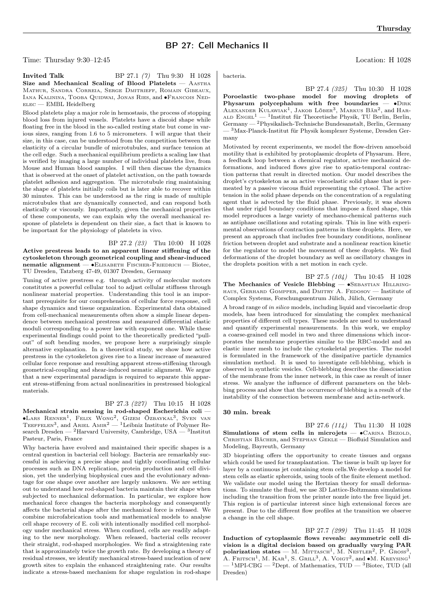## BP 27: Cell Mechanics II

Time: Thursday 9:30–12:45 Location: H 1028

**Invited Talk** BP 27.1 (7) Thu 9:30 H 1028 Size and Mechanical Scaling of Blood Platelets - AASTHA Mathur, Sandra Correia, Serge Dmitrieff, Romain Gibeaux, Iana Kalinina, Tooba Quidwai, Jonas Ries, and ∙Francois Ned- $\epsilon$  = EMBL Heidelberg

Blood platelets play a major role in hemostasis, the process of stopping blood loss from injured vessels. Platelets have a discoid shape while floating free in the blood in the so-called resting state but come in various sizes, ranging from 1.6 to 5 micrometers. I will argue that their size, in this case, can be understood from the competition between the elasticity of a circular bundle of microtubules, and surface tension at the cell edge. Such a mechanical equilibrium predicts a scaling law that is verified by imaging a large number of individual platelets live, from Mouse and Human blood samples. I will then discuss the dynamics that is observed at the onset of platelet activation, on the path towards platelet adhesion and aggregation. The microtubule ring maintaining the shape of platelets initially coils but is later able to recover within 30 minutes. This can be understood as the ring is made of multiple microtubules that are dynamically connected, and can respond both elastically or viscously. Importantly, given the mechanical properties of these components, we can explain why the overall mechanical response of platelets is dependent on their size, a fact that is known to be important for the physiology of platelets in vivo.

BP 27.2 (23) Thu 10:00 H 1028 Active prestress leads to an apparent linear stiffening of the cytoskeleton through geometrical coupling and shear-induced nematic alignment —  $\bullet$ ELISABETH FISCHER-FRIEDRICH — Biotec, TU Dresden, Tatzberg 47-49, 01307 Dresden, Germany

Tuning of active prestress e.g. through activity of molecular motors constitutes a powerful cellular tool to adjust cellular stiffness through nonlinear material properties. Understanding this tool is an important prerequisite for our comprehension of cellular force response, cell shape dynamics and tissue organization. Experimental data obtained from cell-mechanical measurements often show a simple linear dependence between mechanical prestress and measured differential elastic moduli corresponding to a power law with exponent one. While these experimental findings could point to the theoretically predicted "pullout" of soft bending modes, we propose here a surprisingly simple alternative explanation. In a theoretical study, we show how active prestress in the cytoskeleton gives rise to a linear increase of measured cellular force response and resulting apparent stress-stiffening through geometrical-coupling and shear-induced nematic alignment. We argue that a new experimental paradigm is required to separate this apparent stress-stiffening from actual nonlinearities in prestressed biological materials.

### BP 27.3 (227) Thu 10:15 H 1028

Mechanical strain sensing in rod-shaped Escherichia coli — ∙Lars Renner<sup>1</sup> , Felix Wong<sup>2</sup> , Gizem Özbaykal<sup>3</sup> , Sven van Teeffelen3 , and Ariel Amir<sup>2</sup> — <sup>1</sup>Leibniz Institute of Polymer Research Dresden — <sup>2</sup>Harvard University, Cambridge, USA — <sup>3</sup>Institut Pasteur, Paris, France

Why bacteria have evolved and maintained their specific shapes is a central question in bacterial cell biology. Bacteria are remarkably successful in achieving a precise shape and tightly coordinating cellular processes such as DNA replication, protein production and cell division, yet the underlying biophysical cues and the evolutionary advantage for one shape over another are largely unknown. We are setting out to understand how rod-shaped bacteria maintain their shape when subjected to mechanical deformation. In particular, we explore how mechanical force changes the bacteria morphology and consequently affects the bacterial shape after the mechanical force is released. We combine microfabrication tools and mathematical models to analyse cell shape recovery of E. coli with intentionally modified cell morphology under mechanical stress. When confined, cells are readily adapting to the new morphology. When released, bacterial cells recover their straight, rod-shaped morphologies. We find a straightening rate that is approximately twice the growth rate. By developing a theory of residual stresses, we identify mechanical stress-based nucleation of new growth sites to explain the enhanced straightening rate. Our results indicate a stress-based mechanism for shape regulation in rod-shape bacteria.

BP 27.4 (325) Thu 10:30 H 1028 Poroelastic two-phase model for moving droplets of Physarum polycephalum with free boundaries —  $\bullet$ DIRK ALEXANDER KULAWIAK<sup>1</sup>, JAKOB LÖBER<sup>3</sup>, MARKUS BÄR<sup>2</sup>, and HAR-ALD  $\text{Eng} E^{-1}$  — <sup>1</sup>Institut für Theoretische Physik, TU Berlin, Berlin, Germany — <sup>2</sup>Physikalisch-Technische Bundesanstalt, Berlin, Germany — <sup>3</sup>Max-Planck-Institut für Physik komplexer Systeme, Dresden Germany

Motivated by recent experiments, we model the flow-driven amoeboid motility that is exhibited by protoplasmic droplets of Physarum. Here, a feedback loop between a chemical regulator, active mechanical deformations, and induced flows give rise to spatio-temporal contraction patterns that result in directed motion. Our model describes the droplet's cytoskeleton as an active viscoelastic solid phase that is permeated by a passive viscous fluid representing the cytosol. The active tension in the solid phase depends on the concentration of a regulating agent that is advected by the fluid phase. Previously, it was shown that under rigid boundary conditions that impose a fixed shape, this model reproduces a large variety of mechano-chemical patterns such as antiphase oscillations and rotating spirals. This in line with experimental observations of contraction patterns in these droplets. Here, we present an approach that includes free boundary conditions, nonlinear friction between droplet and substrate and a nonlinear reaction kinetic for the regulator to model the movement of these droplets. We find deformations of the droplet boundary as well as oscillatory changes in the droplets position with a net motion in each cycle.

BP 27.5 (104) Thu 10:45 H 1028 The Mechanics of Vesicle Blebbing — • SEBASTIAN HILLRINGhaus, Gerhard Gompper, and Dmitry A. Fedosov — Institute of Complex Systems, Forschungszentrum Jülich, Jülich, Germany

A broad range of in silico models, including liquid and viscoelastic drop models, has been introduced for simulating the complex mechanical properties of different cell types. These models are used to understand and quantify experimental measurements. In this work, we employ a coarse-grained cell model in two and three dimensions which incorporates the membrane properties similar to the RBC-model and an elastic inner mesh to include the cytoskeletal properties. The model is formulated in the framework of the dissipative particle dynamics simulation method. It is used to investigate cell-blebbing, which is observed in synthetic vesicles. Cell-blebbing describes the dissociation of the membrane from the inner network, in this case as result of inner stress. We analyze the influence of different parameters on the blebbing process and show that the occurrence of blebbing is a result of the instability of the connection between membrane and actin-network.

#### 30 min. break

BP 27.6 (114) Thu 11:30 H 1028 Simulations of stem cells in microjets —  $\bullet$ CARINA BEZOLD, CHRISTIAN BÄCHER, and STEPHAN GEKLE - Biofluid Simulation and Modeling, Bayreuth, Germany

3D bioprinting offers the opportunity to create tissues and organs which could be used for transplantation. The tissue is built up layer for layer by a continuous jet containing stem cells.We develop a model for stem cells as elastic spheroids, using tools of the finite element method. We validate our model using the Hertzian theory for small deformations. To simulate the fluid, we use 3D Lattice-Boltzmann simulations including the transition from the printer nozzle into the free liquid jet. This region is of particular interest since high extensional forces are present. Due to the different flow profiles at the transition we observe a change in the cell shape.

BP 27.7 (299) Thu 11:45 H 1028 Induction of cytoplasmic flows reveals: asymmetric cell division is a digital decision based on gradually varying PAR polarization states - M. MITTASCH<sup>1</sup>, M. NESTLER<sup>2</sup>, P. GROSS<sup>3</sup>, A. FRITSCH<sup>1</sup>, M. KAR<sup>1</sup>, S. GRILL<sup>3</sup>, A. VOIGT<sup>2</sup>, and  $\bullet$ M. KREYSING<sup>1</sup>  $^{-1}$ MPI-CBG — <sup>2</sup>Dept. of Mathematics, TUD — <sup>3</sup>Biotec, TUD (all Dresden)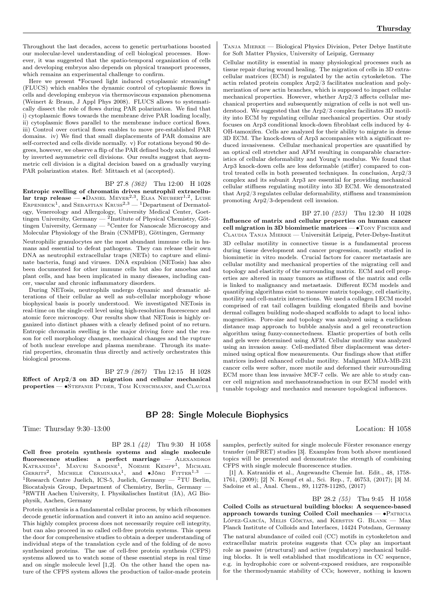Throughout the last decades, access to genetic perturbations boosted our molecular-level understanding of cell biological processes. However, it was suggested that the spatio-temporal organization of cells and developing embryos also depends on physical transport processes, which remains an experimental challenge to confirm.

Here we present \*Focused light induced cytoplasmic streaming\* (FLUCS) which enables the dynamic control of cytoplasmic flows in cells and developing embryos via thermoviscous expansion phenomena (Weinert & Braun, J Appl Phys 2008). FLUCS allows to systematically dissect the role of flows during PAR polarization. We find that i) cytoplasmic flows towards the membrane drive PAR loading locally, ii) cytoplasmic flows parallel to the membrane induce cortical flows. iii) Control over cortical flows enables to move pre-established PAR domains. iv) We find that small displacements of PAR domains are self-corrected and cells divide normally. v) For rotations beyond 90 degrees, however, we observe a flip of the PAR defined body axis, followed by inverted asymmetric cell divisions. Our results suggest that asymmetric cell division is a digital decision based on a gradually varying PAR polarization states. Ref: Mittasch et al (accepted).

### BP 27.8 (362) Thu 12:00 H 1028

Entropic swelling of chromatin drives neutrophil extracellu**lar trap release — •**Daniel Meyer<sup>2,3</sup>, Elsa Neubert<sup>1,2</sup>, Luise Erpenbeck<sup>1</sup>, and Sebastian Kruss<sup>2,3</sup> — <sup>1</sup>Department of Dermatology, Venereology and Allergology, University Medical Center, Goettingen University, Germany —  $^2$ Institute of Physical Chemistry, Göttingen University, Germany  $-$  <sup>3</sup>Center for Nanoscale Microscopy and Molecular Physiology of the Brain (CNMPB), Göttingen, Germany

Neutrophilic granulocytes are the most abundant immune cells in humans and essential to defeat pathogens. They can release their own DNA as neutrophil extracellular traps (NETs) to capture and eliminate bacteria, fungi and viruses. DNA expulsion (NETosis) has also been documented for other immune cells but also for amoebas and plant cells, and has been implicated in many diseases, including cancer, vascular and chronic inflammatory disorders.

During NETosis, neutrophils undergo dynamic and dramatic alterations of their cellular as well as sub-cellular morphology whose biophysical basis is poorly understood. We investigated NETosis in real-time on the single-cell level using high-resolution fluorescence and atomic force microscopy. Our results show that NETosis is highly organized into distinct phases with a clearly defined point of no return. Entropic chromatin swelling is the major driving force and the reason for cell morphology changes, mechanical changes and the rupture of both nuclear envelope and plasma membrane. Through its material properties, chromatin thus directly and actively orchestrates this biological process.

BP 27.9 (267) Thu 12:15 H 1028 Effect of Arp $2/3$  on 3D migration and cellular mechanical properties — • STEFANIE PUDER, TOM KUNSCHMANN, and CLAUDIA

## BP 28: Single Molecule Biophysics

Time: Thursday 9:30–13:00 Location: H 1058

BP 28.1 (42) Thu 9:30 H 1058 Cell free protein synthesis systems and single molecule  $fluorescence studies: a perfect marriage - ALEXANDROS$ KATRANIDIS<sup>1</sup>, MAYURI SADOINE<sup>1</sup>, NOEMIE KEMPF<sup>1</sup>, MICHAEL<br>GERRITS<sup>2</sup>, MICHELE CERMINARA<sup>1</sup>, and ●Jörg Fitter<sup>1,3</sup> — <sup>1</sup>Research Centre Juelich, ICS-5, Juelich, Germany — <sup>2</sup>TU Berlin, Biocatalysis Group, Department of Chemistry, Berlin, Germany — <sup>3</sup>RWTH Aachen University, I. Physikalisches Institut (IA), AG Biophysik, Aachen, Germany

Protein synthesis is a fundamental cellular process, by which ribosomes decode genetic information and convert it into an amino acid sequence. This highly complex process does not necessarily require cell integrity, but can also proceed in so called cell-free protein systems. This opens the door for comprehensive studies to obtain a deeper understanding of individual steps of the translation cycle and of the folding of de novo synthesized proteins. The use of cell-free protein synthesis (CFPS) systems allowed us to watch some of these essential steps in real time and on single molecule level [1,2]. On the other hand the open nature of the CFPS system allows the production of tailor-made protein

Tanja Mierke — Biological Physics Division, Peter Debye Institute for Soft Matter Physics, University of Leipzig, Germany

Cellular motility is essential in many physiological processes such as tissue repair during wound healing. The migration of cells in 3D extracellular matrices (ECM) is regulated by the actin cytoskeleton. The actin related protein complex Arp2/3 facilitates nucleation and polymerization of new actin branches, which is supposed to impact cellular mechanical properties. However, whether Arp2/3 affects cellular mechanical properties and subsequently migration of cells is not well understood. We suggested that the Arp2/3 complex facilitates 3D motility into ECM by regulating cellular mechanical properties. Our study focuses on Arp3 conditional knock-down fibroblast cells induced by 4- OH-tamoxifen. Cells are analyzed for their ability to migrate in dense 3D ECM. The knock-down of Arp3 accompanies with a significant reduced invasiveness. Cellular mechanical properties are quantified by an optical cell stretcher and AFM resulting in comparable characteristics of cellular deformability and Young's modulus. We found that Arp3 knock-down cells are less deformable (stiffer) compared to control treated cells in both presented techniques. In conclusion, Arp2/3 complex and its subunit Arp3 are essential for providing mechanical cellular stiffness regulating motility into 3D ECM. We demonstrated that Arp2/3 regulates cellular deformability, stiffness and transmission promoting Arp2/3-dependent cell invasion.

BP 27.10 (253) Thu 12:30 H 1028 Influence of matrix and cellular properties on human cancer cell migration in 3D biomimetic matrices — •Tony FISCHER and Claudia Tanja Mierke — Universität Leipzig, Peter-Debye-Institut 3D cellular motility in connective tissue is a fundamental process during tissue development and cancer progression, mostly studied in biomimetic in vitro models. Crucial factors for cancer metastasis are cellular motility and mechanical properties of the migrating cell and topology and elasticity of the surrounding matrix. ECM and cell properties are altered in many tumors as stiffness of the matrix and cells is linked to malignancy and metastasis. Different ECM models and quantifying algorithms exist to measure matrix topology, cell elasticity, motility and cell-matrix interactions. We used a collagen I ECM model comprised of rat tail collagen building elongated fibrils and bovine dermal collagen building node-shaped scaffolds to adapt to local inhomogeneities. Pore-size and topology was analyzed using a euclidean distance map approach to bubble analysis and a gel reconstruction algorithm using fuzzy-connectedness. Elastic properties of both cells and gels were determined using AFM. Cellular motility was analyzed using an invasion assay. Cell-mediated fiber displacement was determined using optical flow measurements. Our findings show that stiffer matrices indeed enhanced cellular motility. Malignant MDA-MB-231 cancer cells were softer, more motile and deformed their surrounding ECM more than less invasive MCF-7 cells. We are able to study cancer cell migration and mechanotransduction in our ECM model with tunable topology and mechanics and measure topological influences.

samples, perfectly suited for single molecule Förster resonance energy transfer (smFRET) studies [3]. Examples from both above mentioned topics will be presented and demonstrate the strength of combining CFPS with single molecule fluorescence studies.

[1] A. Katranidis et al., Angewandte Chemie Int. Edit., 48, 1758- 1761, (2009); [2] N. Kempf et al., Sci. Rep., 7, 46753, (2017); [3] M. Sadoine et al., Anal. Chem., 89, 11278-11285, (2017)

BP 28.2 (55) Thu 9:45 H 1058 Coiled Coils as structural building blocks: A sequence-based approach towards tuning Coiled Coil mechanics — ∙Patricia López-García, Melis Göktas, and Kerstin G. Blank — Max Planck Institute of Colloids and Interfaces, 14424 Potsdam, Germany The natural abundance of coiled coil (CC) motifs in cytoskeleton and extracellular matrix proteins suggests that CCs play an important role as passive (structural) and active (regulatory) mechanical building blocks. It is well established that modifications in CC sequence, e.g. in hydrophobic core or solvent-exposed residues, are responsible for the thermodynamic stability of CCs; however, nothing is known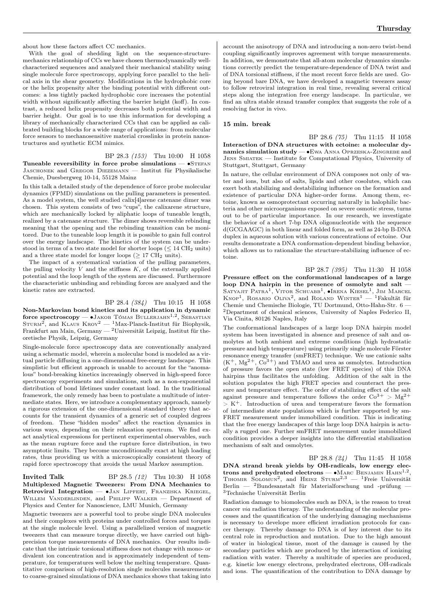about how these factors affect CC mechanics.

With the goal of shedding light on the sequence-structuremechanics relationship of CCs we have chosen thermodynamically wellcharacterized sequences and analyzed their mechanical stability using single molecule force spectroscopy, applying force parallel to the helical axis in the shear geometry. Modifications in the hydrophobic core or the helix propensity alter the binding potential with different outcomes: a less tightly packed hydrophobic core increases the potential width without significantly affecting the barrier height (koff). In contrast, a reduced helix propensity decreases both potential width and barrier height. Our goal is to use this information for developing a library of mechanically characterized CCs that can be applied as calibrated building blocks for a wide range of applications: from molecular force sensors to mechanosensitive material crosslinks in protein nanostructures and synthetic ECM mimics.

BP 28.3 (153) Thu 10:00 H 1058 Tuneable reversibility in force probe simulations — •STEFAN Jaschonek and Gregor Diezemann — Institut für Physikalische Chemie, Duesbergweg 10-14, 55128 Mainz

In this talk a detailed study of the dependence of force probe molecular dynamics (FPMD) simulations on the pulling parameters is presented. As a model system, the well studied calix[4]arene catenane dimer was chosen. This system consists of two "cups", the calixarene structure, which are mechanically locked by aliphatic loops of tuneable length, realized by a catenane structure. The dimer shows reversible rebinding meaning that the opening and the rebinding transition can be monitored. Due to the tuneable loop length it is possible to gain full control over the energy landscape. The kinetics of the system can be understood in terms of a two state model for shorter loops ( $\leq 14 \text{ CH}_2$  units) and a three state model for longer loops ( $\geq$  17 CH<sub>2</sub> units).

The impact of a systematical variation of the pulling parameters, the pulling velocity  $V$  and the stiffness  $K$ , of the externally applied potential and the loop length of the system are discussed. Furthermore the characteristic unbinding and rebinding forces are analyzed and the kinetic rates are extracted.

BP 28.4 (384) Thu 10:15 H 1058 Non-Markovian bond kinetics and its application in dynamic force spectroscopy —  $\bullet$ Jakob Tómas Bullerjahn $^{1,2},\, {\rm SEBASTIAN}$ STURM<sup>2</sup>, and KLAUS  $K$ ROY<sup>2</sup> — <sup>1</sup>Max-Planck-Institut für Biophysik, Frankfurt am Main, Germany — <sup>2</sup>Universität Leipzig, Institut für theoretische Physik, Leipzig, Germany

Single-molecule force spectroscopy data are conventionally analyzed using a schematic model, wherein a molecular bond is modeled as a virtual particle diffusing in a one-dimensional free-energy landscape. This simplistic but efficient approach is unable to account for the "anomalous" bond-breaking kinetics increasingly observed in high-speed force spectroscopy experiments and simulations, such as a non-exponential distribution of bond lifetimes under constant load. In the traditional framework, the only remedy has been to postulate a multitude of intermediate states. Here, we introduce a complementary approach, namely a rigorous extension of the one-dimensional standard theory that accounts for the transient dynamics of a generic set of coupled degrees of freedom. These "hidden modes" affect the reaction dynamics in various ways, depending on their relaxation spectrum. We find exact analytical expressions for pertinent experimental observables, such as the mean rupture force and the rupture force distribution, in two asymptotic limits. They become unconditionally exact at high loading rates, thus providing us with a microscopically consistent theory of rapid force spectroscopy that avoids the usual Markov assumption.

**Invited Talk** BP 28.5 (12) Thu 10:30 H 1058 Multiplexed Magnetic Tweezers: From DNA Mechanics to Retroviral Integration — ∙Jan Lipfert, Franziska Kriegel, Willem Vanderlinden, and Philipp Walker — Department of Physics and Center for Nanoscience, LMU Munich, Germany

Magnetic tweezers are a powerful tool to probe single DNA molecules and their complexes with proteins under controlled forces and torques at the single molecule level. Using a parallelized version of magnetic tweezers that can measure torque directly, we have carried out highprecision torque measurements of DNA mechanics. Our results indicate that the intrinsic torsional stiffness does not change with mono- or divalent ion concentration and is approximately independent of temperature, for temperatures well below the melting temperature. Quantitative comparison of high-resolution single molecules measurements to coarse-grained simulations of DNA mechanics shows that taking into

account the anisotropy of DNA and introducing a non-zero twist-bend coupling significantly improves agreement with torque measurements. In addition, we demonstrate that all-atom molecular dynamics simulations correctly predict the temperature-dependence of DNA twist and of DNA torsional stiffness, if the most recent force fields are used. Going beyond bare DNA, we have developed a magnetic tweezers assay to follow retroviral integration in real time, revealing several critical steps along the integration free energy landscape. In particular, we find an ultra stable strand transfer complex that suggests the role of a resolving factor in vivo.

#### 15 min. break

BP 28.6 (75) Thu 11:15 H 1058 Interaction of DNA structures with ectoine: a molecular dynamics simulation study — •Ewa Anna Oprzeska-Zingrebe and Jens Smiatek — Institute for Computational Physics, University of Stuttgart, Stuttgart, Germany

In nature, the cellular environment of DNA composes not only of water and ions, but also of salts, lipids and other cosolutes, which can exert both stabilizing and destabilizing influence on the formation and existence of particular DNA higher-order forms. Among them, ectoine, known as osmoprotectant occurring naturally in halophilic bacteria and other microorganisms exposed on severe osmotic stress, turns out to be of particular importance. In our research, we investigate the behavior of a short 7-bp DNA oligonucleotide with the sequence d(GCGAAGC) in both linear and folded form, as well as 24-bp B-DNA duplex in aqueous solution with various concentrations of ectoine. Our results demonstrate a DNA conformation-dependent binding behavior, which allows us to rationalize the structure-stabilizing influence of ectoine.

BP 28.7 (395) Thu 11:30 H 1058 Pressure effect on the conformational landscapes of a large loop DNA hairpin in the presence of osmolyte and salt — Satyajit Patra<sup>1</sup>, Vitor Schuabb<sup>1</sup>, ●Irena Kiesel<sup>1</sup>, Jim Marcel<br>Knop<sup>1</sup>, Rosario Oliva<sup>2</sup>, and Roland Winter<sup>1</sup> — <sup>1</sup>Fakultät für Chemie und Chemische Biologie, TU Dortmund, Otto-Hahn-Str. 6 — <sup>2</sup>Department of chemical sciences, University of Naples Federico II, Via Cinita, 80126 Naples, Italy

The conformational landscapes of a large loop DNA hairpin model system has been investigated in absence and presence of salt and osmolytes at both ambient and extreme conditions (high hydrostatic pressure and high temperature) using primarily single molecule Förster resonance energy transfer (smFRET) technique. We use cationic salts  $(K^+, Mg^{2+}, Co^{3+})$  and TMAO and urea as osmolytes. Introduction of pressure favors the open state (low FRET species) of this DNA hairpins thus facilitates the unfolding. Addition of the salt in the solution populates the high FRET species and counteract the pressure and temperature effect. The order of stabilizing effect of the salt against pressure and temperature follows the order  $Co^{3+} > Mg^{2+}$  $> K^+$ . Introduction of urea and temperature favors the formation of intermediate state populations which is further supported by sm-FRET measurement under immobilized condition. This is indicating that the free energy landscapes of this large loop DNA hairpin is actually a rugged one. Further smFRET measurement under immobilized condition provides a deeper insights into the differential stabilization mechanism of salt and osmolytes.

BP 28.8 (24) Thu 11:45 H 1058 DNA strand break yields by OH-radicals, low energy electrons and prehydrated electrons —  $\bullet$ MARC BENJAMIN  $\text{H}\text{AHN}^{1,2}$ , TIHOMIR SOLOMUN<sup>2</sup>, and HEINZ STURM<sup>2,3</sup> - <sup>1</sup>Freie Universität Berlin — <sup>2</sup>Bundesanstalt für Materialforschung und -prüfung — <sup>3</sup>Technische Universität Berlin

Radiation damage to biomolecules such as DNA, is the reason to treat cancer via radiation therapy. The understanding of the molecular processes and the quantification of the underlying damaging mechanisms is necessary to develope more efficient irradiation protocols for cancer therapy. Thereby damage to DNA is of key interest due to its central role in reproduction and mutation. Due to the high amount of water in biological tissue, most of the damage is caused by the secondary particles which are produced by the interaction of ionizing radiation with water. Thereby a multitude of species are produced, e.g. kinetic low energy electrons, prehydrated electrons, OH-radicals and ions. The quantification of the contribution to DNA damage by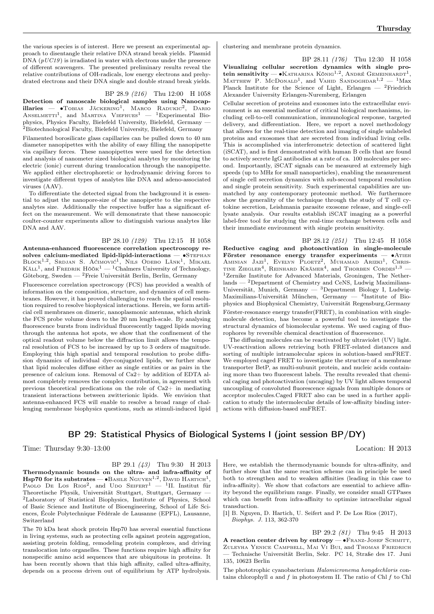the various species is of interest. Here we present an experimental approach to disentangle their relative DNA strand break yields. Plasmid DNA  $(pUC19)$  is irradiated in water with electrons under the presence of different scavengers. The presented preliminary results reveal the relative contributions of OH-radicals, low energy electrons and prehydrated electrons and their DNA single and double strand break yields.

#### BP 28.9 (216) Thu 12:00 H 1058

Detection of nanoscale biological samples using Nanocapillaries — • TOBIAS JÄCKERING<sup>1</sup>, MARCO RADUKIC<sup>2</sup>, DARIO ANSELMETTI<sup>1</sup>, and MARTINA VIEFHUES<sup>1</sup> - <sup>1</sup>Experimental Biophysics, Physics Faculty, Bielefeld University, Bielefeld, Germany — <sup>2</sup>Biotechnological Faculty, Bielefeld University, Bielefeld, Germany

Filamented borosilicate glass capillaries can be pulled down to 40 nm diameter nanopipettes with the ability of easy filling the nanopipette via capillary forces. These nanopipettes were used for the detection and analysis of nanometer sized biological analytes by monitoring the electric (ionic) current during translocation through the nanopipette. We applied either electrophoretic or hydrodynamic driving forces to investigate different types of analytes like DNA and adeno-associated viruses (AAV).

To differentiate the detected signal from the background it is essential to adjust the nanopore-size of the nanopipette to the respective analytes size. Additionally the respective buffer has a significant effect on the measurement. We will demonstrate that these nanoscopic coulter-counter experiments allow to distinguish various analytes like DNA and AAV.

#### BP 28.10 (129) Thu 12:15 H 1058

Antenna-enhanced fluorescence correlation spectroscopy resolves calcium-mediated lipid-lipid-interactions — •STEPHAN Block<sup>1,2</sup>, Srdjan S. Aćimović<sup>1</sup>, Nils Odebo Länk<sup>1</sup>, Mikael KÄLL<sup>1</sup>, and FREDRIK  $H\ddot{\circ} \ddot{\circ} k^1 - {}^1\text{Chalmers University of Technology},$ Göteborg, Sweden — <sup>2</sup>Freie Universität Berlin, Berlin, Germany

Fluorescence correlation spectroscopy (FCS) has provided a wealth of information on the composition, structure, and dynamics of cell membranes. However, it has proved challenging to reach the spatial resolution required to resolve biophysical interactions. Herein, we form artificial cell membranes on dimeric, nanoplasmonic antennas, which shrink the FCS probe volume down to the 20 nm length-scale. By analysing fluorescence bursts from individual fluorescently tagged lipids moving through the antenna hot spots, we show that the confinement of the optical readout volume below the diffraction limit allows the temporal resolution of FCS to be increased by up to 3 orders of magnitude. Employing this high spatial and temporal resolution to probe diffusion dynamics of individual dye-conjugated lipids, we further show that lipid molecules diffuse either as single entities or as pairs in the presence of calcium ions. Removal of Ca2+ by addition of EDTA almost completely removes the complex contribution, in agreement with previous theoretical predications on the role of Ca2+ in mediating transient interactions between zwitterionic lipids. We envision that antenna-enhanced FCS will enable to resolve a broad range of challenging membrane biophysics questions, such as stimuli-induced lipid clustering and membrane protein dynamics.

BP 28.11 (176) Thu 12:30 H 1058 Visualizing cellular secretion dynamics with single protein sensitivity — • KATHARINA KÖNIG<sup>1,2</sup>, ANDRÉ GEMEINHARDT<sup>1</sup>, MATTHEW P. MCDONALD<sup>1</sup>, and VAHID SANDOGHDAR<sup>1,2</sup> - <sup>1</sup>Max Planck Institute for the Science of Light, Erlangen — <sup>2</sup>Friedrich Alexander University Erlangen-Nuremberg, Erlangen

Cellular secretion of proteins and exosomes into the extracellular environment is an essential mediator of critical biological mechanisms, including cell-to-cell communication, immunological response, targeted delivery, and differentiation. Here, we report a novel methodology that allows for the real-time detection and imaging of single unlabeled proteins and exosomes that are secreted from individual living cells. This is accomplished via interferometric detection of scattered light (iSCAT), and is first demonstrated with human B cells that are found to actively secrete IgG antibodies at a rate of ca. 100 molecules per second. Importantly, iSCAT signals can be measured at extremely high speeds (up to MHz for small nanoparticles), enabling the measurement of single cell secretion dynamics with sub-second temporal resolution and single protein sensitivity. Such experimental capabilities are unmatched by any contemporary proteomic method. We furthermore show the generality of the technique through the study of T cell cytokine secretion, Leishmania parasite exosome release, and single-cell lysate analysis. Our results establish iSCAT imaging as a powerful label-free tool for studying the real-time exchange between cells and their immediate environment with single protein sensitivity.

BP 28.12 (251) Thu 12:45 H 1058 Reductive caging and photoactivation in single-molecule Förster resonance energy transfer experiments — • ATIEH AMINIAN JAZI<sup>1</sup>, EVELYN PLOETZ<sup>2</sup>, MUHAMAD ARIZKI<sup>1</sup>, CHRISTINE ZIEGLER<sup>4</sup>, REINHARD KRÄMER<sup>4</sup>, and Thorben Cordes<sup>1,3</sup> <sup>1</sup>Zernike Institute for Advanced Materials, Groningen, The Netherlands — <sup>2</sup>Department of Chemistry and CeNS, Ludwig Maximilians-Universität, Munich, Germany — <sup>3</sup>Department Biology I, Ludwig-Maximilians-Universität München, Germany  $-$  <sup>4</sup>Institute of Biophysics and Biophysical Chemistry, Universität Regensburg,Germany Förster-resonance energy transfer(FRET), in combination with singlemolecule detection, has become a powerful tool to investigate the structural dynamics of biomolecular systems. We used caging of fluorophores by reversible chemical deactivation of fluorescence.

The diffusing molecules can be reactivated by ultraviolet (UV) light. UV-reactivation allows retrieving both FRET-related distances and sorting of multiple intramolecular spices in solution-based smFRET. We employed caged FRET to investigate the structure of a membrane transporter BetP, as multi-subunit protein, and nucleic acids containing more than two fluorescent labels. The results revealed that chemical caging and photoactivation (uncaging) by UV light allows temporal uncoupling of convoluted fluorescence signals from multiple donors or acceptor molecules.Caged FRET also can be used in a further application to study the intermolecular details of low-affinity binding interactions with diffusion-based smFRET.

## BP 29: Statistical Physics of Biological Systems I (joint session BP/DY)

Time: Thursday 9:30–13:00 Location: H 2013

BP 29.1 (43) Thu 9:30 H 2013 Thermodynamic bounds on the ultra- and infra-affinity of **Hsp70 for its substrates — •**Basile Nguyen<sup>1,2</sup>, David Hartich<sup>1</sup>, Paolo De Los Rios<sup>2</sup>, and Udo Seiferr<sup>1</sup> — <sup>1</sup>II. Institut für Theoretische Physik, Universität Stuttgart, Stuttgart, Germany — <sup>2</sup>Laboratory of Statistical Biophysics, Institute of Physics, School of Basic Science and Institute of Bioengineering, School of Life Sciences, École Polytechnique Fédérale de Lausanne (EPFL), Lausanne, Switzerland

The 70 kDa heat shock protein Hsp70 has several essential functions in living systems, such as protecting cells against protein aggregation, assisting protein folding, remodeling protein complexes, and driving translocation into organelles. These functions require high affinity for nonspecific amino acid sequences that are ubiquitous in proteins. It has been recently shown that this high affinity, called ultra-affinity, depends on a process driven out of equilibrium by ATP hydrolysis.

Here, we establish the thermodynamic bounds for ultra-affinity, and further show that the same reaction scheme can in principle be used both to strengthen and to weaken affinities (leading in this case to infra-affinity). We show that cofactors are essential to achieve affinity beyond the equilibrium range. Finally, we consider small GTPases which can benefit from infra-affinity to optimize intracellular signal transduction.

[1] B. Nguyen, D. Hartich, U. Seifert and P. De Los Rios (2017), Biophys. J. 113, 362-370

BP 29.2 (81) Thu 9:45 H 2013 A reaction center driven by entropy —  $\bullet$ Franz-JOSEF SCHMITT, ZULEYHA YENICE CAMPBELL, MAI VI BUI, and THOMAS FRIEDRICH — Technische Universität Berlin, Sekr. PC 14, Straße des 17. Juni 135, 10623 Berlin

The phototrophic cyanobacterium Halomicronema hongdechloris contains chlorophyll  $a$  and  $f$  in photosystem II. The ratio of Chl  $f$  to Chl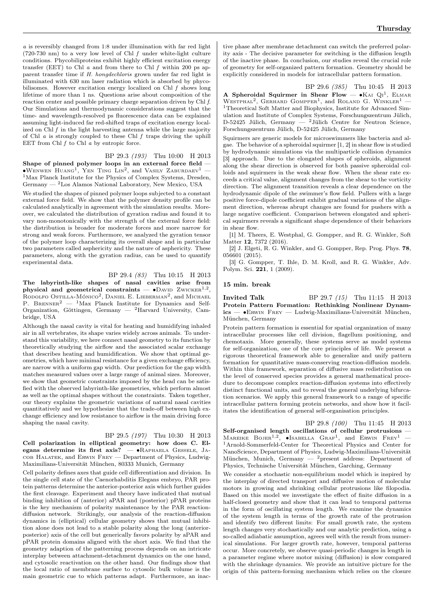a is reversibly changed from 1:8 under illumination with far red light  $(720-730)$  nm) to a very low level of Chl f under white-light culture conditions. Phycobiliproteins exhibit highly efficient excitation energy transfer (EET) to Chl  $a$  and from there to Chl  $f$  within 200 ps apparent transfer time if H. hongdechloris grown under far red light is illuminated with 630 nm laser radiation which is absorbed by phycobilisomes. However excitation energy localized on Chl f shows long lifetime of more than 1 ns. Questions arise about composition of the reaction center and possible primary charge separation driven by Chl f. Our Simulations and thermodynamic considerations suggest that the time- and wavelength-resolved ps fluorescence data can be explained assuming light-induced far red-shifted traps of excitation energy localized on Chl  $f$  in the light harvesting antenna while the large majority of Chl  $\alpha$  is strongly coupled to these Chl  $f$  traps driving the uphill EET from Chl  $f$  to Chl  $a$  by entropic force.

### BP 29.3 (193) Thu 10:00 H 2013

Shape of pinned polymer loops in an external force field —  $\bullet$ Wenwen Huang<sup>1</sup>, Yen Ting Lin<sup>2</sup>, and Vasily Zaburdaev<sup>1</sup> —  ${}^{1}\mathrm{Max}$  Planck Institute for the Physics of Complex Systems, Dresden, Germany  $-$  <sup>2</sup>Los Alamos National Laboratory, New Mexico, USA

We studied the shapes of pinned polymer loops subjected to a constant external force field. We show that the polymer density profile can be calculated analytically in agreement with the simulation results. Moreover, we calculated the distribution of gyration radius and found it to vary non-monotonically with the strength of the external force field: the distribution is broader for moderate forces and more narrow for strong and weak forces. Furthermore, we analyzed the gyration tensor of the polymer loop characterizing its overall shape and in particular two parameters called asphericity and the nature of asphericity. These parameters, along with the gyration radius, can be used to quantify experimental data.

### BP 29.4 (83) Thu 10:15 H 2013

The labyrinth-like shapes of nasal cavities arise from physical and geometrical constraints —  $\bullet$ DAVID ZWICKER<sup>1,2</sup>, RODOLFO OSTILLA-MÓNICO<sup>2</sup>, DANIEL E. LIEBERMAN<sup>2</sup>, and MICHAEL P. BRENNER<sup>2</sup> — <sup>1</sup>Max Planck Institute for Dynamics and Self-Organization, Göttingen, Germany — <sup>2</sup>Harvard University, Cambridge, USA

Although the nasal cavity is vital for heating and humidifying inhaled air in all vertebrates, its shape varies widely across animals. To understand this variability, we here connect nasal geometry to its function by theoretically studying the airflow and the associated scalar exchange that describes heating and humidification. We show that optimal geometries, which have minimal resistance for a given exchange efficiency, are narrow with a uniform gap width. Our prediction for the gap width matches measured values over a large range of animal sizes. Moreover, we show that geometric constraints imposed by the head can be satisfied with the observed labyrinth-like geometries, which perform almost as well as the optimal shapes without the constraints. Taken together, our theory explains the geometric variations of natural nasal cavities quantitatively and we hypothesize that the trade-off between high exchange efficiency and low resistance to airflow is the main driving force shaping the nasal cavity.

### BP 29.5 (197) Thu 10:30 H 2013

Cell polarization in elliptical geometry: how does C. Elegans determine its first axis? — •RAPHAELA GESSELE, JA-COB HALATEK, and ERWIN FREY — Department of Physics, Ludwig-Maximilians-Universität München, 80333 Munich, Germany

Cell polarity defines axes that guide cell differentiation and division. In the single cell state of the Caenorhabditis Elegans embryo, PAR protein patterns determine the anterior-posterior axis which further guides the first cleavage. Experiment and theory have indicated that mutual binding inhibition of (anterior) aPAR and (posterior) pPAR proteins is the key mechanism of polarity maintenance by the PAR reactiondiffusion network. Strikingly, our analysis of the reaction-diffusion dynamics in (elliptical) cellular geometry shows that mutual inhibition alone does not lead to a stable polarity along the long (anteriorposterior) axis of the cell but generically favors polarity by aPAR and pPAR protein domains aligned with the short axis. We find that the geometry adaption of the patterning process depends on an intricate interplay between attachment-detachment dynamics on the one hand, and cytosolic reactivation on the other hand. Our findings show that the local ratio of membrane surface to cytosolic bulk volume is the main geometric cue to which patterns adapt. Furthermore, an inac-

tive phase after membrane detachment can switch the preferred polarity axis - The decisive parameter for switching is the diffusion length of the inactive phase. In conclusion, our studies reveal the crucial role of geometry for self-organized pattern formation. Geometry should be explicitly considered in models for intracellular pattern formation.

BP 29.6 (385) Thu 10:45 H 2013

A Spheroidal Squirmer in Shear Flow —  $\bullet$ KAI QI<sup>1</sup>, ELMAR WESTPHAL<sup>2</sup>, GERHARD GOMPPER<sup>1</sup>, and ROLAND G. WINKLER<sup>1</sup> -<sup>1</sup>Theoretical Soft Matter and Biophysics, Institute for Advanced Simulation and Institute of Complex Systems, Forschungszentrum Jülich,  $D-52425$  Jülich, Germany  $-2$  Jülich Centre for Neutron Science, Forschungszentrum Jülich, D-52425 Jülich, Germany

Squirmers are generic models for microswimmers like bacteria and algae. The behavior of a spheroidal squirmer [1, 2] in shear flow is studied by hydrodynamic simulations via the multiparticle collision dynamics [3] approach. Due to the elongated shapes of spheroids, alignment along the shear direction is observed for both passive spheroidal colloids and squirmers in the weak shear flow. When the shear rate exceeds a critical value, alignment changes from the shear to the vorticity direction. The alignment transition reveals a clear dependence on the hydrodynamic dipole of the swimmer's flow field. Pullers with a large positive force-dipole coefficient exhibit gradual variations of the alignment direction, whereas abrupt changes are found for pushers with a large negative coefficient. Comparison between elongated and spherical squirmers reveals a significant shape dependence of their behaviors in shear flow.

[1] M. Theers, E. Westphal, G. Gompper, and R. G. Winkler, Soft Matter 12, 7372 (2016).

[2] J. Elgeti, R. G. Winkler, and G. Gompper, Rep. Prog. Phys. 78, 056601 (2015).

[3] G. Gompper, T. Ihle, D. M. Kroll, and R. G. Winkler, Adv. Polym. Sci. 221, 1 (2009).

#### 15 min. break

**Invited Talk** BP 29.7 (15) Thu 11:15 H 2013 Protein Pattern Formation: Rethinking Nonlinear Dynamics — ∙Erwin Frey — Ludwig-Maximilians-Universität München, München, Germany

Protein pattern formation is essential for spatial organization of many intracellular processes like cell division, flagellum positioning, and chemotaxis. More generally, these systems serve as model systems for self-organization, one of the core principles of life. We present a rigorous theoretical framework able to generalize and unify pattern formation for quantitative mass-conserving reaction-diffusion models. Within this framework, separation of diffusive mass redistribution on the level of conserved species provides a general mathematical procedure to decompose complex reaction-diffusion systems into effectively distinct functional units, and to reveal the general underlying bifurcation scenarios. We apply this general framework to a range of specific intracellular pattern forming protein networks, and show how it facilitates the identification of general self-organisation principles.

#### BP 29.8 (100) Thu 11:45 H 2013

Self-organised length oscillations of cellular protrusions — MAREIKE BOJER<sup>1,2</sup>,  $\bullet$ ISABELLA GRAF<sup>1</sup>, and ERWIN FREY<sup>1</sup> -<sup>1</sup>Arnold-Sommerfeld-Center for Theoretical Physics and Center for NanoScience, Department of Physics, Ludwig-Maximilians-Universität München, Munich, Germany  $-$  <sup>2</sup>present address: Department of Physics, Technische Universität München, Garching, Germany

We consider a stochastic non-equilibrium model which is inspired by the interplay of directed transport and diffusive motion of molecular motors in growing and shrinking cellular protrusions like filopodia. Based on this model we investigate the effect of finite diffusion in a half-closed geometry and show that it can lead to temporal patterns in the form of oscillating system length. We examine the dynamics of the system length in terms of the growth rate of the protrusion and identify two different limits: For small growth rate, the system length changes very stochastically and our analytic prediction, using a so-called adiabatic assumption, agrees well with the result from numerical simulations. For larger growth rate, however, temporal patterns occur. More concretely, we observe quasi-periodic changes in length in a parameter regime where motor mixing (diffusion) is slow compared with the shrinkage dynamics. We provide an intuitive picture for the origin of this pattern-forming mechanism which relies on the closure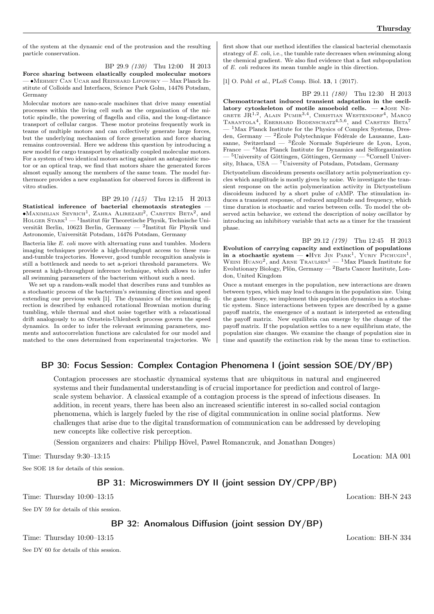of the system at the dynamic end of the protrusion and the resulting particle conservation.

BP 29.9 (130) Thu 12:00 H 2013

Force sharing between elastically coupled molecular motors — ∙Mehmet Can Ucar and Reinhard Lipowsky — Max Planck Institute of Colloids and Interfaces, Science Park Golm, 14476 Potsdam, Germany

Molecular motors are nano-scale machines that drive many essential processes within the living cell such as the organization of the mitotic spindle, the powering of flagella and cilia, and the long-distance transport of cellular cargos. These motor proteins frequently work in teams of multiple motors and can collectively generate large forces, but the underlying mechanism of force generation and force sharing remains controversial. Here we address this question by introducing a new model for cargo transport by elastically coupled molecular motors. For a system of two identical motors acting against an antagonistic motor or an optical trap, we find that motors share the generated forces almost equally among the members of the same team. The model furthermore provides a new explanation for observed forces in different in vitro studies.

### BP 29.10 (145) Thu 12:15 H 2013

Statistical inference of bacterial chemotaxis strategies — ∙Maximilian Seyrich<sup>1</sup> , Zahra Alirezaei<sup>2</sup> , Carsten Beta<sup>2</sup> , and HOLGER STARK<sup>1</sup> — <sup>1</sup>Institut für Theoretische Physik, Technische Universität Berlin, 10623 Berlin, Germany — <sup>2</sup> Institut für Physik und Astronomie, Universität Potsdam, 14476 Potsdam, Germany

Bacteria like E. coli move with alternating runs and tumbles. Modern imaging techniques provide a high-throughput access to these runand-tumble trajectories. However, good tumble recognition analysis is still a bottleneck and needs to set a-priori threshold parameters. We present a high-throughput inference technique, which allows to infer all swimming parameters of the bacterium without such a need.

We set up a random-walk model that describes runs and tumbles as a stochastic process of the bacterium's swimming direction and speed extending our previous work [1]. The dynamics of the swimming direction is described by enhanced rotational Brownian motion during tumbling, while thermal and shot noise together with a relaxational drift analogously to an Ornstein-Uhlenbeck process govern the speed dynamics. In order to infer the relevant swimming parameters, moments and autocorrelation functions are calculated for our model and matched to the ones determined from experimental trajectories. We first show that our method identifies the classical bacterial chemotaxis strategy of E. coli, i.e., the tumble rate decreases when swimming along the chemical gradient. We also find evidence that a fast subpopulation of E. coli reduces its mean tumble angle in this direction.

[1] O. Pohl et al., PLoS Comp. Biol. **13**, 1 (2017).

BP 29.11 (180) Thu 12:30 H 2013 Chemoattractant induced transient adaptation in the oscillatory cytoskeleton of motile amoeboid cells. — ∙Jose Ne-GRETE  $JR^{1,2}$ , ALAIN PUMIR<sup>3,4</sup>, CHRISTIAN WESTENDORF<sup>4</sup>, MARCO<br>TARANTOLA<sup>4</sup>, EBERHARD BODENSCHATZ<sup>4,5,6</sup>, and CARSTEN BETA<sup>7</sup>  $^{-1}$ Max Planck Institute for the Physics of Complex Systems, Dresden, Germany — <sup>2</sup>École Polytechnique Fédérale de Lausanne, Lausanne, Switzerland — <sup>3</sup>École Normale Supérieure de Lyon, Lyon, France — <sup>4</sup>Max Planck Institute for Dynamics and Selforganization  $^{-5}$ University of Göttingen, Göttingen, Germany —  $^{6}$ Cornell University, Ithaca, USA —  $^7$ University of Potsdam, Potsdam, Germany

Dictyostelium discoideum presents oscillatory actin polymerization cycles which amplitude is mostly given by noise. We investigate the transient response on the actin polymerization activity in Dictyostelium discoideum induced by a short pulse of cAMP. The stimulation induces a transient response, of reduced amplitude and frequency, which time duration is stochastic and varies between cells. To model the observed actin behavior, we extend the description of noisy oscillator by introducing an inhibitory variable that acts as a timer for the transient phase.

BP 29.12 (179) Thu 12:45 H 2013 Evolution of carrying capacity and extinction of populations in a stochastic system  $-$  •HYE JIN PARK<sup>1</sup>, YURIY PICHUGIN<sup>1</sup>, WEINI HUANG<sup>2</sup>, and ARNE TRAULSEN<sup>1</sup> — <sup>1</sup>Max Planck Institute for Evolutionary Biology, Plön, Germany — <sup>2</sup>Barts Cancer Institute, London, United Kingdom

Once a mutant emerges in the population, new interactions are drawn between types, which may lead to changes in the population size. Using the game theory, we implement this population dynamics in a stochastic system. Since interactions between types are described by a game payoff matrix, the emergence of a mutant is interpreted as extending the payoff matrix. New equilibria can emerge by the change of the payoff matrix. If the population settles to a new equilibrium state, the population size changes. We examine the change of population size in time and quantify the extinction risk by the mean time to extinction.

# BP 30: Focus Session: Complex Contagion Phenomena I (joint session SOE/DY/BP)

Contagion processes are stochastic dynamical systems that are ubiquitous in natural and engineered systems and their fundamental understanding is of crucial importance for prediction and control of largescale system behavior. A classical example of a contagion process is the spread of infectious diseases. In addition, in recent years, there has been also an increased scientific interest in so-called social contagion phenomena, which is largely fueled by the rise of digital communication in online social platforms. New challenges that arise due to the digital transformation of communication can be addressed by developing new concepts like collective risk perception.

(Session organizers and chairs: Philipp Hövel, Pawel Romanczuk, and Jonathan Donges)

Time: Thursday 9:30–13:15 Location: MA 001

See SOE 18 for details of this session.

## BP 31: Microswimmers DY II (joint session DY/CPP/BP)

Time: Thursday 10:00–13:15 Location: BH-N 243

See DY 59 for details of this session.

BP 32: Anomalous Diffusion (joint session DY/BP)

Time: Thursday 10:00–13:15 Location: BH-N 334

See DY 60 for details of this session.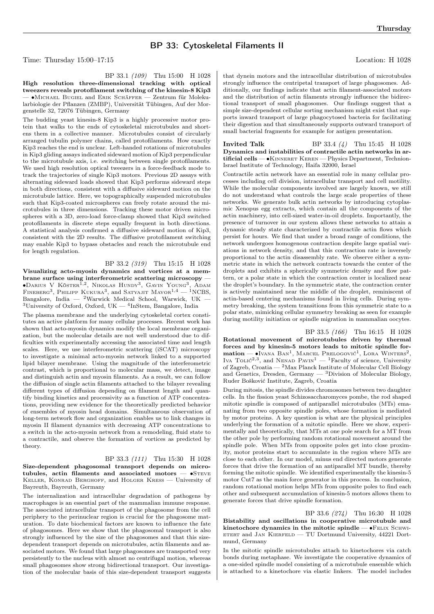## BP 33: Cytoskeletal Filaments II

Time: Thursday 15:00–17:15 Location: H 1028

BP 33.1 (109) Thu 15:00 H 1028 High resolution three-dimensional tracking with optical tweezers reveals protofilament switching of the kinesin-8 Kip3 — ∙Michael Bugiel and Erik Schäffer — Zentrum für Molekularbiologie der Pflanzen (ZMBP), Universität Tübingen, Auf der Morgenstelle 32, 72076 Tübingen, Germany

The budding yeast kinesin-8 Kip3 is a highly processive motor protein that walks to the ends of cytoskeletal microtubules and shortens them in a collective manner. Microtubules consist of circularly arranged tubulin polymer chains, called protofilaments. How exactly Kip3 reaches the end is unclear. Left-handed rotations of microtubules in Kip3 gliding assays indicated sideward motion of Kip3 perpendicular to the microtubule axis, i.e. switching between single protofilaments. We used high resolution optical tweezers in a force-feedback mode to track the trajectories of single Kip3 motors. Previous 2D assays with alternating sideward loads showed that Kip3 performs sideward steps in both directions, consistent with a diffusive sideward motion on the microtubule lattice. Here, we topographically suspended microtubules such that Kip3-coated microspheres can freely rotate around the microtubules in three dimensions. Tracking these motor driven microspheres with a 3D, zero-load force-clamp showed that Kip3 switched protofilaments in discrete steps equally frequent in both directions. A statistical analysis confirmed a diffusive sideward motion of Kip3, consistent with the 2D results. The diffusive protofilament switching may enable Kip3 to bypass obstacles and reach the microtubule end for length regulation.

BP 33.2 (319) Thu 15:15 H 1028 Visualizing acto-myosin dynamics and vortices at a membrane surface using interferometric scattering microscopy — ∙Darius V Köster1,<sup>2</sup> , Nikolas Hundy<sup>3</sup> , Gavin Young<sup>3</sup> , Adam FINEBERG<sup>3</sup>, PHILIPP KUKURA<sup>3</sup>, and SATYAJIT MAYOR<sup>1,4</sup> – <sup>1</sup>NCBS, Bangalore, India — <sup>2</sup>Warwick Medical School, Warwick, UK —  $3$ University of Oxford, Oxford, UK —  $4$ InStem, Bangalore, India

The plasma membrane and the underlying cytoskeletal cortex constitutes an active platform for many cellular processes. Recent work has shown that acto-myosin dynamics modify the local membrane organization, but the molecular details are not well understood due to difficulties with experimentally accessing the associated time and length scales. Here, we use interferometric scattering (iSCAT) microscopy to investigate a minimal acto-myosin network linked to a supported lipid bilayer membrane. Using the magnitude of the interferometric contrast, which is proportional to molecular mass, we detect, image and distinguish actin and myosin filaments. As a result, we can follow the diffusion of single actin filaments attached to the bilayer revealing different types of diffusion depending on filament length and quantify binding kinetics and processivity as a function of ATP concentrations, providing new evidence for the theoretically predicted behavior of ensembles of myosin head domains. Simultaneous observation of long-term network flow and organization enables us to link changes in myosin II filament dynamics with decreasing ATP concentrations to a switch in the acto-myosin network from a remodeling, fluid state to a contractile, and observe the formation of vortices as predicted by theory.

BP 33.3 (111) Thu 15:30 H 1028 Size-dependent phagosomal transport depends on microtubules, actin filaments and associated motors —  $\bullet$ STEVE Keller, Konrad Berghoff, and Holger Kress — University of Bayreuth, Bayreuth, Germany

The internalization and intracellular degradation of pathogens by macrophages is an essential part of the mammalian immune response. The associated intracellular transport of the phagosome from the cell periphery to the perinuclear region is crucial for the phagosome maturation. To date biochemical factors are known to influence the fate of phagosomes. Here we show that the phagosomal transport is also strongly influenced by the size of the phagosomes and that this sizedependent transport depends on microtubules, actin filaments and associated motors. We found that large phagosomes are transported very persistently to the nucleus with almost no centrifugal motion, whereas small phagosomes show strong bidirectional transport. Our investigation of the molecular basis of this size-dependent transport suggests

that dynein motors and the intracellular distribution of microtubules strongly influence the centripetal transport of large phagosomes. Additionally, our findings indicate that actin filament-associated motors and the distribution of actin filaments strongly influence the bidirectional transport of small phagosomes. Our findings suggest that a simple size-dependent cellular sorting mechanism might exist that supports inward transport of large phagocytosed bacteria for facilitating their digestion and that simultaneously supports outward transport of small bacterial fragments for example for antigen presentation.

**Invited Talk** BP 33.4 (4) Thu 15:45 H 1028 Dynamics and instabilities of contractile actin networks in artificial cells — ∙Kinneret Keren — Physics Department, Technion-Israel Institute of Technology, Haifa 32000, Israel

Contractile actin network have an essential role in many cellular processes including cell division, intracellular transport and cell motility. While the molecular components involved are largely known, we still do not understand what controls the large scale properties of these networks. We generate bulk actin networks by introducing cytoplasmic Xenopus egg extracts, which contain all the components of the actin machinery, into cell-sized water-in-oil droplets. Importantly, the presence of turnover in our system allows these networks to attain a dynamic steady state characterized by contractile actin flows which persist for hours. We find that under a broad range of conditions, the network undergoes homogenous contraction despite large spatial variations in network density, and that this contraction rate is inversely proportional to the actin disassembly rate. We observe either a symmetric state in which the network contracts towards the center of the droplets and exhibits a spherically symmetric density and flow pattern, or a polar state in which the contraction center is localized near the droplet's boundary. In the symmetric state, the contraction center is actively maintained near the middle of the droplet, reminiscent of actin-based centering mechanisms found in living cells. During symmetry breaking, the system transitions from this symmetric state to a polar state, mimicking cellular symmetry breaking as seen for example during motility initiation or spindle migration in mammalian oocytes.

BP 33.5 (166) Thu 16:15 H 1028 Rotational movement of microtubules driven by thermal forces and by kinesin-5 motors leads to mitotic spindle for $mation - \bullet I$ VANA  $Ban<sup>1</sup>$ , MARCEL PRELOGOVIĆ<sup>1</sup>, LORA WINTERS<sup>2</sup>, IVA TOLI $\zeta^{2,3}$ , and NENAD PAVIN<sup>1</sup> — <sup>1</sup>Faculty of science, University of Zagreb, Croatia — <sup>2</sup>Max Planck Institute of Molecular Cell Biology and Genetics, Dresden, Germany  $-$  3Division of Molecular Biology, Ruder Bošković Institute, Zagreb, Croatia

During mitosis, the spindle divides chromosomes between two daughter cells. In the fission yeast Schizosaccharomyces pombe, the rod shaped mitotic spindle is composed of antiparallel microtubules (MTs) emanating from two opposite spindle poles, whose formation is mediated by motor proteins. A key question is what are the physical principles underlying the formation of a mitotic spindle. Here we show, experimentally and theoretically, that MTs at one pole search for a MT from the other pole by performing random rotational movement around the spindle pole. When MTs from opposite poles get into close proximity, motor proteins start to accumulate in the region where MTs are close to each other. In our model, minus end directed motors generate forces that drive the formation of an antiparallel MT bundle, thereby forming the mitotic spindle. We identified experimentally the kinesin-5 motor Cut7 as the main force generator in this process. In conclusion, random rotational motion helps MTs from opposite poles to find each other and subsequent accumulation of kinesin-5 motors allows them to generate forces that drive spindle formation.

BP 33.6 (274) Thu 16:30 H 1028 Bistability and oscillations in cooperative microtubule and kinetochore dynamics in the mitotic spindle —  $\bullet$ FELIX SCHWI- $E$ TERT and JAN KIERFELD — TU Dortmund University, 44221 Dortmund, Germany

In the mitotic spindle microtubules attach to kinetochores via catch bonds during metaphase. We investigate the cooperative dynamics of a one-sided spindle model consisting of a microtubule ensemble which is attached to a kinetochore via elastic linkers. The model includes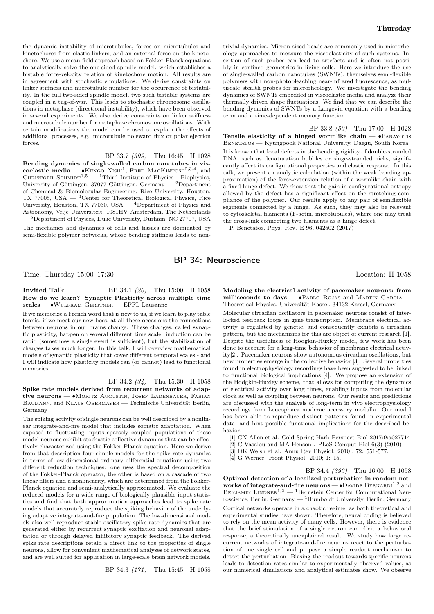the dynamic instability of microtubules, forces on microtubules and kinetochores from elastic linkers, and an external force on the kinetochore. We use a mean-field approach based on Fokker-Planck equations to analytically solve the one-sided spindle model, which establishes a bistable force-velocity relation of kinetochore motion. All results are in agreement with stochastic simulations. We derive constraints on linker stiffness and microtubule number for the occurrence of bistability. In the full two-sided spindle model, two such bistable systems are coupled in a tug-of-war. This leads to stochastic chromosome oscillations in metaphase (directional instability), which have been observed in several experiments. We also derive constraints on linker stiffness and microtubule number for metaphase chromosome oscillations. With certain modifications the model can be used to explain the effects of additional processes, e.g. microtubule poleward flux or polar ejection forces.

### BP 33.7 (309) Thu 16:45 H 1028

Bending dynamics of single-walled carbon nanotubes in viscoelastic media —  $\bullet$ KENGO NISHI<sup>1</sup>, FRED MACKINTOSH<sup>2,3,4</sup>, and CHRISTOPH SCHMIDT $^{1,5}$  — <sup>1</sup>Third Institute of Physics - Biophysics, University of Göttingen, 37077 Göttingen, Germany —  $^2$  Department of Chemical & Biomolecular Engineering, Rice University, Houston, TX 77005, USA — <sup>3</sup>Center for Theoretical Biological Physics, Rice University, Houston, TX 77030, USA — <sup>4</sup>Department of Physics and Astronomy, Vrije Universiteit, 1081HV Amsterdam, The Netherlands — <sup>5</sup>Department of Physics, Duke University, Durham, NC 27707, USA The mechanics and dynamics of cells and tissues are dominated by semi-flexible polymer networks, whose bending stiffness leads to non-

trivial dynamics. Micron-sized beads are commonly used in microrheology approaches to measure the viscoelasticity of such systems. Insertion of such probes can lead to artefacts and is often not possibly in confined geometries in living cells. Here we introduce the use of single-walled carbon nanotubes (SWNTs), themselves semi-flexible polymers with non-photobleaching near-infrared fluorescence, as multiscale stealth probes for microrheology. We investigate the bending dynamics of SWNTs embedded in viscoelastic media and analyze their thermally driven shape fluctuations. We find that we can describe the bending dynamics of SWNTs by a Langevin equation with a bending term and a time-dependent memory function.

BP 33.8 (50) Thu 17:00 H 1028 Tensile elasticity of a hinged wormlike chain —  $\bullet$ PANAYOTIS BENETATOS — Kyungpook National University, Daegu, South Korea It is known that local defects in the bending rigidity of double-stranded DNA, such as denaturation bubbles or singe-stranded nicks, significantly affect its configurational properties and elastic response. In this talk, we present an analytic calculation (within the weak bending approximation) of the force-extension relation of a wormlike chain with a fixed hinge defect. We show that the gain in configurational entropy allowed by the defect has a significant effect on the stretching compliance of the polymer. Our results apply to any pair of semiflexible segments connected by a hinge. As such, they may also be relevant to cytoskeletal filaments (F-actin, microtubules), where one may treat the cross-link connecting two filaments as a hinge defect.

P. Benetatos, Phys. Rev. E 96, 042502 (2017)

## BP 34: Neuroscience

Time: Thursday 15:00–17:30 Location: H 1058

#### **Invited Talk** BP 34.1 (20) Thu 15:00 H 1058 How do we learn? Synaptic Plasticity across multiple time scales — ∙Wulfram Gerstner — EPFL Lausanne

If we memorize a French word that is new to us, if we learn to play table tennis, if we meet our new boss, at all these occasions the connections between neurons in our brains change. These changes, called synaptic plasticity, happen on several different time scale: induction can be rapid (sometimes a single event is sufficient), but the stabilization of changes takes much longer. In this talk, I will overview mathematical models of synaptic plasticity that cover different temporal scales - and I will indicate how plasticity models can (or cannot) lead to functional memories.

### BP 34.2 (34) Thu 15:30 H 1058

Spike rate models derived from recurrent networks of adaptive neurons — •Moritz Augustin, Josef Ladenbauer, Fabian Baumann, and Klaus Obermayer — Technische Universität Berlin, Germany

The spiking activity of single neurons can be well described by a nonlinear integrate-and-fire model that includes somatic adaptation. When exposed to fluctuating inputs sparsely coupled populations of these model neurons exhibit stochastic collective dynamics that can be effectively characterized using the Fokker-Planck equation. Here we derive from that description four simple models for the spike rate dynamics in terms of low-dimensional ordinary differential equations using two different reduction techniques: one uses the spectral decomposition of the Fokker-Planck operator, the other is based on a cascade of two linear filters and a nonlinearity, which are determined from the Fokker-Planck equation and semi-analytically approximated. We evaluate the reduced models for a wide range of biologically plausible input statistics and find that both approximation approaches lead to spike rate models that accurately reproduce the spiking behavior of the underlying adaptive integrate-and-fire population. The low-dimensional models also well reproduce stable oscillatory spike rate dynamics that are generated either by recurrent synaptic excitation and neuronal adaptation or through delayed inhibitory synaptic feedback. The derived spike rate descriptions retain a direct link to the properties of single neurons, allow for convenient mathematical analyses of network states, and are well suited for application in large-scale brain network models.

BP 34.3 (171) Thu 15:45 H 1058

Modeling the electrical activity of pacemaker neurons: from milliseconds to days —  $\bullet$ Pablo Rojas and Martin Garcia Theoretical Physics, Universität Kassel, 34132 Kassel, Germany

Molecular circadian oscillators in pacemaker neurons consist of interlocked feedback loops in gene transcription. Membrane electrical activity is regulated by genetic, and consequently exhibits a circadian pattern, but the mechanisms for this are object of current research [1]. Despite the usefulness of Hodgkin-Huxley model, few work has been done to account for a long-time behavior of membrane electrical activity[2]. Pacemaker neurons show autonomous circadian oscillations, but new properties emerge in the collective behavior [3]. Several properties found in electrophysiology recordings have been suggested to be linked to functional biological implications [4]. We propose an extension of the Hodgkin-Huxley scheme, that allows for computing the dynamics of electrical activity over long times, enabling inputs from molecular clock as well as coupling between neurons. Our results and predictions are discussed with the analysis of long-term in vivo electrophysiology recordings from Leucophaea maderae accessory medulla. Our model has been able to reproduce distinct patterns found in experimental data, and hint possible functional implications for the described behavior.

[1] CN Allen et al. Cold Spring Harb Perspect Biol 2017;9:a027714

[2] C Vasalou and MA Henson . PLoS Comput Biol 6(3) (2010)

[3] DK Welsh et al. Annu Rev Physiol. 2010 ; 72: 551-577.

[4] G Werner. Front Physiol. 2010; 1: 15.

BP 34.4 (390) Thu 16:00 H 1058 Optimal detection of a localized perturbation in random networks of integrate-and-fire neurons —  $\bullet$ Davide Bernardi<sup>1,2</sup> and BENJAMIN LINDNER<sup>1,2</sup>  $-$  <sup>1</sup>Bernstein Center for Computational Neuroscience, Berlin, Germany — <sup>2</sup>Humboldt University, Berlin, Germany Cortical networks operate in a chaotic regime, as both theoretical and experimental studies have shown. Therefore, neural coding is believed to rely on the mean activity of many cells. However, there is evidence that the brief stimulation of a single neuron can elicit a behavioral response, a theoretically unexplained result. We study how large recurrent networks of integrate-and-fire neurons react to the perturbation of one single cell and propose a simple readout mechanism to detect the perturbation. Biasing the readout towards specific neurons leads to detection rates similar to experimentally observed values, as our numerical simulations and analytical estimates show. We observe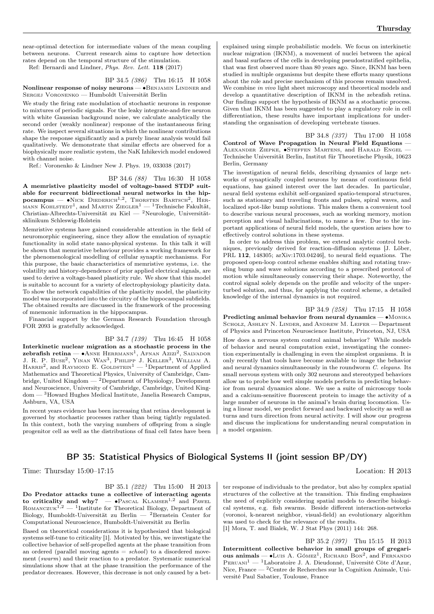near-optimal detection for intermediate values of the mean coupling between neurons. Current research aims to capture how detection rates depend on the temporal structure of the stimulation.

Ref: Bernardi and Lindner, Phys. Rev. Lett. 118 (2017)

## BP 34.5 (386) Thu 16:15 H 1058

Nonlinear response of noisy neurons — • BENJAMIN LINDNER and Sergej Voronenko — Humboldt Universität Berlin

We study the firing rate modulation of stochastic neurons in response to mixtures of periodic signals. For the leaky integrate-and-fire neuron with white Gaussian background noise, we calculate analytically the second order (weakly nonlinear) response of the instantaneous firing rate. We inspect several situations in which the nonlinear contributions shape the response significantly and a purely linear analysis would fail qualitatively. We demonstrate that similar effects are observed for a biophysically more realistic system, the NaK Izhikevich model endowed with channel noise.

Ref.: Voronenko & Lindner New J. Phys. 19, 033038 (2017)

BP 34.6 (88) Thu 16:30 H 1058 A memristive plasticity model of voltage-based STDP suitable for recurrent bidirectional neural networks in the hip-<br>pocampus — •Nick Diederich<sup>1,2</sup>, Thorsten Bartsch<sup>2</sup>, Hermann Kohlstedt<sup>1</sup>, and Martin Ziegler<sup>1</sup> — <sup>1</sup>Technische Fakultät, Christian-Albrechts-Universität zu Kiel — <sup>2</sup>Neurologie, Universitätsklinikum Schleswig-Holstein

Memristive systems have gained considerable attention in the field of neuromorphic engineering, since they allow the emulation of synaptic functionality in solid state nano-physical systems. In this talk it will be shown that memristive behaviour provides a working framework for the phenomenological modelling of cellular synaptic mechanisms. For this purpose, the basic characteristics of memristive systems, i.e. the volatility and history-dependence of prior applied electrical signals, are used to derive a voltage-based plasticity rule. We show that this model is suitable to account for a variety of electrophysiology plasticity data. To show the network capabilities of the plasticity model, the plasticity model was incorporated into the circuitry of the hippocampal subfields. The obtained results are discussed in the framework of the processing of mnemonic information in the hippocampus.

Financial support by the German Research Foundation through FOR 2093 is gratefully acknowledged.

BP 34.7 (139) Thu 16:45 H 1058 Interkinetic nuclear migration as a stochastic process in the  $\mathbf{z}$ ebrafish retina —  $\bullet$ Anne Herrmann<sup>1</sup>, Afnan Azizi<sup>2</sup>, Salvador J. R. P. Buse<sup>2</sup>, Yinan Wan<sup>3</sup>, Philipp J. Keller<sup>3</sup>, William A.<br>Harris<sup>2</sup>, and Raymond E. Goldstein<sup>1</sup> — <sup>1</sup>Department of Applied Mathematics and Theoretical Physics, University of Cambridge, Cambridge, United Kingdom — <sup>2</sup>Department of Physiology, Development and Neuroscience, University of Cambridge, Cambridge, United Kingdom — <sup>3</sup>Howard Hughes Medical Institute, Janelia Research Campus, Ashburn, VA, USA

In recent years evidence has been increasing that retina development is governed by stochastic processes rather than being tightly regulated. In this context, both the varying numbers of offspring from a single progenitor cell as well as the distributions of final cell fates have been explained using simple probabilistic models. We focus on interkinetic nuclear migration (IKNM), a movement of nuclei between the apical and basal surfaces of the cells in developing pseudostratified epithelia, that was first observed more than 80 years ago. Since, IKNM has been studied in multiple organisms but despite these efforts many questions about the role and precise mechanism of this process remain unsolved. We combine in vivo light sheet microscopy and theoretical models and develop a quantitative description of IKNM in the zebrafish retina. Our findings support the hypothesis of IKNM as a stochastic process. Given that IKNM has been suggested to play a regulatory role in cell differentiation, these results have important implications for understanding the organisation of developing vertebrate tissues.

BP 34.8 (337) Thu 17:00 H 1058 Control of Wave Propagation in Neural Field Equations — Alexander Ziepke, ∙Steffen Martens, and Harald Engel — Technische Universität Berlin, Institut für Theoretische Physik, 10623 Berlin, Germany

The investigation of neural fields, describing dynamics of large networks of synaptically coupled neurons by means of continuous field equations, has gained interest over the last decades. In particular, neural field systems exhibit self-organized spatio-temporal structures, such as stationary and traveling fronts and pulses, spiral waves, and localized spot-like bump solutions. This makes them a convenient tool to describe various neural processes, such as working memory, motion perception and visual hallucinations, to name a few. Due to the important applications of neural field models, the question arises how to effectively control solutions in these systems.

In order to address this problem, we extend analytic control techniques, previously derived for reaction-diffusion systems [J. Löber, PRL 112, 148305; arXiv:1703.04246], to neural field equations. The proposed open-loop control scheme enables shifting and rotating traveling bump and wave solutions according to a prescribed protocol of motion while simultaneously conserving their shape. Noteworthy, the control signal solely depends on the profile and velocity of the unperturbed solution, and thus, for applying the control scheme, a detailed knowledge of the internal dynamics is not required.

#### BP 34.9 (258) Thu 17:15 H 1058

Predicting animal behavior from neural dynamics — •MONIKA SCHOLZ, ASHLEY N. LINDER, and ANDREW M. LEIFER — Department of Physics and Princeton Neuroscience Institute, Princeton, NJ, USA How does a nervous system control animal behavior? While models of behavior and neural computation exist, investigating the connection experimentally is challenging in even the simplest organisms. It is only recently that tools have become available to image the behavior and neural dynamics simultaneously in the roundworm C. elegans. Its small nervous system with only 302 neurons and stereotyped behaviors allow us to probe how well simple models perform in predicting behavior from neural dynamics alone. We use a suite of microscopy tools and a calcium-sensitive fluorescent protein to image the activity of a large number of neurons in the animal's brain during locomotion. Using a linear model, we predict forward and backward velocity as well as turns and turn direction from neural activity. I will show our progress and discuss the implications for understanding neural computation in a model organism.

## BP 35: Statistical Physics of Biological Systems II (joint session BP/DY)

Time: Thursday 15:00–17:15 Location: H 2013

BP 35.1 (222) Thu 15:00 H 2013 Do Predator attacks tune a collective of interacting agents to criticality and why?  $-$  •PASCAL KLAMSER<sup>1,2</sup> and PAWEL ROMANCZUK<sup>1,2</sup> — <sup>1</sup>Institute for Theoretical Biology, Department of Biology, Humboldt-Universität zu Berlin —  ${}^{2}$ Bernstein Center for Computational Neuroscience, Humboldt-Universität zu Berlin

Based on theoretical considerations it is hypothesized that biological systems self-tune to criticality [1]. Motivated by this, we investigate the collective behavior of self-propelled agents at the phase transition from an ordered (parallel moving agents  $= school$ ) to a disordered movement (swarm) and their reaction to a predator. Systematic numerical simulations show that at the phase transition the performance of the predator decreases. However, this decrease is not only caused by a bet-

ter response of individuals to the predator, but also by complex spatial structures of the collective at the transition. This finding emphasizes the need of explicitly considering spatial models to describe biological systems, e.g. fish swarms. Beside different interaction-networks (voronoi, k-nearest neighbor, visual-field) an evolutionary algorithm was used to check for the relevance of the results.

[1] Mora, T. and Bialek, W. J Stat Phys (2011) 144: 268.

BP 35.2 (397) Thu 15:15 H 2013 Intermittent collective behavior in small groups of gregarious animals —  $\bullet$ Luis A. Gómez<sup>1</sup>, Richard Bon<sup>2</sup>, and Fernando PERUANI<sup>1</sup> — <sup>1</sup>Laboratoire J. A. Dieudonné, Université Côte d'Azur, Nice, France — <sup>2</sup>Centre de Recherches sur la Cognition Animale, Université Paul Sabatier, Toulouse, France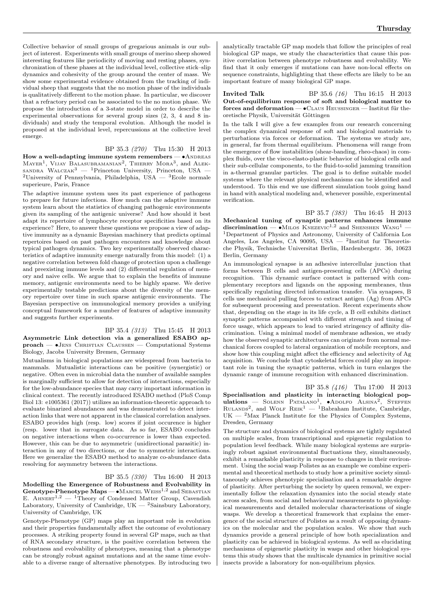Collective behavior of small groups of gregarious animals is our subject of interest. Experiments with small groups of merino sheep showed interesting features like periodicity of moving and resting phases, synchronization of these phases at the individual level, collective stick–slip dynamics and cohesivity of the group around the center of mass. We show some experimental evidence obtained from the tracking of individual sheep that suggests that the no motion phase of the individuals is qualitatively different to the motion phase. In particular, we discover that a refractory period can be associated to the no motion phase. We propose the introduction of a 3-state model in order to describe the experimental observations for several group sizes (2, 3, 4 and 8 individuals) and study the temporal evolution. Although the model is proposed at the individual level, repercussions at the collective level emerge.

BP 35.3 (270) Thu 15:30 H 2013 How a well-adapting immune system remembers — • ANDREAS MAYER<sup>1</sup>, VIJAY BALASUBRAMANIAN<sup>2</sup>, THIERRY MORA<sup>3</sup>, and ALEKsandra Walczak<sup>3</sup> — <sup>1</sup>Princeton University, Princeton, USA —  $^2$ University of Pennsylvania, Philadelphia, USA —  $^3$  Ecole normale superieure, Paris, France

The adaptive immune system uses its past experience of pathogens to prepare for future infections. How much can the adaptive immune system learn about the statistics of changing pathogenic environments given its sampling of the antigenic universe? And how should it best adapt its repertoire of lymphocyte receptor specificities based on its experience? Here, to answer these questions we propose a view of adaptive immunity as a dynamic Bayesian machinery that predicts optimal repertoires based on past pathogen encounters and knowledge about typical pathogen dynamics. Two key experimentally observed characteristics of adaptive immunity emerge naturally from this model: (1) a negative correlation between fold change of protection upon a challenge and preexisting immune levels and (2) differential regulation of memory and naive cells. We argue that to explain the benefits of immune memory, antigenic environments need to be highly sparse. We derive experimentally testable predictions about the diversity of the memory repertoire over time in such sparse antigenic environments. The Bayesian perspective on immunological memory provides a unifying conceptual framework for a number of features of adaptive immunity and suggests further experiments.

BP 35.4 (313) Thu 15:45 H 2013 Asymmetric Link detection via a generalized ESABO approach — ∙Jens Christian Claussen — Computational Systems Biology, Jacobs University Bremen, Germany

Mutualisms in biological populations are widespread from bacteria to mammals. Mutualistic interactions can be positive (synergistic) or negative. Often even in microbial data the number of available samples is marginally sufficient to allow for detection of interactions, especially for the low-abundance species that may carry important information in clinical context. The recently introduced ESABO method (PloS Comp Biol 13: e1005361 (2017)) utilizes an information-theoretic approach to evaluate binarized abundances and was demonstrated to detect interaction links that were not apparent in the classical correlation analyses. ESABO provides high (resp. low) scores if joint occurence is higher (resp. lower that in surrogate data. As so far, ESABO concludes on negative interactions when co-occurrence is lower than expected. However, this can be due to asymmetric (unidirectional parasitic) interaction in any of two directions, or due to symmetric interactions. Here we generalize the ESABO method to analyze co-abundance data resolving for asymmetry between the interactions.

BP 35.5 (330) Thu 16:00 H 2013 Modelling the Emergence of Robustness and Evolvability in Genotype-Phenotype Maps — • MARCEL WEISS<sup>1,2</sup> and SEBASTIAN E. AHNERT<sup>1,2</sup> — <sup>1</sup>Theory of Condensed Matter Group, Cavendish Laboratory, University of Cambridge, UK  $-$  <sup>2</sup>Sainsbury Laboratory, University of Cambridge, UK

Genotype-Phenotype (GP) maps play an important role in evolution and their properties fundamentally affect the outcome of evolutionary processes. A striking property found in several GP maps, such as that of RNA secondary structure, is the positive correlation between the robustness and evolvability of phenotypes, meaning that a phenotype can be strongly robust against mutations and at the same time evolvable to a diverse range of alternative phenotypes. By introducing two

analytically tractable GP map models that follow the principles of real biological GP maps, we study the characteristics that cause this positive correlation between phenotype robustness and evolvability. We find that it only emerges if mutations can have non-local effects on sequence constraints, highlighting that these effects are likely to be an important feature of many biological GP maps.

**Invited Talk** BP 35.6 (16) Thu 16:15 H 2013 Out-of-equilibrium response of soft and biological matter to forces and deformation — ∙Claus Heussinger — Institut für theoretische Physik, Universität Göttingen

In the talk I will give a few examples from our research concerning the complex dynamical response of soft and biological materials to perturbations via forces or deformation. The systems we study are, in general, far from thermal equilibrium. Phenomena will range from the emergence of flow instabilities (shear-banding, rheo-chaos) in complex fluids, over the visco-elasto-plastic behavior of biological cells and their sub-cellular components, to the fluid-to-solid jamming transition in a-thermal granular particles. The goal is to define suitable model systems where the relevant physical mechanisms can be identified and understood. To this end we use different simulation tools going hand in hand with analytical modeling and, whenever possible, experimental verification.

BP 35.7 (383) Thu 16:45 H 2013 Mechanical tuning of synaptic patterns enhances immune discrimination — •MILOS KNEZEVIC<sup>1,2</sup> and SHENSHEN WANG<sup>1</sup> — <sup>1</sup>Department of Physics and Astronomy, University of California Los Angeles, Los Angeles, CA 90095, USA  $-$  <sup>2</sup>Institut fur Theoretische Physik, Technische Universitat Berlin, Hardenbergstr. 36, 10623 Berlin, Germany

An immunological synapse is an adhesive intercellular junction that forms between B cells and antigen-presenting cells (APCs) during recognition. This dynamic surface contact is patterned with complementary receptors and ligands on the apposing membranes, thus specifically regulating directed information transfer. Via synapses, B cells use mechanical pulling forces to extract antigen (Ag) from APCs for subsequent processing and presentation. Recent experiments show that, depending on the stage in its life cycle, a B cell exhibits distinct synaptic patterns accompanied with different strength and timing of force usage, which appears to lead to varied stringency of affinity discrimination. Using a minimal model of membrane adhesion, we study how the observed synaptic architectures can originate from normal mechanical forces coupled to lateral organization of mobile receptors, and show how this coupling might affect the efficiency and selectivity of Ag acquisition. We conclude that cytoskeletal forces could play an important role in tuning the synaptic patterns, which in turn enlarges the dynamic range of immune recognition with enhanced discrimination.

BP 35.8 (416) Thu 17:00 H 2013 Specialisation and plasticity in interacting biological populations — SOLENN PATALANO<sup>1</sup>, ●ADOLFO ALSINA<sup>2</sup>, STEFFEN RULANDS<sup>2</sup>, and WOLF REIK<sup>1</sup> - <sup>1</sup>Babraham Institute, Cambridge,  $UK - 2$ Max Planck Institute for the Physics of Complex Systems, Dresden, Germany

The structure and dynamics of biological systems are tightly regulated on multiple scales, from transcriptional and epigenetic regulation to population level feedback. While many biological systems are surprisingly robust against environmental fluctuations they, simultaneously, exhibit a remarkable plasticity in response to changes in their environment. Using the social wasp Polistes as an example we combine experimental and theoretical methods to study how a primitive society simultaneously achieves phenotypic specialisation and a remarkable degree of plasticity. After perturbing the society by queen removal, we experimentally follow the relaxation dynamics into the social steady state across scales, from social and behavioural measurements to physiological measurements and detailed molecular characterisations of single wasps. We develop a theoretical framework that explains the emergence of the social structure of Polistes as a result of opposing dynamics on the molecular and the population scales. We show that such dynamics provide a general principle of how both specialization and plasticity can be achieved in biological systems. As well as elucidating mechanisms of epigenetic plasticity in wasps and other biological systems this study shows that the multiscale dynamics in primitive social insects provide a laboratory for non-equilibrium physics.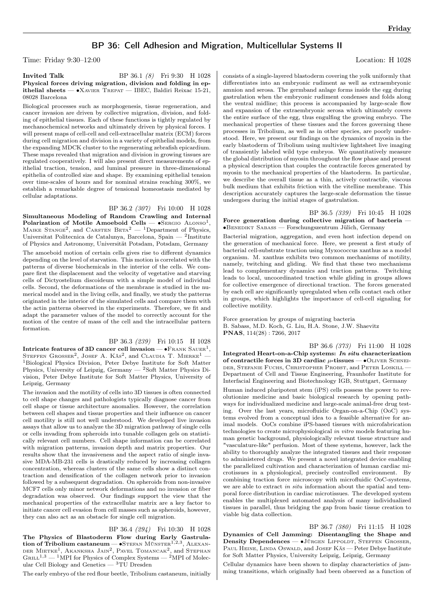## BP 36: Cell Adhesion and Migration, Multicellular Systems II

Time: Friday 9:30–12:00 Location: H 1028

#### **Invited Talk** BP 36.1 (8) Fri 9:30 H 1028 Physical forces driving migration, division and folding in epithelial sheets — ∙Xavier Trepat — IBEC, Baldiri Reixac 15-21, 08028 Barcelona

Biological processes such as morphogenesis, tissue regeneration, and cancer invasion are driven by collective migration, division, and folding of epithelial tissues. Each of these functions is tightly regulated by mechanochemical networks and ultimately driven by physical forces. I will present maps of cell-cell and cell-extracellular matrix (ECM) forces during cell migration and division in a variety of epithelial models, from the expanding MDCK cluster to the regenerating zebrafish epicardium. These maps revealed that migration and division in growing tissues are regulated cooperatively. I will also present direct measurements of epithelial traction, tension, and luminal pressure in three-dimensional epithelia of controlled size and shape. By examining epithelial tension over time-scales of hours and for nominal strains reaching 300%, we establish a remarkable degree of tensional homeostasis mediated by cellular adaptations.

### BP 36.2 (307) Fri 10:00 H 1028

Simultaneous Modeling of Random Crawling and Internal Polarization of Motile Amoeboid Cells —  $\bullet$ SERGIO ALONSO<sup>1</sup>, MAIKE STANGE<sup>2</sup>, and CARSTEN  $BETA^2 - 1$ Department of Physics, Universitat Politecnica de Catalunya, Barcelona, Spain — <sup>2</sup>Institute of Physics and Astronomy, Universität Potsdam, Potsdam, Germany The amoeboid motion of certain cells gives rise to different dynamics depending on the level of starvation. This motion is correlated with the patterns of diverse biochemicals in the interior of the cells. We compare first the displacement and the velocity of vegetative and starving cells of Dictyostelium discoideum with a simple model of individual cells. Second, the deformations of the membrane is studied in the numerical model and in the living cells, and finally, we study the patterns originated in the interior of the simulated cells and compare them with the actin patterns observed in the experiments. Therefore, we fit and adapt the parameter values of the model to correctly account for the motion of the centre of mass of the cell and the intracellular pattern formation.

#### BP 36.3 (239) Fri 10:15 H 1028

Intricate features of 3D cancer cell invasion —  $\bullet$ Frank Sauer $^1,$ STEFFEN GROSSER<sup>2</sup>, JOSEF A. Käs<sup>2</sup>, and CLAUDIA T. MIERKE<sup>1</sup> — <sup>1</sup>Biological Physics Division, Peter Debye Institute for Soft Matter Physics, University of Leipzig, Germany —  $^2\mathrm{Soft}$  Matter Physics Division, Peter Debye Institute for Soft Matter Physics, University of Leipzig, Germany

The invasion and the motility of cells into 3D tissues is often connected to cell shape changes and pathologists typically diagnose cancer from cell shape or tissue architecture anomalies. However, the correlation between cell shapes and tissue properties and their influence on cancer cell motility is still not well understood. We developed live invasion assays that allow us to analyze the 3D migration pathway of single cells or cells invading from spheroids into tunable collagen gels on statistically relevant cell numbers. Cell shape information can be correlated with migration patterns, invasion depth and matrix properties. Our results show that the invasiveness and the aspect ratio of single invasive MDA-MB-231 cells is drastically reduced by increasing collagen concentration, whereas clusters of the same cells show a distinct contraction and densification of the collagen network prior to invasion followed by a subsequent degradation. On spheroids from non-invasive MCF7 cells only minor network deformations and no invasion or fiber degradation was observed. Our findings support the view that the mechanical properties of the extracellular matrix are a key factor to initiate cancer cell evasion from cell masses such as spheroids, however, they can also act as an obstacle for single cell migration.

BP 36.4 (294) Fri 10:30 H 1028 The Physics of Blastoderm Flow during Early Gastrulation of Tribolium castaneum —  $\bullet$ Stefan Münster $^{1,2,3}$ , Alexan-DER MIETKE<sup>1</sup>, AKANKSHA JAIN<sup>2</sup>, PAVEL TOMANCAK<sup>2</sup>, and STEPHAN  $G$ RILL<sup>1,3</sup> — <sup>1</sup>MPI for Physics of Complex Systems — <sup>2</sup>MPI of Molecular Cell Biology and Genetics — <sup>3</sup>TU Dresden

The early embryo of the red flour beetle, Tribolium castaneum, initially

consists of a single-layered blastoderm covering the yolk uniformly that differentiates into an embryonic rudiment as well as extraembryonic amnion and serosa. The germband anlage forms inside the egg during gastrulation when the embryonic rudiment condenses and folds along the ventral midline; this process is accompanied by large-scale flow and expansion of the extraembryonic serosa which ultimately covers the entire surface of the egg, thus engulfing the growing embryo. The mechanical properties of these tissues and the forces governing these processes in Tribolium, as well as in other species, are poorly understood. Here, we present our findings on the dynamics of myosin in the early blastoderm of Tribolium using multiview lightsheet live imaging of transiently labeled wild type embryos. We quantitatively measure the global distribution of myosin throughout the flow phase and present a physical description that couples the contractile forces generated by myosin to the mechanical properties of the blastoderm. In particular, we describe the overall tissue as a thin, actively contractile, viscous bulk medium that exhibits friction with the vitelline membrane. This description accurately captures the large-scale deformation the tissue undergoes during the initial stages of gastrulation.

BP 36.5 (339) Fri 10:45 H 1028 Force generation during collective migration of bacteria -∙Benedikt Sabass — Forschungszentrum Jülich, Germany

Bacterial migration, aggregation, and even host infection depend on the generation of mechanical force. Here, we present a first study of bacterial cell-substrate traction using Myxococcus xanthus as a model organism. M. xanthus exhibits two common mechanisms of motility, namely, twitching and gliding. We find that these two mechanisms lead to complementary dynamics and traction patterns. Twitching leads to local, uncoordinated traction while gliding in groups allows for collective emergence of directional traction. The forces generated by each cell are significantly upregulated when cells contact each other in groups, which highlights the importance of cell-cell signaling for collective motility.

Force generation by groups of migrating bacteria B. Sabass, M.D. Koch, G. Liu, H.A. Stone, J.W. Shaevitz PNAS, 114(28) : 7266, 2017

BP 36.6 (373) Fri 11:00 H 1028 Integrated Heart-on-a-Chip systems: In situ characterization of contractile forces in 3D cardiac  $\mu$ -tissues — •OLIVER SCHNEIder, Stefanie Fuchs, Christopher Probst, and Peter Loskill — Department of Cell and Tissue Engineering, Fraunhofer Institute for Interfacial Engineering and Biotechnology IGB, Stuttgart, Germany

Human induced pluripotent stem (iPS) cells possess the power to revolutionize medicine and basic biological research by opening pathways for individualized medicine and large-scale animal-free drug testing. Over the last years, microfluidic Organ-on-a-Chip (OoC) systems evolved from a conceptual idea to a feasible alternative for animal models. OoCs combine iPS-based tissues with microfabrication technologies to create microphysiological in vitro models featuring human genetic background, physiologically relevant tissue structure and "vasculature-like" perfusion. Most of these systems, however, lack the ability to thoroughly analyze the integrated tissues and their response to administered drugs. We present a novel integrated device enabling the parallelized cultivation and characterization of human cardiac microtissues in a physiological, precisely controlled environment. By combining traction force microscopy with microfluidic OoC-systems, we are able to extract in situ information about the spatial and temporal force distribution in cardiac microtissues. The developed system enables the multiplexed automated analysis of many individualized tissues in parallel, thus bridging the gap from basic tissue creation to viable big data collection.

BP 36.7 (380) Fri 11:15 H 1028 Dynamics of Cell Jamming: Disentangling the Shape and Density Dependences — •JÜRGEN LIPPOLDT, STEFFEN GROSSER, PAUL HEINE, LINDA OSWALD, and JOSEF KÄS - Peter Debye Institute for Soft Matter Physics, University Leipzig, Leipzig, Germany

Cellular dynamics have been shown to display characteristics of jamming transitions, which originally had been observed as a function of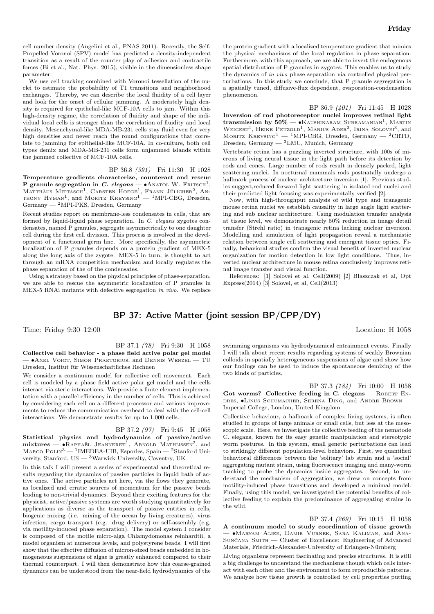cell number density (Angelini et al., PNAS 2011). Recently, the Self-Propelled Voronoi (SPV) model has predicted a density-independent transition as a result of the counter play of adhesion and contractile forces (Bi et al., Nat. Phys. 2015), visible in the dimensionless shape parameter.

We use cell tracking combined with Voronoi tessellation of the nuclei to estimate the probability of T1 transitions and neighborhood exchanges. Thereby, we can describe the local fluidity of a cell layer and look for the onset of cellular jamming. A moderately high density is required for epithelial-like MCF-10A cells to jam. Within this high-density regime, the correlation of fluidity and shape of the individual local cells is stronger than the correlation of fluidity and local density. Mesenchymal-like MDA-MB-231 cells stay fluid even for very high densities and never reach the round configurations that correlate to jamming for epithelial-like MCF-10A. In co-culture, both cell types demix and MDA-MB-231 cells form unjammed islands within the jammed collective of MCF-10A cells.

#### BP 36.8 (391) Fri 11:30 H 1028

Temperature gradients characterize, counteract and rescue P granule segregation in C. elegans — •Anatol W. Fritsch<sup>1</sup>, Matthäus Mittasch<sup>1</sup>, Carsten Hoege<sup>1</sup>, Frank Jülicher<sup>2</sup>, An-THONY HYMAN<sup>1</sup>, and MORITZ  $K$ REYSING<sup>1</sup> — <sup>1</sup>MPI-CBG, Dresden, Germany — <sup>2</sup>MPI-PKS, Dresden, Germany

Recent studies report on membrane-less condensates in cells, that are formed by liquid-liquid phase separation. In C. elegans zygotes condensates, named P granules, segregate asymmetrically to one daughter cell during the first cell division. This process is involved in the development of a functional germ line. More specifically, the asymmetric localization of P granules depends on a protein gradient of MEX-5 along the long axis of the zygote. MEX-5 in turn, is thought to act through an mRNA competition mechanism and locally regulates the phase separation of the of the condensates.

Using a strategy based on the physical principles of phase-separation, we are able to rescue the asymmetric localization of P granules in MEX-5 RNAi mutants with defective segregation in vivo. We replace

the protein gradient with a localized temperature gradient that mimics the physical mechanisms of the local regulation in phase separation. Furthermore, with this approach, we are able to invert the endogenous spatial distribution of P granules in zygotes. This enables us to study the dynamics of in vivo phase separation via controlled physical perturbations. In this study we conclude, that P granule segregation is a spatially tuned, diffusive-flux dependent, evaporation-condensation phenomenon.

### BP 36.9 (401) Fri 11:45 H 1028

Inversion of rod photoreceptor nuclei improves retinal light transmission by  $50\% - \bullet$ Kaushikaram Subramanian<sup>1</sup>, Martin WEIGERT<sup>1</sup>, HEIKE PETZOLD<sup>1</sup>, MARIUS ADER<sup>2</sup>, IRINA SOLOVEI<sup>3</sup>, and MORITZ  $K$ REYSING<sup>1</sup> — <sup>1</sup>MPI-CBG, Dresden, Germany — <sup>2</sup>CRTD, Dresden, Germany — <sup>3</sup>LMU, Munich, Germany

Vertebrate retina has a puzzling inverted structure, with 100s of microns of living neural tissue in the light path before its detection by rods and cones. Large number of rods result in densely packed, light scattering nuclei. In nocturnal mammals rods postnatally undergo a hallmark process of nuclear architecture inversion [1]. Previous studies suggest,reduced forward light scattering in isolated rod nuclei and their predicted light focusing was experimentally verified [2].

Now, with high-throughput analysis of wild type and transgenic mouse retina nuclei we establish causality in large angle light scattering and sub nuclear architecture. Using modulation transfer analysis at tissue level, we demonstrate nearly 50% reduction in image detail transfer (Strehl ratio) in transgenic retina lacking nuclear inversion. Modelling and simulation of light propagation reveal a mechanistic relation between single cell scattering and emergent tissue optics. Finally, behavioral studies confirm the visual benefit of inverted nuclear organization for motion detection in low light conditions. Thus, inverted nuclear architecture in mouse retina conclusively improves retinal image transfer and visual function.

References: [1] Solovei et al, Cell(2009) [2] Błaszczak et al, Opt Express(2014) [3] Solovei, et al, Cell(2013)

## BP 37: Active Matter (joint session BP/CPP/DY)

Time: Friday 9:30–12:00 Location: H 1058

BP 37.1 (78) Fri 9:30 H 1058 Collective cell behavior - a phase field active polar gel model — ∙Axel Voigt, Simon Praetorius, and Dennis Wenzel — TU Dresden, Institut für Wissenschaftliches Rechnen

We consider a continuum model for collective cell movement. Each cell is modeled by a phase field active polar gel model and the cells interact via steric interactions. We provide a finite element implementation with a parallel efficiency in the number of cells. This is achieved by considering each cell on a different processor and various improvements to reduce the communication overhead to deal with the cell-cell interactions. We demonstrate results for up to 1.000 cells.

#### BP 37.2 (97) Fri 9:45 H 1058

Statistical physics and hydrodynamics of passive/active  $mixtures$  — • RAPHAËL JEANNERET<sup>1</sup>, ARNOLD MATHIJSSEN<sup>2</sup>, and MARCO  $\text{POLIN}^3 - 1\text{IMEDEA-UIB}$ , Esporles, Spain  $\text{Standard Uni}$ versity, Stanford, US  $-$  <sup>3</sup>Warwick University, Coventry, UK

In this talk I will present a series of experimental and theoretical results regarding the dynamics of passive particles in liquid bath of active ones. The active particles act here, via the flows they generate, as localized and erratic sources of momentum for the passive beads leading to non-trivial dynamics. Beyond their exciting features for the physicist, active/passive systems are worth studying quantitatively for applications as diverse as the transport of passive entities in cells, biogenic mixing (i.e. mixing of the ocean by living creatures), virus infection, cargo transport (e.g. drug delivery) or self-assembly (e.g. via motility-induced phase separation). The model system I consider is composed of the motile micro-alga Chlamydomonas reinhardtii, a model organism at numerous levels, and polystyrene beads. I will first show that the effective diffusion of micron-sized beads embedded in homogeneous suspensions of algae is greatly enhanced compared to their thermal counterpart. I will then demonstrate how this coarse-grained dynamics can be understood from the near-field hydrodynamics of the

swimming organisms via hydrodynamical entrainment events. Finally I will talk about recent results regarding systems of weakly Brownian colloids in spatially heterogeneous suspensions of algae and show how our findings can be used to induce the spontaneous demixing of the two kinds of particles.

#### BP 37.3 (184) Fri 10:00 H 1058

Got worms? Collective feeding in C. elegans - ROBERT ENdres, ∙Linus Schumacher, Serena Ding, and Andre Brown — Imperial College, London, United Kingdom

Collective behaviour, a hallmark of complex living systems, is often studied in groups of large animals or small cells, but less at the mesoscopic scale. Here, we investigate the collective feeding of the nematode C. elegans, known for its easy genetic manipulation and stereotypic worm postures. In this system, small genetic perturbations can lead to strikingly different population-level behaviors. First, we quantified behavioral differences between the 'solitary' lab strain and a 'social' aggregating mutant strain, using fluorescence imaging and many-worm tracking to probe the dynamics inside aggregates. Second, to understand the mechanism of aggregation, we drew on concepts from motility-induced phase transitions and developed a minimal model. Finally, using this model, we investigated the potential benefits of collective feeding to explain the predominance of aggregating strains in the wild.

### BP 37.4 (269) Fri 10:15 H 1058

A continuum model to study coordination of tissue growth — ∙Maryam Aliee, Damir Vurnek, Sara Kaliman, and Ana-SUNČANA SMITH — Cluster of Excellence: Engineering of Advanced Materials, Friedrich-Alexander-University of Erlangen-Nürnberg

Living organisms represent fascinating and precise structures. It is still a big challenge to understand the mechanisms though which cells interact with each other and the environment to form reproducible patterns. We analyze how tissue growth is controlled by cell properties putting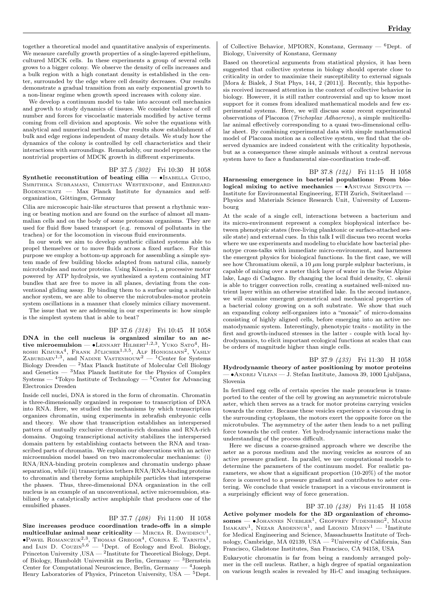together a theoretical model and quantitative analysis of experiments. We measure carefully growth properties of a single-layered epithelium, cultured MDCK cells. In these experiments a group of several cells grows to a bigger colony. We observe the density of cells increases and a bulk region with a high constant density is established in the center, surrounded by the edge where cell density decreases. Our results demonstrate a gradual transition from an early exponential growth to a non-linear regime when growth speed increases with colony size.

We develop a continuum model to take into account cell mechanics and growth to study dynamics of tissues. We consider balance of cell number and forces for viscoelastic materials modified by active terms coming from cell division and apoptosis. We solve the equations with analytical and numerical methods. Our results show establishment of bulk and edge regions independent of many details. We study how the dynamics of the colony is controlled by cell characteristics and their interactions with surroundings. Remarkably, our model reproduces the nontrivial properties of MDCK growth in different experiments.

#### BP 37.5 (302) Fri 10:30 H 1058

Synthetic reconstitution of beating cilia —  $\bullet$ Isabella Guido, Smrithika Subramani, Christian Westendorf, and Eberhard BODENSCHATZ — Max Planck Institute for dynamics and selforganization, Göttingen, Germany

Cilia are microscopic hair-like structures that present a rhythmic waving or beating motion and are found on the surface of almost all mammalian cells and on the body of some protozoan organisms. They are used for fluid flow based transport (e.g. removal of pollutants in the trachea) or for the locomotion in viscous fluid environments.

In our work we aim to develop synthetic ciliated systems able to propel themselves or to move fluids across a fixed surface. For this purpose we employ a bottom-up approach for assembling a simple system made of few building blocks adapted from natural cilia, namely microtubules and motor proteins. Using Kinesin-1, a processive motor powered by ATP hydrolysis, we synthesized a system containing MT bundles that are free to move in all planes, deviating from the conventional gliding assay. By binding them to a surface using a suitable anchor system, we are able to observe the microtubules-motor protein system oscillations in a manner that closely mimics ciliary movement.

The issue that we are addressing in our experiments is: how simple is the simplest system that is able to beat?

### BP 37.6 (318) Fri 10:45 H 1058

DNA in the cell nucleus is organized similar to an active microemulsion —  $\bullet$ LENNART HILBERT<sup>1,2,3</sup>, YUKO SATO<sup>4</sup>, HI-ROSHI KIMURA<sup>4</sup>, FRANK JÜLICHER<sup>1,3,5</sup>, ALF HONIGMANN<sup>2</sup>, VASILY ZABURDAEV<sup>1,3</sup>, and NADINE VASTENHOUW<sup>2</sup> — <sup>1</sup>Center for Systems Biology Dresden — <sup>2</sup>Max Planck Institute of Molecular Cell Biology and Genetics —  ${}^{3}$ Max Planck Institute for the Physics of Complex Systems —  ${}^{4}$ Tokyo Institute of Technology —  ${}^{5}$ Center for Advancing Electronics Dresden

Inside cell nuclei, DNA is stored in the form of chromatin. Chromatin is three-dimensionally organized in response to transcription of DNA into RNA. Here, we studied the mechanisms by which transcription organizes chromatin, using experiments in zebrafish embryonic cells and theory. We show that transcription establishes an interspersed pattern of mutually exclusive chromatin-rich domains and RNA-rich domains. Ongoing transcriptional activity stabilizes the interspersed domain pattern by establishing contacts between the RNA and transcribed parts of chromatin. We explain our observations with an active microemulsion model based on two macromolecular mechanisms: (i) RNA/RNA-binding protein complexes and chromatin undergo phase separation, while (ii) transcription tethers RNA/RNA-binding proteins to chromatin and thereby forms amphiphile particles that intersperse the phases. Thus, three-dimensional DNA organization in the cell nucleus is an example of an unconventional, active microemulsion, stabilized by a catalytically active amphiphile that produces one of the emulsified phases.

### BP 37.7 (408) Fri 11:00 H 1058

Size increases produce coordination trade-offs in a simple multicellular animal near criticality —  $\text{MıRCEA} \, \text{R. DAVIDESCU}^1,$ ∙Pawel Romanczuk2,<sup>3</sup> , Thomas Gregor<sup>4</sup> , Corina E. Tarnita<sup>1</sup> , and Iain D. Couzin5,<sup>6</sup> — <sup>1</sup>Dept. of Ecology and Evol. Biology, Princeton University,  $USA = 2$ Institute for Theoretical Biology, Dept. of Biology, Humboldt Universität zu Berlin, Germany —  ${}^{3}$ Bernstein Center for Computational Neuroscience, Berlin, Germany  $-$  4 Joseph Henry Laboratories of Physics, Princeton University, USA — <sup>5</sup>Dept.

of Collective Behavior, MPIORN, Konstanz, Germany  $-$  <sup>6</sup>Dept. of Biology, University of Konstanz, Germany

Based on theoretical arguments from statistical physics, it has been suggested that collective systems in biology should operate close to criticality in order to maximize their susceptibility to external signals [Mora & Bialek, J Stat Phys, 144, 2 (2011)]. Recently, this hypothesis received increased attention in the context of collective behavior in biology. However, it is still rather controversial and up to know most support for it comes from idealized mathematical models and few experimental systems. Here, we will discuss some recent experimental observations of Placozoa (Trichoplax Adhaerens), a simple multicellular animal effectively corresponding to a quasi two-dimensional cellular sheet. By combining experimental data with simple mathematical model of Placozoa motion as a collective system, we find that the observed dynamics are indeed consistent with the criticality hypothesis, but as a consequence these simple animals without a central nervous system have to face a fundamental size-coordination trade-off.

BP 37.8 (124) Fri 11:15 H 1058 Harnessing emergence in bacterial populations: From biological mixing to active mechanics — • ANUPAM SENGUPTA — Institute for Environmental Engineering, ETH Zurich, Switzerland — Physics and Materials Science Research Unit, University of Luxembourg

At the scale of a single cell, interactions between a bacterium and its micro-environment represent a complex biophysical interface between phenotypic states (free-living planktonic or surface-attached sessile state) and external cues. In this talk I will discuss two recent works where we use experiments and modeling to elucidate how bacterial phenotype cross-talks with immediate micro-environment, and harnesses the emergent physics for biological functions. In the first case, we will see how Chromatium okenii, a 10  $\mu$ m long purple sulphur bacterium, is capable of mixing over a meter thick layer of water in the Swiss Alpine lake, Lago di Cadagno. By changing the local fluid density, C. okenii is able to trigger convection rolls, creating a sustained well-mixed nutrient layer within an otherwise stratified lake. In the second instance, we will examine emergent geometrical and mechanical properties of a bacterial colony growing on a soft substrate. We show that such an expanding colony self-organizes into a "mosaic" of micro-domains consisting of highly aligned cells, before emerging into an active nematodynamic system. Interestingly, phenotypic traits - motility in the first and growth-induced stresses in the latter - couple with local hydrodynamics, to elicit important ecological functions at scales that can be orders of magnitude higher than single cells.

BP 37.9 (433) Fri 11:30 H 1058

Hydrodynamic theory of aster positioning by motor proteins — ∙Andrej Vilfan — J. Stefan Institute, Jamova 39, 1000 Ljubljana, Slovenia

In fertilized egg cells of certain species the male pronucleus is transported to the center of the cell by growing an asymmetric microtubule aster, which then serves as a track for motor proteins carrying vesicles towards the center. Because these vesicles experience a viscous drag in the surrounding cytoplasm, the motors exert the opposite force on the microtubules. The asymmetry of the aster then leads to a net pulling force towards the cell center. Yet hydrodynamic interactions make the understanding of the process difficult.

Here we discuss a coarse-grained approach where we describe the aster as a porous medium and the moving vesicles as sources of an active pressure gradient. In parallel, we use computational models to determine the parameters of the continuum model. For realistic parameters, we show that a significant proportion (10-20%) of the motor force is converted to a pressure gradient and contributes to aster centering. We conclude that vesicle transport in a viscous environment is a surprisingly efficient way of force generation.

### BP 37.10 (438) Fri 11:45 H 1058

Active polymer models for the 3D organization of chromosomes — •Johannes Nuebler<sup>1</sup>, Geoffrey Fudenberg<sup>2</sup>, Maxim  $IMAKAEV<sup>1</sup>$ , NEZAR ABDENNUR<sup>1</sup>, and LEONID MIRNY<sup>1</sup> - <sup>1</sup>Institute for Medical Engineering and Science, Massachusetts Institute of Technology, Cambridge, MA 02139, USA —  $^2$  University of California, San Francisco, Gladstone Institutes, San Francisco, CA 94158, USA

Eukaryotic chromatin is far from being a randomly arranged polymer in the cell nucleus. Rather, a high degree of spatial organization on various length scales is revealed by Hi-C and imaging techniques.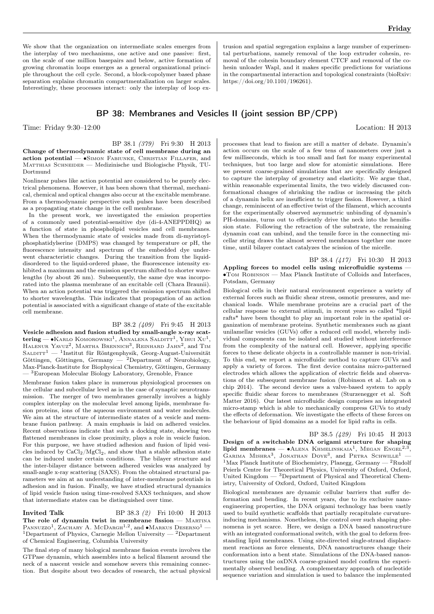We show that the organization on intermediate scales emerges from the interplay of two mechanisms, one active and one passive: first, on the scale of one million basepairs and below, active formation of growing chromatin loops emerges as a general organizational principle throughout the cell cycle. Second, a block-copolymer based phase separation explains chromatin compartmentalization on larger scales. Interestingly, these processes interact: only the interplay of loop ex-

## BP 38: Membranes and Vesicles II (joint session BP/CPP)

BP 38.1 (379) Fri 9:30 H 2013 Change of thermodynamic state of cell membrane during an action potential — ∙Simon Fabiunke, Christian Fillafer, and Matthias Schneider — Medizinische und Biologische Physik, TU-Dortmund

Nonlinear pulses like action potential are considered to be purely electrical phenomena. However, it has been shown that thermal, mechanical, chemical and optical changes also occur at the excitable membrane. From a thermodynamic perspective such pulses have been described as a propagating state change in the cell membrane.

In the present work, we investigated the emission properties of a commonly used potential-sensitive dye (di-4-ANEPPDHQ) as a function of state in phospholipid vesicles and cell membranes. When the thermodynamic state of vesicles made from di-myristoylphosphatidylserine (DMPS) was changed by temperature or pH, the fluorescence intensity and spectrum of the embedded dye underwent characteristic changes. During the transition from the liquiddisordered to the liquid-ordered phase, the fluorescence intensity exhibited a maximum and the emission spectrum shifted to shorter wavelengths (by about 26 nm). Subsequently, the same dye was incorporated into the plasma membrane of an excitable cell (Chara Braunii). When an action potential was triggered the emission spectrum shifted to shorter wavelengths. This indicates that propagation of an action potential is associated with a significant change of state of the excitable cell membrane.

#### BP 38.2 (409) Fri 9:45 H 2013

Vesicle adhesion and fusion studied by small-angle x-ray scat- $\mathbf{tering} \boldsymbol{-}\bullet \mathrm{K}$ arlo Komorowski $^1,$  Annalena Salditt $^1,$  Yihui Xu $^1,$ HALENUR YAVUZ<sup>2</sup>, MARTHA BRENNICH<sup>3</sup>, REINHARD JAHN<sup>2</sup>, and TIM  $\text{SALDITT}^{1}$  — <sup>1</sup>Institut für Röntgenphysik, Georg-August-Universität Göttingen, Göttingen, Germany  $-$  2Department of Neurobiology, Max-Planck-Institute for Biophysical Chemistry, Göttingen, Germany — <sup>3</sup>European Molecular Biology Laboratory, Grenoble, France

Membrane fusion takes place in numerous physiological processes on the cellular and subcellular level as in the case of synaptic neurotransmission. The merger of two membranes generally involves a highly complex interplay on the molecular level among lipids, membrane fusion proteins, ions of the aqueous environment and water molecules. We aim at the structure of intermediate states of a vesicle and membrane fusion pathway. A main emphasis is laid on adhered vesicles. Recent observations indicate that such a docking state, showing two flattened membranes in close proximity, plays a role in vesicle fusion. For this purpose, we have studied adhesion and fusion of lipid vesicles induced by  $CaCl<sub>2</sub>/MgCl<sub>2</sub>$ , and show that a stable adhesion state can be induced under certain conditions. The bilayer structure and the inter-bilayer distance between adhered vesicles was analyzed by small-angle x-ray scattering (SAXS). From the obtained structural parameters we aim at an understanding of inter-membrane potentials in adhesion and in fusion. Finally, we have studied structural dynamics of lipid vesicle fusion using time-resolved SAXS techniques, and show that intermediate states can be distinguished over time.

**Invited Talk** BP 38.3 (2) Fri 10:00 H 2013 The role of dynamin twist in membrane fission  $-$  MARTINA PANNUZZO<sup>1</sup>, ZACHARY A. McDARGH<sup>1,2</sup>, and  $\bullet$ Markus Deserno<sup>1</sup> — <sup>1</sup>Department of Physics, Carnegie Mellon University  $-$  <sup>2</sup>Department of Chemical Engineering, Columbia University

The final step of many biological membrane fission events involves the GTPase dynamin, which assembles into a helical filament around the neck of a nascent vesicle and somehow severs this remaining connection. But despite about two decades of research, the actual physical

Time: Friday 9:30–12:00 Location: H 2013 processes that lead to fission are still a matter of debate. Dynamin's action occurs on the scale of a few tens of nanometers over just a few milliseconds, which is too small and fast for many experimental techniques, but too large and slow for atomistic simulations. Here we present coarse-grained simulations that are specifically designed to capture the interplay of geometry and elasticity. We argue that, within reasonable experimental limits, the two widely discussed conformational changes of shrinking the radius or increasing the pitch of a dynamin helix are insufficient to trigger fission. However, a third change, reminiscent of an effective twist of the filament, which accounts for the experimentally observed asymmetric unbinding of dynamin's PH-domains, turns out to efficiently drive the neck into the hemifission state. Following the retraction of the substrate, the remaining dynamin coat can unbind, and the tensile force in the connecting micellar string draws the almost severed membranes together one more time, until bilayer contact catalyzes the scission of the micelle.

trusion and spatial segregation explains a large number of experimental perturbations, namely removal of the loop extruder cohesin, removal of the cohesin boundary element CTCF and removal of the cohesin unloader Wapl, and it makes specific predictions for variations in the compartmental interaction and topological constraints (bioRxiv:

https://doi.org/10.1101/196261).

BP 38.4 (417) Fri 10:30 H 2013 Appling forces to model cells using microfluidic systems — ∙Tom Robinson — Max Planck Institute of Colloids and Interfaces, Potsdam, Germany

Biological cells in their natural environment experience a variety of external forces such as fluidic shear stress, osmotic pressures, and mechanical loads. While membrane proteins are a crucial part of the cellular response to external stimuli, in recent years so called \*lipid rafts\* have been thought to play an important role in the spatial organization of membrane proteins. Synthetic membranes such as giant unilamellar vesicles (GUVs) offer a reduced cell model, whereby individual components can be isolated and studied without interference from the complexity of the natural cell. However, applying specific forces to these delicate objects in a controllable manner is non-trivial. To this end, we report a microfluidic method to capture GUVs and apply a variety of forces. The first device contains micro-patterned electrodes which allows the application of electric fields and observations of the subsequent membrane fusion (Robinson et al. Lab on a chip 2014). The second device uses a valve-based system to apply specific fluidic shear forces to membranes (Sturzenegger et al. Soft Matter 2016). Our latest microfluidic design comprises an integrated micro-stamp which is able to mechanically compress GUVs to study the effects of deformation. We investigate the effects of these forces on the behaviour of lipid domains as a model for lipid rafts in cells.

BP 38.5 (429) Fri 10:45 H 2013

Design of a switchable DNA origami structure for shaping lipid membranes —  $\bullet$ ALENA KHMELINSKAIA<sup>1</sup>, MEGAN ENGEL<sup>2,3</sup>, GARIMA MISHRA<sup>3</sup>, JONATHAN DOYE<sup>3</sup>, and PETRA SCHWILLE<sup>1</sup> -<sup>1</sup>Max Planck Institute of Biochemistry, Planegg, Germany  $-{}^{2}$ Rudolf Peierls Centre for Theoretical Physics, University of Oxford, Oxford, United Kingdom — <sup>3</sup>Department of Physical and Theoretical Chemistry, University of Oxford, Oxford, United Kingdom

Biological membranes are dynamic cellular barriers that suffer deformation and bending. In recent years, due to its exclusive nanoengineering properties, the DNA origami technology has been vastly used to build synthetic scaffolds that partially recapitulate curvatureinducing mechanisms. Nonetheless, the control over such shaping phenomena is yet scarce. Here, we design a DNA based nanostructure with an integrated conformational switch, with the goal to deform freestanding lipid membranes. Using site-directed single-strand displacement reactions as force elements, DNA nanostructures change their conformation into a bent state. Simulations of the DNA-based nanostructures using the oxDNA coarse-grained model confirm the experimentally observed bending. A complementary approach of nucleotide sequence variation and simulation is used to balance the implemented